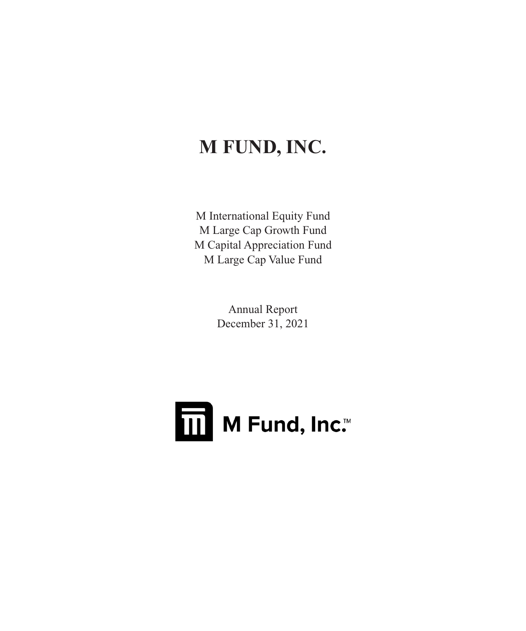## **M FUND, INC.**

M International Equity Fund M Large Cap Growth Fund M Capital Appreciation Fund M Large Cap Value Fund

> Annual Report December 31, 2021

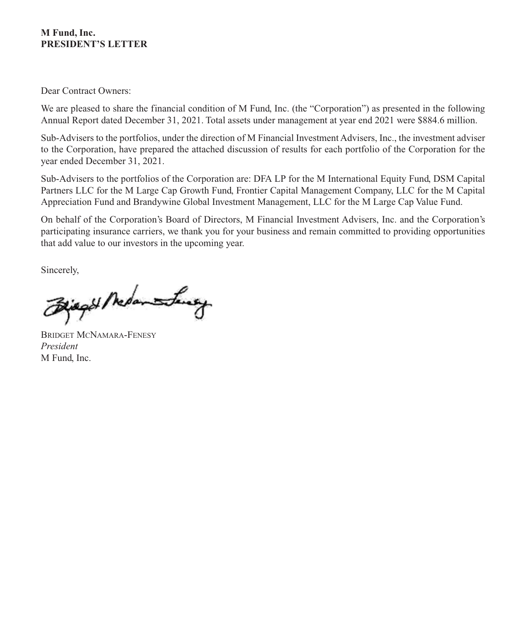### **M Fund, Inc. PRESIDENT'S LETTER**

### Dear Contract Owners:

We are pleased to share the financial condition of M Fund, Inc. (the "Corporation") as presented in the following Annual Report dated December 31, 2021. Total assets under management at year end 2021 were \$884.6 million.

Sub-Advisers to the portfolios, under the direction of M Financial Investment Advisers, Inc., the investment adviser to the Corporation, have prepared the attached discussion of results for each portfolio of the Corporation for the year ended December 31, 2021.

Sub-Advisers to the portfolios of the Corporation are: DFA LP for the M International Equity Fund, DSM Capital Partners LLC for the M Large Cap Growth Fund, Frontier Capital Management Company, LLC for the M Capital Appreciation Fund and Brandywine Global Investment Management, LLC for the M Large Cap Value Fund.

On behalf of the Corporation's Board of Directors, M Financial Investment Advisers, Inc. and the Corporation's participating insurance carriers, we thank you for your business and remain committed to providing opportunities that add value to our investors in the upcoming year.

Sincerely,

Fiago / Medan Surey

BRIDGET MCNAMARA-FENESY *President* M Fund, Inc.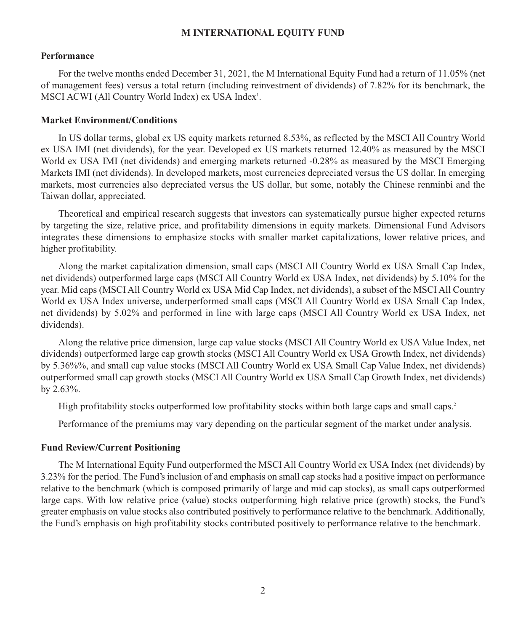#### **M INTERNATIONAL EQUITY FUND**

#### **Performance**

For the twelve months ended December 31, 2021, the M International Equity Fund had a return of 11.05% (net of management fees) versus a total return (including reinvestment of dividends) of 7.82% for its benchmark, the MSCI ACWI (All Country World Index) ex USA Index<sup>1</sup>.

#### **Market Environment/Conditions**

In US dollar terms, global ex US equity markets returned 8.53%, as reflected by the MSCI All Country World ex USA IMI (net dividends), for the year. Developed ex US markets returned 12.40% as measured by the MSCI World ex USA IMI (net dividends) and emerging markets returned -0.28% as measured by the MSCI Emerging Markets IMI (net dividends). In developed markets, most currencies depreciated versus the US dollar. In emerging markets, most currencies also depreciated versus the US dollar, but some, notably the Chinese renminbi and the Taiwan dollar, appreciated.

Theoretical and empirical research suggests that investors can systematically pursue higher expected returns by targeting the size, relative price, and profitability dimensions in equity markets. Dimensional Fund Advisors integrates these dimensions to emphasize stocks with smaller market capitalizations, lower relative prices, and higher profitability.

Along the market capitalization dimension, small caps (MSCI All Country World ex USA Small Cap Index, net dividends) outperformed large caps (MSCI All Country World ex USA Index, net dividends) by 5.10% for the year. Mid caps (MSCI All Country World ex USA Mid Cap Index, net dividends), a subset of the MSCI All Country World ex USA Index universe, underperformed small caps (MSCI All Country World ex USA Small Cap Index, net dividends) by 5.02% and performed in line with large caps (MSCI All Country World ex USA Index, net dividends).

Along the relative price dimension, large cap value stocks (MSCI All Country World ex USA Value Index, net dividends) outperformed large cap growth stocks (MSCI All Country World ex USA Growth Index, net dividends) by 5.36%%, and small cap value stocks (MSCI All Country World ex USA Small Cap Value Index, net dividends) outperformed small cap growth stocks (MSCI All Country World ex USA Small Cap Growth Index, net dividends) by 2.63%.

High profitability stocks outperformed low profitability stocks within both large caps and small caps.<sup>2</sup>

Performance of the premiums may vary depending on the particular segment of the market under analysis.

#### **Fund Review/Current Positioning**

The M International Equity Fund outperformed the MSCI All Country World ex USA Index (net dividends) by 3.23% for the period. The Fund's inclusion of and emphasis on small cap stocks had a positive impact on performance relative to the benchmark (which is composed primarily of large and mid cap stocks), as small caps outperformed large caps. With low relative price (value) stocks outperforming high relative price (growth) stocks, the Fund's greater emphasis on value stocks also contributed positively to performance relative to the benchmark. Additionally, the Fund's emphasis on high profitability stocks contributed positively to performance relative to the benchmark.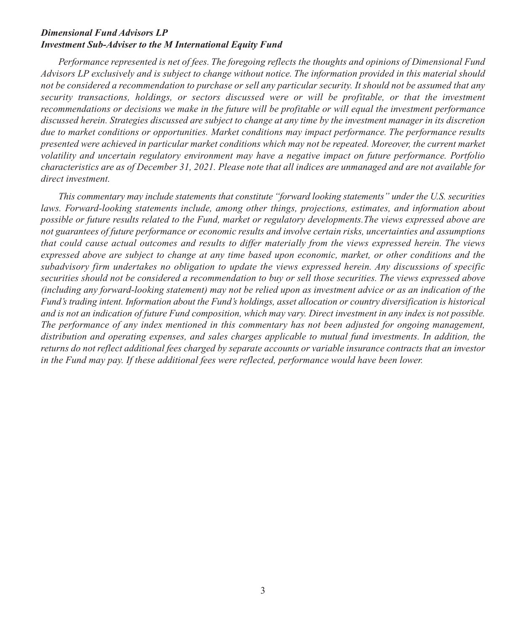### *Dimensional Fund Advisors LP Investment Sub-Adviser to the M International Equity Fund*

*Performance represented is net of fees. The foregoing reflects the thoughts and opinions of Dimensional Fund Advisors LP exclusively and is subject to change without notice. The information provided in this material should not be considered a recommendation to purchase or sell any particular security. It should not be assumed that any security transactions, holdings, or sectors discussed were or will be profitable, or that the investment recommendations or decisions we make in the future will be profitable or will equal the investment performance discussed herein. Strategies discussed are subject to change at any time by the investment manager in its discretion due to market conditions or opportunities. Market conditions may impact performance. The performance results presented were achieved in particular market conditions which may not be repeated. Moreover, the current market volatility and uncertain regulatory environment may have a negative impact on future performance. Portfolio characteristics are as of December 31, 2021. Please note that all indices are unmanaged and are not available for direct investment.*

*This commentary may include statements that constitute "forward looking statements" under the U.S. securities laws. Forward-looking statements include, among other things, projections, estimates, and information about possible or future results related to the Fund, market or regulatory developments.The views expressed above are not guarantees of future performance or economic results and involve certain risks, uncertainties and assumptions that could cause actual outcomes and results to differ materially from the views expressed herein. The views expressed above are subject to change at any time based upon economic, market, or other conditions and the subadvisory firm undertakes no obligation to update the views expressed herein. Any discussions of specific securities should not be considered a recommendation to buy or sell those securities. The views expressed above (including any forward-looking statement) may not be relied upon as investment advice or as an indication of the Fund's trading intent. Information about the Fund's holdings, asset allocation or country diversification is historical and is not an indication of future Fund composition, which may vary. Direct investment in any index is not possible. The performance of any index mentioned in this commentary has not been adjusted for ongoing management, distribution and operating expenses, and sales charges applicable to mutual fund investments. In addition, the returns do not reflect additional fees charged by separate accounts or variable insurance contracts that an investor in the Fund may pay. If these additional fees were reflected, performance would have been lower.*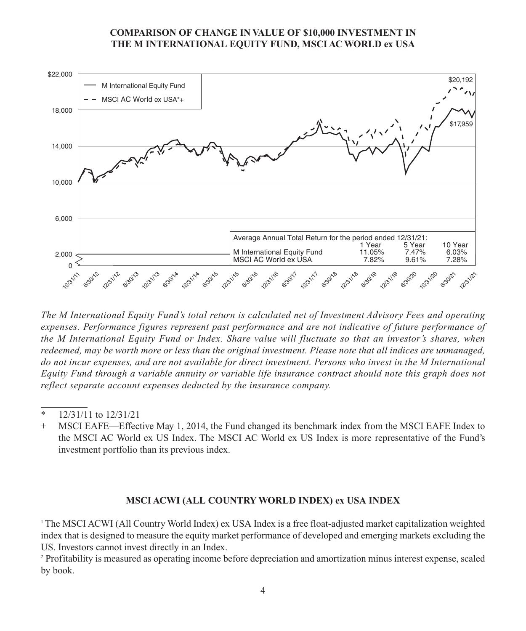### **COMPARISON OF CHANGE IN VALUE OF \$10,000 INVESTMENT IN THE M INTERNATIONAL EQUITY FUND, MSCI AC WORLD ex USA**



*The M International Equity Fund's total return is calculated net of Investment Advisory Fees and operating expenses. Performance figures represent past performance and are not indicative of future performance of the M International Equity Fund or Index. Share value will fluctuate so that an investor's shares, when redeemed, may be worth more or less than the original investment. Please note that all indices are unmanaged, do not incur expenses, and are not available for direct investment. Persons who invest in the M International Equity Fund through a variable annuity or variable life insurance contract should note this graph does not reflect separate account expenses deducted by the insurance company.*

## **MSCI ACWI (ALL COUNTRY WORLD INDEX) ex USA INDEX**

<sup>1</sup> The MSCI ACWI (All Country World Index) ex USA Index is a free float-adjusted market capitalization weighted index that is designed to measure the equity market performance of developed and emerging markets excluding the US. Investors cannot invest directly in an Index.

<sup>2</sup> Profitability is measured as operating income before depreciation and amortization minus interest expense, scaled by book.

<sup>\* 12/31/11</sup> to 12/31/21

<sup>+</sup> MSCI EAFE—Effective May 1, 2014, the Fund changed its benchmark index from the MSCI EAFE Index to the MSCI AC World ex US Index. The MSCI AC World ex US Index is more representative of the Fund's investment portfolio than its previous index.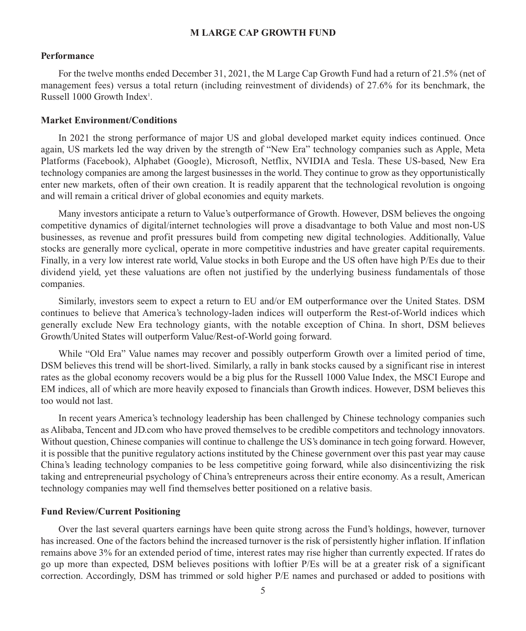#### **M LARGE CAP GROWTH FUND**

#### **Performance**

For the twelve months ended December 31, 2021, the M Large Cap Growth Fund had a return of 21.5% (net of management fees) versus a total return (including reinvestment of dividends) of 27.6% for its benchmark, the Russell 1000 Growth Index<sup>1</sup>.

#### **Market Environment/Conditions**

In 2021 the strong performance of major US and global developed market equity indices continued. Once again, US markets led the way driven by the strength of "New Era" technology companies such as Apple, Meta Platforms (Facebook), Alphabet (Google), Microsoft, Netflix, NVIDIA and Tesla. These US-based, New Era technology companies are among the largest businesses in the world. They continue to grow as they opportunistically enter new markets, often of their own creation. It is readily apparent that the technological revolution is ongoing and will remain a critical driver of global economies and equity markets.

Many investors anticipate a return to Value's outperformance of Growth. However, DSM believes the ongoing competitive dynamics of digital/internet technologies will prove a disadvantage to both Value and most non-US businesses, as revenue and profit pressures build from competing new digital technologies. Additionally, Value stocks are generally more cyclical, operate in more competitive industries and have greater capital requirements. Finally, in a very low interest rate world, Value stocks in both Europe and the US often have high P/Es due to their dividend yield, yet these valuations are often not justified by the underlying business fundamentals of those companies.

Similarly, investors seem to expect a return to EU and/or EM outperformance over the United States. DSM continues to believe that America's technology-laden indices will outperform the Rest-of-World indices which generally exclude New Era technology giants, with the notable exception of China. In short, DSM believes Growth/United States will outperform Value/Rest-of-World going forward.

While "Old Era" Value names may recover and possibly outperform Growth over a limited period of time, DSM believes this trend will be short-lived. Similarly, a rally in bank stocks caused by a significant rise in interest rates as the global economy recovers would be a big plus for the Russell 1000 Value Index, the MSCI Europe and EM indices, all of which are more heavily exposed to financials than Growth indices. However, DSM believes this too would not last.

In recent years America's technology leadership has been challenged by Chinese technology companies such as Alibaba, Tencent and JD.com who have proved themselves to be credible competitors and technology innovators. Without question, Chinese companies will continue to challenge the US's dominance in tech going forward. However, it is possible that the punitive regulatory actions instituted by the Chinese government over this past year may cause China's leading technology companies to be less competitive going forward, while also disincentivizing the risk taking and entrepreneurial psychology of China's entrepreneurs across their entire economy. As a result, American technology companies may well find themselves better positioned on a relative basis.

#### **Fund Review/Current Positioning**

Over the last several quarters earnings have been quite strong across the Fund's holdings, however, turnover has increased. One of the factors behind the increased turnover is the risk of persistently higher inflation. If inflation remains above 3% for an extended period of time, interest rates may rise higher than currently expected. If rates do go up more than expected, DSM believes positions with loftier P/Es will be at a greater risk of a significant correction. Accordingly, DSM has trimmed or sold higher P/E names and purchased or added to positions with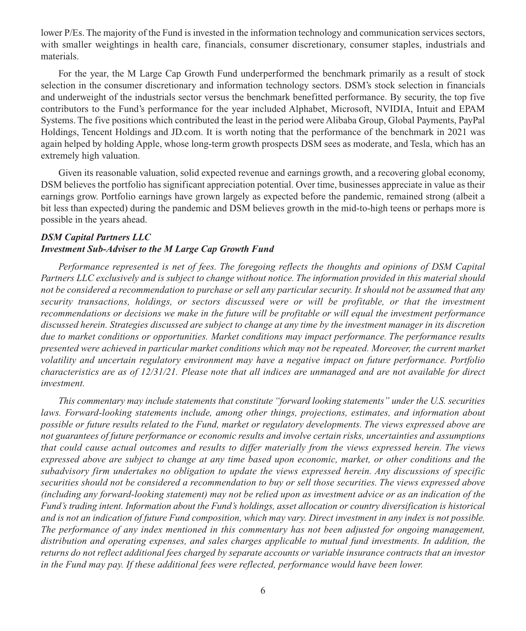lower P/Es. The majority of the Fund is invested in the information technology and communication services sectors, with smaller weightings in health care, financials, consumer discretionary, consumer staples, industrials and materials.

For the year, the M Large Cap Growth Fund underperformed the benchmark primarily as a result of stock selection in the consumer discretionary and information technology sectors. DSM's stock selection in financials and underweight of the industrials sector versus the benchmark benefitted performance. By security, the top five contributors to the Fund's performance for the year included Alphabet, Microsoft, NVIDIA, Intuit and EPAM Systems. The five positions which contributed the least in the period were Alibaba Group, Global Payments, PayPal Holdings, Tencent Holdings and JD.com. It is worth noting that the performance of the benchmark in 2021 was again helped by holding Apple, whose long-term growth prospects DSM sees as moderate, and Tesla, which has an extremely high valuation.

Given its reasonable valuation, solid expected revenue and earnings growth, and a recovering global economy, DSM believes the portfolio has significant appreciation potential. Over time, businesses appreciate in value as their earnings grow. Portfolio earnings have grown largely as expected before the pandemic, remained strong (albeit a bit less than expected) during the pandemic and DSM believes growth in the mid-to-high teens or perhaps more is possible in the years ahead.

### *DSM Capital Partners LLC Investment Sub-Adviser to the M Large Cap Growth Fund*

*Performance represented is net of fees. The foregoing reflects the thoughts and opinions of DSM Capital Partners LLC exclusively and is subject to change without notice. The information provided in this material should not be considered a recommendation to purchase or sell any particular security. It should not be assumed that any security transactions, holdings, or sectors discussed were or will be profitable, or that the investment recommendations or decisions we make in the future will be profitable or will equal the investment performance discussed herein. Strategies discussed are subject to change at any time by the investment manager in its discretion due to market conditions or opportunities. Market conditions may impact performance. The performance results presented were achieved in particular market conditions which may not be repeated. Moreover, the current market volatility and uncertain regulatory environment may have a negative impact on future performance. Portfolio characteristics are as of 12/31/21. Please note that all indices are unmanaged and are not available for direct investment.*

*This commentary may include statements that constitute "forward looking statements" under the U.S. securities laws. Forward-looking statements include, among other things, projections, estimates, and information about possible or future results related to the Fund, market or regulatory developments. The views expressed above are not guarantees of future performance or economic results and involve certain risks, uncertainties and assumptions that could cause actual outcomes and results to differ materially from the views expressed herein. The views expressed above are subject to change at any time based upon economic, market, or other conditions and the subadvisory firm undertakes no obligation to update the views expressed herein. Any discussions of specific securities should not be considered a recommendation to buy or sell those securities. The views expressed above (including any forward-looking statement) may not be relied upon as investment advice or as an indication of the Fund's trading intent. Information about the Fund's holdings, asset allocation or country diversification is historical and is not an indication of future Fund composition, which may vary. Direct investment in any index is not possible. The performance of any index mentioned in this commentary has not been adjusted for ongoing management, distribution and operating expenses, and sales charges applicable to mutual fund investments. In addition, the returns do not reflect additional fees charged by separate accounts or variable insurance contracts that an investor in the Fund may pay. If these additional fees were reflected, performance would have been lower.*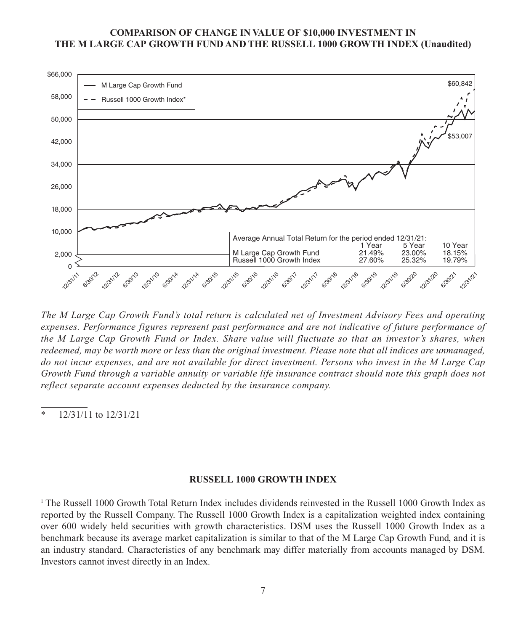### **COMPARISON OF CHANGE IN VALUE OF \$10,000 INVESTMENT IN THE M LARGE CAP GROWTH FUND AND THE RUSSELL 1000 GROWTH INDEX (Unaudited)**



*The M Large Cap Growth Fund's total return is calculated net of Investment Advisory Fees and operating expenses. Performance figures represent past performance and are not indicative of future performance of the M Large Cap Growth Fund or Index. Share value will fluctuate so that an investor's shares, when redeemed, may be worth more or less than the original investment. Please note that all indices are unmanaged, do not incur expenses, and are not available for direct investment. Persons who invest in the M Large Cap Growth Fund through a variable annuity or variable life insurance contract should note this graph does not reflect separate account expenses deducted by the insurance company.*

\* 12/31/11 to 12/31/21

#### **RUSSELL 1000 GROWTH INDEX**

<sup>1</sup> The Russell 1000 Growth Total Return Index includes dividends reinvested in the Russell 1000 Growth Index as reported by the Russell Company. The Russell 1000 Growth Index is a capitalization weighted index containing over 600 widely held securities with growth characteristics. DSM uses the Russell 1000 Growth Index as a benchmark because its average market capitalization is similar to that of the M Large Cap Growth Fund, and it is an industry standard. Characteristics of any benchmark may differ materially from accounts managed by DSM. Investors cannot invest directly in an Index.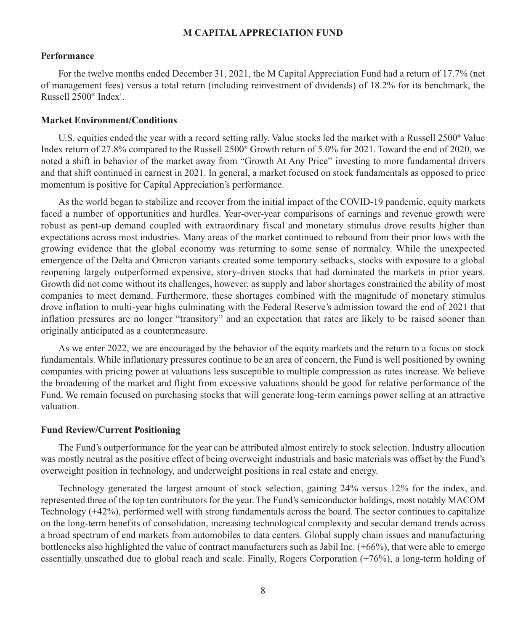#### **M CAPITAL APPRECIATION FUND**

#### **Performance**

For the twelve months ended December 31, 2021, the M Capital Appreciation Fund had a return of 17.7% (net of management fees) versus a total return (including reinvestment of dividends) of 18.2% for its benchmark, the Russell 2500<sup>®</sup> Index<sup>1</sup>.

#### **Market Environment/Conditions**

U.S. equities ended the year with a record setting rally. Value stocks led the market with a Russell 2500® Value Index return of 27.8% compared to the Russell 2500® Growth return of 5.0% for 2021. Toward the end of 2020, we noted a shift in behavior of the market away from "Growth At Any Price" investing to more fundamental drivers and that shift continued in earnest in 2021. In general, a market focused on stock fundamentals as opposed to price momentum is positive for Capital Appreciation's performance.

As the world began to stabilize and recover from the initial impact of the COVID-19 pandemic, equity markets faced a number of opportunities and hurdles. Year-over-year comparisons of earnings and revenue growth were robust as pent-up demand coupled with extraordinary fiscal and monetary stimulus drove results higher than expectations across most industries. Many areas of the market continued to rebound from their prior lows with the growing evidence that the global economy was returning to some sense of normalcy. While the unexpected emergence of the Delta and Omicron variants created some temporary setbacks, stocks with exposure to a global reopening largely outperformed expensive, story-driven stocks that had dominated the markets in prior years. Growth did not come without its challenges, however, as supply and labor shortages constrained the ability of most companies to meet demand. Furthermore, these shortages combined with the magnitude of monetary stimulus drove inflation to multi-year highs culminating with the Federal Reserve's admission toward the end of 2021 that inflation pressures are no longer "transitory" and an expectation that rates are likely to be raised sooner than originally anticipated as a countermeasure.

As we enter 2022, we are encouraged by the behavior of the equity markets and the return to a focus on stock fundamentals. While inflationary pressures continue to be an area of concern, the Fund is well positioned by owning companies with pricing power at valuations less susceptible to multiple compression as rates increase. We believe the broadening of the market and flight from excessive valuations should be good for relative performance of the Fund. We remain focused on purchasing stocks that will generate long-term earnings power selling at an attractive valuation.

#### **Fund Review/Current Positioning**

The Fund's outperformance for the year can be attributed almost entirely to stock selection. Industry allocation was mostly neutral as the positive effect of being overweight industrials and basic materials was offset by the Fund's overweight position in technology, and underweight positions in real estate and energy.

Technology generated the largest amount of stock selection, gaining 24% versus 12% for the index, and represented three of the top ten contributors for the year. The Fund's semiconductor holdings, most notably MACOM Technology (+42%), performed well with strong fundamentals across the board. The sector continues to capitalize on the long-term benefits of consolidation, increasing technological complexity and secular demand trends across a broad spectrum of end markets from automobiles to data centers. Global supply chain issues and manufacturing bottlenecks also highlighted the value of contract manufacturers such as Jabil Inc. (+66%), that were able to emerge essentially unscathed due to global reach and scale. Finally, Rogers Corporation (+76%), a long-term holding of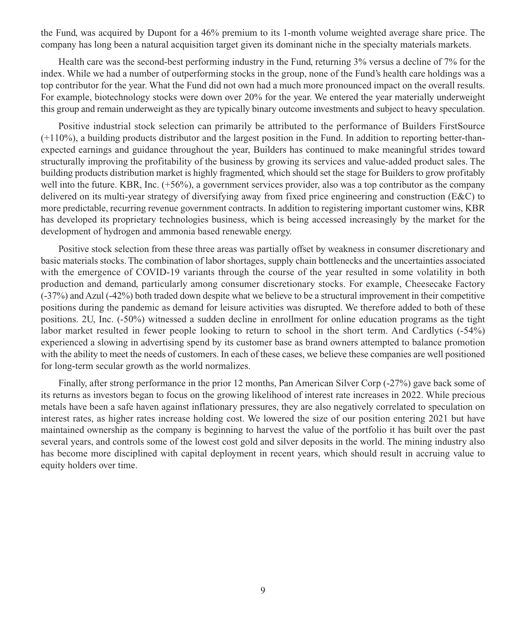the Fund, was acquired by Dupont for a 46% premium to its 1-month volume weighted average share price. The company has long been a natural acquisition target given its dominant niche in the specialty materials markets.

Health care was the second-best performing industry in the Fund, returning 3% versus a decline of 7% for the index. While we had a number of outperforming stocks in the group, none of the Fund's health care holdings was a top contributor for the year. What the Fund did not own had a much more pronounced impact on the overall results. For example, biotechnology stocks were down over 20% for the year. We entered the year materially underweight this group and remain underweight as they are typically binary outcome investments and subject to heavy speculation.

Positive industrial stock selection can primarily be attributed to the performance of Builders FirstSource (+110%), a building products distributor and the largest position in the Fund. In addition to reporting better-thanexpected earnings and guidance throughout the year, Builders has continued to make meaningful strides toward structurally improving the profitability of the business by growing its services and value-added product sales. The building products distribution market is highly fragmented, which should set the stage for Builders to grow profitably well into the future. KBR, Inc. (+56%), a government services provider, also was a top contributor as the company delivered on its multi-year strategy of diversifying away from fixed price engineering and construction (E&C) to more predictable, recurring revenue government contracts. In addition to registering important customer wins, KBR has developed its proprietary technologies business, which is being accessed increasingly by the market for the development of hydrogen and ammonia based renewable energy.

Positive stock selection from these three areas was partially offset by weakness in consumer discretionary and basic materials stocks. The combination of labor shortages, supply chain bottlenecks and the uncertainties associated with the emergence of COVID-19 variants through the course of the year resulted in some volatility in both production and demand, particularly among consumer discretionary stocks. For example, Cheesecake Factory (-37%) and Azul (-42%) both traded down despite what we believe to be a structural improvement in their competitive positions during the pandemic as demand for leisure activities was disrupted. We therefore added to both of these positions. 2U, Inc. (-50%) witnessed a sudden decline in enrollment for online education programs as the tight labor market resulted in fewer people looking to return to school in the short term. And Cardlytics (-54%) experienced a slowing in advertising spend by its customer base as brand owners attempted to balance promotion with the ability to meet the needs of customers. In each of these cases, we believe these companies are well positioned for long-term secular growth as the world normalizes.

Finally, after strong performance in the prior 12 months, Pan American Silver Corp (-27%) gave back some of its returns as investors began to focus on the growing likelihood of interest rate increases in 2022. While precious metals have been a safe haven against inflationary pressures, they are also negatively correlated to speculation on interest rates, as higher rates increase holding cost. We lowered the size of our position entering 2021 but have maintained ownership as the company is beginning to harvest the value of the portfolio it has built over the past several years, and controls some of the lowest cost gold and silver deposits in the world. The mining industry also has become more disciplined with capital deployment in recent years, which should result in accruing value to equity holders over time.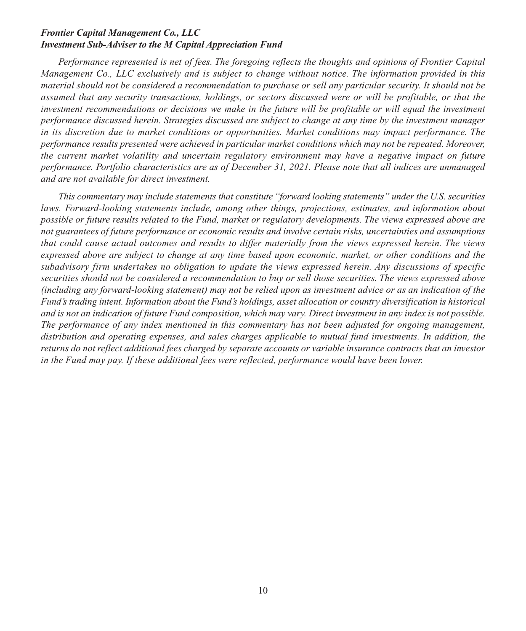### *Frontier Capital Management Co., LLC Investment Sub-Adviser to the M Capital Appreciation Fund*

*Performance represented is net of fees. The foregoing reflects the thoughts and opinions of Frontier Capital Management Co., LLC exclusively and is subject to change without notice. The information provided in this material should not be considered a recommendation to purchase or sell any particular security. It should not be assumed that any security transactions, holdings, or sectors discussed were or will be profitable, or that the investment recommendations or decisions we make in the future will be profitable or will equal the investment performance discussed herein. Strategies discussed are subject to change at any time by the investment manager in its discretion due to market conditions or opportunities. Market conditions may impact performance. The performance results presented were achieved in particular market conditions which may not be repeated. Moreover, the current market volatility and uncertain regulatory environment may have a negative impact on future performance. Portfolio characteristics are as of December 31, 2021. Please note that all indices are unmanaged and are not available for direct investment.*

*This commentary may include statements that constitute "forward looking statements" under the U.S. securities laws. Forward-looking statements include, among other things, projections, estimates, and information about possible or future results related to the Fund, market or regulatory developments. The views expressed above are not guarantees of future performance or economic results and involve certain risks, uncertainties and assumptions that could cause actual outcomes and results to differ materially from the views expressed herein. The views expressed above are subject to change at any time based upon economic, market, or other conditions and the subadvisory firm undertakes no obligation to update the views expressed herein. Any discussions of specific securities should not be considered a recommendation to buy or sell those securities. The views expressed above (including any forward-looking statement) may not be relied upon as investment advice or as an indication of the Fund's trading intent. Information about the Fund's holdings, asset allocation or country diversification is historical and is not an indication of future Fund composition, which may vary. Direct investment in any index is not possible. The performance of any index mentioned in this commentary has not been adjusted for ongoing management, distribution and operating expenses, and sales charges applicable to mutual fund investments. In addition, the returns do not reflect additional fees charged by separate accounts or variable insurance contracts that an investor in the Fund may pay. If these additional fees were reflected, performance would have been lower.*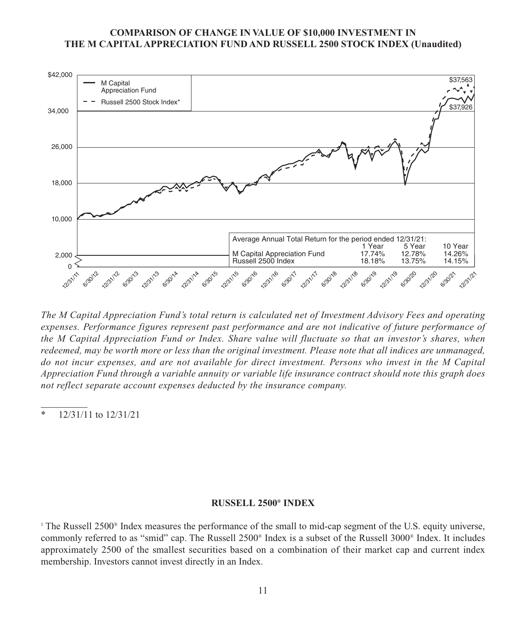### **COMPARISON OF CHANGE IN VALUE OF \$10,000 INVESTMENT IN THE M CAPITAL APPRECIATION FUND AND RUSSELL 2500 STOCK INDEX (Unaudited)**



*The M Capital Appreciation Fund's total return is calculated net of Investment Advisory Fees and operating expenses. Performance figures represent past performance and are not indicative of future performance of the M Capital Appreciation Fund or Index. Share value will fluctuate so that an investor's shares, when redeemed, may be worth more or less than the original investment. Please note that all indices are unmanaged, do not incur expenses, and are not available for direct investment. Persons who invest in the M Capital Appreciation Fund through a variable annuity or variable life insurance contract should note this graph does not reflect separate account expenses deducted by the insurance company.*

 $*$  12/31/11 to 12/31/21

#### **RUSSELL 2500® INDEX**

<sup>1</sup> The Russell 2500® Index measures the performance of the small to mid-cap segment of the U.S. equity universe, commonly referred to as "smid" cap. The Russell 2500® Index is a subset of the Russell 3000® Index. It includes approximately 2500 of the smallest securities based on a combination of their market cap and current index membership. Investors cannot invest directly in an Index.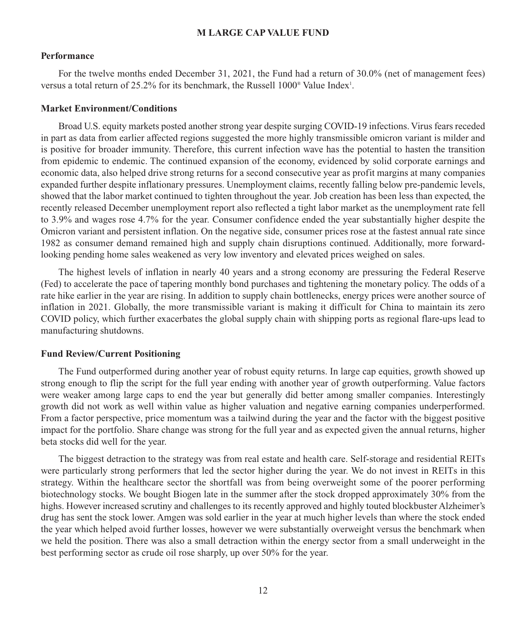#### **M LARGE CAP VALUE FUND**

#### **Performance**

For the twelve months ended December 31, 2021, the Fund had a return of 30.0% (net of management fees) versus a total return of 25.2% for its benchmark, the Russell 1000<sup>®</sup> Value Index<sup>1</sup>.

#### **Market Environment/Conditions**

Broad U.S. equity markets posted another strong year despite surging COVID-19 infections. Virus fears receded in part as data from earlier affected regions suggested the more highly transmissible omicron variant is milder and is positive for broader immunity. Therefore, this current infection wave has the potential to hasten the transition from epidemic to endemic. The continued expansion of the economy, evidenced by solid corporate earnings and economic data, also helped drive strong returns for a second consecutive year as profit margins at many companies expanded further despite inflationary pressures. Unemployment claims, recently falling below pre-pandemic levels, showed that the labor market continued to tighten throughout the year. Job creation has been less than expected, the recently released December unemployment report also reflected a tight labor market as the unemployment rate fell to 3.9% and wages rose 4.7% for the year. Consumer confidence ended the year substantially higher despite the Omicron variant and persistent inflation. On the negative side, consumer prices rose at the fastest annual rate since 1982 as consumer demand remained high and supply chain disruptions continued. Additionally, more forwardlooking pending home sales weakened as very low inventory and elevated prices weighed on sales.

The highest levels of inflation in nearly 40 years and a strong economy are pressuring the Federal Reserve (Fed) to accelerate the pace of tapering monthly bond purchases and tightening the monetary policy. The odds of a rate hike earlier in the year are rising. In addition to supply chain bottlenecks, energy prices were another source of inflation in 2021. Globally, the more transmissible variant is making it difficult for China to maintain its zero COVID policy, which further exacerbates the global supply chain with shipping ports as regional flare-ups lead to manufacturing shutdowns.

#### **Fund Review/Current Positioning**

The Fund outperformed during another year of robust equity returns. In large cap equities, growth showed up strong enough to flip the script for the full year ending with another year of growth outperforming. Value factors were weaker among large caps to end the year but generally did better among smaller companies. Interestingly growth did not work as well within value as higher valuation and negative earning companies underperformed. From a factor perspective, price momentum was a tailwind during the year and the factor with the biggest positive impact for the portfolio. Share change was strong for the full year and as expected given the annual returns, higher beta stocks did well for the year.

The biggest detraction to the strategy was from real estate and health care. Self-storage and residential REITs were particularly strong performers that led the sector higher during the year. We do not invest in REITs in this strategy. Within the healthcare sector the shortfall was from being overweight some of the poorer performing biotechnology stocks. We bought Biogen late in the summer after the stock dropped approximately 30% from the highs. However increased scrutiny and challenges to its recently approved and highly touted blockbuster Alzheimer's drug has sent the stock lower. Amgen was sold earlier in the year at much higher levels than where the stock ended the year which helped avoid further losses, however we were substantially overweight versus the benchmark when we held the position. There was also a small detraction within the energy sector from a small underweight in the best performing sector as crude oil rose sharply, up over 50% for the year.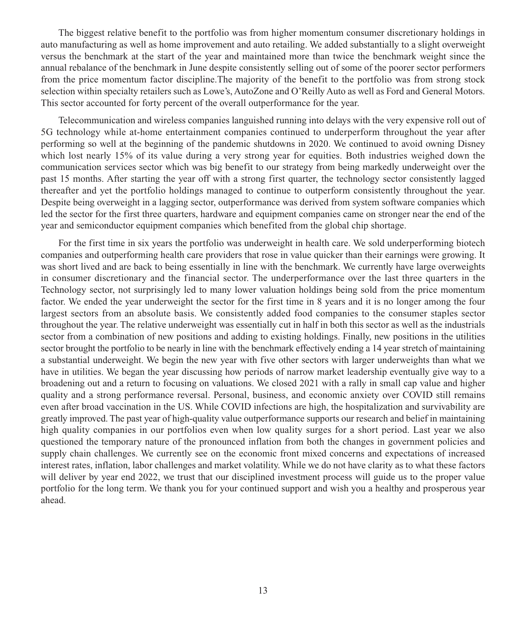The biggest relative benefit to the portfolio was from higher momentum consumer discretionary holdings in auto manufacturing as well as home improvement and auto retailing. We added substantially to a slight overweight versus the benchmark at the start of the year and maintained more than twice the benchmark weight since the annual rebalance of the benchmark in June despite consistently selling out of some of the poorer sector performers from the price momentum factor discipline.The majority of the benefit to the portfolio was from strong stock selection within specialty retailers such as Lowe's, AutoZone and O'Reilly Auto as well as Ford and General Motors. This sector accounted for forty percent of the overall outperformance for the year.

Telecommunication and wireless companies languished running into delays with the very expensive roll out of 5G technology while at-home entertainment companies continued to underperform throughout the year after performing so well at the beginning of the pandemic shutdowns in 2020. We continued to avoid owning Disney which lost nearly 15% of its value during a very strong year for equities. Both industries weighed down the communication services sector which was big benefit to our strategy from being markedly underweight over the past 15 months. After starting the year off with a strong first quarter, the technology sector consistently lagged thereafter and yet the portfolio holdings managed to continue to outperform consistently throughout the year. Despite being overweight in a lagging sector, outperformance was derived from system software companies which led the sector for the first three quarters, hardware and equipment companies came on stronger near the end of the year and semiconductor equipment companies which benefited from the global chip shortage.

For the first time in six years the portfolio was underweight in health care. We sold underperforming biotech companies and outperforming health care providers that rose in value quicker than their earnings were growing. It was short lived and are back to being essentially in line with the benchmark. We currently have large overweights in consumer discretionary and the financial sector. The underperformance over the last three quarters in the Technology sector, not surprisingly led to many lower valuation holdings being sold from the price momentum factor. We ended the year underweight the sector for the first time in 8 years and it is no longer among the four largest sectors from an absolute basis. We consistently added food companies to the consumer staples sector throughout the year. The relative underweight was essentially cut in half in both this sector as well as the industrials sector from a combination of new positions and adding to existing holdings. Finally, new positions in the utilities sector brought the portfolio to be nearly in line with the benchmark effectively ending a 14 year stretch of maintaining a substantial underweight. We begin the new year with five other sectors with larger underweights than what we have in utilities. We began the year discussing how periods of narrow market leadership eventually give way to a broadening out and a return to focusing on valuations. We closed 2021 with a rally in small cap value and higher quality and a strong performance reversal. Personal, business, and economic anxiety over COVID still remains even after broad vaccination in the US. While COVID infections are high, the hospitalization and survivability are greatly improved. The past year of high-quality value outperformance supports our research and belief in maintaining high quality companies in our portfolios even when low quality surges for a short period. Last year we also questioned the temporary nature of the pronounced inflation from both the changes in government policies and supply chain challenges. We currently see on the economic front mixed concerns and expectations of increased interest rates, inflation, labor challenges and market volatility. While we do not have clarity as to what these factors will deliver by year end 2022, we trust that our disciplined investment process will guide us to the proper value portfolio for the long term. We thank you for your continued support and wish you a healthy and prosperous year ahead.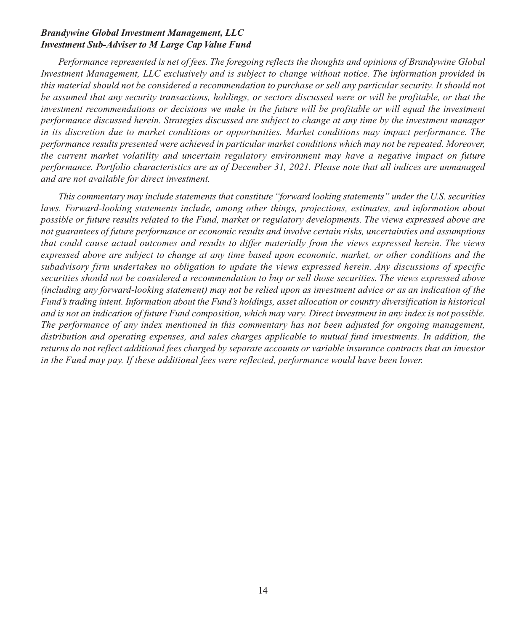### *Brandywine Global Investment Management, LLC Investment Sub-Adviser to M Large Cap Value Fund*

*Performance represented is net of fees. The foregoing reflects the thoughts and opinions of Brandywine Global Investment Management, LLC exclusively and is subject to change without notice. The information provided in this material should not be considered a recommendation to purchase or sell any particular security. It should not be assumed that any security transactions, holdings, or sectors discussed were or will be profitable, or that the investment recommendations or decisions we make in the future will be profitable or will equal the investment performance discussed herein. Strategies discussed are subject to change at any time by the investment manager in its discretion due to market conditions or opportunities. Market conditions may impact performance. The performance results presented were achieved in particular market conditions which may not be repeated. Moreover, the current market volatility and uncertain regulatory environment may have a negative impact on future performance. Portfolio characteristics are as of December 31, 2021. Please note that all indices are unmanaged and are not available for direct investment.*

*This commentary may include statements that constitute "forward looking statements" under the U.S. securities laws. Forward-looking statements include, among other things, projections, estimates, and information about possible or future results related to the Fund, market or regulatory developments. The views expressed above are not guarantees of future performance or economic results and involve certain risks, uncertainties and assumptions that could cause actual outcomes and results to differ materially from the views expressed herein. The views expressed above are subject to change at any time based upon economic, market, or other conditions and the subadvisory firm undertakes no obligation to update the views expressed herein. Any discussions of specific securities should not be considered a recommendation to buy or sell those securities. The views expressed above (including any forward-looking statement) may not be relied upon as investment advice or as an indication of the Fund's trading intent. Information about the Fund's holdings, asset allocation or country diversification is historical and is not an indication of future Fund composition, which may vary. Direct investment in any index is not possible. The performance of any index mentioned in this commentary has not been adjusted for ongoing management, distribution and operating expenses, and sales charges applicable to mutual fund investments. In addition, the returns do not reflect additional fees charged by separate accounts or variable insurance contracts that an investor in the Fund may pay. If these additional fees were reflected, performance would have been lower.*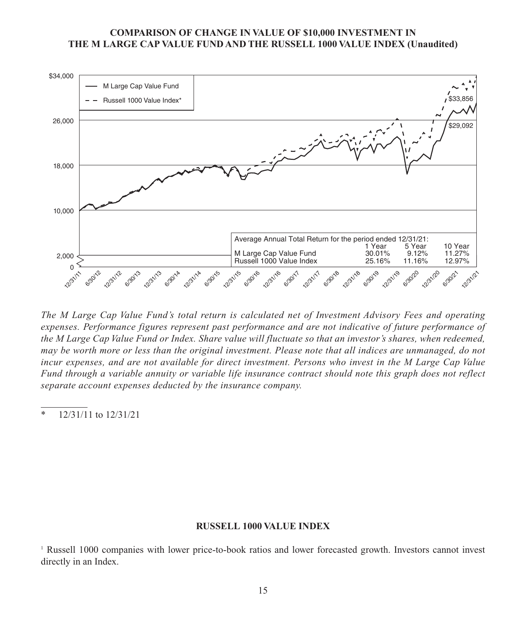### **COMPARISON OF CHANGE IN VALUE OF \$10,000 INVESTMENT IN THE M LARGE CAP VALUE FUND AND THE RUSSELL 1000 VALUE INDEX (Unaudited)**



*The M Large Cap Value Fund's total return is calculated net of Investment Advisory Fees and operating expenses. Performance figures represent past performance and are not indicative of future performance of the M Large Cap Value Fund or Index. Share value will fluctuate so that an investor's shares, when redeemed, may be worth more or less than the original investment. Please note that all indices are unmanaged, do not incur expenses, and are not available for direct investment. Persons who invest in the M Large Cap Value Fund through a variable annuity or variable life insurance contract should note this graph does not reflect separate account expenses deducted by the insurance company.*

\* 12/31/11 to 12/31/21

#### **RUSSELL 1000 VALUE INDEX**

<sup>1</sup> Russell 1000 companies with lower price-to-book ratios and lower forecasted growth. Investors cannot invest directly in an Index.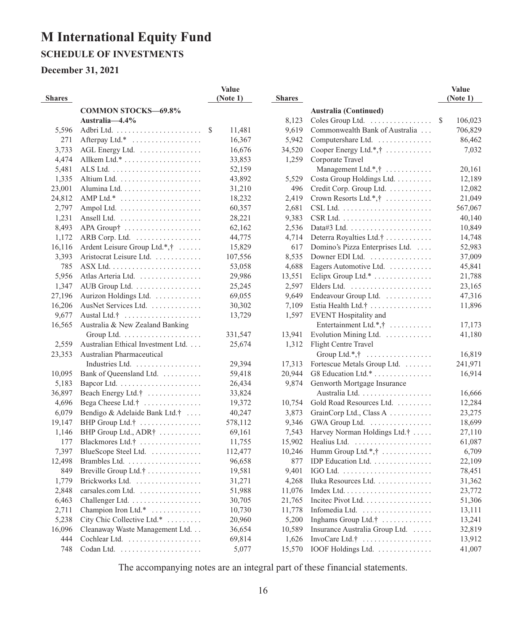## **SCHEDULE OF INVESTMENTS**

## **December 31, 2021**

|                 |                                                         | Value            |               |                                                               | <b>Value</b>  |
|-----------------|---------------------------------------------------------|------------------|---------------|---------------------------------------------------------------|---------------|
| <b>Shares</b>   |                                                         | (Note 1)         | <b>Shares</b> |                                                               | (Note 1)      |
|                 | <b>COMMON STOCKS-69.8%</b>                              |                  |               | <b>Australia (Continued)</b>                                  |               |
|                 | Australia-4.4%                                          |                  | 8,123         | Coles Group Ltd.                                              | \$<br>106,023 |
| 5,596           |                                                         | \$<br>11,481     | 9,619         | Commonwealth Bank of Australia                                | 706,829       |
| 271             | Afterpay Ltd.*                                          | 16,367           | 5,942         | Computershare Ltd.                                            | 86,462        |
| 3,733           | AGL Energy Ltd.                                         | 16,676           | 34,520        | Cooper Energy Ltd.*,†                                         | 7,032         |
| 4,474           | Allkem Ltd.* $\dots\dots\dots\dots\dots\dots\dots\dots$ | 33,853           | 1,259         | Corporate Travel                                              |               |
| 5,481           |                                                         | 52,159           |               | Management Ltd.*, $\dagger$                                   | 20,161        |
| 1,335           |                                                         | 43,892           | 5,529         | Costa Group Holdings Ltd.                                     | 12,189        |
| 23,001          |                                                         | 31,210           | 496           | Credit Corp. Group Ltd.                                       | 12,082        |
| 24,812          | AMP Ltd.* $\dots\dots\dots\dots\dots\dots\dots\dots$    | 18,232           | 2,419         | Crown Resorts Ltd.*, $\dagger$                                | 21,049        |
| 2,797           |                                                         | 60,357           | 2,681         |                                                               | 567,067       |
| 1,231           |                                                         | 28,221           | 9,383         |                                                               | 40,140        |
| 8,493           | APA Group†                                              | 62,162           | 2,536         | Data#3 Ltd. $\dots\dots\dots\dots\dots\dots\dots\dots$        | 10,849        |
| 1,172           | ARB Corp. Ltd.                                          | 44,775           | 4,714         | Deterra Royalties Ltd.†                                       | 14,748        |
| 16,116          | Ardent Leisure Group Ltd.*,†                            | 15,829           | 617           | Domino's Pizza Enterprises Ltd.                               | 52,983        |
| 3,393           | Aristocrat Leisure Ltd.                                 | 107,556          | 8,535         | Downer EDI Ltd.                                               | 37,009        |
| 785             |                                                         | 53,058           | 4,688         | Eagers Automotive Ltd.                                        | 45,841        |
| 5,956           | Atlas Arteria Ltd.                                      | 29,986           | 13,551        | Eclipx Group Ltd.*                                            | 21,788        |
| 1,347           | AUB Group Ltd.                                          | 25,245           | 2,597         |                                                               | 23,165        |
| 27,196          | Aurizon Holdings Ltd.                                   | 69,055           | 9,649         | Endeavour Group Ltd.                                          | 47,316        |
| 16,206          | AusNet Services Ltd.                                    | 30,302           | 7,109         | Estia Health Ltd.†                                            | 11,896        |
| 9,677           | Austal Ltd. $\dagger$                                   | 13,729           | 1,597         | <b>EVENT</b> Hospitality and                                  |               |
| 16,565          | Australia & New Zealand Banking                         |                  |               | Entertainment Ltd.*,†                                         | 17,173        |
|                 |                                                         | 331,547          | 13,941        | Evolution Mining Ltd.                                         | 41,180        |
| 2,559           | Australian Ethical Investment Ltd.                      | 25,674           | 1,312         | Flight Centre Travel                                          |               |
| 23,353          | Australian Pharmaceutical                               |                  |               | Group Ltd.*, $\dagger$                                        | 16,819        |
|                 | Industries Ltd.                                         | 29,394           | 17,313        | Fortescue Metals Group Ltd.                                   | 241,971       |
| 10,095          | Bank of Queensland Ltd.                                 | 59,418           | 20,944        | G8 Education Ltd.*                                            | 16,914        |
| 5,183           |                                                         | 26,434           | 9,874         | Genworth Mortgage Insurance                                   |               |
|                 |                                                         |                  |               |                                                               |               |
| 36,897<br>4,696 | Beach Energy Ltd.†                                      | 33,824<br>19,372 |               | Australia Ltd.<br>Gold Road Resources Ltd.                    | 16,666        |
|                 | Bega Cheese Ltd.†                                       |                  | 10,754        |                                                               | 12,284        |
| 6,079           | Bendigo & Adelaide Bank Ltd.†                           | 40,247           | 3,873         | GrainCorp Ltd., Class A                                       | 23,275        |
| 19,147          | BHP Group Ltd.†                                         | 578,112          | 9,346         | GWA Group Ltd.                                                | 18,699        |
| 1,146           | BHP Group Ltd., ADR†                                    | 69,161           | 7,543         | Harvey Norman Holdings Ltd.†                                  | 27,110        |
| 177             | Blackmores Ltd. $\dagger$                               | 11,755           | 15,902        |                                                               | 61,087        |
| 7,397           | BlueScope Steel Ltd.                                    | 112,477          | 10,246        | Humm Group Ltd.*,†                                            | 6,709         |
| 12,498          |                                                         | 96,658           | 877           | IDP Education Ltd.                                            | 22,109        |
| 849             | Breville Group Ltd.† $\dots \dots \dots \dots$          | 19,581           | 9,401         | IGO Ltd. $\dots\dots\dots\dots\dots\dots\dots\dots\dots\dots$ | 78,451        |
| 1,779           | Brickworks Ltd.                                         | 31,271           | 4,268         | Iluka Resources Ltd.                                          | 31,362        |
| 2,848           | carsales.com Ltd.                                       | 51,988           | 11,076        |                                                               | 23,772        |
| 6,463           |                                                         | 30,705           | 21,765        | Incited Pivot Ltd.                                            | 51,306        |
| 2,711           | Champion Iron Ltd.*                                     | 10,730           | 11,778        | Infomedia Ltd.                                                | 13,111        |
| 5,238           | City Chic Collective Ltd.*                              | 20,960           | 5,200         | Inghams Group Ltd.†                                           | 13,241        |
| 16,096          | Cleanaway Waste Management Ltd.                         | 36,654           | 10,589        | Insurance Australia Group Ltd.                                | 32,819        |
| 444             |                                                         | 69,814           | 1,626         | InvoCare Ltd.† $\dots \dots \dots \dots \dots$                | 13,912        |
| 748             |                                                         | 5,077            | 15,570        | $IOOF$ Holdings Ltd. $\ldots$ , $\ldots$ ,                    | 41,007        |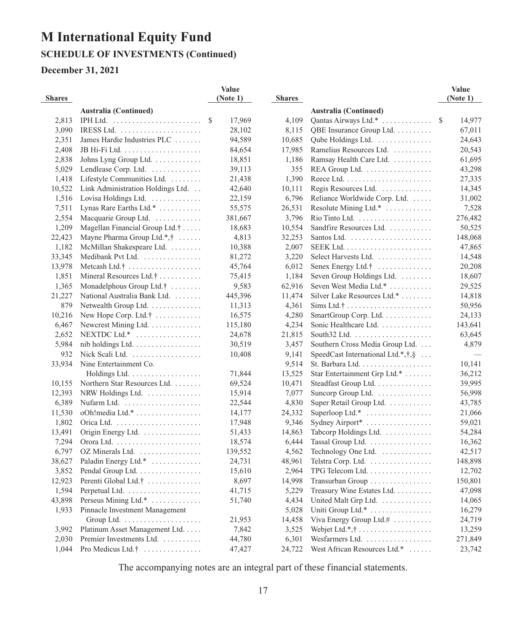## **December 31, 2021**

| <b>Shares</b>  |                                                        | Value<br>(Note 1)       | <b>Shares</b>   |                                                           | Value<br>(Note 1) |
|----------------|--------------------------------------------------------|-------------------------|-----------------|-----------------------------------------------------------|-------------------|
|                |                                                        |                         |                 | Australia (Continued)                                     |                   |
| 2,813          | Australia (Continued)                                  | 17,969<br><sup>\$</sup> | 4,109           | Qantas Airways Ltd.*                                      | \$<br>14,977      |
| 3,090          | IRESS Ltd. $\ldots \ldots \ldots \ldots \ldots \ldots$ | 28,102                  | 8,115           | QBE Insurance Group Ltd.                                  | 67,011            |
| 2,351          | James Hardie Industries PLC                            | 94,589                  | 10,685          | Qube Holdings Ltd.                                        | 24,643            |
| 2,408          |                                                        | 84,654                  | 17,985          | Ramelius Resources Ltd.                                   | 20,543            |
| 2,838          | Johns Lyng Group Ltd.                                  | 18,851                  | 1,186           | Ramsay Health Care Ltd.                                   | 61,695            |
| 5,029          | Lendlease Corp. Ltd.                                   | 39,113                  | 355             | REA Group Ltd.                                            | 43,298            |
| 1,418          | Lifestyle Communities Ltd.                             | 21,438                  | 1,390           |                                                           | 27,335            |
| 10,522         | Link Administration Holdings Ltd.                      | 42,640                  | 10,111          | Regis Resources Ltd.                                      | 14,345            |
| 1,516          | Lovisa Holdings Ltd.                                   | 22,159                  | 6,796           | Reliance Worldwide Corp. Ltd.                             | 31,002            |
| 7,511          | Lynas Rare Earths Ltd.*                                | 55,575                  | 26,531          | Resolute Mining Ltd.*                                     | 7,528             |
| 2,554          | Macquarie Group Ltd.                                   | 381,667                 | 3,796           |                                                           | 276,482           |
| 1,209          | Magellan Financial Group Ltd.†                         | 18,683                  | 10,554          | Sandfire Resources Ltd.                                   | 50,525            |
| 22,423         | Mayne Pharma Group Ltd.*, $\dagger$                    | 4,813                   | 32,253          |                                                           | 148,068           |
| 1,182          | McMillan Shakespeare Ltd.                              | 10,388                  | 2,007           | SEEK Ltd. $\dots\dots\dots\dots\dots\dots\dots\dots\dots$ | 47,865            |
| 33,345         | Medibank Pvt Ltd.                                      | 81,272                  | 3,220           | Select Harvests Ltd.                                      | 14,548            |
| 13,978         |                                                        | 45,764                  | 6,012           | Senex Energy Ltd. $\dagger$                               | 20,208            |
| 1,851          | Mineral Resources Ltd.†                                | 75,415                  | 1,184           | Seven Group Holdings Ltd.                                 | 18,607            |
| 1,365          | Monadelphous Group Ltd.†                               | 9,583                   | 62,916          | Seven West Media Ltd.*                                    | 29,525            |
| 21,227         | National Australia Bank Ltd.                           | 445,396                 | 11,474          | Silver Lake Resources Ltd.*                               | 14,818            |
| 879            | Netwealth Group Ltd.                                   | 11,313                  | 4,361           | Sims Ltd. $\dagger$                                       | 50,956            |
| 10,216         |                                                        | 16,575                  | 4,280           | SmartGroup Corp. Ltd.                                     | 24,133            |
|                | New Hope Corp. Ltd.†                                   | 115,180                 | 4,234           | Sonic Healthcare Ltd.                                     | 143,641           |
| 6,467<br>2.652 | Newcrest Mining Ltd.                                   |                         |                 |                                                           |                   |
| 5,984          | $NEXTDC$ Ltd.* $\dots\dots\dots\dots\dots\dots$        | 24,678                  | 21,815<br>3,457 | Southern Cross Media Group Ltd.                           | 63,645<br>4,879   |
|                | nib holdings Ltd.                                      | 30,519                  |                 |                                                           |                   |
| 932            | Nick Scali Ltd.                                        | 10,408                  | 9,141           | SpeedCast International Ltd.*, $\dagger$ , $\S$           |                   |
| 33,934         | Nine Entertainment Co.                                 |                         | 9,514           | St. Barbara Ltd.                                          | 10,141            |
|                | Holdings Ltd.                                          | 71,844                  | 13,525          | Star Entertainment Grp Ltd.*                              | 36,212            |
| 10,155         | Northern Star Resources Ltd.                           | 69,524                  | 10,471          | Steadfast Group Ltd.                                      | 39,995            |
| 12,393         | NRW Holdings Ltd.                                      | 15,914                  | 7,077           | Suncorp Group Ltd.                                        | 56,998            |
| 6,389          |                                                        | 22,544                  | 4,830           | Super Retail Group Ltd.                                   | 43,785            |
| 11,530         | oOh!media Ltd.*                                        | 14,177                  | 24,332          | Superloop Ltd.* $\dots \dots \dots \dots \dots$           | 21,066            |
| 1,802          |                                                        | 17,948                  | 9,346           | Sydney Airport* $\dots\dots\dots\dots\dots\dots$          | 59,021            |
| 13,491         | Origin Energy Ltd.                                     | 51,433                  | 14,863          | Tabcorp Holdings Ltd.                                     | 54,284            |
| 7,294          |                                                        | 18,574                  | 6,444           | Tassal Group Ltd.                                         | 16,362            |
| 6,797          | OZ Minerals Ltd.                                       | 139,552                 | 4,562           | Technology One Ltd. $\dots\dots\dots\dots$                | 42,517            |
| 38,627         | Paladin Energy Ltd.*                                   | 24,731                  | 48,961          | Telstra Corp. Ltd. $\dots\dots\dots\dots\dots$            | 148,898           |
| 3,852          | Pendal Group Ltd.                                      | 15,610                  | 2,964           | TPG Telecom Ltd.                                          | 12,702            |
| 12,923         | Perenti Global Ltd.†                                   | 8,697                   | 14,998          | Transurban Group                                          | 150,801           |
| 1,594          |                                                        | 41,715                  | 5,229           | Treasury Wine Estates Ltd.                                | 47,098            |
| 43,898         | Perseus Mining Ltd.*                                   | 51,740                  | 4,434           | United Malt Grp Ltd.                                      | 14,065            |
| 1,933          | Pinnacle Investment Management                         |                         | 5,028           | Uniti Group Ltd.*                                         | 16,279            |
|                |                                                        | 21,953                  | 14,458          | Viva Energy Group Ltd.# $\dots \dots$                     | 24,719            |
| 3,992          | Platinum Asset Management Ltd.                         | 7,842                   | 3,525           |                                                           | 13,259            |
| 2,030          | Premier Investments Ltd.                               | 44,780                  | 6,301           | Wesfarmers Ltd.                                           | 271,849           |
| 1,044          | Pro Medicus Ltd. $\dagger$                             | 47,427                  | 24,722          | West African Resources Ltd.*                              | 23,742            |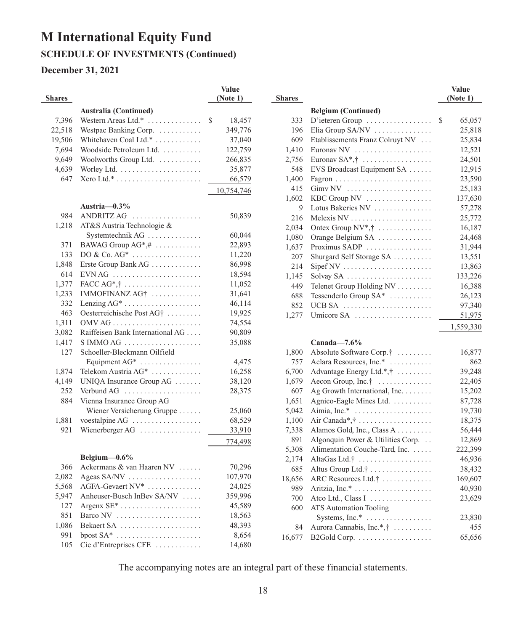## **SCHEDULE OF INVESTMENTS (Continued)**

## **December 31, 2021**

|               |                                                        | Value        |
|---------------|--------------------------------------------------------|--------------|
| <b>Shares</b> |                                                        | (Note 1)     |
|               | Australia (Continued)                                  |              |
| 7,396         | Western Areas Ltd.*                                    | \$<br>18,457 |
| 22,518        | Westpac Banking Corp.                                  | 349,776      |
| 19,506        | Whitehaven Coal Ltd.*                                  | 37,040       |
| 7,694         | Woodside Petroleum Ltd.                                | 122,759      |
| 9,649         | Woolworths Group Ltd.                                  | 266,835      |
| 4,639         |                                                        | 35,877       |
| 647           | Xero Ltd.* $\dots \dots \dots \dots \dots \dots \dots$ | 66,579       |
|               |                                                        | 10,754,746   |
|               |                                                        |              |
|               | Austria-0.3%                                           |              |
| 984           | <b>ANDRITZ AG</b><br>.                                 | 50,839       |
| 1,218         | AT&S Austria Technologie &                             |              |
|               | Systemtechnik AG                                       | 60,044       |
| 371           | BAWAG Group AG*,#                                      | 22,893       |
| 133           | $DO & Co. AG^* \dots \dots \dots \dots \dots \dots$    | 11,220       |
| 1,848         | Erste Group Bank AG                                    | 86,998       |
| 614           | $EVNAG$                                                | 18,594       |
| 1,377         | FACC $AG^*, \dagger$                                   | 11,052       |
| 1,233         | IMMOFINANZ AG <sup>†</sup>                             | 31,641       |
| 332           | Lenzing $AG^*$                                         | 46,114       |
| 463           | Oesterreichische Post AG†                              | 19,925       |
| 1,311         |                                                        | 74,554       |
| 3,082         | Raiffeisen Bank International AG                       | 90,809       |
| 1,417         | $SIMMOAG$                                              | 35,088       |
| 127           | Schoeller-Bleckmann Oilfield                           |              |
|               | Equipment $AG^*$                                       | 4,475        |
| 1,874         | Telekom Austria AG*                                    | 16,258       |
| 4,149         | UNIQA Insurance Group AG                               | 38,120       |
| 252           | Verbund AG                                             | 28,375       |
| 884           | Vienna Insurance Group AG                              |              |
|               | Wiener Versicherung Gruppe                             | 25,060       |
| 1,881         |                                                        | 68,529       |
| 921           | Wienerberger AG                                        | 33,910       |
|               |                                                        | 774,498      |
|               |                                                        |              |
|               | Belgium-0.6%                                           |              |
| 366           | Ackermans & van Haaren NV                              | 70,296       |
| 2,082         | Ageas SA/NV                                            | 107,970      |
| 5,568         | AGFA-Gevaert NV <sup>*</sup>                           | 24,025       |
| 5,947         | Anheuser-Busch InBev SA/NV                             | 359,996      |
| 127           |                                                        | 45,589       |
| 851           | Barco NV                                               | 18,563       |
| 1,086         | Bekaert SA                                             | 48,393       |
| 991           | $bpost SA^*$                                           | 8,654        |
| 105           | Cie d'Entreprises CFE                                  | 14,680       |

| <b>Shares</b> |                                 |   | <b>Value</b><br>(Note 1) |
|---------------|---------------------------------|---|--------------------------|
|               |                                 |   |                          |
|               | <b>Belgium</b> (Continued)      |   |                          |
| 333           | D'ieteren Group                 | S | 65,057                   |
| 196           | Elia Group SA/NV                |   | 25,818                   |
| 609           | Etablissements Franz Colruyt NV |   | 25,834                   |
| 1,410         | Euronav NV                      |   | 12,521                   |
| 2,756         | Euronav $SA^*,\dagger$          |   | 24,501                   |
| 548           | EVS Broadcast Equipment SA      |   | 12,915                   |
| 1,400         | Fagron                          |   | 23,590                   |
| 415           |                                 |   | 25,183                   |
| 1,602         | KBC Group NV                    |   | 137,630                  |
| 9             | Lotus Bakeries NV               |   | 57,278                   |
| 216           |                                 |   | 25,772                   |
| 2,034         | Ontex Group $NV^*, \dagger$     |   | 16,187                   |
| 1,080         | Orange Belgium SA               |   | 24,468                   |
| 1,637         | Proximus SADP                   |   | 31,944                   |
| 207           | Shurgard Self Storage SA        |   | 13,551                   |
| 214           | Sipef NV                        |   | 13,863                   |
| 1,145         |                                 |   | 133,226                  |
| 449           | Telenet Group Holding NV        |   | 16,388                   |
| 688           | Tessenderlo Group SA*           |   | 26,123                   |
| 852           |                                 |   | 97,340                   |
| 1,277         | Umicore $SA$                    |   | 51,975                   |
|               |                                 |   | 1,559,330                |

#### **Canada—7.6%**

| 1,800  | Absolute Software Corp. <sup>†</sup>         | 16,877  |
|--------|----------------------------------------------|---------|
| 757    | Aclara Resources, Inc.*                      | 862     |
| 6,700  | Advantage Energy Ltd.*,†                     | 39,248  |
| 1,679  | Aecon Group, Inc.†                           | 22,405  |
| 607    | Ag Growth International, Inc.                | 15,202  |
| 1,651  | Agnico-Eagle Mines Ltd.                      | 87,728  |
| 5,042  |                                              | 19,730  |
| 1,100  |                                              | 18,375  |
| 7,338  | Alamos Gold, Inc., Class $A$                 | 56,444  |
| 891    | Algonquin Power & Utilities Corp             | 12,869  |
| 5,308  | Alimentation Couche-Tard, Inc.               | 222,399 |
| 2,174  | AltaGas Ltd.†                                | 46,936  |
| 685    | Altus Group Ltd.†                            | 38,432  |
| 18,656 | ARC Resources Ltd. $\dagger$                 | 169,607 |
| 989    |                                              | 40,930  |
| 700    | Atco Ltd., Class I                           | 23,629  |
| 600    | <b>ATS Automation Tooling</b>                |         |
|        | Systems, $Inc.* \ldots \ldots \ldots \ldots$ | 23,830  |
| 84     | Aurora Cannabis, Inc.*,†                     | 455     |
| 16,677 |                                              | 65,656  |
|        |                                              |         |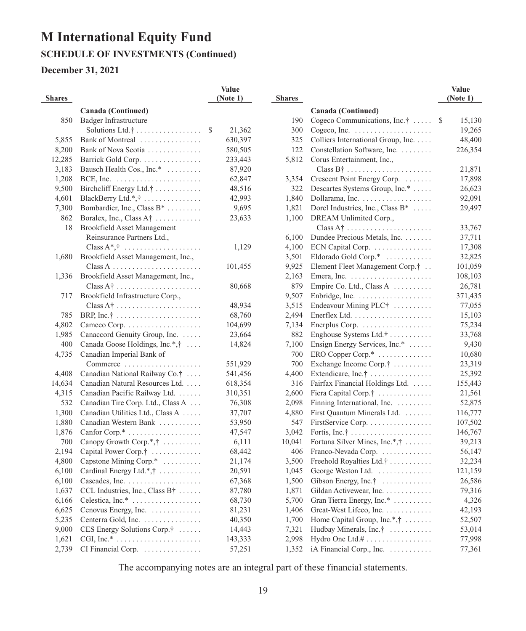## **December 31, 2021**

| <b>Shares</b> |                                                                                                 | Value<br>(Note 1) | <b>Shares</b>  |                                                         | Value<br>(Note 1) |
|---------------|-------------------------------------------------------------------------------------------------|-------------------|----------------|---------------------------------------------------------|-------------------|
|               | Canada (Continued)                                                                              |                   |                | Canada (Continued)                                      |                   |
| 850           | Badger Infrastructure                                                                           |                   | 190            | Cogeco Communications, Inc. $\dots$ \$                  | 15,130            |
|               |                                                                                                 | 21,362            | 300            | Cogeco, Inc. $\dots\dots\dots\dots\dots\dots\dots\dots$ | 19,265            |
| 5,855         | Bank of Montreal                                                                                | 630,397           | 325            | Colliers International Group, Inc.                      | 48,400            |
| 8,200         | Bank of Nova Scotia                                                                             | 580,505           | 122            | Constellation Software, Inc.                            | 226,354           |
| 12,285        | Barrick Gold Corp.                                                                              | 233,443           | 5,812          | Corus Entertainment, Inc.,                              |                   |
| 3,183         | Bausch Health Cos., Inc.*                                                                       | 87,920            |                | $Class B^{\dagger}$                                     | 21,871            |
| 1,208         | BCE, Inc. $\dots \dots \dots \dots \dots \dots \dots \dots$                                     | 62,847            | 3,354          | Crescent Point Energy Corp.                             | 17,898            |
| 9,500         | Birchcliff Energy Ltd.† $\ldots \ldots \ldots$                                                  | 48,516            | 322            | Descartes Systems Group, Inc.*                          | 26,623            |
| 4,601         | BlackBerry Ltd.*,†                                                                              | 42,993            | 1,840          |                                                         | 92,091            |
| 7,300         | Bombardier, Inc., Class $B^*$                                                                   | 9,695             | 1,821          | Dorel Industries, Inc., Class B <sup>*</sup>            | 29,497            |
| 862           | Boralex, Inc., Class $A^{\dagger}$                                                              | 23,633            | 1,100          | DREAM Unlimited Corp.,                                  |                   |
| 18            | <b>Brookfield Asset Management</b>                                                              |                   |                | $Class A^{\dagger}$                                     | 33,767            |
|               | Reinsurance Partners Ltd.,                                                                      |                   | 6,100          | Dundee Precious Metals, Inc.                            | 37,711            |
|               | Class $A^*, \dagger$                                                                            | 1,129             | 4,100          | ECN Capital Corp.                                       | 17,308            |
| 1,680         | Brookfield Asset Management, Inc.,                                                              |                   | 3,501          | Eldorado Gold Corp.*                                    | 32,825            |
|               | $Class A$                                                                                       | 101,455           | 9,925          | Element Fleet Management Corp.†                         | 101,059           |
| 1,336         | Brookfield Asset Management, Inc.,                                                              |                   | 2,163          |                                                         | 108,103           |
|               |                                                                                                 | 80,668            | 879            | Empire Co. Ltd., Class A                                | 26,781            |
|               | $Class A\uparrow \ldots \ldots \ldots \ldots \ldots \ldots$<br>Brookfield Infrastructure Corp., |                   |                |                                                         |                   |
| 717           |                                                                                                 |                   | 9,507          | Enbridge, Inc. $\dots \dots \dots \dots \dots \dots$    | 371,435           |
| 785           | $Class A\uparrow$                                                                               | 48,934            | 3,515<br>2,494 | Endeavour Mining PLC†                                   | 77,055            |
|               |                                                                                                 | 68,760            |                |                                                         | 15,103            |
| 4,802         |                                                                                                 | 104,699           | 7,134          | Enerplus Corp. $\dots \dots \dots \dots \dots$          | 75,234            |
| 1,985         | Canaccord Genuity Group, Inc.                                                                   | 23,664            | 882            | Enghouse Systems Ltd.†                                  | 33,768            |
| 400           | Canada Goose Holdings, Inc.*,†                                                                  | 14,824            | 7,100          | Ensign Energy Services, Inc.*                           | 9,430             |
| 4,735         | Canadian Imperial Bank of                                                                       |                   | 700            | $ERO$ Copper Corp.* $\dots\dots\dots\dots\dots$         | 10,680            |
|               | Commerce                                                                                        | 551,929           | 700            | Exchange Income Corp.†                                  | 23,319            |
| 4,408         | Canadian National Railway Co.†                                                                  | 541,456           | 4,400          | Extendicare, Inc.†                                      | 25,392            |
| 14,634        | Canadian Natural Resources Ltd.                                                                 | 618,354           | 316            | Fairfax Financial Holdings Ltd.                         | 155,443           |
| 4,315         | Canadian Pacific Railway Ltd.                                                                   | 310,351           | 2,600          | Fiera Capital Corp. <sup>†</sup>                        | 21,561            |
| 532           | Canadian Tire Corp. Ltd., Class A                                                               | 76,308            | 2,098          | Finning International, Inc.                             | 52,875            |
| 1,300         | Canadian Utilities Ltd., Class A                                                                | 37,707            | 4,880          | First Quantum Minerals Ltd.                             | 116,777           |
| 1,880         | Canadian Western Bank                                                                           | 53,950            | 547            | FirstService Corp.                                      | 107,502           |
| 1,876         |                                                                                                 | 47,547            | 3,042          |                                                         | 146,767           |
| 700           | Canopy Growth Corp. $*\,\uparrow\,\ldots\ldots\ldots$                                           | 6,111             | 10,041         | Fortuna Silver Mines, Inc.*,†                           | 39,213            |
| 2,194         | Capital Power Corp.†                                                                            | 68,442            | 406            | Franco-Nevada Corp.                                     | 56,147            |
| 4,800         | Capstone Mining Corp.*                                                                          | 21,174            | 3,500          | Freehold Royalties Ltd.†                                | 32,234            |
| 6,100         | Cardinal Energy Ltd.*,†                                                                         | 20,591            | 1,045          | George Weston Ltd.                                      | 121,159           |
| 6,100         |                                                                                                 | 67,368            | 1,500          | Gibson Energy, Inc. $\dagger$                           | 26,586            |
| 1,637         | CCL Industries, Inc., Class $B^{\dagger}$                                                       | 87,780            | 1,871          | Gildan Activewear, Inc.                                 | 79,316            |
| 6,166         | Celestica, Inc.*                                                                                | 68,730            | 5,700          | Gran Tierra Energy, Inc.*                               | 4,326             |
| 6,625         | Cenovus Energy, Inc.                                                                            | 81,231            | 1,406          | Great-West Lifeco, Inc.                                 | 42,193            |
| 5,235         | Centerra Gold, Inc.                                                                             | 40,350            | 1,700          | Home Capital Group, Inc.*,†                             | 52,507            |
| 9,000         | CES Energy Solutions Corp. $\dagger$                                                            | 14,443            | 7,321          | Hudbay Minerals, Inc.†                                  | 53,014            |
| 1,621         | CGI, Inc.* $\dots \dots \dots \dots \dots \dots \dots \dots$                                    | 143,333           | 2,998          | Hydro One Ltd.# $\dots \dots \dots \dots \dots$         | 77,998            |
| 2,739         | CI Financial Corp.                                                                              | 57,251            | 1,352          | iA Financial Corp., Inc. $\dots\dots\dots$              | 77,361            |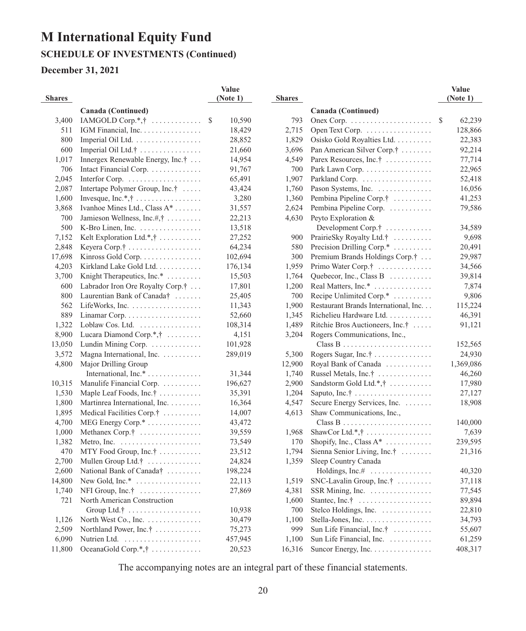## **SCHEDULE OF INVESTMENTS (Continued)**

## **December 31, 2021**

| <b>Shares</b> |                                                      | Value<br>(Note 1) | <b>Shares</b> |                                                    | Value<br>(Note 1) |
|---------------|------------------------------------------------------|-------------------|---------------|----------------------------------------------------|-------------------|
|               |                                                      |                   |               |                                                    |                   |
| 3,400         | Canada (Continued)<br>IAMGOLD Corp.*,†               | 10,590<br>\$      | 793           | Canada (Continued)                                 | \$<br>62,239      |
| 511           | IGM Financial, Inc.                                  | 18,429            | 2,715         | Open Text Corp.                                    | 128,866           |
| 800           | Imperial Oil Ltd.                                    | 28,852            | 1,829         | Osisko Gold Royalties Ltd.                         | 22,383            |
| 600           | Imperial Oil Ltd.† $\dots \dots \dots \dots$         | 21,660            | 3,696         | Pan American Silver Corp.†                         | 92,214            |
| 1,017         | Innergex Renewable Energy, Inc.†                     | 14,954            | 4,549         | Parex Resources, Inc.†                             | 77,714            |
| 706           | Intact Financial Corp.                               | 91,767            | 700           | Park Lawn Corp.                                    | 22,965            |
| 2,045         | Interfor Corp. $\dots \dots \dots \dots \dots \dots$ | 65,491            | 1,907         | Parkland Corp.                                     | 52,418            |
| 2,087         | Intertape Polymer Group, Inc.†                       | 43,424            | 1,760         | Pason Systems, Inc.                                | 16,056            |
| 1,600         | Invesque, Inc.*, $\dagger$                           | 3,280             | 1,360         | Pembina Pipeline Corp.†                            | 41,253            |
| 3,868         | Ivanhoe Mines Ltd., Class A*                         | 31,557            | 2,624         | Pembina Pipeline Corp.                             | 79,586            |
| 700           | Jamieson Wellness, Inc.#, $\dagger$                  | 22,213            | 4,630         | Peyto Exploration &                                |                   |
| 500           | K-Bro Linen, Inc.                                    | 13,518            |               | Development Corp.†                                 | 34,589            |
| 7,152         | Kelt Exploration Ltd.*,†                             | 27,252            | 900           | PrairieSky Royalty Ltd.†                           | 9,698             |
| 2,848         |                                                      | 64,234            | 580           | Precision Drilling Corp. $*$                       | 20,491            |
| 17,698        | Kinross Gold Corp.                                   | 102,694           | 300           | Premium Brands Holdings Corp.†                     | 29,987            |
| 4,203         | Kirkland Lake Gold Ltd.                              | 176,134           | 1,959         | Primo Water Corp.†                                 | 34,566            |
| 3,700         | Knight Therapeutics, Inc.*                           | 15,503            | 1,764         | Quebecor, Inc., Class B $\ldots$                   | 39,814            |
| 600           | Labrador Iron Ore Royalty Corp.†                     | 17,801            | 1,200         | Real Matters, Inc.*                                | 7,874             |
| 800           | Laurentian Bank of Canada†                           | 25,405            | 700           | Recipe Unlimited Corp.*                            | 9,806             |
| 562           | LifeWorks, Inc. $\dots\dots\dots\dots\dots\dots$     | 11,343            | 1,900         | Restaurant Brands International, Inc.              | 115,224           |
| 889           |                                                      | 52,660            | 1,345         | Richelieu Hardware Ltd.                            | 46,391            |
| 1,322         | Loblaw Cos. Ltd. $\dots\dots\dots\dots\dots$         | 108,314           | 1,489         | Ritchie Bros Auctioneers, Inc.†                    | 91,121            |
| 8,900         | Lucara Diamond Corp.*,†                              | 4,151             | 3,204         | Rogers Communications, Inc.,                       |                   |
| 13,050        | Lundin Mining Corp. $\dots \dots \dots$              | 101,928           |               | $Class B$                                          | 152,565           |
| 3,572         | Magna International, Inc.                            | 289,019           | 5,300         | Rogers Sugar, Inc.†                                | 24,930            |
| 4,800         | Major Drilling Group                                 |                   | 12,900        | Royal Bank of Canada                               | 1,369,086         |
|               | International, $Inc.* \ldots \ldots \ldots \ldots$   | 31,344            | 1,740         | Russel Metals, Inc.†                               | 46,260            |
| 10,315        | Manulife Financial Corp.                             | 196,627           | 2,900         | Sandstorm Gold Ltd.*,†                             | 17,980            |
| 1,530         | Maple Leaf Foods, Inc. <sup>†</sup>                  | 35,391            | 1,204         | Saputo, Inc. $\dots$                               | 27,127            |
| 1,800         | Martinrea International, Inc.                        | 16,364            | 4,547         | Secure Energy Services, Inc.                       | 18,908            |
| 1,895         | Medical Facilities Corp.†                            | 14,007            | 4,613         | Shaw Communications, Inc.,                         |                   |
| 4,700         | MEG Energy Corp.*                                    | 43,472            |               |                                                    | 140,000           |
| 1,000         | Methanex Corp.†                                      | 39,559            | 1,968         | ShawCor Ltd.*, $\dagger$                           | 7,639             |
| 1,382         |                                                      | 73,549            | 170           | Shopify, Inc., Class $A^*$                         | 239,595           |
| 470           | MTY Food Group, Inc. $\dots$                         | 23,512            | 1,794         | Sienna Senior Living, Inc. $\dots$                 | 21,316            |
| 2,700         | Mullen Group Ltd.†                                   | 24,824            | 1,359         | Sleep Country Canada                               |                   |
| 2,600         | National Bank of Canada†                             | 198,224           |               | Holdings, Inc.#                                    | 40,320            |
| 14,800        | New Gold, $Inc.*$                                    | 22,113            | 1,519         | SNC-Lavalin Group, Inc.†                           | 37,118            |
| 1,740         | NFI Group, Inc. $\dagger$                            | 27,869            | 4,381         | SSR Mining, Inc.                                   | 77,545            |
| 721           | North American Construction                          |                   | 1,600         | Stantec, $Inc.\dagger$                             | 89,894            |
|               | Group Ltd.† $\dots \dots \dots \dots \dots \dots$    | 10,938            | 700           | Stelco Holdings, Inc.                              | 22,810            |
| 1,126         | North West Co., Inc. $\dots \dots \dots \dots$       | 30,479            | 1,100         | Stella-Jones, Inc. $\dots \dots \dots \dots \dots$ | 34,793            |
| 2,509         | Northland Power, $Inc.†$                             | 75,273            | 999           | Sun Life Financial, Inc.†                          | 55,607            |
| 6,090         |                                                      | 457,945           | 1,100         | Sun Life Financial, Inc.                           | 61,259            |
| 11,800        | OceanaGold Corp.*,†                                  | 20,523            | 16,316        | Suncor Energy, Inc.                                | 408,317           |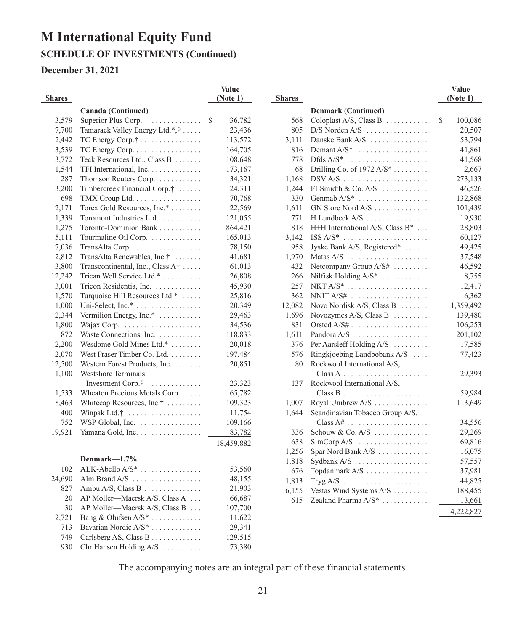## **SCHEDULE OF INVESTMENTS (Continued)**

## **December 31, 2021**

|               |                                  | Value        |
|---------------|----------------------------------|--------------|
| <b>Shares</b> |                                  | (Note 1)     |
|               | Canada (Continued)               |              |
| 3,579         | Superior Plus Corp.              | \$<br>36,782 |
| 7,700         | Tamarack Valley Energy Ltd.*,†   | 23,436       |
| 2,442         | TC Energy Corp.†                 | 113,572      |
| 3,539         | TC Energy Corp.                  | 164,705      |
| 3,772         | Teck Resources Ltd., Class B     | 108,648      |
| 1,544         | TFI International, Inc.          | 173,167      |
| 287           | Thomson Reuters Corp.            | 34,321       |
| 3,200         | Timbercreek Financial Corp.†     | 24,311       |
| 698           | TMX Group Ltd.                   | 70,768       |
| 2,171         | Torex Gold Resources, Inc.*      | 22,569       |
| 1,339         | Toromont Industries Ltd.         | 121,055      |
| 11,275        | Toronto-Dominion Bank            | 864,421      |
| 5,111         | Tourmaline Oil Corp.             | 165,013      |
| 7,036         | TransAlta Corp.                  | 78,150       |
| 2,812         | TransAlta Renewables, Inc.†      | 41,681       |
| 3,800         | Transcontinental, Inc., Class A† | 61,013       |
| 12,242        | Trican Well Service Ltd.*        | 26,808       |
| 3,001         | Tricon Residentia, Inc.          | 45,930       |
| 1,570         | Turquoise Hill Resources Ltd.*   | 25,816       |
| 1,000         | Uni-Select, Inc.*                | 20,349       |
| 2,344         | Vermilion Energy, Inc.*          | 29,463       |
| 1,800         | Wajax Corp.                      | 34,536       |
| 872           | Waste Connections, Inc.          | 118,833      |
| 2,200         | Wesdome Gold Mines Ltd.*         | 20,018       |
| 2,070         | West Fraser Timber Co. Ltd.      | 197,484      |
| 12,500        | Western Forest Products, Inc.    | 20,851       |
| 1,100         | Westshore Terminals              |              |
|               | Investment Corp.†                | 23,323       |
| 1,533         | Wheaton Precious Metals Corp.    | 65,782       |
| 18,463        | Whitecap Resources, Inc.†        | 109,323      |
| 400           | Winpak Ltd.†                     | 11,754       |
| 752           | WSP Global, Inc.                 | 109,166      |
| 19,921        | Yamana Gold, Inc.                | 83,782       |
|               |                                  | 18,459,882   |
|               |                                  |              |
|               | Denmark-1.7%                     |              |
| 102           | ALK-Abello A/S <sup>*</sup>      | 53,560       |
| 24,690        | Alm Brand $A/S$                  | 48,155       |
| 827           | Ambu A/S, Class B                | 21,903       |
| 20            | AP Moller—Maersk A/S, Class A    | 66,687       |
| 30            | AP Moller-Maersk A/S, Class B    | 107,700      |
| 2,721         | Bang & Olufsen $A/S^*$           | 11,622       |
| 713           | Bavarian Nordic A/S <sup>*</sup> | 29,341       |
| 749           | Carlsberg AS, Class B.           | 129,515      |
| 930           | Chr Hansen Holding A/S           | 73,380       |

| <b>Shares</b> |                                                            | Value<br>(Note 1) |
|---------------|------------------------------------------------------------|-------------------|
|               | <b>Denmark (Continued)</b>                                 |                   |
| 568           | Coloplast A/S, Class B                                     | \$<br>100,086     |
| 805           | $D/S$ Norden A/S                                           | 20,507            |
| 3,111         | Danske Bank A/S                                            | 53,794            |
| 816           | Demant $A/S^*$                                             | 41,861            |
| 778           | $Dfds A/S^*$                                               | 41,568            |
| 68            | Drilling Co. of 1972 A/S <sup>*</sup>                      | 2,667             |
| 1,168         | $DSV A/S$                                                  | 273,133           |
| 1,244         | FLSmidth & Co. $A/S$                                       | 46,526            |
| 330           | Genmab $A/S^*$                                             | 132,868           |
| 1,611         | GN Store Nord $A/S$                                        | 101,439           |
| 771           | $H$ Lundbeck $A/S$                                         | 19,930            |
| 818           | H+H International A/S, Class B*                            | 28,803            |
| 3,142         | $ISS A/S^*$                                                | 60,127            |
| 958           | Jyske Bank A/S, Registered*                                | 49,425            |
| 1,970         | Matas $A/S$                                                | 37,548            |
| 432           | Netcompany Group A/S#                                      | 46,592            |
| 266           | Nilfisk Holding A/S*                                       | 8,755             |
| 257           |                                                            | 12,417            |
| 362           | $NNIT A/S#$                                                | 6,362             |
| 12,082        | Novo Nordisk A/S, Class B                                  | 1,359,492         |
| 1,696         | Novozymes A/S, Class B                                     | 139,480           |
| 831           | Orsted $A/S#$                                              | 106,253           |
| 1,611         | Pandora A/S                                                | 201,102           |
| 376           | Per Aarsleff Holding A/S                                   | 17,585            |
| 576           | Ringkjoebing Landbobank $A/S$                              | 77,423            |
| 80            | Rockwool International A/S,                                |                   |
|               |                                                            | 29,393            |
| 137           | Rockwool International A/S,                                |                   |
|               |                                                            | 59,984            |
| 1,007         | Royal Unibrew $A/S$                                        | 113,649           |
| 1.644         | Scandinavian Tobacco Group A/S,                            |                   |
|               | $Class A# \dots \dots \dots \dots \dots \dots \dots \dots$ | 34,556            |
| 336           | Schouw & Co. $A/S$                                         | 29,269            |
| 638           |                                                            | 69,816            |
| 1,256         | Spar Nord Bank A/S                                         | 16,075            |
| 1,818         |                                                            | 57,557            |
| 676           | Topdanmark A/S                                             | 37,981            |
| 1,813         | Tryg $A/S$                                                 | 44,825            |
| 6,155         | Vestas Wind Systems A/S                                    | 188,455           |
| 615           | Zealand Pharma A/S <sup>*</sup>                            | 13,661            |
|               |                                                            | 4,222,827         |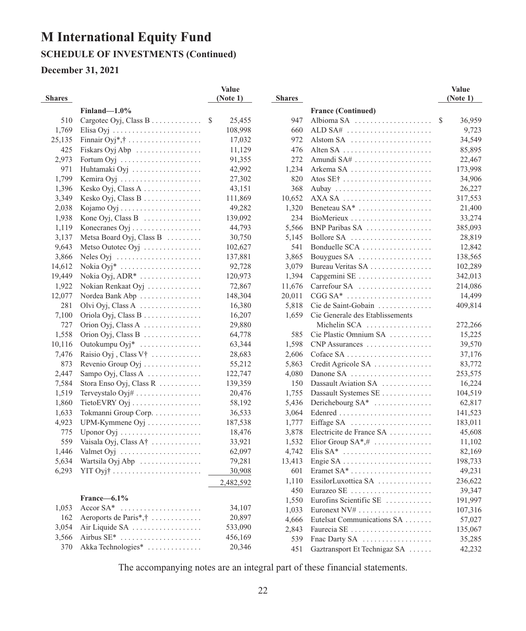## **SCHEDULE OF INVESTMENTS (Continued)**

## **December 31, 2021**

|               |                                                                | Value        |               |                   |
|---------------|----------------------------------------------------------------|--------------|---------------|-------------------|
| <b>Shares</b> |                                                                | (Note 1)     | <b>Shares</b> |                   |
|               | Finland $-1.0\%$                                               |              |               | France (Co        |
| 510           | Cargotec Oyj, Class B                                          | \$<br>25,455 | 947           | Albioma S.        |
| 1,769         | Elisa Oyj                                                      | 108,998      | 660           | ALD SA#           |
| 25,135        | Finnair $Oyi^*, \dagger$                                       | 17,032       | 972           | Alstom SA         |
| 425           | Fiskars Oyj Abp $\dots \dots \dots \dots$                      | 11,129       | 476           | Alten SA.         |
| 2,973         | Fortum Oyj $\dots \dots \dots \dots \dots \dots$               | 91,355       | 272           | Amundi SA         |
| 971           | Huhtamaki Oyj                                                  | 42,992       | 1,234         | Arkema SA         |
| 1,799         | Kemira Oyj                                                     | 27,302       | 820           | Atos SE†.         |
| 1,396         |                                                                | 43,151       | 368           | Aubay             |
| 3,349         |                                                                | 111,869      | 10,652        | AXA SA .          |
| 2,038         |                                                                | 49,282       | 1,320         | Beneteau S        |
| 1,938         | Kone Oyj, Class B                                              | 139,092      | 234           | <b>BioMerieu</b>  |
| 1,119         |                                                                | 44,793       | 5,566         | <b>BNP</b> Pariba |
| 3,137         | Metsa Board Oyj, Class B $\ldots \ldots$                       | 30,750       | 5,145         | <b>Bollore SA</b> |
| 9,643         | Metso Outotec Oyj $\dots\dots\dots\dots\dots$                  | 102,627      | 541           | Bonduelle         |
| 3,866         | Neles Oyj $\dots \dots \dots \dots \dots \dots \dots$          | 137,881      | 3,865         | Bouygues 9        |
| 14,612        | Nokia Oyj*                                                     | 92,728       | 3,079         | <b>Bureau Ver</b> |
| 19,449        | Nokia Oyj, ADR <sup>*</sup>                                    | 120,973      | 1,394         | Capgemini         |
| 1,922         | Nokian Renkaat Oyj                                             | 72,867       | 11,676        | Carrefour S       |
| 12,077        | Nordea Bank Abp                                                | 148,304      | 20,011        | $CGG SA*$         |
| 281           | Olvi Oyj, Class A                                              | 16,380       | 5,818         | Cie de Sair       |
| 7,100         | Oriola Oyj, Class $B$                                          | 16,207       | 1,659         | Cie Genera        |
| 727           | Orion Oyj, Class A $\ldots$                                    | 29,880       |               | Michelin          |
| 1,558         | Orion Oyj, Class B $\dots \dots \dots \dots$                   | 64,778       | 585           | Cie Plastic       |
| 10,116        | Outokumpu Oyj*                                                 | 63,344       | 1,598         | <b>CNP</b> Assur  |
| 7,476         | Raisio Oyj , Class V†                                          | 28,683       | 2,606         | Coface SA         |
| 873           | Revenio Group $Oyi$                                            | 55,212       | 5,863         | Credit Agri       |
| 2,447         | Sampo Oyj, Class A                                             | 122,747      | 4,080         | Danone SA         |
| 7,584         | Stora Enso Oyj, Class $R$                                      | 139,359      | 150           | Dassault A        |
| 1,519         | Terveystalo $Oyi\# \ldots \ldots \ldots \ldots \ldots$         | 20,476       | 1,755         | Dassault Sy       |
| 1,860         | $TietoEVRY Oyj \ldots \ldots \ldots \ldots \ldots$             | 58,192       | 5,436         | Derichebou        |
| 1,633         | Tokmanni Group Corp.                                           | 36,533       | 3,064         | Edenred           |
| 4,923         | UPM-Kymmene $Oyi$                                              | 187,538      | 1,777         | Eiffage SA        |
| 775           |                                                                | 18,476       | 3,878         | Electricite       |
| 559           | Vaisala Oyj, Class $A^{\dagger}$                               | 33,921       | 1,532         | Elior Group       |
| 1,446         | Valmet $Oyi$                                                   | 62,097       | 4,742         | Elis SA*          |
| 5,634         | Wartsila Oyj Abp                                               | 79,281       | 13,413        | Engie SA.         |
| 6,293         | $YIT$ Oyj $\dots\dots\dots\dots\dots\dots\dots\dots\dots\dots$ | 30,908       | 601           | Eramet SA         |
|               |                                                                | 2,482,592    | 1,110         | EssilorLux        |
|               |                                                                |              | 450           | Eurazeo SE        |
|               | France $-6.1\%$                                                |              | 1,550         | Eurofins So       |
| 1,053         | $\text{Accor } \text{SA*}$                                     | 34,107       | 1,033         | Euronext N        |
| 162           | Aeroports de Paris*,†                                          | 20,897       | 4,666         | Eutelsat Co       |
| 3,054         | Air Liquide SA $\dots\dots\dots\dots\dots\dots$                | 533,090      | 2,843         | Faurecia SI       |
| 3,566         | Airbus $SE^*$                                                  | 456,169      | 539           | Fnac Darty        |
| 370           | Akka Technologies*                                             | 20,346       | 451           | Gaztranspo        |

|               |                                                             | Value        |
|---------------|-------------------------------------------------------------|--------------|
| <b>Shares</b> |                                                             | (Note 1)     |
|               | <b>France (Continued)</b>                                   |              |
| 947           | Albioma SA                                                  | \$<br>36,959 |
| 660           | ALD SA# $\ldots \ldots \ldots \ldots \ldots \ldots \ldots$  | 9,723        |
| 972           | Alstom SA $\ldots \ldots \ldots \ldots \ldots \ldots$       | 34,549       |
| 476           |                                                             | 85,895       |
| 272           |                                                             | 22,467       |
| 1,234         | Arkema SA                                                   | 173,998      |
| 820           | Atos SE† $\ldots \ldots \ldots \ldots \ldots \ldots \ldots$ | 34,906       |
| 368           | Aubay                                                       | 26,227       |
| 10,652        |                                                             | 317,553      |
| 1,320         | Beneteau SA <sup>*</sup>                                    | 21,400       |
| 234           | BioMerieux                                                  | 33,274       |
| 5,566         | BNP Paribas SA                                              | 385,093      |
| 5,145         | Bollore SA                                                  | 28,819       |
| 541           | Bonduelle SCA                                               | 12,842       |
| 3,865         | Bouygues SA                                                 | 138,565      |
| 3,079         | Bureau Veritas SA                                           | 102,289      |
| 1,394         | Capgemini SE                                                | 342,013      |
| 11,676        | Carrefour SA                                                | 214,086      |
| 20,011        | $CGG SA^*$                                                  | 14,499       |
| 5,818         | Cie de Saint-Gobain                                         | 409,814      |
| 1,659         | Cie Generale des Etablissements                             |              |
|               | Michelin SCA                                                | 272,266      |
| 585           | Cie Plastic Omnium SA                                       | 15,225       |
| 1,598         | CNP Assurances                                              | 39,570       |
| 2,606         | Coface SA                                                   | 37,176       |
| 5,863         | Credit Agricole SA                                          | 83,772       |
| 4,080         | Danone SA                                                   | 253,575      |
| 150           | Dassault Aviation SA                                        | 16,224       |
| 1,755         | Dassault Systemes SE                                        | 104,519      |
| 5,436         | Derichebourg SA*                                            | 62,817       |
| 3,064         |                                                             | 141,523      |
| 1,777         | Eiffage SA                                                  | 183,011      |
| 3,878         | Electricite de France SA                                    | 45,608       |
| 1,532         | Elior Group $SA^*,\#$                                       | 11,102       |
| 4,742         | Elis SA*                                                    | 82,169       |
| 13,413        | Engie SA                                                    | 198,733      |
| 601           | Eramet SA <sup>*</sup>                                      | 49,231       |
| 1,110         | EssilorLuxottica SA                                         | 236,622      |
| 450           | Eurazeo SE                                                  | 39,347       |
| 1,550         | Eurofins Scientific SE                                      | 191,997      |
| 1,033         | Euronext NV#                                                | 107,316      |
| 4,666         | Eutelsat Communications SA                                  | 57,027       |
| 2,843         | Faurecia SE                                                 | 135,067      |
| 539           | Fnac Darty SA                                               | 35,285       |
| 451           | Gaztransport Et Technigaz SA                                | 42,232       |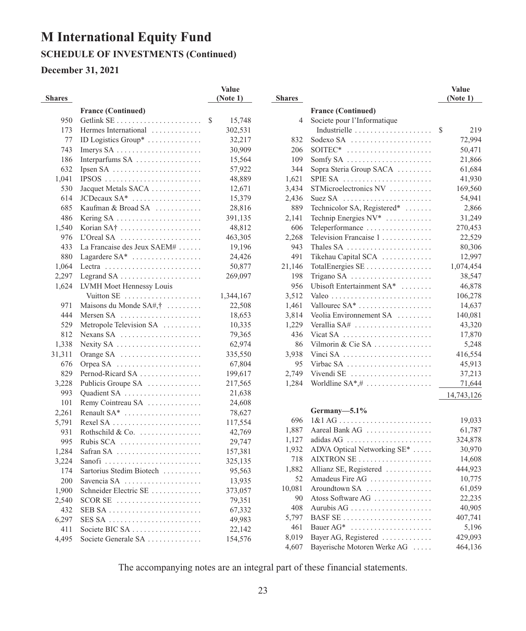## **SCHEDULE OF INVESTMENTS (Continued)**

## **December 31, 2021**

|               |                                                                  | Value        |
|---------------|------------------------------------------------------------------|--------------|
| <b>Shares</b> |                                                                  | (Note1)      |
|               | <b>France (Continued)</b>                                        |              |
| 950           |                                                                  | \$<br>15,748 |
| 173           | Hermes International                                             | 302,531      |
| 77            | ID Logistics Group*                                              | 32,217       |
| 743           |                                                                  | 30,909       |
| 186           | Interparfums SA                                                  | 15,564       |
| 632           | Ipsen SA                                                         | 57,922       |
| 1,041         |                                                                  | 48,889       |
| 530           | Jacquet Metals SACA                                              | 12,671       |
| 614           | JCDecaux SA*                                                     | 15,379       |
| 685           | Kaufman & Broad SA                                               | 28,816       |
| 486           | Kering SA                                                        | 391,135      |
| 1,540         |                                                                  | 48,812       |
| 976           |                                                                  | 463,305      |
| 433           | La Francaise des Jeux SAEM#                                      | 19,196       |
| 880           | Lagardere SA*                                                    | 24,426       |
| 1,064         | Lectra                                                           | 50,877       |
| 2,297         |                                                                  | 269,097      |
| 1,624         | LVMH Moet Hennessy Louis                                         |              |
|               | Vuitton SE                                                       | 1,344,167    |
| 971           | Maisons du Monde $SA#, \dagger, \ldots, \ldots$                  | 22,508       |
| 444           | Mersen SA                                                        | 18,653       |
| 529           | Metropole Television SA                                          | 10,335       |
| 812           | Nexans SA                                                        | 79,365       |
| 1,338         | Nexity $SA$                                                      | 62,974       |
| 31,311        | Orange $SA$                                                      | 335,550      |
| 676           | Orpea SA                                                         | 67,804       |
| 829           | Pernod-Ricard SA                                                 | 199,617      |
| 3,228         | Publicis Groupe SA                                               | 217,565      |
| 993           | Quadient SA                                                      | 21,638       |
| 101           | Remy Cointreau SA                                                | 24,608       |
| 2,261         | Renault $SA^*$                                                   | 78,627       |
| 5,791         | Rexel SA                                                         | 117,554      |
| 931           | Rothschild & Co.                                                 | 42,769       |
| 995           | Rubis SCA $\ldots$                                               | 29,747       |
| 1,284         | Safran SA                                                        | 157,381      |
| 3,224         |                                                                  | 325,135      |
| 174           | Sartorius Stedim Biotech                                         | 95,563       |
| 200           | Savencia SA                                                      | 13,935       |
| 1,900         | Schneider Electric SE                                            | 373,057      |
| 2,540         | $SCOR SE$                                                        | 79,351       |
| 432           |                                                                  | 67,332       |
| 6,297         | SES SA $\ldots \ldots \ldots \ldots \ldots \ldots \ldots \ldots$ | 49,983       |
| 411           | Societe BIC SA                                                   | 22,142       |
| 4,495         | Societe Generale SA                                              | 154,576      |

|               |                                                              | Value      |
|---------------|--------------------------------------------------------------|------------|
| <b>Shares</b> |                                                              | (Note 1)   |
|               | <b>France (Continued)</b>                                    |            |
| 4             | Societe pour l'Informatique                                  |            |
|               | Industrielle                                                 | \$<br>219  |
| 832           | Sodexo SA                                                    | 72,994     |
| 206           | $\text{SOITEC*}$                                             | 50,471     |
| 109           | Somfy $SA$                                                   | 21,866     |
| 344           | Sopra Steria Group SACA                                      | 61,684     |
| 1,621         | $SPIE SA$                                                    | 41,930     |
| 3,434         | STMicroelectronics NV                                        | 169,560    |
| 2,436         | Suez SA $\dots\dots\dots\dots\dots\dots\dots\dots\dots$      | 54,941     |
| 889           | Technicolor SA, Registered*                                  | 2,866      |
| 2,141         | Technip Energies NV*                                         | 31,249     |
| 606           | Teleperformance                                              | 270,453    |
| 2,268         | Television Francaise 1                                       | 22,529     |
| 943           | Thales SA                                                    | 80,306     |
| 491           | Tikehau Capital SCA                                          | 12,997     |
| 21,146        | TotalEnergies SE                                             | 1,074,454  |
| 198           | Trigano SA                                                   | 38,547     |
| 956           | Ubisoft Entertainment SA*                                    | 46,878     |
| 3,512         |                                                              | 106,278    |
| 1,461         | Vallourec $SA^*$                                             | 14,637     |
| 3,814         | Veolia Environnement SA                                      | 140,081    |
| 1,229         | Verallia SA#                                                 | 43,320     |
| 436           | Vicat SA                                                     | 17,870     |
| 86            | Vilmorin & Cie SA                                            | 5,248      |
| 3,938         | Vinci SA                                                     | 416,554    |
| 95            | Virbac SA                                                    | 45,913     |
| 2,749         | Vivendi SE                                                   | 37,213     |
| 1,284         | Worldline $SA^*,\# \dots \dots \dots \dots \dots$            | 71,644     |
|               |                                                              | 14,743,126 |
|               |                                                              |            |
|               | Germany-5.1%                                                 |            |
| 696           |                                                              | 19,033     |
| 1,887         | Aareal Bank AG                                               | 61,787     |
| 1,127         | $\text{adidas AG} \dots \dots \dots \dots \dots \dots \dots$ | 324,878    |
| 1,932         | ADVA Optical Networking SE*                                  | 30,970     |
| 718           | AIXTRON SE                                                   | 14,608     |
| 1,882         | Allianz SE, Registered                                       | 444,923    |
| 52            | Amadeus Fire AG                                              | 10,775     |
| 10,081        | Aroundtown SA                                                | 61,059     |
| 90            | Atoss Software AG                                            | 22,235     |
| 408           |                                                              | 40,905     |
| 5.797         | BASF SE                                                      | 407,741    |
| 461           | Bauer AG*                                                    | 5,196      |
| 8,019         | Bayer AG, Registered                                         | 429,093    |
| 4,607         | Bayerische Motoren Werke AG                                  | 464,136    |
|               |                                                              |            |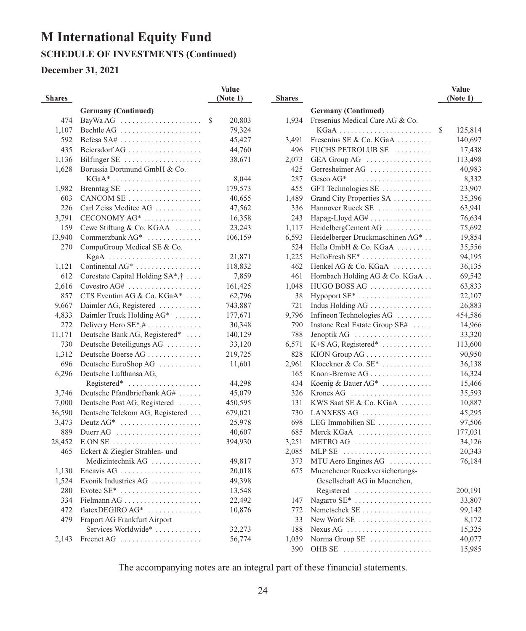## **SCHEDULE OF INVESTMENTS (Continued)**

## **December 31, 2021**

| <b>Shares</b> |                                                                         | Value<br>(Note 1) | <b>Shares</b> |                                                               | Value<br>(Note 1) |
|---------------|-------------------------------------------------------------------------|-------------------|---------------|---------------------------------------------------------------|-------------------|
|               |                                                                         |                   |               |                                                               |                   |
| 474           | <b>Germany (Continued)</b><br>BayWa AG $\dots\dots\dots\dots\dots\dots$ | 20,803            | 1,934         | <b>Germany</b> (Continued)<br>Fresenius Medical Care AG & Co. |                   |
| 1.107         | Bechtle AG                                                              | 79,324            |               |                                                               | 125,814           |
| 592           | Befesa $SA#$                                                            | 45,427            | 3,491         | Fresenius SE & Co. KGaA                                       | 140,697           |
| 435           | Beiersdorf AG                                                           | 44,760            | 496           | FUCHS PETROLUB SE                                             | 17,438            |
| 1,136         | Bilfinger SE                                                            | 38,671            | 2,073         | GEA Group $AG$                                                | 113,498           |
| 1,628         | Borussia Dortmund GmbH & Co.                                            |                   | 425           | Gerresheimer AG                                               | 40,983            |
|               | $KGaA*$                                                                 | 8,044             | 287           | Gesco $AG^*$                                                  | 8,332             |
| 1,982         | Brenntag SE                                                             | 179,573           | 455           | GFT Technologies SE                                           | 23,907            |
| 603           | CANCOM SE                                                               | 40,655            | 1,489         | Grand City Properties SA                                      | 35,396            |
| 226           | Carl Zeiss Meditec AG                                                   | 47,562            | 336           | Hannover Rueck SE                                             | 63,941            |
| 3,791         | $CECONOMY AG^* \dots \dots \dots \dots$                                 | 16,358            | 243           | Hapag-Lloyd $AG#$                                             | 76,634            |
| 159           | Cewe Stiftung & Co. KGAA $\dots$ .                                      | 23,243            | 1,117         | HeidelbergCement AG                                           | 75,692            |
| 13,940        | Commerzbank AG*                                                         | 106,159           | 6,593         | Heidelberger Druckmaschinen AG*                               | 19,854            |
| 270           | CompuGroup Medical SE & Co.                                             |                   | 524           | Hella GmbH & Co. KGaA                                         | 35,556            |
|               | KgaA                                                                    | 21,871            | 1,225         | HelloFresh $SE^*$                                             | 94,195            |
| 1,121         | Continental $AG^*$                                                      | 118,832           | 462           | Henkel AG & Co. KGaA                                          | 36,135            |
| 612           | Corestate Capital Holding SA*,†                                         | 7,859             | 461           | Hornbach Holding AG & Co. KGaA                                | 69,542            |
| 2,616         | Covestro $AG#$                                                          | 161,425           | 1,048         | $HUGO$ BOSS AG $\ldots \ldots \ldots \ldots \ldots$           | 63,833            |
| 857           | CTS Eventim AG & Co. KGaA*                                              | 62,796            | 38            | Hypoport SE <sup>*</sup>                                      | 22,107            |
| 9.667         | Daimler AG, Registered                                                  | 743,887           | 721           | Indus Holding $AG$                                            | 26,883            |
| 4,833         | Daimler Truck Holding AG*                                               | 177,671           | 9,796         | Infineon Technologies $AG$                                    | 454,586           |
| 272           | Delivery Hero SE*,#                                                     | 30,348            | 790           | Instone Real Estate Group SE#                                 | 14,966            |
| 11,171        | Deutsche Bank AG, Registered*                                           | 140,129           | 788           | Jenoptik AG $\dots\dots\dots\dots\dots\dots\dots$             | 33,320            |
| 730           | Deutsche Beteiligungs AG                                                | 33,120            | 6,571         | $K+SAG$ , Registered*                                         | 113,600           |
| 1,312         | Deutsche Boerse AG                                                      | 219,725           | 828           | KION Group AG                                                 | 90,950            |
| 696           | Deutsche EuroShop AG                                                    | 11,601            | 2,961         | Kloeckner & Co. $SE^*$                                        | 36,138            |
| 6,296         | Deutsche Lufthansa AG,                                                  |                   | 165           | Knorr-Bremse AG                                               | 16,324            |
|               | $Registered*$                                                           | 44,298            | 434           | Koenig & Bauer AG*                                            | 15,466            |
| 3,746         | Deutsche Pfandbriefbank AG#                                             | 45,079            | 326           | Krones AG $\ldots$                                            | 35,593            |
| 7,000         | Deutsche Post AG, Registered                                            | 450,595           | 131           | KWS Saat SE & Co. KGaA                                        | 10,887            |
| 36,590        | Deutsche Telekom AG, Registered                                         | 679,021           | 730           | LANXESS AG                                                    | 45,295            |
| 3,473         | Deutz $AG^*$                                                            | 25,978            | 698           | LEG Immobilien SE                                             | 97,506            |
| 889           | Duerr AG $\ldots \ldots \ldots \ldots \ldots \ldots$                    | 40,607            | 685           | Merck KGaA                                                    | 177,031           |
| 28,452        |                                                                         | 394,930           | 3,251         | METRO AG                                                      | 34,126            |
| 465           | Eckert & Ziegler Strahlen- und                                          |                   | 2,085         | MLP SE $\dots\dots\dots\dots\dots\dots\dots\dots\dots$        | 20,343            |
|               | Medizintechnik AG                                                       | 49,817            | 373           | MTU Aero Engines AG                                           | 76,184            |
| 1,130         | Encavis AG $\ldots$                                                     | 20,018            | 675           | Muenchener Rueckversicherungs-                                |                   |
| 1,524         | Evonik Industries AG                                                    | 49,398            |               | Gesellschaft AG in Muenchen,                                  |                   |
| 280           | Evotec $SE^*$                                                           | 13,548            |               | Registered                                                    | 200,191           |
| 334           | Fielmann AG                                                             | 22,492            | 147           | Nagarro SE*                                                   | 33,807            |
| 472           | flatexDEGIRO $AG^*$                                                     | 10,876            | 772           | Nemetschek SE                                                 | 99,142            |
| 479           | Fraport AG Frankfurt Airport                                            |                   | 33            | New Work SE                                                   | 8,172             |
|               | Services Worldwide*                                                     | 32,273            | 188           | $Nexus AG$                                                    | 15,325            |
| 2,143         | Freenet AG $\ldots \ldots \ldots \ldots \ldots \ldots$                  | 56,774            | 1,039         | Norma Group SE                                                | 40,077            |
|               |                                                                         |                   | 390           | OHB SE                                                        | 15,985            |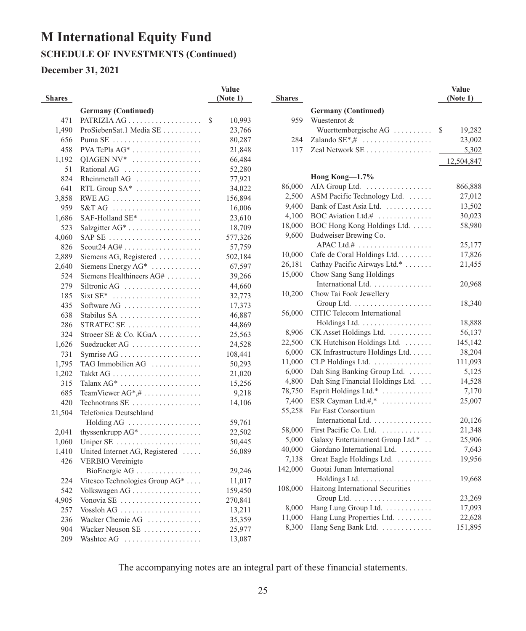## **SCHEDULE OF INVESTMENTS (Continued)**

## **December 31, 2021**

|               |                                                                  | Value        |
|---------------|------------------------------------------------------------------|--------------|
| <b>Shares</b> |                                                                  | (Note 1)     |
|               | <b>Germany (Continued)</b>                                       |              |
| 471           |                                                                  | \$<br>10,993 |
| 1,490         | ProSiebenSat.1 Media SE                                          | 23,766       |
| 656           | Puma SE                                                          | 80,287       |
| 458           | PVA TePla $AG^*$                                                 | 21,848       |
| 1,192         | $OIAGEN NV^*$                                                    | 66,484       |
| 51            | Rational AG $\ldots \ldots \ldots \ldots \ldots$                 | 52,280       |
| 824           | Rheinmetall AG                                                   | 77,921       |
| 641           | RTL Group $SA^*$                                                 | 34,022       |
| 3,858         | $RWE AG$                                                         | 156,894      |
| 959           | $S&TAG$                                                          | 16,006       |
| 1,686         | SAF-Holland SE*                                                  | 23,610       |
| 523           |                                                                  | 18,709       |
| 4,060         | SAP SE $\dots\dots\dots\dots\dots\dots\dots\dots\dots\dots\dots$ | 577,326      |
| 826           | $S\text{cout24 AG}\#$                                            | 57,759       |
| 2,889         | Siemens AG, Registered                                           | 502,184      |
| 2,640         | Siemens Energy AG*                                               | 67,597       |
| 524           | Siemens Healthineers AG#                                         | 39,266       |
| 279           | Siltronic AG $\ldots, \ldots, \ldots, \ldots, \ldots$            | 44,660       |
| 185           | Sixt $SE^*$                                                      | 32,773       |
| 435           | Software AG                                                      | 17,373       |
| 638           | Stabilus SA                                                      | 46,887       |
| 286           | STRATEC SE                                                       | 44,869       |
| 324           | Stroeer SE & Co. $KGaA$                                          | 25,563       |
| 1,626         | Suedzucker AG                                                    | 24,528       |
| 731           | Symrise AG                                                       | 108,441      |
| 1,795         | TAG Immobilien $AG$                                              | 50,293       |
| 1,202         |                                                                  | 21,020       |
| 315           | Talanx $AG^*$                                                    | 15,256       |
| 685           | TeamViewer AG*,# $\dots\dots\dots\dots\dots$                     | 9,218        |
| 420           | Technotrans SE                                                   | 14,106       |
| 21,504        | Telefonica Deutschland                                           |              |
|               | Holding AG                                                       | 59,761       |
| 2,041         | thyssenkrupp AG*                                                 | 22,502       |
| 1,060         | Uniper SE                                                        | 50,445       |
| 1,410         | United Internet AG, Registered                                   | 56,089       |
| 426           | <b>VERBIO</b> Vereinigte                                         |              |
|               |                                                                  | 29,246       |
| 224           | Vitesco Technologies Group AG*                                   | 11,017       |
| 542           | Volkswagen $AG$                                                  | 159,450      |
| 4,905         | Vonovia $SE$ ,                                                   | 270,841      |
| 257           | Vossloh AG                                                       | 13,211       |
| 236           | Wacker Chemie AG                                                 | 35,359       |
| 904           | Wacker Neuson SE                                                 | 25,977       |
| 209           | Washtec AG                                                       | 13,087       |

| <b>Shares</b> |                                                  | Value<br>(Note 1) |
|---------------|--------------------------------------------------|-------------------|
|               | <b>Germany (Continued)</b>                       |                   |
| 959           | Wuestenrot &                                     |                   |
|               | Wuerttembergische $AG$                           | \$<br>19,282      |
| 284           | Zalando $SE^*, # \dots \dots \dots \dots \dots$  | 23,002            |
| 117           | Zeal Network SE                                  | 5,302             |
|               |                                                  | 12,504,847        |
|               | Hong Kong-1.7%                                   |                   |
| 86,000        | AIA Group Ltd.                                   | 866,888           |
| 2,500         | ASM Pacific Technology Ltd.                      | 27,012            |
| 9,400         | Bank of East Asia Ltd.                           | 13,502            |
| 4,100         | BOC Aviation Ltd.#                               | 30,023            |
| 18,000        | BOC Hong Kong Holdings Ltd.                      | 58,980            |
| 9,600         | Budweiser Brewing Co.                            |                   |
|               | $APAC Ltd. # \ldots \ldots \ldots \ldots \ldots$ | 25,177            |
| 10,000        | Cafe de Coral Holdings Ltd.                      | 17,826            |
| 26,181        | Cathay Pacific Airways Ltd.*                     | 21,455            |
| 15,000        | Chow Sang Sang Holdings                          |                   |
|               | International Ltd.                               | 20,968            |
| 10,200        | Chow Tai Fook Jewellery                          |                   |
|               |                                                  | 18,340            |
| 56,000        | CITIC Telecom International                      |                   |
|               | Holdings Ltd.                                    | 18,888            |
| 8,906         | CK Asset Holdings Ltd.                           | 56,137            |
| 22,500        | CK Hutchison Holdings Ltd.                       | 145,142           |
| 6,000         | CK Infrastructure Holdings Ltd.                  | 38,204            |
| 11,000        | CLP Holdings Ltd.                                | 111,093           |
| 6,000         | Dah Sing Banking Group Ltd.                      | 5,125             |
| 4,800         | Dah Sing Financial Holdings Ltd.                 | 14,528            |
| 78,750        | Esprit Holdings Ltd.*                            | 7,170             |
| 7,400         | ESR Cayman Ltd.#,* $\dots\dots\dots\dots$        | 25,007            |
| 55,258        | Far East Consortium                              |                   |
|               | International Ltd.                               | 20,126            |
| 58,000        | First Pacific Co. Ltd.                           | 21,348            |
| 5,000         | Galaxy Entertainment Group Ltd.*                 | 25,906            |
| 40,000        | Giordano International Ltd.                      | 7,643             |
| 7,138         | Great Eagle Holdings Ltd.                        | 19,956            |
| 142,000       | Guotai Junan International                       |                   |
|               | Holdings Ltd.                                    | 19,668            |
| 108,000       | Haitong International Securities                 |                   |
|               |                                                  | 23,269            |
| 8,000         | Hang Lung Group Ltd.                             | 17,093            |
| 11,000        | Hang Lung Properties Ltd.                        | 22,628            |
| 8,300         | Hang Seng Bank Ltd.                              | 151,895           |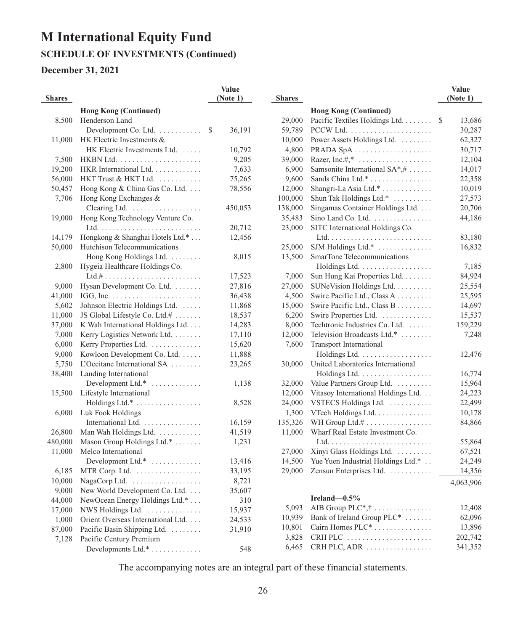### **December 31, 2021**

| <b>Shares</b> |                                                           | Value<br>(Note 1) | <b>Shares</b> |
|---------------|-----------------------------------------------------------|-------------------|---------------|
|               |                                                           |                   |               |
| 8,500         | <b>Hong Kong (Continued)</b><br>Henderson Land            |                   | 29,00         |
|               | Development Co. Ltd. $\dots\dots\dots\dots$               | \$<br>36,191      | 59,78         |
| 11,000        | HK Electric Investments &                                 |                   | 10,00         |
|               | HK Electric Investments Ltd.                              | 10,792            | 4,80          |
| 7,500         |                                                           | 9,205             | 39,00         |
| 19,200        | HKR International Ltd.                                    | 7,633             | 6,90          |
| 56,000        | HKT Trust & HKT Ltd.                                      | 75,265            | 9,60          |
| 50,457        | Hong Kong & China Gas Co. Ltd.                            | 78,556            | 12,00         |
| 7,706         | Hong Kong Exchanges &                                     |                   | 100,00        |
|               | Clearing Ltd.                                             |                   | 138,00        |
| 19,000        | Hong Kong Technology Venture Co.                          | 450,053           | 35,48         |
|               |                                                           |                   |               |
| 14,179        | Hongkong & Shanghai Hotels Ltd.*                          | 20,712            | 23,00         |
|               | Hutchison Telecommunications                              | 12,456            |               |
| 50,000        |                                                           |                   | 25,00         |
|               | Hong Kong Holdings Ltd.<br>Hygeia Healthcare Holdings Co. | 8,015             | 13,50         |
| 2,800         |                                                           |                   |               |
|               |                                                           | 17,523            | 7,00          |
| 9,000         | Hysan Development Co. Ltd.                                | 27,816            | 27,00         |
| 41,000        |                                                           | 36,438            | 4,50          |
| 5,602         | Johnson Electric Holdings Ltd.                            | 11,868            | 15,00         |
| 11,000        | JS Global Lifestyle Co. Ltd.#                             | 18,537            | 6,20          |
| 37,000        | K Wah International Holdings Ltd.                         | 14,283            | 8,00          |
| 7,000         | Kerry Logistics Network Ltd.                              | 17,110            | 12,00         |
| 6,000         | Kerry Properties Ltd.                                     | 15,620            | 7,60          |
| 9,000         | Kowloon Development Co. Ltd.                              | 11,888            |               |
| 5,750         | L'Occitane International SA                               | 23,265            | 30,00         |
| 38,400        | Landing International                                     |                   |               |
|               | Development Ltd. $*$                                      | 1,138             | 32,00         |
| 15,500        | Lifestyle International                                   |                   | 12,00         |
|               | Holdings Ltd.* $\dots \dots \dots \dots \dots$            | 8,528             | 24,00         |
| 6,000         | Luk Fook Holdings                                         |                   | 1,30          |
|               | International Ltd.                                        | 16,159            | 135,32        |
| 26,800        | Man Wah Holdings Ltd.                                     | 41,519            | 11,00         |
| 480,000       | Mason Group Holdings Ltd.*                                | 1,231             |               |
| 11,000        | Melco International                                       |                   | 27,00         |
|               | Development Ltd.*                                         | 13,416            | 14,50         |
| 6,185         | MTR Corp. Ltd.                                            | 33,195            | 29,00         |
| 10,000        | NagaCorp Ltd.                                             | 8,721             |               |
| 9,000         | New World Development Co. Ltd.                            | 35,607            |               |
| 44,000        | NewOcean Energy Holdings Ltd.*                            | 310               | 5,09          |
| 17,000        | NWS Holdings Ltd.                                         | 15,937            | 10,93         |
| 1,000         | Orient Overseas International Ltd.                        | 24,533            | 10,80         |
| 87,000        | Pacific Basin Shipping Ltd.                               | 31,910            |               |
| 7,128         | Pacific Century Premium                                   |                   | 3,82          |
|               | Developments Ltd.*                                        | 548               | 6,46          |

| <b>Shares</b> |                                                     | <b>Value</b><br>(Note 1) |
|---------------|-----------------------------------------------------|--------------------------|
|               | <b>Hong Kong (Continued)</b>                        |                          |
| 29,000        | Pacific Textiles Holdings Ltd.                      | \$<br>13,686             |
| 59,789        |                                                     | 30,287                   |
| 10,000        | Power Assets Holdings Ltd.                          | 62,327                   |
| 4,800         |                                                     | 30,717                   |
| 39,000        | Razer, Inc.#,* $\ldots \ldots \ldots \ldots \ldots$ | 12,104                   |
| 6,900         | Samsonite International SA*,#                       | 14,017                   |
| 9,600         | Sands China Ltd.*                                   | 22,358                   |
| 12,000        | Shangri-La Asia Ltd.*                               | 10,019                   |
| 100,000       | Shun Tak Holdings Ltd.*                             | 27,573                   |
| 138,000       | Singamas Container Holdings Ltd.                    | 20,706                   |
| 35,483        | Sino Land Co. Ltd.                                  | 44,186                   |
| 23,000        | SITC International Holdings Co.                     |                          |
|               |                                                     | 83,180                   |
| 25,000        | SJM Holdings Ltd.*                                  | 16,832                   |
| 13,500        | SmarTone Telecommunications                         |                          |
|               | Holdings Ltd.                                       | 7,185                    |
| 7,000         | Sun Hung Kai Properties Ltd.                        | 84,924                   |
| 27,000        | SUNeVision Holdings Ltd.                            | 25,554                   |
| 4,500         | Swire Pacific Ltd., Class A                         | 25,595                   |
| 15,000        | Swire Pacific Ltd., Class B                         | 14,697                   |
| 6,200         | Swire Properties Ltd.                               | 15,537                   |
| 8,000         | Techtronic Industries Co. Ltd.                      | 159,229                  |
| 12,000        | Television Broadcasts Ltd.*                         | 7,248                    |
| 7,600         | <b>Transport International</b>                      |                          |
|               | Holdings Ltd.                                       | 12,476                   |
| 30,000        | United Laboratories International                   |                          |
|               | Holdings Ltd.                                       | 16,774                   |
| 32,000        | Value Partners Group Ltd.                           | 15,964                   |
| 12,000        | Vitasoy International Holdings Ltd.                 | 24,223                   |
| 24,000        | VSTECS Holdings Ltd.                                | 22,499                   |
| 1,300         | VTech Holdings Ltd.                                 | 10,178                   |
| 135,326       | WH Group Ltd.#                                      | 84,866                   |
| 11,000        | Wharf Real Estate Investment Co.                    | 55,864                   |
| 27,000        | Xinyi Glass Holdings Ltd.                           | 67,521                   |
| 14,500        | Yue Yuen Industrial Holdings Ltd.*                  | 24,249                   |
| 29,000        | Zensun Enterprises Ltd.                             | 14,356                   |
|               |                                                     |                          |
|               |                                                     | 4,063,906                |
|               | Ireland $-0.5\%$                                    |                          |
| 5,093         | AIB Group PLC <sup>*</sup> ,†                       | 12,408                   |
| 10,939        | Bank of Ireland Group PLC <sup>*</sup>              | 62,096                   |
| 10,801        | Cairn Homes PLC <sup>*</sup>                        | 13,896                   |
| 3,828         | CRH PLC                                             | 202,742                  |
| 6,465         | $CRH$ PLC, ADR $\ldots \ldots \ldots \ldots$        | 341,352                  |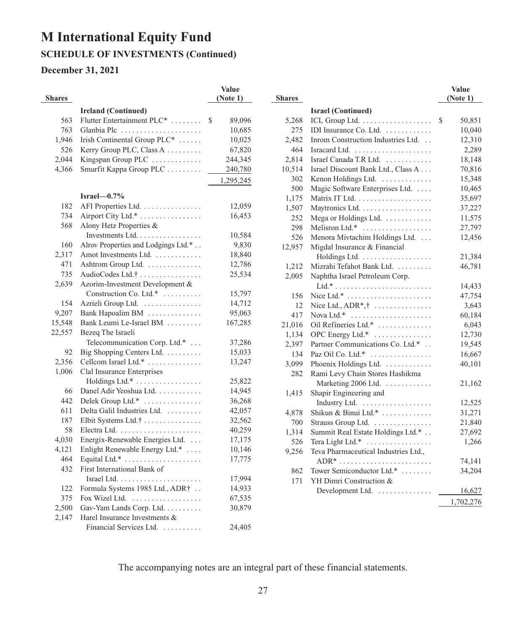## **SCHEDULE OF INVESTMENTS (Continued)**

## **December 31, 2021**

| <b>Shares</b> |                                          | Value<br>(Note 1) |
|---------------|------------------------------------------|-------------------|
|               | <b>Ireland (Continued)</b>               |                   |
| 563           | Flutter Entertainment PLC <sup>*</sup>   | \$<br>89,096      |
| 763           | Glanbia Plc                              | 10,685            |
| 1,946         | Irish Continental Group PLC <sup>*</sup> | 10,025            |
| 526           | Kerry Group PLC, Class A                 | 67,820            |
| 2,044         | Kingspan Group PLC                       | 244,345           |
| 4,366         | Smurfit Kappa Group PLC                  | 240,780           |
|               |                                          | 1,295,245         |
|               | $Israel -0.7%$                           |                   |
| 182           | AFI Properties Ltd.                      | 12,059            |
| 734           | Airport City Ltd.*                       | 16,453            |
| 568           | Alony Hetz Properties &                  |                   |
|               | Investments Ltd.                         | 10,584            |
| 160           | Alrov Properties and Lodgings Ltd.*      | 9,830             |
| 2,317         | Amot Investments Ltd.                    | 18,840            |
| 471           | Ashtrom Group Ltd.                       | 12,786            |
| 735           | AudioCodes Ltd.†                         | 25,534            |
| 2,639         | Azorim-Investment Development &          |                   |
|               | Construction Co. Ltd.*                   | 15,797            |
| 154           | Azrieli Group Ltd.                       | 14,712            |
| 9,207         | Bank Hapoalim BM                         | 95,063            |
| 15,548        | Bank Leumi Le-Israel BM                  | 167,285           |
| 22,557        | Bezeg The Israeli                        |                   |
|               | Telecommunication Corp. Ltd.*            | 37,286            |
| 92            | Big Shopping Centers Ltd.                | 15,033            |
| 2,356         | Cellcom Israel Ltd.*                     | 13,247            |
| 1,006         | Clal Insurance Enterprises               |                   |
|               | Holdings Ltd.*                           | 25,822            |
| 66            | Danel Adir Yeoshua Ltd.                  | 14,945            |
| 442           | Delek Group Ltd.*                        | 36,268            |
| 611           | Delta Galil Industries Ltd.              | 42,057            |
| 187           | Elbit Systems Ltd.†                      | 32,562            |
| 58            |                                          | 40,259            |
| 4,030         | Energix-Renewable Energies Ltd.          | 17,175            |
| 4,121         | Enlight Renewable Energy Ltd.*           | 10,146            |
| 464<br>432    | First International Bank of              | 17,775            |
|               |                                          | 17,994            |
| 122           | Formula Systems 1985 Ltd., ADR†          | 14,933            |
| 375           | Fox Wizel Ltd.                           | 67,535            |
| 2,500         | Gav-Yam Lands Corp. Ltd.                 | 30,879            |
| 2,147         | Harel Insurance Investments &            |                   |
|               | Financial Services Ltd.                  | 24,405            |
|               |                                          |                   |

|               |                                      | <b>Value</b> |
|---------------|--------------------------------------|--------------|
| <b>Shares</b> |                                      | (Note 1)     |
|               | <b>Israel (Continued)</b>            |              |
| 5,268         | ICL Group Ltd.                       | \$<br>50,851 |
| 275           | IDI Insurance Co. Ltd.               | 10,040       |
| 2,482         | Inrom Construction Industries Ltd    | 12,310       |
| 464           |                                      | 2,289        |
| 2,814         | Israel Canada T.R Ltd.               | 18,148       |
| 10,514        | Israel Discount Bank Ltd., Class A   | 70,816       |
| 302           | Kenon Holdings Ltd.                  | 15,348       |
| 500           | Magic Software Enterprises Ltd.      | 10,465       |
| 1,175         |                                      | 35,697       |
| 1,507         | Maytronics Ltd.                      | 37,227       |
| 252           | Mega or Holdings Ltd.                | 11,575       |
| 298           | Melisron Ltd.*                       | 27,797       |
| 526           | Menora Mivtachim Holdings Ltd.       | 12,456       |
| 12,957        | Migdal Insurance & Financial         |              |
|               | Holdings Ltd.                        | 21,384       |
| 1,212         | Mizrahi Tefahot Bank Ltd.            | 46,781       |
| 2,005         | Naphtha Israel Petroleum Corp.       |              |
|               |                                      | 14,433       |
| 156           |                                      | 47,754       |
| 12            | Nice Ltd., $ADR^*, \dagger$          | 3,643        |
| 417           | Nova Ltd.*                           | 60,184       |
| 21,016        | Oil Refineries Ltd.*                 | 6,043        |
| 1,134         | OPC Energy Ltd.*                     | 12,730       |
| 2,397         | Partner Communications Co. Ltd.*     | 19,545       |
| 134           | Paz Oil Co. Ltd.*                    | 16,667       |
| 3,099         | Phoenix Holdings Ltd.                | 40,101       |
| 282           | Rami Levy Chain Stores Hashikma      |              |
|               | Marketing 2006 Ltd.                  | 21,162       |
| 1,415         | Shapir Engineering and               |              |
|               | Industry Ltd.                        | 12,525       |
| 4,878         | Shikun & Binui Ltd.*                 | 31,271       |
| 700           | Strauss Group Ltd.                   | 21,840       |
| 1,314         | Summit Real Estate Holdings Ltd.*    | 27,692       |
| 526           | Tera Light Ltd.*                     | 1,266        |
| 9,256         | Teva Pharmaceutical Industries Ltd., |              |
|               |                                      | 74,141       |
| 862           | Tower Semiconductor Ltd.*            | 34,204       |
| 171           | YH Dimri Construction &              |              |
|               | Development Ltd.                     | 16,627       |
|               |                                      | 1,702,276    |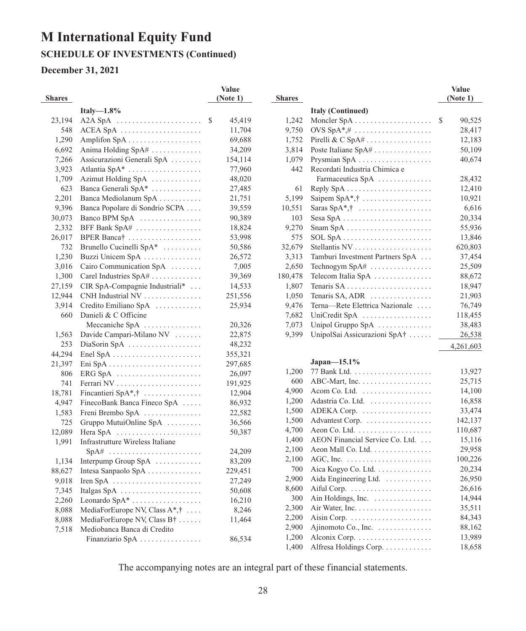## **SCHEDULE OF INVESTMENTS (Continued)**

### **December 31, 2021**

|               |                                                              | Value        |               |                                                      | <b>Value</b>           |
|---------------|--------------------------------------------------------------|--------------|---------------|------------------------------------------------------|------------------------|
| <b>Shares</b> |                                                              | (Note 1)     | <b>Shares</b> |                                                      | (Note 1)               |
|               | Italy $-1.8\%$                                               |              |               | <b>Italy (Continued)</b>                             |                        |
| 23,194        | $A2A$ SpA $\dots\dots\dots\dots\dots\dots\dots\dots$         | 45,419<br>\$ | 1,242         |                                                      | 90,525<br><sup>S</sup> |
| 548           |                                                              | 11,704       | 9,750         | OVS $SpA^*,\#$                                       | 28,417                 |
| 1,290         |                                                              | 69,688       | 1,752         | Pirelli & C SpA#                                     | 12,183                 |
| 6,692         | Anima Holding $SpA#$                                         | 34,209       | 3,814         | Poste Italiane $SpA# \ldots \ldots \ldots \ldots$    | 50,109                 |
| 7,266         | Assicurazioni Generali SpA                                   | 154,114      | 1,079         |                                                      | 40,674                 |
| 3,923         | Atlantia SpA*                                                | 77,960       | 442           | Recordati Industria Chimica e                        |                        |
| 1,709         | Azimut Holding SpA                                           | 48,020       |               | Farmaceutica SpA                                     | 28,432                 |
| 623           | Banca Generali SpA <sup>*</sup>                              | 27,485       | 61            |                                                      | 12,410                 |
| 2,201         | Banca Mediolanum SpA                                         | 21,751       | 5,199         | Saipem SpA $*, \dagger$                              | 10,921                 |
| 9,396         | Banca Popolare di Sondrio SCPA                               | 39,559       | 10,551        | Saras $SpA^*, \dagger$                               | 6,616                  |
| 30,073        | Banco BPM SpA                                                | 90,389       | 103           |                                                      | 20,334                 |
| 2,332         | BFF Bank $SpA#$                                              | 18,824       | 9,270         | Snam SpA $\dots \dots \dots \dots \dots \dots \dots$ | 55,936                 |
| 26,017        | BPER Banca <sup>†</sup>                                      | 53,998       | 575           |                                                      | 13,846                 |
| 732           | Brunello Cucinelli SpA*                                      | 50,586       | 32,679        |                                                      | 620,803                |
| 1,230         | Buzzi Unicem SpA                                             | 26,572       | 3,313         | Tamburi Investment Partners SpA                      | 37,454                 |
| 3,016         | Cairo Communication SpA                                      | 7,005        | 2,650         | Technogym SpA#                                       | 25,509                 |
| 1,300         | Carel Industries SpA#                                        | 39,369       | 180,478       | Telecom Italia SpA                                   | 88,672                 |
| 27,159        | CIR SpA-Compagnie Industriali*                               | 14,533       | 1,807         |                                                      | 18,947                 |
| 12,944        | CNH Industrial NV                                            | 251,556      | 1,050         | Tenaris SA, ADR $\dots \dots \dots \dots$            | 21,903                 |
| 3,914         | Credito Emiliano SpA                                         | 25,934       | 9,476         | Terna-Rete Elettrica Nazionale                       | 76,749                 |
| 660           | Danieli & C Officine                                         |              | 7,682         | UniCredit SpA $\dots\dots\dots\dots\dots\dots$       | 118,455                |
|               | Meccaniche SpA                                               | 20,326       | 7,073         | Unipol Gruppo Sp $A$                                 | 38,483                 |
| 1,563         | Davide Campari-Milano NV                                     | 22,875       | 9,399         | UnipolSai Assicurazioni SpA†                         | 26,538                 |
| 253           | DiaSorin SpA                                                 | 48,232       |               |                                                      | 4,261,603              |
| 44,294        |                                                              | 355,321      |               |                                                      |                        |
| 21,397        |                                                              | 297,685      |               | Japan- $15.1\%$                                      |                        |
| 806           | $ERG$ SpA $\ldots \ldots \ldots \ldots \ldots \ldots \ldots$ | 26,097       | 1,200         |                                                      | 13,927                 |
| 741           |                                                              | 191,925      | 600           | ABC-Mart, Inc. $\dots \dots \dots \dots \dots$       | 25,715                 |
| 18,781        | Fincantieri SpA*,†                                           | 12,904       | 4,900         | Acom Co. Ltd.                                        | 14,100                 |
| 4,947         | FinecoBank Banca Fineco SpA                                  | 86,932       | 1,200         | Adastria Co. Ltd.                                    | 16,858                 |
| 1,583         | Freni Brembo SpA                                             | 22,582       | 1,500         | ADEKA Corp.                                          | 33,474                 |
| 725           | Gruppo MutuiOnline SpA                                       | 36,566       | 1,500         | Advantest Corp.                                      | 142,137                |
| 12,089        | Hera $SpA$                                                   | 50,387       | 4,700         |                                                      | 110,687                |
| 1,991         | Infrastrutture Wireless Italiane                             |              | 1,400         | AEON Financial Service Co. Ltd.                      | 15,116                 |
|               | $SpA\#$                                                      | 24,209       | 2,100         | Aeon Mall Co. Ltd.                                   | 29,958                 |
| 1,134         | Interpump Group $SpA$                                        | 83,209       | 2,100         |                                                      | 100,226                |
| 88,627        | Intesa Sanpaolo SpA                                          | 229,451      | 700           | Aica Kogyo Co. Ltd.                                  | 20,234                 |
| 9,018         |                                                              | 27,249       | 2,900         | Aida Engineering Ltd.                                | 26,950                 |
| 7,345         | Italgas SpA $\dots \dots \dots \dots \dots \dots \dots$      | 50,608       | 8,600         |                                                      | 26,616                 |
| 2,260         | Leonardo SpA*                                                | 16,210       | 300           | Ain Holdings, Inc. $\dots \dots \dots \dots$         | 14,944                 |
| 8,088         | MediaForEurope NV, Class A*,†                                | 8,246        | 2,300         |                                                      | 35,511                 |
| 8,088         | MediaForEurope NV, Class B†                                  | 11,464       | 2,200         |                                                      | 84,343                 |
| 7,518         | Mediobanca Banca di Credito                                  |              | 2,900         | $Aijinomoto Co., Inc. \ldots \ldots \ldots$          | 88,162                 |
|               | Finanziario SpA                                              | 86,534       | 1,200         |                                                      | 13,989                 |
|               |                                                              |              | 1,400         | Alfresa Holdings Corp.                               | 18,658                 |

|               |                                                       | <b>Value</b> |
|---------------|-------------------------------------------------------|--------------|
| <b>Shares</b> |                                                       | (Note 1)     |
|               | <b>Italy (Continued)</b>                              |              |
| 1,242         |                                                       | \$<br>90,525 |
| 9,750         | OVS $SpA^*,\#$                                        | 28,417       |
| 1,752         | Pirelli & C SpA#                                      | 12,183       |
| 3,814         | Poste Italiane SpA#                                   | 50,109       |
| 1,079         | Prysmian SpA                                          | 40,674       |
| 442           | Recordati Industria Chimica e                         |              |
|               | Farmaceutica SpA                                      | 28,432       |
| 61            |                                                       | 12,410       |
| 5,199         | Saipem SpA $*, \dagger$                               | 10,921       |
| 10,551        | Saras $SpA^*, \dagger$                                | 6,616        |
| 103           | Sesa SpA $\dots$                                      | 20,334       |
| 9,270         | Snam SpA $\ldots$                                     | 55,936       |
| 575           |                                                       | 13,846       |
| 32,679        |                                                       | 620,803      |
| 3,313         | Tamburi Investment Partners SpA                       | 37,454       |
| 2,650         | Technogym SpA#                                        | 25,509       |
| 180,478       | Telecom Italia SpA                                    | 88,672       |
| 1,807         |                                                       | 18,947       |
| 1,050         | Tenaris SA, ADR                                       | 21,903       |
| 9,476         | Terna-Rete Elettrica Nazionale                        | 76,749       |
| 7,682         | UniCredit SpA                                         | 118,455      |
| 7,073         | Unipol Gruppo SpA                                     | 38,483       |
| 9,399         | UnipolSai Assicurazioni SpA†                          | 26,538       |
|               |                                                       | 4,261,603    |
|               | $Japan-15.1%$                                         |              |
| 1,200         |                                                       | 13,927       |
| 600           | ABC-Mart, Inc.                                        | 25,715       |
| 4,900         | Acom Co. Ltd.                                         | 14,100       |
| 1,200         | Adastria Co. Ltd.                                     | 16,858       |
| 1,500         | ADEKA Corp.                                           | 33,474       |
| 1,500         | Advantest Corp.                                       | 142,137      |
| 4,700         |                                                       | 110,687      |
| 1,400         | AEON Financial Service Co. Ltd.                       | 15,116       |
| 2,100         | Aeon Mall Co. Ltd.                                    | 29,958       |
| 2,100         | AGC, Inc. $\dots \dots \dots \dots \dots \dots \dots$ | 100,226      |
| 700           | Aica Kogyo Co. Ltd.                                   | 20,234       |
| 2,900         | Aida Engineering Ltd.                                 | 26,950       |
| 8,600         |                                                       | 26,616       |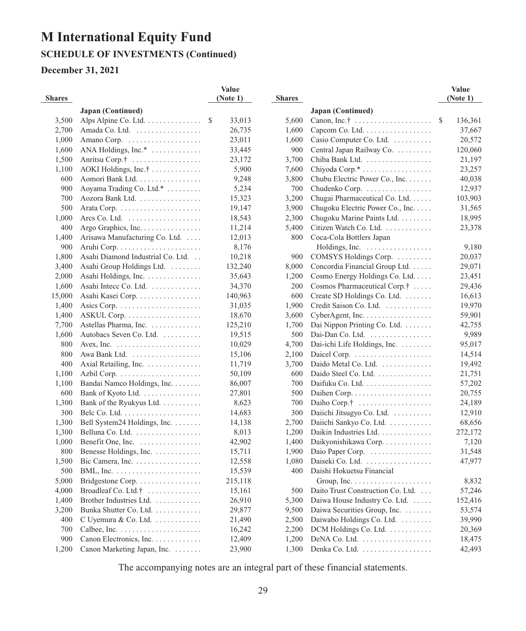## **SCHEDULE OF INVESTMENTS (Continued)**

## **December 31, 2021**

|               |                                                              | Value        |               |                                                       | Value        |
|---------------|--------------------------------------------------------------|--------------|---------------|-------------------------------------------------------|--------------|
| <b>Shares</b> |                                                              | (Note 1)     | <b>Shares</b> |                                                       | (Note 1)     |
|               | Japan (Continued)                                            |              |               | Japan (Continued)                                     |              |
| 3,500         | Alps Alpine Co. Ltd.                                         | 33,013<br>\$ | 5,600         | Canon, Inc. $\dots$                                   | S<br>136,361 |
| 2,700         | Amada Co. Ltd.                                               | 26,735       | 1,600         | Capcom Co. Ltd.                                       | 37,667       |
| 1,000         |                                                              | 23,011       | 1,600         | Casio Computer Co. Ltd.                               | 20,572       |
| 1,600         | ANA Holdings, Inc.*                                          | 33,445       | 900           | Central Japan Railway Co.                             | 120,060      |
| 1,500         | Anritsu Corp.†                                               | 23,172       | 3,700         | Chiba Bank Ltd.                                       | 21,197       |
| 1,100         | AOKI Holdings, $Inc.†$                                       | 5,900        | 7,600         | Chiyoda Corp.*                                        | 23,257       |
| 600           | Aomori Bank Ltd.                                             | 9,248        | 3,800         | Chubu Electric Power Co., Inc.                        | 40,038       |
| 900           | Aoyama Trading Co. Ltd.*                                     | 5,234        | 700           | Chudenko Corp.                                        | 12,937       |
| 700           | Aozora Bank Ltd.                                             | 15,323       | 3,200         | Chugai Pharmaceutical Co. Ltd.                        | 103,903      |
| 500           |                                                              | 19,147       | 3,900         | Chugoku Electric Power Co., Inc.                      | 31,565       |
| 1,000         | Arcs Co. Ltd. $\dots\dots\dots\dots\dots\dots\dots$          | 18,543       | 2,300         | Chugoku Marine Paints Ltd.                            | 18,995       |
| 400           |                                                              | 11,214       | 5,400         | Citizen Watch Co. Ltd.                                | 23,378       |
| 1,400         | Arisawa Manufacturing Co. Ltd.                               | 12,013       | 800           | Coca-Cola Bottlers Japan                              |              |
| 900           |                                                              | 8,176        |               | Holdings, Inc. $\dots \dots \dots \dots$              | 9,180        |
| 1,800         | Asahi Diamond Industrial Co. Ltd.                            | 10,218       | 900           | COMSYS Holdings Corp.                                 | 20,037       |
| 3,400         | Asahi Group Holdings Ltd.                                    | 132,240      | 8,000         | Concordia Financial Group Ltd.                        | 29,071       |
| 2,000         | Asahi Holdings, Inc.                                         | 35,643       | 1,200         | Cosmo Energy Holdings Co. Ltd.                        | 23,451       |
| 1,600         | Asahi Intecc Co. Ltd.                                        | 34,370       | 200           | Cosmos Pharmaceutical Corp.†                          | 29,436       |
| 15,000        | Asahi Kasei Corp.                                            | 140,963      | 600           | Create SD Holdings Co. Ltd.                           | 16,613       |
| 1,400         |                                                              | 31,035       | 1,900         | Credit Saison Co. Ltd.                                | 19,970       |
| 1,400         |                                                              | 18,670       | 3,600         | $CyberAgent, Inc. \ldots \ldots \ldots \ldots \ldots$ | 59,901       |
| 7,700         | Astellas Pharma, Inc.                                        | 125,210      | 1,700         | Dai Nippon Printing Co. Ltd.                          | 42,755       |
| 1,600         | Autobacs Seven Co. Ltd.                                      | 19,515       | 500           | Dai-Dan Co. Ltd.                                      | 9,989        |
| 800           | Avex, Inc. $\dots \dots \dots \dots \dots \dots \dots \dots$ | 10,029       | 4,700         | Dai-ichi Life Holdings, Inc.                          | 95,017       |
| 800           | Awa Bank Ltd.                                                | 15,106       | 2,100         |                                                       | 14,514       |
| 400           | Axial Retailing, Inc.                                        | 11,719       | 3,700         | Daido Metal Co. Ltd.                                  | 19,492       |
| 1,100         |                                                              | 50,109       | 600           | Daido Steel Co. Ltd.                                  | 21,751       |
| 1,100         | Bandai Namco Holdings, Inc.                                  | 86,007       | 700           | Daifuku Co. Ltd.                                      | 57,202       |
| 600           | Bank of Kyoto Ltd.                                           | 27,801       | 500           |                                                       | 20,755       |
| 1,300         | Bank of the Ryukyus Ltd. $\dots \dots$                       | 8,623        | 700           | Daiho Corp. $\dagger$                                 | 24,189       |
| 300           |                                                              | 14,683       | 300           | Daiichi Jitsugyo Co. Ltd.                             | 12,910       |
| 1,300         | Bell System24 Holdings, Inc.                                 | 14,138       | 2,700         | Daiichi Sankyo Co. Ltd.                               | 68,656       |
| 1,300         | Belluna Co. Ltd.                                             | 8,013        | 1,200         | Daikin Industries Ltd.                                | 272,172      |
| 1,000         | Benefit One, Inc.                                            | 42,902       | 1,400         | Daikyonishikawa Corp.                                 | 7,120        |
| 800           | Benesse Holdings, Inc.                                       | 15,711       | 1,900         | Daio Paper Corp.                                      | 31,548       |
| 1,500         | Bic Camera, Inc.                                             | 12,558       | 1,080         | Daiseki Co. Ltd.                                      | 47,977       |
| 500           | BML, Inc. $\ldots \ldots \ldots \ldots \ldots \ldots \ldots$ | 15,539       | 400           | Daishi Hokuetsu Financial                             |              |
| 5,000         | Bridgestone Corp.                                            | 215,118      |               |                                                       | 8,832        |
| 4,000         | Broadleaf Co. Ltd. $\dagger$                                 | 15,161       | 500           | Daito Trust Construction Co. Ltd.                     | 57,246       |
| 1,400         | Brother Industries Ltd.                                      | 26,910       | 5,300         | Daiwa House Industry Co. Ltd.                         | 152,416      |
| 3,200         | Bunka Shutter Co. Ltd.                                       | 29,877       | 9,500         | Daiwa Securities Group, Inc.                          | 53,574       |
| 400           | C Uyemura & Co. Ltd. $\dots\dots\dots\dots$                  | 21,490       | 2,500         | Daiwabo Holdings Co. Ltd.                             | 39,990       |
| 700           |                                                              | 16,242       | 2,200         | DCM Holdings Co. Ltd.                                 | 20,369       |
| 900           | Canon Electronics, Inc.                                      | 12,409       | 1,200         | DeNA Co. Ltd.                                         | 18,475       |
| 1,200         | Canon Marketing Japan, Inc.                                  | 23,900       | 1,300         | Denka Co. Ltd.                                        | 42,493       |
|               |                                                              |              |               |                                                       |              |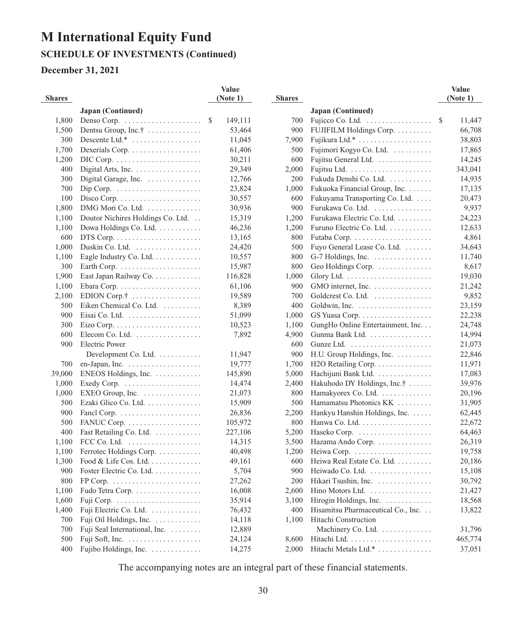## **SCHEDULE OF INVESTMENTS (Continued)**

## **December 31, 2021**

|               |                                                                             | Value         |               |                                               | Value       |
|---------------|-----------------------------------------------------------------------------|---------------|---------------|-----------------------------------------------|-------------|
| <b>Shares</b> |                                                                             | (Note 1)      | <b>Shares</b> |                                               | (Note 1)    |
|               | Japan (Continued)                                                           |               |               | Japan (Continued)                             |             |
| 1,800         |                                                                             | \$<br>149,111 | 700           | Fujicco Co. Ltd.                              | S<br>11,447 |
| 1,500         | Dentsu Group, Inc. $\dagger$                                                | 53,464        | 900           | FUJIFILM Holdings Corp.                       | 66,708      |
| 300           | Descente Ltd.*                                                              | 11,045        | 7,900         |                                               | 38,803      |
| 1,700         | Dexerials Corp.                                                             | 61,406        | 500           | Fujimori Kogyo Co. Ltd.                       | 17,865      |
| 1,200         |                                                                             | 30,211        | 600           | Fujitsu General Ltd.                          | 14,245      |
| 400           | Digital Arts, Inc. $\dots \dots \dots \dots \dots$                          | 29,349        | 2,000         |                                               | 343,041     |
| 300           | Digital Garage, Inc.                                                        | 12,766        | 200           | Fukuda Denshi Co. Ltd.                        | 14,935      |
| 700           |                                                                             | 23,824        | 1.000         | Fukuoka Financial Group, Inc.                 | 17,135      |
| 100           |                                                                             | 30,557        | 600           | Fukuyama Transporting Co. Ltd.                | 20,473      |
| 1,800         | DMG Mori Co. Ltd.                                                           | 30,936        | 900           | Furukawa Co. Ltd.                             | 9,937       |
| 1,100         | Doutor Nichires Holdings Co. Ltd.                                           | 15,319        | 1,200         | Furukawa Electric Co. Ltd.                    | 24,223      |
| 1,100         | Dowa Holdings Co. Ltd.                                                      | 46,236        | 1,200         | Furuno Electric Co. Ltd.                      | 12,633      |
| 600           |                                                                             | 13,165        | 800           |                                               | 4,861       |
| 1,000         | Duskin Co. Ltd.                                                             | 24,420        | 500           | Fuyo General Lease Co. Ltd.                   | 34,643      |
| 1,100         | Eagle Industry Co. Ltd.                                                     | 10,557        | 800           | G-7 Holdings, Inc.                            | 11,740      |
| 300           |                                                                             | 15,987        | 800           | Geo Holdings Corp.                            | 8,617       |
| 1,900         | East Japan Railway Co.                                                      | 116,828       | 1,000         |                                               | 19,030      |
| 1,100         |                                                                             | 61,106        | 900           | GMO internet, Inc.                            | 21,242      |
| 2,100         | EDION Corp. $\dagger$                                                       | 19,589        | 700           | Goldcrest Co. Ltd.                            | 9,852       |
| 500           | Eiken Chemical Co. Ltd.                                                     | 8,389         | 400           | Goldwin, Inc. $\dots \dots \dots \dots \dots$ | 23,159      |
| 900           | Eisai Co. Ltd. $\dots\dots\dots\dots\dots\dots\dots$                        | 51,099        | 1,000         |                                               | 22,238      |
| 300           | Eizo Corp. $\dots \dots \dots \dots \dots \dots \dots \dots$                | 10,523        | 1,100         | GungHo Online Entertainment, Inc.             | 24,748      |
| 600           | Elecom Co. Ltd. $\dots\dots\dots\dots\dots\dots$                            | 7,892         | 4,900         | Gunma Bank Ltd.                               | 14,994      |
| 900           | Electric Power                                                              |               | 600           |                                               | 21,073      |
|               | Development Co. Ltd. $\dots\dots\dots\dots$                                 | 11,947        | 900           | H.U. Group Holdings, Inc. $\dots$             | 22,846      |
| 700           |                                                                             | 19,777        | 1,700         | H2O Retailing Corp.                           | 11,971      |
| 39,000        | ENEOS Holdings, Inc.                                                        | 145,890       | 5,000         | Hachijuni Bank Ltd.                           | 17,083      |
| 1,000         |                                                                             | 14,474        | 2,400         | Hakuhodo DY Holdings, Inc.†                   | 39,976      |
| 1,000         | EXEO Group, Inc.                                                            | 21,073        | 800           | Hamakyorex Co. Ltd.                           | 20,196      |
| 500           | Ezaki Glico Co. Ltd.                                                        | 15,909        | 500           | Hamamatsu Photonics KK                        | 31,905      |
| 900           |                                                                             | 26,836        | 2,200         | Hankyu Hanshin Holdings, Inc.                 | 62,445      |
| 500           |                                                                             | 105,972       | 800           | Hanwa Co. Ltd.                                | 22,672      |
| 400           | Fast Retailing Co. Ltd.                                                     | 227,106       | 5,200         |                                               | 64,463      |
| 1,100         | $\text{FCC Co.}\text{ Ltd.}\quad\ldots\ldots\ldots\ldots\ldots\ldots\ldots$ | 14,315        | 3,500         | Hazama Ando Corp.                             | 26,319      |
| 1,100         | Ferrotec Holdings Corp.                                                     | 40,498        | 1,200         | Heiwa Corp.                                   | 19,758      |
| 1,300         | Food & Life Cos. Ltd.                                                       | 49,161        | 600           | Heiwa Real Estate Co. Ltd.                    | 20,186      |
| 900           | Foster Electric Co. Ltd.                                                    | 5,704         | 900           | Heiwado Co. Ltd.                              | 15,108      |
| 800           |                                                                             | 27,262        | 200           | Hikari Tsushin, Inc.                          | 30,792      |
| 1,100         | Fudo Tetra Corp.                                                            | 16,008        | 2,600         | Hino Motors Ltd.                              | 21,427      |
| 1,600         |                                                                             | 35,914        | 3,100         | Hirogin Holdings, Inc.                        | 18,568      |
| 1,400         | Fuji Electric Co. Ltd.                                                      | 76,432        | 400           | Hisamitsu Pharmaceutical Co., Inc.            | 13,822      |
| 700           | Fuji Oil Holdings, Inc.                                                     | 14,118        | 1,100         | Hitachi Construction                          |             |
| 700           | Fuji Seal International, Inc.                                               | 12,889        |               | Machinery Co. Ltd.                            | 31,796      |
| 500           | Fuji Soft, Inc.                                                             | 24,124        | 8,600         |                                               | 465,774     |
| 400           | Fujibo Holdings, Inc.                                                       | 14,275        | 2,000         | Hitachi Metals Ltd.*                          | 37,051      |
|               |                                                                             |               |               |                                               |             |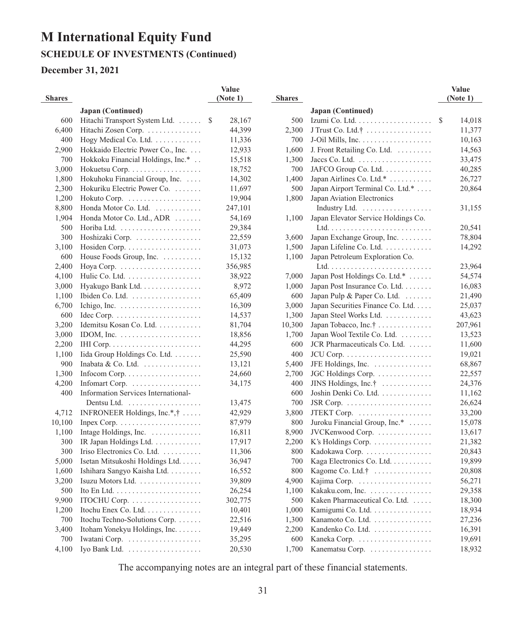## **December 31, 2021**

| <b>Shares</b> |                                                              | Value<br>(Note 1) | <b>Shares</b> |                                                       | Value<br>(Note 1)       |
|---------------|--------------------------------------------------------------|-------------------|---------------|-------------------------------------------------------|-------------------------|
|               | Japan (Continued)                                            |                   |               | Japan (Continued)                                     |                         |
| 600           | Hitachi Transport System Ltd.                                | \$<br>28,167      | 500           |                                                       | 14,018<br><sup>\$</sup> |
| 6,400         | Hitachi Zosen Corp.                                          | 44,399            | 2,300         | J Trust Co. Ltd.† $\ldots \ldots \ldots \ldots$       | 11,377                  |
| 400           | Hogy Medical Co. Ltd. $\dots \dots \dots$                    | 11,336            | 700           | J-Oil Mills, Inc. $\dots \dots \dots \dots \dots$     | 10,163                  |
| 2,900         | Hokkaido Electric Power Co., Inc.                            | 12,933            | 1,600         | J. Front Retailing Co. Ltd.                           | 14,563                  |
| 700           | Hokkoku Financial Holdings, Inc.*                            | 15,518            | 1,300         | Jaccs Co. Ltd. $\dots \dots \dots \dots \dots \dots$  | 33,475                  |
| 3,000         | Hokuetsu Corp.                                               | 18,752            | 700           | JAFCO Group Co. Ltd.                                  | 40,285                  |
| 1,800         | Hokuhoku Financial Group, Inc.                               | 14,302            | 1,400         | Japan Airlines Co. Ltd.*                              | 26,727                  |
| 2,300         | Hokuriku Electric Power Co.                                  | 11,697            | 500           | Japan Airport Terminal Co. Ltd.*                      | 20,864                  |
| 1,200         |                                                              | 19,904            | 1,800         | Japan Aviation Electronics                            |                         |
| 8,800         | Honda Motor Co. Ltd.                                         | 247,101           |               | Industry Ltd. $\dots\dots\dots\dots\dots\dots\dots$   | 31,155                  |
| 1,904         | Honda Motor Co. Ltd., ADR                                    | 54,169            | 1,100         | Japan Elevator Service Holdings Co.                   |                         |
| 500           |                                                              | 29,384            |               |                                                       | 20,541                  |
| 300           | Hoshizaki Corp.                                              | 22,559            | 3,600         | Japan Exchange Group, Inc.                            | 78,804                  |
| 3,100         | Hosiden Corp. $\dots \dots \dots \dots \dots \dots$          | 31,073            | 1,500         | Japan Lifeline Co. Ltd.                               | 14,292                  |
| 600           | House Foods Group, Inc.                                      | 15,132            | 1,100         | Japan Petroleum Exploration Co.                       |                         |
| 2,400         | Hoya Corp. $\dots \dots \dots \dots \dots \dots \dots$       | 356,985           |               |                                                       | 23,964                  |
| 4.100         |                                                              | 38,922            | 7,000         | Japan Post Holdings Co. Ltd.*                         | 54,574                  |
| 3,000         | Hyakugo Bank Ltd.                                            | 8,972             | 1,000         | Japan Post Insurance Co. Ltd.                         | 16,083                  |
| 1,100         | Ibiden Co. Ltd. $\dots\dots\dots\dots\dots\dots$             | 65,409            | 600           | Japan Pulp & Paper Co. Ltd.                           | 21,490                  |
| 6,700         | Ichigo, Inc. $\dots \dots \dots \dots \dots \dots \dots$     | 16,309            | 3,000         | Japan Securities Finance Co. Ltd.                     | 25,037                  |
| 600           | Idec Corp. $\dots \dots \dots \dots \dots \dots \dots \dots$ | 14,537            | 1,300         | Japan Steel Works Ltd.                                | 43,623                  |
| 3,200         | Idemitsu Kosan Co. Ltd.                                      | 81,704            | 10,300        | Japan Tobacco, Inc.†                                  | 207,961                 |
| 3,000         | IDOM, Inc. $\ldots \ldots \ldots \ldots \ldots \ldots$       | 18,856            | 1,700         | Japan Wool Textile Co. Ltd.                           | 13,523                  |
| 2,200         | $IHI Corp. \ldots \ldots \ldots \ldots \ldots \ldots \ldots$ | 44,295            | 600           | JCR Pharmaceuticals Co. Ltd.                          | 11,600                  |
| 1,100         | Iida Group Holdings Co. Ltd.                                 | 25,590            | 400           | JCU Corp. $\dots \dots \dots \dots \dots \dots \dots$ | 19,021                  |
| 900           | Inabata & Co. Ltd. $\dots\dots\dots\dots\dots$               | 13,121            | 5,400         | JFE Holdings, Inc.                                    | 68,867                  |
| 1,300         |                                                              | 24,660            | 2,700         | JGC Holdings Corp.                                    | 22,557                  |
| 4,200         | Infomart Corp.                                               | 34,175            | 400           | JINS Holdings, $Inc.†$                                | 24,376                  |
| 400           | Information Services International-                          |                   | 600           | Joshin Denki Co. Ltd.                                 | 11,162                  |
|               |                                                              | 13,475            | 700           |                                                       | 26,624                  |
| 4,712         | INFRONEER Holdings, Inc.*,†                                  | 42,929            | 3,800         | JTEKT Corp.                                           | 33,200                  |
| 10,100        | Inpex Corp. $\dots \dots \dots \dots \dots \dots \dots$      | 87,979            | 800           | Juroku Financial Group, Inc.*                         | 15,078                  |
| 1,100         | Intage Holdings, Inc.                                        | 16,811            | 8,900         | JVCKenwood Corp.                                      | 13,617                  |
| 300           | IR Japan Holdings Ltd.                                       | 17,917            | 2,200         | K's Holdings Corp.                                    | 21,382                  |
| 300           | Iriso Electronics Co. Ltd.                                   | 11,306            | 800           | Kadokawa Corp.                                        | 20,843                  |
| 5,000         | Isetan Mitsukoshi Holdings Ltd.                              | 36,947            | 700           | Kaga Electronics Co. Ltd.                             | 19,899                  |
| 1,600         | Ishihara Sangyo Kaisha Ltd.                                  | 16,552            | 800           | Kagome Co. Ltd.†                                      | 20,808                  |
| 3,200         | Isuzu Motors Ltd.                                            | 39,809            | 4,900         |                                                       | 56,271                  |
| 500           |                                                              | 26,254            | 1,100         | Kakaku.com, Inc.                                      | 29,358                  |
| 9,900         | ITOCHU Corp. $\dots \dots \dots \dots \dots \dots$           | 302,775           | 500           | Kaken Pharmaceutical Co. Ltd.                         | 18,300                  |
| 1,200         | Itochu Enex Co. Ltd. $\dots \dots \dots \dots$               | 10,401            | 1,000         | Kamigumi Co. Ltd.                                     | 18,934                  |
| 700           | Itochu Techno-Solutions Corp.                                | 22,516            | 1,300         | Kanamoto Co. Ltd.                                     | 27,236                  |
| 3,400         | Itoham Yonekyu Holdings, Inc.                                | 19,449            | 2,200         | Kandenko Co. Ltd. $\dots\dots\dots\dots\dots$         | 16,391                  |
| 700           |                                                              | 35,295            | 600           |                                                       | 19,691                  |
| 4,100         |                                                              | 20,530            | 1,700         | Kanematsu Corp.                                       | 18,932                  |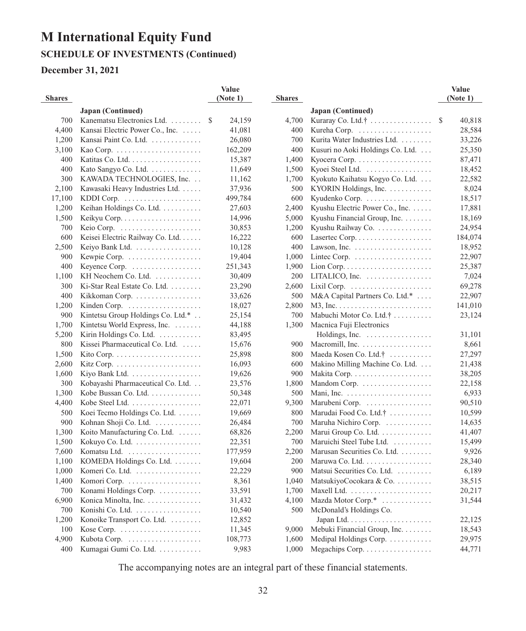## **December 31, 2021**

|               |                                                              | Value        |               |                                                         | Value        |
|---------------|--------------------------------------------------------------|--------------|---------------|---------------------------------------------------------|--------------|
| <b>Shares</b> |                                                              | (Note 1)     | <b>Shares</b> |                                                         | (Note 1)     |
|               | Japan (Continued)                                            |              |               | Japan (Continued)                                       |              |
| 700           | Kanematsu Electronics Ltd.                                   | \$<br>24,159 | 4,700         | Kuraray Co. Ltd. $\dagger$                              | \$<br>40,818 |
| 4,400         | Kansai Electric Power Co., Inc.                              | 41,081       | 400           |                                                         | 28,584       |
| 1,200         | Kansai Paint Co. Ltd.                                        | 26,080       | 700           | Kurita Water Industries Ltd.                            | 33,226       |
| 3,100         | Kao Corp. $\dots \dots \dots \dots \dots \dots \dots \dots$  | 162,209      | 400           | Kusuri no Aoki Holdings Co. Ltd.                        | 25,350       |
| 400           | Katitas Co. Ltd.                                             | 15,387       | 1,400         |                                                         | 87,471       |
| 400           | Kato Sangyo Co. Ltd.                                         | 11,649       | 1,500         | Kyoei Steel Ltd.                                        | 18,452       |
| 300           | KAWADA TECHNOLOGIES, Inc.                                    | 11,162       | 1,700         | Kyokuto Kaihatsu Kogyo Co. Ltd.                         | 22,582       |
| 2.100         | Kawasaki Heavy Industries Ltd.                               | 37,936       | 500           | KYORIN Holdings, Inc.                                   | 8,024        |
| 17,100        |                                                              | 499,784      | 600           | Kyudenko Corp.                                          | 18,517       |
| 1,200         | Keihan Holdings Co. Ltd.                                     | 27,603       | 2,400         | Kyushu Electric Power Co., Inc.                         | 17,881       |
| 1,500         |                                                              | 14,996       | 5,000         | Kyushu Financial Group, Inc.                            | 18,169       |
| 700           | Keio Corp. $\dots \dots \dots \dots \dots \dots \dots$       | 30,853       | 1,200         | Kyushu Railway Co.                                      | 24,954       |
| 600           | Keisei Electric Railway Co. Ltd.                             | 16,222       | 600           |                                                         | 184,074      |
| 2,500         | Keiyo Bank Ltd.                                              | 10,128       | 400           | Lawson, Inc. $\dots\dots\dots\dots\dots\dots\dots\dots$ | 18,952       |
| 900           |                                                              | 19,404       | 1,000         | Lintec Corp. $\dots \dots \dots \dots \dots \dots$      | 22,907       |
| 400           | Keyence Corp.                                                | 251,343      | 1,900         |                                                         | 25,387       |
| 1,100         | KH Neochem Co. Ltd.                                          | 30,409       | 200           | LITALICO, Inc.                                          | 7,024        |
| 300           | Ki-Star Real Estate Co. Ltd.                                 | 23,290       | 2,600         |                                                         | 69,278       |
| 400           | Kikkoman Corp.                                               | 33,626       | 500           | M&A Capital Partners Co. Ltd.*                          | 22,907       |
| 1,200         |                                                              | 18,027       | 2,800         |                                                         | 141,010      |
| 900           | Kintetsu Group Holdings Co. Ltd.*                            | 25,154       | 700           | Mabuchi Motor Co. Ltd.†                                 | 23,124       |
| 1,700         | Kintetsu World Express, Inc.                                 | 44,188       | 1,300         | Macnica Fuji Electronics                                |              |
| 5,200         | Kirin Holdings Co. Ltd.                                      | 83,495       |               | Holdings, Inc. $\dots \dots \dots \dots \dots$          | 31,101       |
| 800           | Kissei Pharmaceutical Co. Ltd.                               | 15,676       | 900           |                                                         | 8,661        |
| 1,500         | Kito Corp. $\dots \dots \dots \dots \dots \dots \dots \dots$ | 25,898       | 800           | Maeda Kosen Co. Ltd.†                                   | 27,297       |
| 2,600         |                                                              | 16,093       | 600           | Makino Milling Machine Co. Ltd.                         | 21,438       |
| 1,600         | Kiyo Bank Ltd.                                               | 19,626       | 900           |                                                         | 38,205       |
| 300           | Kobayashi Pharmaceutical Co. Ltd.                            | 23,576       | 1,800         | Mandom Corp. $\dots \dots \dots \dots \dots$            | 22,158       |
| 1,300         | Kobe Bussan Co. Ltd. $\dots \dots \dots$                     | 50,348       | 500           |                                                         | 6,933        |
| 4,400         | Kobe Steel Ltd.                                              | 22,071       | 9,300         | Marubeni Corp.                                          | 90,510       |
| 500           | Koei Tecmo Holdings Co. Ltd.                                 | 19,669       | 800           | Marudai Food Co. Ltd.†                                  | 10,599       |
| 900           | Kohnan Shoji Co. Ltd.                                        | 26,484       | 700           | Maruha Nichiro Corp.                                    | 14,635       |
| 1,300         | Koito Manufacturing Co. Ltd.                                 | 68,826       | 2,200         | Marui Group Co. Ltd.                                    | 41,407       |
| 1,500         | Kokuyo Co. Ltd. $\dots \dots \dots \dots \dots$              | 22,351       | 700           | Maruichi Steel Tube Ltd.                                | 15,499       |
| 7,600         |                                                              | 177,959      | 2,200         | Marusan Securities Co. Ltd.                             | 9,926        |
| 1,100         | KOMEDA Holdings Co. Ltd. $\dots\dots$                        | 19,604       | 200           | Maruwa Co. Ltd.                                         | 28,340       |
| 1,000         | Komeri Co. Ltd.                                              | 22,229       | 900           | Matsui Securities Co. Ltd.                              | 6,189        |
| 1,400         |                                                              | 8,361        | 1,040         | MatsukiyoCocokara & Co.                                 | 38,515       |
| 700           | Konami Holdings Corp.                                        | 33,591       | 1,700         |                                                         | 20,217       |
| 6,900         | Konica Minolta, Inc.                                         | 31,432       | 4,100         | Mazda Motor Corp.*                                      | 31,544       |
| 700           | Konishi Co. Ltd.                                             | 10,540       | 500           | McDonald's Holdings Co.                                 |              |
| 1,200         | Konoike Transport Co. Ltd.                                   | 12,852       |               |                                                         | 22,125       |
| 100           | Kose Corp.                                                   | 11,345       | 9,000         | Mebuki Financial Group, Inc.                            | 18,543       |
| 4,900         |                                                              | 108,773      | 1,600         | Medipal Holdings Corp.                                  | 29,975       |
| 400           | Kumagai Gumi Co. Ltd.                                        | 9,983        | 1,000         | Megachips Corp.                                         | 44,771       |
|               |                                                              |              |               |                                                         |              |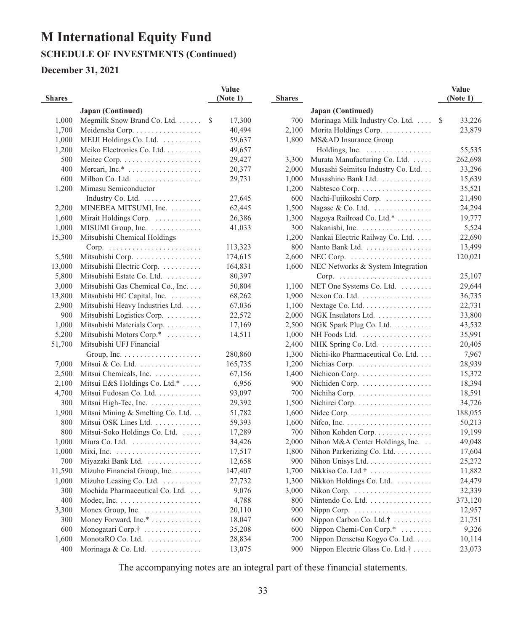## **December 31, 2021**

| Japan (Continued)<br>Japan (Continued)<br>Megmilk Snow Brand Co. Ltd. \$<br>Morinaga Milk Industry Co. Ltd.<br>1,000<br>17,300<br>700<br>33,226<br>\$<br>23,879<br>1,700<br>Meidensha Corp.<br>40,494<br>2,100<br>Morita Holdings Corp.<br>1,000<br>MEIJI Holdings Co. Ltd.<br>59,637<br>1,800<br>MS&AD Insurance Group<br>1,200<br>Meiko Electronics Co. Ltd.<br>Holdings, Inc. $\dots \dots \dots \dots \dots$<br>55,535<br>49,657<br>500<br>29,427<br>Murata Manufacturing Co. Ltd.<br>3,300<br>262,698<br>Mercari, Inc.*<br>400<br>20,377<br>2,000<br>Musashi Seimitsu Industry Co. Ltd.<br>33,296<br>Milbon Co. Ltd.<br>600<br>29,731<br>1,000<br>Musashino Bank Ltd.<br>15,639<br>1.200<br>Mimasu Semiconductor<br>1,200<br>Nabtesco Corp.<br>35,521<br>600<br>Nachi-Fujikoshi Corp.<br>Industry Co. Ltd.<br>27,645<br>21,490<br>2,200<br>MINEBEA MITSUMI, Inc.<br>1,500<br>Nagase & Co. Ltd.<br>24,294<br>62,445<br>1,600<br>Mirait Holdings Corp.<br>26,386<br>1,300<br>Nagoya Railroad Co. Ltd.*<br>19,777<br>1,000<br>300<br>MISUMI Group, Inc. $\dots\dots\dots\dots$<br>41,033<br>5,524<br>15,300<br>Mitsubishi Chemical Holdings<br>Nankai Electric Railway Co. Ltd.<br>1,200<br>22,690<br>800<br>Corp. $\dots\dots\dots\dots\dots\dots\dots\dots\dots\dots\dots$<br>Nanto Bank Ltd.<br>13,499<br>113,323<br>5,500<br>2,600<br>Mitsubishi Corp.<br>174,615<br>NEC Corp. $\dots \dots \dots \dots \dots \dots \dots$<br>120,021<br>Mitsubishi Electric Corp.<br>13,000<br>164,831<br>1,600<br>NEC Networks & System Integration<br>5,800<br>Mitsubishi Estate Co. Ltd.<br>80,397<br>25,107<br>3,000<br>Mitsubishi Gas Chemical Co., Inc.<br>NET One Systems Co. Ltd.<br>50,804<br>1,100<br>29,644<br>13,800<br>Mitsubishi HC Capital, Inc.<br>Nexon Co. Ltd.<br>68,262<br>1,900<br>36,735<br>2,900<br>Mitsubishi Heavy Industries Ltd.<br>67,036<br>1,100<br>Nextage Co. Ltd. $\dots \dots \dots \dots \dots$<br>22,731<br>900<br>Mitsubishi Logistics Corp.<br>22,572<br>2,000<br>NGK Insulators Ltd.<br>33,800<br>1,000<br>Mitsubishi Materials Corp.<br>17,169<br>2,500<br>NGK Spark Plug Co. Ltd.<br>43,532<br>5,200<br>Mitsubishi Motors Corp.*<br>NH Foods Ltd.<br>14,511<br>1,000<br>35,991<br>Mitsubishi UFJ Financial<br>NHK Spring Co. Ltd.<br>51,700<br>2,400<br>20,405<br>Nichi-iko Pharmaceutical Co. Ltd.<br>1,300<br>7,967<br>Group, Inc. $\dots \dots \dots \dots \dots \dots \dots$<br>280,860<br>7,000<br>Mitsui & Co. Ltd.<br>1,200<br>28,939<br>165,735<br>2,500<br>Mitsui Chemicals, Inc.<br>67,156<br>1,400<br>Nichicon Corp.<br>15,372<br>2,100<br>Mitsui E&S Holdings Co. Ltd.*<br>6,956<br>900<br>Nichiden Corp.<br>18,394<br>4,700<br>Mitsui Fudosan Co. Ltd.<br>93,097<br>700<br>18,591<br>300<br>Mitsui High-Tec, Inc.<br>29,392<br>1,500<br>34,726<br>1,900<br>Mitsui Mining & Smelting Co. Ltd.<br>51,782<br>1,600<br>Nidec Corp. $\dots \dots \dots \dots \dots \dots \dots$<br>188,055<br>800<br>Mitsui OSK Lines Ltd.<br>59,393<br>1,600<br>Nifco, Inc. $\dots \dots \dots \dots \dots \dots \dots$<br>50,213<br>800<br>Mitsui-Soko Holdings Co. Ltd.<br>17,289<br>700<br>19,199<br>Nihon Kohden Corp. $\dots \dots \dots \dots$<br>1,000<br>Nihon M&A Center Holdings, Inc.<br>Miura Co. Ltd. $\dots\dots\dots\dots\dots\dots$<br>34,426<br>2,000<br>49,048<br>Mixi, Inc. $\ldots \ldots \ldots \ldots \ldots \ldots$<br>1,800<br>Nihon Parkerizing Co. Ltd.<br>1,000<br>17,517<br>17,604<br>700<br>900<br>Nihon Unisys Ltd.<br>Miyazaki Bank Ltd.<br>12,658<br>25,272<br>11,590<br>Mizuho Financial Group, Inc.<br>Nikkiso Co. Ltd.†<br>147,407<br>1,700<br>11,882<br>Mizuho Leasing Co. Ltd.<br>27,732<br>Nikkon Holdings Co. Ltd.<br>24,479<br>1,000<br>1,300<br>Mochida Pharmaceutical Co. Ltd.<br>300<br>9,076<br>3,000<br>Nikon Corp. $\dots \dots \dots \dots \dots \dots$<br>32,339<br>Nintendo Co. Ltd.<br>400<br>Modec, Inc. $\dots \dots \dots \dots \dots \dots \dots$<br>4,788<br>800<br>373,120<br>Monex Group, Inc.<br>900<br>12,957<br>3,300<br>20,110<br>Nippon Carbon Co. Ltd.†<br>21,751<br>300<br>Money Forward, Inc.*<br>18,047<br>600<br>Nippon Chemi-Con Corp.*<br>600<br>Monogatari Corp.†<br>600<br>9,326<br>35,208<br>1,600<br>MonotaRO Co. Ltd.<br>700<br>Nippon Densetsu Kogyo Co. Ltd.<br>10,114<br>28,834 |               | Value    |               | Value    |
|---------------------------------------------------------------------------------------------------------------------------------------------------------------------------------------------------------------------------------------------------------------------------------------------------------------------------------------------------------------------------------------------------------------------------------------------------------------------------------------------------------------------------------------------------------------------------------------------------------------------------------------------------------------------------------------------------------------------------------------------------------------------------------------------------------------------------------------------------------------------------------------------------------------------------------------------------------------------------------------------------------------------------------------------------------------------------------------------------------------------------------------------------------------------------------------------------------------------------------------------------------------------------------------------------------------------------------------------------------------------------------------------------------------------------------------------------------------------------------------------------------------------------------------------------------------------------------------------------------------------------------------------------------------------------------------------------------------------------------------------------------------------------------------------------------------------------------------------------------------------------------------------------------------------------------------------------------------------------------------------------------------------------------------------------------------------------------------------------------------------------------------------------------------------------------------------------------------------------------------------------------------------------------------------------------------------------------------------------------------------------------------------------------------------------------------------------------------------------------------------------------------------------------------------------------------------------------------------------------------------------------------------------------------------------------------------------------------------------------------------------------------------------------------------------------------------------------------------------------------------------------------------------------------------------------------------------------------------------------------------------------------------------------------------------------------------------------------------------------------------------------------------------------------------------------------------------------------------------------------------------------------------------------------------------------------------------------------------------------------------------------------------------------------------------------------------------------------------------------------------------------------------------------------------------------------------------------------------------------------------------------------------------------------------------------------------------------------------------------------------------------------------------------------------------------------------------------------------------------------------------------------------------------------------------------------------------------------------------------------------------------------------------------------------------------------------------------------------------------------------------------------------------------------------------------------------------------------------------------------------------------------------------------------|---------------|----------|---------------|----------|
|                                                                                                                                                                                                                                                                                                                                                                                                                                                                                                                                                                                                                                                                                                                                                                                                                                                                                                                                                                                                                                                                                                                                                                                                                                                                                                                                                                                                                                                                                                                                                                                                                                                                                                                                                                                                                                                                                                                                                                                                                                                                                                                                                                                                                                                                                                                                                                                                                                                                                                                                                                                                                                                                                                                                                                                                                                                                                                                                                                                                                                                                                                                                                                                                                                                                                                                                                                                                                                                                                                                                                                                                                                                                                                                                                                                                                                                                                                                                                                                                                                                                                                                                                                                                                                                                                       | <b>Shares</b> | (Note 1) | <b>Shares</b> | (Note 1) |
|                                                                                                                                                                                                                                                                                                                                                                                                                                                                                                                                                                                                                                                                                                                                                                                                                                                                                                                                                                                                                                                                                                                                                                                                                                                                                                                                                                                                                                                                                                                                                                                                                                                                                                                                                                                                                                                                                                                                                                                                                                                                                                                                                                                                                                                                                                                                                                                                                                                                                                                                                                                                                                                                                                                                                                                                                                                                                                                                                                                                                                                                                                                                                                                                                                                                                                                                                                                                                                                                                                                                                                                                                                                                                                                                                                                                                                                                                                                                                                                                                                                                                                                                                                                                                                                                                       |               |          |               |          |
|                                                                                                                                                                                                                                                                                                                                                                                                                                                                                                                                                                                                                                                                                                                                                                                                                                                                                                                                                                                                                                                                                                                                                                                                                                                                                                                                                                                                                                                                                                                                                                                                                                                                                                                                                                                                                                                                                                                                                                                                                                                                                                                                                                                                                                                                                                                                                                                                                                                                                                                                                                                                                                                                                                                                                                                                                                                                                                                                                                                                                                                                                                                                                                                                                                                                                                                                                                                                                                                                                                                                                                                                                                                                                                                                                                                                                                                                                                                                                                                                                                                                                                                                                                                                                                                                                       |               |          |               |          |
|                                                                                                                                                                                                                                                                                                                                                                                                                                                                                                                                                                                                                                                                                                                                                                                                                                                                                                                                                                                                                                                                                                                                                                                                                                                                                                                                                                                                                                                                                                                                                                                                                                                                                                                                                                                                                                                                                                                                                                                                                                                                                                                                                                                                                                                                                                                                                                                                                                                                                                                                                                                                                                                                                                                                                                                                                                                                                                                                                                                                                                                                                                                                                                                                                                                                                                                                                                                                                                                                                                                                                                                                                                                                                                                                                                                                                                                                                                                                                                                                                                                                                                                                                                                                                                                                                       |               |          |               |          |
|                                                                                                                                                                                                                                                                                                                                                                                                                                                                                                                                                                                                                                                                                                                                                                                                                                                                                                                                                                                                                                                                                                                                                                                                                                                                                                                                                                                                                                                                                                                                                                                                                                                                                                                                                                                                                                                                                                                                                                                                                                                                                                                                                                                                                                                                                                                                                                                                                                                                                                                                                                                                                                                                                                                                                                                                                                                                                                                                                                                                                                                                                                                                                                                                                                                                                                                                                                                                                                                                                                                                                                                                                                                                                                                                                                                                                                                                                                                                                                                                                                                                                                                                                                                                                                                                                       |               |          |               |          |
|                                                                                                                                                                                                                                                                                                                                                                                                                                                                                                                                                                                                                                                                                                                                                                                                                                                                                                                                                                                                                                                                                                                                                                                                                                                                                                                                                                                                                                                                                                                                                                                                                                                                                                                                                                                                                                                                                                                                                                                                                                                                                                                                                                                                                                                                                                                                                                                                                                                                                                                                                                                                                                                                                                                                                                                                                                                                                                                                                                                                                                                                                                                                                                                                                                                                                                                                                                                                                                                                                                                                                                                                                                                                                                                                                                                                                                                                                                                                                                                                                                                                                                                                                                                                                                                                                       |               |          |               |          |
|                                                                                                                                                                                                                                                                                                                                                                                                                                                                                                                                                                                                                                                                                                                                                                                                                                                                                                                                                                                                                                                                                                                                                                                                                                                                                                                                                                                                                                                                                                                                                                                                                                                                                                                                                                                                                                                                                                                                                                                                                                                                                                                                                                                                                                                                                                                                                                                                                                                                                                                                                                                                                                                                                                                                                                                                                                                                                                                                                                                                                                                                                                                                                                                                                                                                                                                                                                                                                                                                                                                                                                                                                                                                                                                                                                                                                                                                                                                                                                                                                                                                                                                                                                                                                                                                                       |               |          |               |          |
|                                                                                                                                                                                                                                                                                                                                                                                                                                                                                                                                                                                                                                                                                                                                                                                                                                                                                                                                                                                                                                                                                                                                                                                                                                                                                                                                                                                                                                                                                                                                                                                                                                                                                                                                                                                                                                                                                                                                                                                                                                                                                                                                                                                                                                                                                                                                                                                                                                                                                                                                                                                                                                                                                                                                                                                                                                                                                                                                                                                                                                                                                                                                                                                                                                                                                                                                                                                                                                                                                                                                                                                                                                                                                                                                                                                                                                                                                                                                                                                                                                                                                                                                                                                                                                                                                       |               |          |               |          |
|                                                                                                                                                                                                                                                                                                                                                                                                                                                                                                                                                                                                                                                                                                                                                                                                                                                                                                                                                                                                                                                                                                                                                                                                                                                                                                                                                                                                                                                                                                                                                                                                                                                                                                                                                                                                                                                                                                                                                                                                                                                                                                                                                                                                                                                                                                                                                                                                                                                                                                                                                                                                                                                                                                                                                                                                                                                                                                                                                                                                                                                                                                                                                                                                                                                                                                                                                                                                                                                                                                                                                                                                                                                                                                                                                                                                                                                                                                                                                                                                                                                                                                                                                                                                                                                                                       |               |          |               |          |
|                                                                                                                                                                                                                                                                                                                                                                                                                                                                                                                                                                                                                                                                                                                                                                                                                                                                                                                                                                                                                                                                                                                                                                                                                                                                                                                                                                                                                                                                                                                                                                                                                                                                                                                                                                                                                                                                                                                                                                                                                                                                                                                                                                                                                                                                                                                                                                                                                                                                                                                                                                                                                                                                                                                                                                                                                                                                                                                                                                                                                                                                                                                                                                                                                                                                                                                                                                                                                                                                                                                                                                                                                                                                                                                                                                                                                                                                                                                                                                                                                                                                                                                                                                                                                                                                                       |               |          |               |          |
|                                                                                                                                                                                                                                                                                                                                                                                                                                                                                                                                                                                                                                                                                                                                                                                                                                                                                                                                                                                                                                                                                                                                                                                                                                                                                                                                                                                                                                                                                                                                                                                                                                                                                                                                                                                                                                                                                                                                                                                                                                                                                                                                                                                                                                                                                                                                                                                                                                                                                                                                                                                                                                                                                                                                                                                                                                                                                                                                                                                                                                                                                                                                                                                                                                                                                                                                                                                                                                                                                                                                                                                                                                                                                                                                                                                                                                                                                                                                                                                                                                                                                                                                                                                                                                                                                       |               |          |               |          |
|                                                                                                                                                                                                                                                                                                                                                                                                                                                                                                                                                                                                                                                                                                                                                                                                                                                                                                                                                                                                                                                                                                                                                                                                                                                                                                                                                                                                                                                                                                                                                                                                                                                                                                                                                                                                                                                                                                                                                                                                                                                                                                                                                                                                                                                                                                                                                                                                                                                                                                                                                                                                                                                                                                                                                                                                                                                                                                                                                                                                                                                                                                                                                                                                                                                                                                                                                                                                                                                                                                                                                                                                                                                                                                                                                                                                                                                                                                                                                                                                                                                                                                                                                                                                                                                                                       |               |          |               |          |
|                                                                                                                                                                                                                                                                                                                                                                                                                                                                                                                                                                                                                                                                                                                                                                                                                                                                                                                                                                                                                                                                                                                                                                                                                                                                                                                                                                                                                                                                                                                                                                                                                                                                                                                                                                                                                                                                                                                                                                                                                                                                                                                                                                                                                                                                                                                                                                                                                                                                                                                                                                                                                                                                                                                                                                                                                                                                                                                                                                                                                                                                                                                                                                                                                                                                                                                                                                                                                                                                                                                                                                                                                                                                                                                                                                                                                                                                                                                                                                                                                                                                                                                                                                                                                                                                                       |               |          |               |          |
|                                                                                                                                                                                                                                                                                                                                                                                                                                                                                                                                                                                                                                                                                                                                                                                                                                                                                                                                                                                                                                                                                                                                                                                                                                                                                                                                                                                                                                                                                                                                                                                                                                                                                                                                                                                                                                                                                                                                                                                                                                                                                                                                                                                                                                                                                                                                                                                                                                                                                                                                                                                                                                                                                                                                                                                                                                                                                                                                                                                                                                                                                                                                                                                                                                                                                                                                                                                                                                                                                                                                                                                                                                                                                                                                                                                                                                                                                                                                                                                                                                                                                                                                                                                                                                                                                       |               |          |               |          |
|                                                                                                                                                                                                                                                                                                                                                                                                                                                                                                                                                                                                                                                                                                                                                                                                                                                                                                                                                                                                                                                                                                                                                                                                                                                                                                                                                                                                                                                                                                                                                                                                                                                                                                                                                                                                                                                                                                                                                                                                                                                                                                                                                                                                                                                                                                                                                                                                                                                                                                                                                                                                                                                                                                                                                                                                                                                                                                                                                                                                                                                                                                                                                                                                                                                                                                                                                                                                                                                                                                                                                                                                                                                                                                                                                                                                                                                                                                                                                                                                                                                                                                                                                                                                                                                                                       |               |          |               |          |
|                                                                                                                                                                                                                                                                                                                                                                                                                                                                                                                                                                                                                                                                                                                                                                                                                                                                                                                                                                                                                                                                                                                                                                                                                                                                                                                                                                                                                                                                                                                                                                                                                                                                                                                                                                                                                                                                                                                                                                                                                                                                                                                                                                                                                                                                                                                                                                                                                                                                                                                                                                                                                                                                                                                                                                                                                                                                                                                                                                                                                                                                                                                                                                                                                                                                                                                                                                                                                                                                                                                                                                                                                                                                                                                                                                                                                                                                                                                                                                                                                                                                                                                                                                                                                                                                                       |               |          |               |          |
|                                                                                                                                                                                                                                                                                                                                                                                                                                                                                                                                                                                                                                                                                                                                                                                                                                                                                                                                                                                                                                                                                                                                                                                                                                                                                                                                                                                                                                                                                                                                                                                                                                                                                                                                                                                                                                                                                                                                                                                                                                                                                                                                                                                                                                                                                                                                                                                                                                                                                                                                                                                                                                                                                                                                                                                                                                                                                                                                                                                                                                                                                                                                                                                                                                                                                                                                                                                                                                                                                                                                                                                                                                                                                                                                                                                                                                                                                                                                                                                                                                                                                                                                                                                                                                                                                       |               |          |               |          |
|                                                                                                                                                                                                                                                                                                                                                                                                                                                                                                                                                                                                                                                                                                                                                                                                                                                                                                                                                                                                                                                                                                                                                                                                                                                                                                                                                                                                                                                                                                                                                                                                                                                                                                                                                                                                                                                                                                                                                                                                                                                                                                                                                                                                                                                                                                                                                                                                                                                                                                                                                                                                                                                                                                                                                                                                                                                                                                                                                                                                                                                                                                                                                                                                                                                                                                                                                                                                                                                                                                                                                                                                                                                                                                                                                                                                                                                                                                                                                                                                                                                                                                                                                                                                                                                                                       |               |          |               |          |
|                                                                                                                                                                                                                                                                                                                                                                                                                                                                                                                                                                                                                                                                                                                                                                                                                                                                                                                                                                                                                                                                                                                                                                                                                                                                                                                                                                                                                                                                                                                                                                                                                                                                                                                                                                                                                                                                                                                                                                                                                                                                                                                                                                                                                                                                                                                                                                                                                                                                                                                                                                                                                                                                                                                                                                                                                                                                                                                                                                                                                                                                                                                                                                                                                                                                                                                                                                                                                                                                                                                                                                                                                                                                                                                                                                                                                                                                                                                                                                                                                                                                                                                                                                                                                                                                                       |               |          |               |          |
|                                                                                                                                                                                                                                                                                                                                                                                                                                                                                                                                                                                                                                                                                                                                                                                                                                                                                                                                                                                                                                                                                                                                                                                                                                                                                                                                                                                                                                                                                                                                                                                                                                                                                                                                                                                                                                                                                                                                                                                                                                                                                                                                                                                                                                                                                                                                                                                                                                                                                                                                                                                                                                                                                                                                                                                                                                                                                                                                                                                                                                                                                                                                                                                                                                                                                                                                                                                                                                                                                                                                                                                                                                                                                                                                                                                                                                                                                                                                                                                                                                                                                                                                                                                                                                                                                       |               |          |               |          |
|                                                                                                                                                                                                                                                                                                                                                                                                                                                                                                                                                                                                                                                                                                                                                                                                                                                                                                                                                                                                                                                                                                                                                                                                                                                                                                                                                                                                                                                                                                                                                                                                                                                                                                                                                                                                                                                                                                                                                                                                                                                                                                                                                                                                                                                                                                                                                                                                                                                                                                                                                                                                                                                                                                                                                                                                                                                                                                                                                                                                                                                                                                                                                                                                                                                                                                                                                                                                                                                                                                                                                                                                                                                                                                                                                                                                                                                                                                                                                                                                                                                                                                                                                                                                                                                                                       |               |          |               |          |
|                                                                                                                                                                                                                                                                                                                                                                                                                                                                                                                                                                                                                                                                                                                                                                                                                                                                                                                                                                                                                                                                                                                                                                                                                                                                                                                                                                                                                                                                                                                                                                                                                                                                                                                                                                                                                                                                                                                                                                                                                                                                                                                                                                                                                                                                                                                                                                                                                                                                                                                                                                                                                                                                                                                                                                                                                                                                                                                                                                                                                                                                                                                                                                                                                                                                                                                                                                                                                                                                                                                                                                                                                                                                                                                                                                                                                                                                                                                                                                                                                                                                                                                                                                                                                                                                                       |               |          |               |          |
|                                                                                                                                                                                                                                                                                                                                                                                                                                                                                                                                                                                                                                                                                                                                                                                                                                                                                                                                                                                                                                                                                                                                                                                                                                                                                                                                                                                                                                                                                                                                                                                                                                                                                                                                                                                                                                                                                                                                                                                                                                                                                                                                                                                                                                                                                                                                                                                                                                                                                                                                                                                                                                                                                                                                                                                                                                                                                                                                                                                                                                                                                                                                                                                                                                                                                                                                                                                                                                                                                                                                                                                                                                                                                                                                                                                                                                                                                                                                                                                                                                                                                                                                                                                                                                                                                       |               |          |               |          |
|                                                                                                                                                                                                                                                                                                                                                                                                                                                                                                                                                                                                                                                                                                                                                                                                                                                                                                                                                                                                                                                                                                                                                                                                                                                                                                                                                                                                                                                                                                                                                                                                                                                                                                                                                                                                                                                                                                                                                                                                                                                                                                                                                                                                                                                                                                                                                                                                                                                                                                                                                                                                                                                                                                                                                                                                                                                                                                                                                                                                                                                                                                                                                                                                                                                                                                                                                                                                                                                                                                                                                                                                                                                                                                                                                                                                                                                                                                                                                                                                                                                                                                                                                                                                                                                                                       |               |          |               |          |
|                                                                                                                                                                                                                                                                                                                                                                                                                                                                                                                                                                                                                                                                                                                                                                                                                                                                                                                                                                                                                                                                                                                                                                                                                                                                                                                                                                                                                                                                                                                                                                                                                                                                                                                                                                                                                                                                                                                                                                                                                                                                                                                                                                                                                                                                                                                                                                                                                                                                                                                                                                                                                                                                                                                                                                                                                                                                                                                                                                                                                                                                                                                                                                                                                                                                                                                                                                                                                                                                                                                                                                                                                                                                                                                                                                                                                                                                                                                                                                                                                                                                                                                                                                                                                                                                                       |               |          |               |          |
|                                                                                                                                                                                                                                                                                                                                                                                                                                                                                                                                                                                                                                                                                                                                                                                                                                                                                                                                                                                                                                                                                                                                                                                                                                                                                                                                                                                                                                                                                                                                                                                                                                                                                                                                                                                                                                                                                                                                                                                                                                                                                                                                                                                                                                                                                                                                                                                                                                                                                                                                                                                                                                                                                                                                                                                                                                                                                                                                                                                                                                                                                                                                                                                                                                                                                                                                                                                                                                                                                                                                                                                                                                                                                                                                                                                                                                                                                                                                                                                                                                                                                                                                                                                                                                                                                       |               |          |               |          |
|                                                                                                                                                                                                                                                                                                                                                                                                                                                                                                                                                                                                                                                                                                                                                                                                                                                                                                                                                                                                                                                                                                                                                                                                                                                                                                                                                                                                                                                                                                                                                                                                                                                                                                                                                                                                                                                                                                                                                                                                                                                                                                                                                                                                                                                                                                                                                                                                                                                                                                                                                                                                                                                                                                                                                                                                                                                                                                                                                                                                                                                                                                                                                                                                                                                                                                                                                                                                                                                                                                                                                                                                                                                                                                                                                                                                                                                                                                                                                                                                                                                                                                                                                                                                                                                                                       |               |          |               |          |
|                                                                                                                                                                                                                                                                                                                                                                                                                                                                                                                                                                                                                                                                                                                                                                                                                                                                                                                                                                                                                                                                                                                                                                                                                                                                                                                                                                                                                                                                                                                                                                                                                                                                                                                                                                                                                                                                                                                                                                                                                                                                                                                                                                                                                                                                                                                                                                                                                                                                                                                                                                                                                                                                                                                                                                                                                                                                                                                                                                                                                                                                                                                                                                                                                                                                                                                                                                                                                                                                                                                                                                                                                                                                                                                                                                                                                                                                                                                                                                                                                                                                                                                                                                                                                                                                                       |               |          |               |          |
|                                                                                                                                                                                                                                                                                                                                                                                                                                                                                                                                                                                                                                                                                                                                                                                                                                                                                                                                                                                                                                                                                                                                                                                                                                                                                                                                                                                                                                                                                                                                                                                                                                                                                                                                                                                                                                                                                                                                                                                                                                                                                                                                                                                                                                                                                                                                                                                                                                                                                                                                                                                                                                                                                                                                                                                                                                                                                                                                                                                                                                                                                                                                                                                                                                                                                                                                                                                                                                                                                                                                                                                                                                                                                                                                                                                                                                                                                                                                                                                                                                                                                                                                                                                                                                                                                       |               |          |               |          |
|                                                                                                                                                                                                                                                                                                                                                                                                                                                                                                                                                                                                                                                                                                                                                                                                                                                                                                                                                                                                                                                                                                                                                                                                                                                                                                                                                                                                                                                                                                                                                                                                                                                                                                                                                                                                                                                                                                                                                                                                                                                                                                                                                                                                                                                                                                                                                                                                                                                                                                                                                                                                                                                                                                                                                                                                                                                                                                                                                                                                                                                                                                                                                                                                                                                                                                                                                                                                                                                                                                                                                                                                                                                                                                                                                                                                                                                                                                                                                                                                                                                                                                                                                                                                                                                                                       |               |          |               |          |
|                                                                                                                                                                                                                                                                                                                                                                                                                                                                                                                                                                                                                                                                                                                                                                                                                                                                                                                                                                                                                                                                                                                                                                                                                                                                                                                                                                                                                                                                                                                                                                                                                                                                                                                                                                                                                                                                                                                                                                                                                                                                                                                                                                                                                                                                                                                                                                                                                                                                                                                                                                                                                                                                                                                                                                                                                                                                                                                                                                                                                                                                                                                                                                                                                                                                                                                                                                                                                                                                                                                                                                                                                                                                                                                                                                                                                                                                                                                                                                                                                                                                                                                                                                                                                                                                                       |               |          |               |          |
|                                                                                                                                                                                                                                                                                                                                                                                                                                                                                                                                                                                                                                                                                                                                                                                                                                                                                                                                                                                                                                                                                                                                                                                                                                                                                                                                                                                                                                                                                                                                                                                                                                                                                                                                                                                                                                                                                                                                                                                                                                                                                                                                                                                                                                                                                                                                                                                                                                                                                                                                                                                                                                                                                                                                                                                                                                                                                                                                                                                                                                                                                                                                                                                                                                                                                                                                                                                                                                                                                                                                                                                                                                                                                                                                                                                                                                                                                                                                                                                                                                                                                                                                                                                                                                                                                       |               |          |               |          |
|                                                                                                                                                                                                                                                                                                                                                                                                                                                                                                                                                                                                                                                                                                                                                                                                                                                                                                                                                                                                                                                                                                                                                                                                                                                                                                                                                                                                                                                                                                                                                                                                                                                                                                                                                                                                                                                                                                                                                                                                                                                                                                                                                                                                                                                                                                                                                                                                                                                                                                                                                                                                                                                                                                                                                                                                                                                                                                                                                                                                                                                                                                                                                                                                                                                                                                                                                                                                                                                                                                                                                                                                                                                                                                                                                                                                                                                                                                                                                                                                                                                                                                                                                                                                                                                                                       |               |          |               |          |
|                                                                                                                                                                                                                                                                                                                                                                                                                                                                                                                                                                                                                                                                                                                                                                                                                                                                                                                                                                                                                                                                                                                                                                                                                                                                                                                                                                                                                                                                                                                                                                                                                                                                                                                                                                                                                                                                                                                                                                                                                                                                                                                                                                                                                                                                                                                                                                                                                                                                                                                                                                                                                                                                                                                                                                                                                                                                                                                                                                                                                                                                                                                                                                                                                                                                                                                                                                                                                                                                                                                                                                                                                                                                                                                                                                                                                                                                                                                                                                                                                                                                                                                                                                                                                                                                                       |               |          |               |          |
|                                                                                                                                                                                                                                                                                                                                                                                                                                                                                                                                                                                                                                                                                                                                                                                                                                                                                                                                                                                                                                                                                                                                                                                                                                                                                                                                                                                                                                                                                                                                                                                                                                                                                                                                                                                                                                                                                                                                                                                                                                                                                                                                                                                                                                                                                                                                                                                                                                                                                                                                                                                                                                                                                                                                                                                                                                                                                                                                                                                                                                                                                                                                                                                                                                                                                                                                                                                                                                                                                                                                                                                                                                                                                                                                                                                                                                                                                                                                                                                                                                                                                                                                                                                                                                                                                       |               |          |               |          |
|                                                                                                                                                                                                                                                                                                                                                                                                                                                                                                                                                                                                                                                                                                                                                                                                                                                                                                                                                                                                                                                                                                                                                                                                                                                                                                                                                                                                                                                                                                                                                                                                                                                                                                                                                                                                                                                                                                                                                                                                                                                                                                                                                                                                                                                                                                                                                                                                                                                                                                                                                                                                                                                                                                                                                                                                                                                                                                                                                                                                                                                                                                                                                                                                                                                                                                                                                                                                                                                                                                                                                                                                                                                                                                                                                                                                                                                                                                                                                                                                                                                                                                                                                                                                                                                                                       |               |          |               |          |
|                                                                                                                                                                                                                                                                                                                                                                                                                                                                                                                                                                                                                                                                                                                                                                                                                                                                                                                                                                                                                                                                                                                                                                                                                                                                                                                                                                                                                                                                                                                                                                                                                                                                                                                                                                                                                                                                                                                                                                                                                                                                                                                                                                                                                                                                                                                                                                                                                                                                                                                                                                                                                                                                                                                                                                                                                                                                                                                                                                                                                                                                                                                                                                                                                                                                                                                                                                                                                                                                                                                                                                                                                                                                                                                                                                                                                                                                                                                                                                                                                                                                                                                                                                                                                                                                                       |               |          |               |          |
|                                                                                                                                                                                                                                                                                                                                                                                                                                                                                                                                                                                                                                                                                                                                                                                                                                                                                                                                                                                                                                                                                                                                                                                                                                                                                                                                                                                                                                                                                                                                                                                                                                                                                                                                                                                                                                                                                                                                                                                                                                                                                                                                                                                                                                                                                                                                                                                                                                                                                                                                                                                                                                                                                                                                                                                                                                                                                                                                                                                                                                                                                                                                                                                                                                                                                                                                                                                                                                                                                                                                                                                                                                                                                                                                                                                                                                                                                                                                                                                                                                                                                                                                                                                                                                                                                       |               |          |               |          |
|                                                                                                                                                                                                                                                                                                                                                                                                                                                                                                                                                                                                                                                                                                                                                                                                                                                                                                                                                                                                                                                                                                                                                                                                                                                                                                                                                                                                                                                                                                                                                                                                                                                                                                                                                                                                                                                                                                                                                                                                                                                                                                                                                                                                                                                                                                                                                                                                                                                                                                                                                                                                                                                                                                                                                                                                                                                                                                                                                                                                                                                                                                                                                                                                                                                                                                                                                                                                                                                                                                                                                                                                                                                                                                                                                                                                                                                                                                                                                                                                                                                                                                                                                                                                                                                                                       |               |          |               |          |
|                                                                                                                                                                                                                                                                                                                                                                                                                                                                                                                                                                                                                                                                                                                                                                                                                                                                                                                                                                                                                                                                                                                                                                                                                                                                                                                                                                                                                                                                                                                                                                                                                                                                                                                                                                                                                                                                                                                                                                                                                                                                                                                                                                                                                                                                                                                                                                                                                                                                                                                                                                                                                                                                                                                                                                                                                                                                                                                                                                                                                                                                                                                                                                                                                                                                                                                                                                                                                                                                                                                                                                                                                                                                                                                                                                                                                                                                                                                                                                                                                                                                                                                                                                                                                                                                                       |               |          |               |          |
|                                                                                                                                                                                                                                                                                                                                                                                                                                                                                                                                                                                                                                                                                                                                                                                                                                                                                                                                                                                                                                                                                                                                                                                                                                                                                                                                                                                                                                                                                                                                                                                                                                                                                                                                                                                                                                                                                                                                                                                                                                                                                                                                                                                                                                                                                                                                                                                                                                                                                                                                                                                                                                                                                                                                                                                                                                                                                                                                                                                                                                                                                                                                                                                                                                                                                                                                                                                                                                                                                                                                                                                                                                                                                                                                                                                                                                                                                                                                                                                                                                                                                                                                                                                                                                                                                       |               |          |               |          |
|                                                                                                                                                                                                                                                                                                                                                                                                                                                                                                                                                                                                                                                                                                                                                                                                                                                                                                                                                                                                                                                                                                                                                                                                                                                                                                                                                                                                                                                                                                                                                                                                                                                                                                                                                                                                                                                                                                                                                                                                                                                                                                                                                                                                                                                                                                                                                                                                                                                                                                                                                                                                                                                                                                                                                                                                                                                                                                                                                                                                                                                                                                                                                                                                                                                                                                                                                                                                                                                                                                                                                                                                                                                                                                                                                                                                                                                                                                                                                                                                                                                                                                                                                                                                                                                                                       |               |          |               |          |
|                                                                                                                                                                                                                                                                                                                                                                                                                                                                                                                                                                                                                                                                                                                                                                                                                                                                                                                                                                                                                                                                                                                                                                                                                                                                                                                                                                                                                                                                                                                                                                                                                                                                                                                                                                                                                                                                                                                                                                                                                                                                                                                                                                                                                                                                                                                                                                                                                                                                                                                                                                                                                                                                                                                                                                                                                                                                                                                                                                                                                                                                                                                                                                                                                                                                                                                                                                                                                                                                                                                                                                                                                                                                                                                                                                                                                                                                                                                                                                                                                                                                                                                                                                                                                                                                                       |               |          |               |          |
|                                                                                                                                                                                                                                                                                                                                                                                                                                                                                                                                                                                                                                                                                                                                                                                                                                                                                                                                                                                                                                                                                                                                                                                                                                                                                                                                                                                                                                                                                                                                                                                                                                                                                                                                                                                                                                                                                                                                                                                                                                                                                                                                                                                                                                                                                                                                                                                                                                                                                                                                                                                                                                                                                                                                                                                                                                                                                                                                                                                                                                                                                                                                                                                                                                                                                                                                                                                                                                                                                                                                                                                                                                                                                                                                                                                                                                                                                                                                                                                                                                                                                                                                                                                                                                                                                       |               |          |               |          |
|                                                                                                                                                                                                                                                                                                                                                                                                                                                                                                                                                                                                                                                                                                                                                                                                                                                                                                                                                                                                                                                                                                                                                                                                                                                                                                                                                                                                                                                                                                                                                                                                                                                                                                                                                                                                                                                                                                                                                                                                                                                                                                                                                                                                                                                                                                                                                                                                                                                                                                                                                                                                                                                                                                                                                                                                                                                                                                                                                                                                                                                                                                                                                                                                                                                                                                                                                                                                                                                                                                                                                                                                                                                                                                                                                                                                                                                                                                                                                                                                                                                                                                                                                                                                                                                                                       |               |          |               |          |
|                                                                                                                                                                                                                                                                                                                                                                                                                                                                                                                                                                                                                                                                                                                                                                                                                                                                                                                                                                                                                                                                                                                                                                                                                                                                                                                                                                                                                                                                                                                                                                                                                                                                                                                                                                                                                                                                                                                                                                                                                                                                                                                                                                                                                                                                                                                                                                                                                                                                                                                                                                                                                                                                                                                                                                                                                                                                                                                                                                                                                                                                                                                                                                                                                                                                                                                                                                                                                                                                                                                                                                                                                                                                                                                                                                                                                                                                                                                                                                                                                                                                                                                                                                                                                                                                                       |               |          |               |          |
| 400<br>900<br>Morinaga & Co. Ltd.<br>13,075<br>Nippon Electric Glass Co. Ltd.†<br>23,073                                                                                                                                                                                                                                                                                                                                                                                                                                                                                                                                                                                                                                                                                                                                                                                                                                                                                                                                                                                                                                                                                                                                                                                                                                                                                                                                                                                                                                                                                                                                                                                                                                                                                                                                                                                                                                                                                                                                                                                                                                                                                                                                                                                                                                                                                                                                                                                                                                                                                                                                                                                                                                                                                                                                                                                                                                                                                                                                                                                                                                                                                                                                                                                                                                                                                                                                                                                                                                                                                                                                                                                                                                                                                                                                                                                                                                                                                                                                                                                                                                                                                                                                                                                              |               |          |               |          |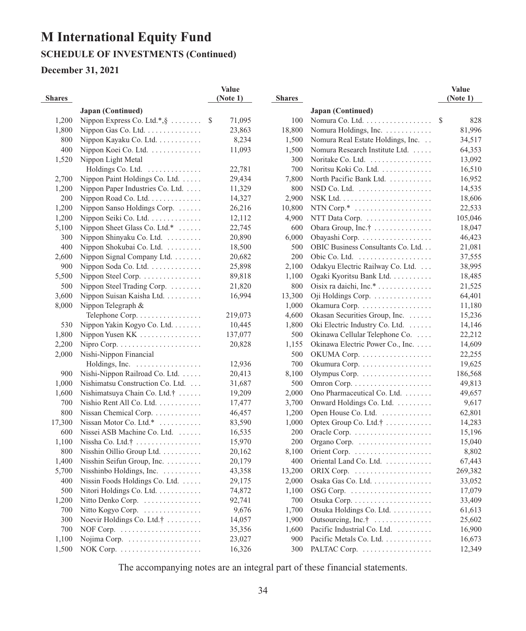## **SCHEDULE OF INVESTMENTS (Continued)**

## **December 31, 2021**

|               |                                                         | Value                   |               |                                                                   | Value    |
|---------------|---------------------------------------------------------|-------------------------|---------------|-------------------------------------------------------------------|----------|
| <b>Shares</b> |                                                         | (Note 1)                | <b>Shares</b> |                                                                   | (Note 1) |
|               | Japan (Continued)                                       |                         |               | Japan (Continued)                                                 |          |
| 1,200         | Nippon Express Co. Ltd.*, §                             | 71,095<br><sup>\$</sup> | 100           | Nomura Co. Ltd.                                                   | 828<br>S |
| 1,800         | Nippon Gas Co. Ltd. $\dots \dots \dots \dots$           | 23,863                  | 18,800        | Nomura Holdings, Inc.                                             | 81,996   |
| 800           | Nippon Kayaku Co. Ltd.                                  | 8,234                   | 1,500         | Nomura Real Estate Holdings, Inc.                                 | 34,517   |
| 400           | Nippon Koei Co. Ltd.                                    | 11,093                  | 1,500         | Nomura Research Institute Ltd.                                    | 64,353   |
| 1,520         | Nippon Light Metal                                      |                         | 300           | Noritake Co. Ltd.                                                 | 13,092   |
|               | Holdings Co. Ltd.                                       | 22,781                  | 700           | Noritsu Koki Co. Ltd.                                             | 16,510   |
| 2,700         | Nippon Paint Holdings Co. Ltd.                          | 29,434                  | 7,800         | North Pacific Bank Ltd.                                           | 16,952   |
| 1,200         | Nippon Paper Industries Co. Ltd.                        | 11,329                  | 800           | $\text{NSD}\text{Co.}$ Ltd. $\dots\dots\dots\dots\dots\dots\dots$ | 14,535   |
| 200           | Nippon Road Co. Ltd. $\dots \dots \dots$                | 14,327                  | 2,900         |                                                                   | 18,606   |
| 1,200         | Nippon Sanso Holdings Corp.                             | 26,216                  | 10,800        | NTN Corp. $*$                                                     | 22,533   |
| 1,200         | Nippon Seiki Co. Ltd. $\dots \dots \dots$               | 12,112                  | 4,900         | NTT Data Corp.                                                    | 105,046  |
| 5,100         | Nippon Sheet Glass Co. Ltd. $*$                         | 22,745                  | 600           | Obara Group, Inc. $\dagger$                                       | 18,047   |
| 300           | Nippon Shinyaku Co. Ltd.                                | 20,890                  | 6,000         | Obayashi Corp.                                                    | 46,423   |
| 400           | Nippon Shokubai Co. Ltd.                                | 18,500                  | 500           | OBIC Business Consultants Co. Ltd.                                | 21,081   |
| 2,600         | Nippon Signal Company Ltd. $\dots\dots$                 | 20,682                  | 200           |                                                                   | 37,555   |
| 900           | Nippon Soda Co. Ltd. $\dots \dots \dots$                | 25,898                  | 2,100         | Odakyu Electric Railway Co. Ltd.                                  | 38,995   |
| 5,500         | Nippon Steel Corp. $\dots \dots \dots \dots$            | 89,818                  | 1,100         | Ogaki Kyoritsu Bank Ltd.                                          | 18,485   |
| 500           | Nippon Steel Trading Corp. $\dots \dots$                | 21,820                  | 800           | Oisix ra daichi, Inc.* $\dots \dots \dots$                        | 21,525   |
| 3,600         | Nippon Suisan Kaisha Ltd.                               | 16,994                  | 13,300        | Oji Holdings Corp.                                                | 64,401   |
| 8,000         | Nippon Telegraph &                                      |                         | 1,000         | Okamura Corp.                                                     | 11,180   |
|               | Telephone Corp.                                         | 219,073                 | 4,600         | Okasan Securities Group, Inc.                                     | 15,236   |
| 530           | Nippon Yakin Kogyo Co. Ltd.                             | 10,445                  | 1,800         | Oki Electric Industry Co. Ltd.                                    | 14,146   |
| 1,800         | Nippon Yusen $KK$                                       | 137,077                 | 500           | Okinawa Cellular Telephone Co.                                    | 22,212   |
| 2,200         | Nipro Corp. $\dots \dots \dots \dots \dots \dots \dots$ | 20,828                  | 1,155         | Okinawa Electric Power Co., Inc.                                  | 14,609   |
| 2,000         | Nishi-Nippon Financial                                  |                         | 500           | OKUMA Corp.                                                       | 22,255   |
|               | Holdings, Inc.                                          | 12,936                  | 700           | Okumura Corp.                                                     | 19,625   |
| 900           | Nishi-Nippon Railroad Co. Ltd. $\dots$ .                | 20,413                  | 8,100         | Olympus Corp.                                                     | 186,568  |
| 1,000         | Nishimatsu Construction Co. Ltd.                        | 31,687                  | 500           |                                                                   | 49,813   |
| 1,600         | Nishimatsuya Chain Co. Ltd. $\dagger$                   | 19,209                  | 2,000         | Ono Pharmaceutical Co. Ltd.                                       | 49,657   |
| 700           | Nishio Rent All Co. Ltd.                                | 17,477                  | 3,700         | Onward Holdings Co. Ltd.                                          | 9,617    |
| 800           | Nissan Chemical Corp.                                   | 46,457                  | 1,200         | Open House Co. Ltd.                                               | 62,801   |
| 17,300        | Nissan Motor Co. Ltd. $*$                               | 83,590                  | 1,000         | Optex Group Co. Ltd. $\dagger$                                    | 14,283   |
| 600           | Nissei ASB Machine Co. Ltd.                             | 16,535                  | 200           |                                                                   | 15,196   |
| 1,100         | Nissha Co. Ltd.†                                        | 15,970                  | 200           |                                                                   | 15,040   |
| 800           | Nisshin Oillio Group Ltd.                               | 20,162                  | 8,100         |                                                                   | 8,802    |
| 1,400         | Nisshin Seifun Group, Inc. $\dots \dots$                | 20,179                  | 400           | Oriental Land Co. Ltd.                                            | 67,443   |
| 5,700         |                                                         | 43,358                  |               |                                                                   | 269,382  |
|               | Nisshinbo Holdings, Inc.                                |                         | 13,200        |                                                                   |          |
| 400           | Nissin Foods Holdings Co. Ltd.                          | 29,175                  | 2,000         | Osaka Gas Co. Ltd.                                                | 33,052   |
| 500           | Nitori Holdings Co. Ltd.                                | 74,872                  | 1,100         |                                                                   | 17,079   |
| 1,200         | Nitto Denko Corp.                                       | 92,741                  | 700           |                                                                   | 33,409   |
| 700           | Nitto Kogyo Corp. $\dots \dots \dots \dots$             | 9,676                   | 1,700         | Otsuka Holdings Co. Ltd.                                          | 61,613   |
| 300           | Noevir Holdings Co. Ltd. $\dagger$                      | 14,057                  | 1,900         | Outsourcing, Inc.†                                                | 25,602   |
| 700           |                                                         | 35,356                  | 1,600         | Pacific Industrial Co. Ltd.                                       | 16,900   |
| 1,100         | Nojima Corp. $\dots \dots \dots \dots \dots \dots$      | 23,027                  | 900           | Pacific Metals Co. Ltd.                                           | 16,673   |
| 1,500         |                                                         | 16,326                  | 300           | PALTAC Corp.                                                      | 12,349   |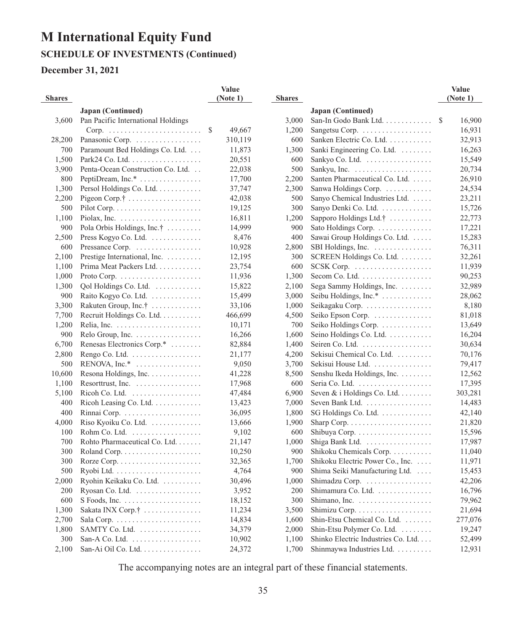## **December 31, 2021**

|               |                                                                 | Value       |               |                                                         | Value        |  |
|---------------|-----------------------------------------------------------------|-------------|---------------|---------------------------------------------------------|--------------|--|
| <b>Shares</b> |                                                                 | (Note 1)    | <b>Shares</b> |                                                         | (Note 1)     |  |
|               | Japan (Continued)                                               |             |               | Japan (Continued)                                       |              |  |
| 3,600         | Pan Pacific International Holdings                              |             | 3,000         | San-In Godo Bank Ltd.                                   | 16,900<br>\$ |  |
|               | Corp. $\ldots \ldots \ldots \ldots \ldots \ldots \ldots \ldots$ | 49,667<br>S | 1,200         | Sangetsu Corp.                                          | 16,931       |  |
| 28,200        | Panasonic Corp.                                                 | 310,119     | 600           | Sanken Electric Co. Ltd.                                | 32,913       |  |
| 700           | Paramount Bed Holdings Co. Ltd.                                 | 11,873      | 1,300         | Sanki Engineering Co. Ltd.                              | 16,263       |  |
| 1,500         | Park24 Co. Ltd.                                                 | 20,551      | 600           | Sankyo Co. Ltd.                                         | 15,549       |  |
| 3,900         | Penta-Ocean Construction Co. Ltd.                               | 22,038      | 500           | Sankyu, Inc. $\dots \dots \dots \dots \dots \dots$      | 20,734       |  |
| 800           | PeptiDream, Inc.*                                               | 17,700      | 2,200         | Santen Pharmaceutical Co. Ltd.                          | 26,910       |  |
| 1,300         | Persol Holdings Co. Ltd.                                        | 37,747      | 2,300         | Sanwa Holdings Corp.                                    | 24,534       |  |
| 2,200         |                                                                 | 42,038      | 500           | Sanyo Chemical Industries Ltd.                          | 23,211       |  |
| 500           | $Pilot Corp. \ldots \ldots \ldots \ldots \ldots \ldots \ldots$  | 19,125      | 300           | Sanyo Denki Co. Ltd.                                    | 15,726       |  |
| 1,100         | Piolax, Inc. $\ldots \ldots \ldots \ldots \ldots \ldots$        | 16,811      | 1,200         | Sapporo Holdings Ltd. $\dagger$                         | 22,773       |  |
| 900           | Pola Orbis Holdings, Inc. $\dots$                               | 14,999      | 900           | Sato Holdings Corp.                                     | 17,221       |  |
| 2,500         | Press Kogyo Co. Ltd.                                            | 8,476       | 400           | Sawai Group Holdings Co. Ltd.                           | 15,283       |  |
| 600           | Pressance Corp.                                                 | 10,928      | 2,800         | SBI Holdings, Inc. $\dots \dots \dots \dots$            | 76,311       |  |
| 2,100         | Prestige International, Inc.                                    | 12,195      | 300           | SCREEN Holdings Co. Ltd.                                | 32,261       |  |
| 1,100         | Prima Meat Packers Ltd.                                         | 23,754      | 600           | $SCSK Corp.$                                            | 11,939       |  |
| 1,000         |                                                                 | 11,936      | 1,300         | Secom Co. Ltd.                                          | 90,253       |  |
| 1,300         | Qol Holdings Co. Ltd.                                           | 15,822      | 2,100         | Sega Sammy Holdings, Inc.                               | 32,989       |  |
| 900           | Raito Kogyo Co. Ltd.                                            | 15,499      | 3,000         | Seibu Holdings, Inc.*                                   | 28,062       |  |
| 3,300         | Rakuten Group, Inc.†                                            | 33,106      | 1,000         | Seikagaku Corp.                                         | 8,180        |  |
| 7,700         | Recruit Holdings Co. Ltd.                                       | 466,699     | 4,500         | Seiko Epson Corp.                                       | 81,018       |  |
| 1,200         |                                                                 | 10,171      | 700           | Seiko Holdings Corp.                                    | 13,649       |  |
| 900           | Relo Group, Inc. $\dots \dots \dots \dots \dots$                | 16,266      | 1,600         | Seino Holdings Co. Ltd.                                 | 16,204       |  |
| 6,700         | Renesas Electronics Corp.*                                      | 82,884      | 1,400         | Seiren Co. Ltd.                                         | 30,634       |  |
| 2,800         | Rengo Co. Ltd. $\dots\dots\dots\dots\dots\dots$                 | 21,177      | 4,200         | Sekisui Chemical Co. Ltd.                               | 70,176       |  |
| 500           | RENOVA, Inc.*                                                   | 9,050       | 3,700         | Sekisui House Ltd.                                      | 79,417       |  |
| 10,600        | Resona Holdings, Inc.                                           | 41,228      | 8,500         | Senshu Ikeda Holdings, Inc.                             | 12,562       |  |
| 1,100         | Resorttrust, Inc.                                               | 17,968      | 600           |                                                         | 17,395       |  |
| 5,100         | Ricoh Co. Ltd. $\dots \dots \dots \dots \dots \dots$            | 47,484      | 6,900         | Seven $&$ i Holdings Co. Ltd.                           | 303,281      |  |
| 400           | Ricoh Leasing Co. Ltd. $\dots \dots \dots$                      | 13,423      | 7,000         | Seven Bank Ltd.                                         | 14,483       |  |
| 400           |                                                                 | 36,095      | 1,800         | SG Holdings Co. Ltd.                                    | 42,140       |  |
| 4,000         | Riso Kyoiku Co. Ltd.                                            | 13,666      | 1,900         | Sharp Corp. $\dots \dots \dots \dots \dots \dots \dots$ | 21,820       |  |
| 100           |                                                                 | 9,102       | 600           |                                                         | 15,596       |  |
| 700           | Rohto Pharmaceutical Co. Ltd.                                   | 21,147      | 1,000         | Shiga Bank Ltd.                                         | 17,987       |  |
| 300           |                                                                 | 10,250      | 900           | Shikoku Chemicals Corp.                                 | 11,040       |  |
| 300           | Rorze Corp. $\dots \dots \dots \dots \dots \dots \dots$         | 32,365      | 1,700         | Shikoku Electric Power Co., Inc.                        | 11,971       |  |
| 500           |                                                                 | 4,764       | 900           | Shima Seiki Manufacturing Ltd.                          | 15,453       |  |
| 2,000         | Ryohin Keikaku Co. Ltd.                                         | 30,496      | 1,000         | Shimadzu Corp.                                          | 42,206       |  |
| 200           |                                                                 | 3,952       | 200           | Shimamura Co. Ltd.                                      | 16,796       |  |
|               | Ryosan Co. Ltd.                                                 |             |               |                                                         |              |  |
| 600           |                                                                 | 18,152      | 300           | Shimano, Inc. $\dots \dots \dots \dots \dots \dots$     | 79,962       |  |
| 1,300         | Sakata INX Corp.†                                               | 11,234      | 3,500         |                                                         | 21,694       |  |
| 2,700         |                                                                 | 14,834      | 1,600         | Shin-Etsu Chemical Co. Ltd.                             | 277,076      |  |
| 1,800         | $SAMTY$ Co. Ltd. $\ldots \ldots \ldots \ldots$                  | 34,379      | 2,000         | Shin-Etsu Polymer Co. Ltd.                              | 19,247       |  |
| 300           | San-A Co. Ltd. $\dots\dots\dots\dots\dots\dots\dots$            | 10,902      | 1,100         | Shinko Electric Industries Co. Ltd.                     | 52,499       |  |
| 2,100         | San-Ai Oil Co. Ltd.                                             | 24,372      | 1,700         | Shinmaywa Industries Ltd.                               | 12,931       |  |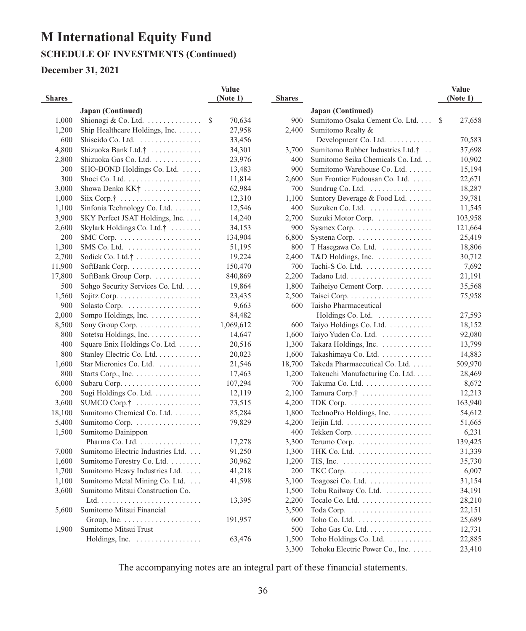# **M International Equity Fund SCHEDULE OF INVESTMENTS (Continued)**

#### **December 31, 2021**

|               |                                                                    | Value        |               |                                                             | Value        |
|---------------|--------------------------------------------------------------------|--------------|---------------|-------------------------------------------------------------|--------------|
| <b>Shares</b> |                                                                    | (Note 1)     | <b>Shares</b> |                                                             | (Note 1)     |
|               | Japan (Continued)                                                  |              |               | <b>Japan</b> (Continued)                                    |              |
| 1,000         | Shionogi & Co. Ltd.                                                | 70,634<br>\$ | 900           | Sumitomo Osaka Cement Co. Ltd.                              | 27,658<br>S. |
| 1,200         | Ship Healthcare Holdings, Inc.                                     | 27,958       | 2,400         | Sumitomo Realty &                                           |              |
| 600           | Shiseido Co. Ltd.                                                  | 33,456       |               | Development Co. Ltd. $\dots\dots\dots\dots$                 | 70,583       |
| 4,800         | Shizuoka Bank Ltd.†                                                | 34,301       | 3,700         | Sumitomo Rubber Industries Ltd.†                            | 37,698       |
| 2.800         | Shizuoka Gas Co. Ltd.                                              | 23,976       | 400           | Sumitomo Seika Chemicals Co. Ltd.                           | 10,902       |
| 300           | SHO-BOND Holdings Co. Ltd.                                         | 13,483       | 900           | Sumitomo Warehouse Co. Ltd.                                 | 15,194       |
| 300           |                                                                    | 11,814       | 2,600         | Sun Frontier Fudousan Co. Ltd.                              | 22,671       |
| 3,000         | Showa Denko KK†                                                    | 62,984       | 700           | Sundrug Co. Ltd. $\dots\dots\dots\dots\dots$                | 18,287       |
| 1,000         | Siix Corp. <sup>†</sup>                                            | 12,310       | 1,100         | Suntory Beverage & Food Ltd.                                | 39,781       |
| 1,100         | Sinfonia Technology Co. Ltd. $\dots$                               | 12,546       | 400           | Suzuken Co. Ltd.                                            | 11,545       |
| 3,900         | SKY Perfect JSAT Holdings, Inc.                                    | 14,240       | 2,700         | Suzuki Motor Corp.                                          | 103,958      |
| 2,600         | Skylark Holdings Co. Ltd.†                                         | 34,153       | 900           | $Systems Corp. \ldots \ldots \ldots \ldots \ldots$          | 121,664      |
| 200           | SMC Corp. $\dots \dots \dots \dots \dots \dots \dots$              | 134,904      | 6,800         |                                                             | 25,419       |
| 1,300         | SMS Co. Ltd. $\dots\dots\dots\dots\dots\dots\dots$                 | 51,195       | 800           | T Hasegawa Co. Ltd.                                         | 18,806       |
| 2,700         | Sodick Co. Ltd. $\dagger$                                          | 19,224       | 2,400         | $T&D$ Holdings, Inc. $\ldots \ldots \ldots \ldots$          | 30,712       |
| 11,900        | SoftBank Corp.                                                     | 150,470      | 700           | Tachi-S Co. Ltd. $\dots \dots \dots \dots \dots$            | 7,692        |
| 17,800        | SoftBank Group Corp.                                               | 840,869      | 2.200         | Tadano Ltd. $\ldots \ldots \ldots \ldots \ldots \ldots$     | 21,191       |
| 500           | Sohgo Security Services Co. Ltd.                                   | 19,864       | 1,800         | Taiheiyo Cement Corp.                                       | 35,568       |
| 1,560         | Sojitz Corp. $\dots \dots \dots \dots \dots \dots \dots$           | 23,435       | 2,500         |                                                             | 75,958       |
| 900           |                                                                    | 9,663        | 600           | Taisho Pharmaceutical                                       |              |
| 2,000         | Sompo Holdings, Inc. $\dots \dots \dots$                           | 84,482       |               | Holdings Co. Ltd.                                           | 27,593       |
| 8,500         | Sony Group Corp.                                                   | 1,069,612    | 600           | Taiyo Holdings Co. Ltd.                                     | 18,152       |
| 800           | Sotetsu Holdings, Inc.                                             | 14,647       | 1,600         | Taiyo Yuden Co. Ltd.                                        | 92,080       |
| 400           | Square Enix Holdings Co. Ltd.                                      | 20,516       | 1,300         | Takara Holdings, Inc.                                       | 13,799       |
| 800           | Stanley Electric Co. Ltd.                                          | 20,023       | 1,600         | Takashimaya Co. Ltd.                                        | 14,883       |
| 1,600         | Star Micronics Co. Ltd.                                            | 21,546       | 18,700        | Takeda Pharmaceutical Co. Ltd.                              | 509,970      |
| 800           | Starts Corp., Inc.                                                 | 17,463       | 1,200         | Takeuchi Manufacturing Co. Ltd.                             | 28,469       |
| 6,000         |                                                                    | 107,294      | 700           | Takuma Co. Ltd.                                             | 8,672        |
| 200           | Sugi Holdings Co. Ltd.                                             | 12,119       | 2,100         | Tamura Corp.†                                               | 12,213       |
| 3,600         | SUMCO $Corp.$ † $\dots\dots\dots\dots\dots\dots$                   | 73,515       | 4,200         |                                                             | 163,940      |
| 18,100        | Sumitomo Chemical Co. Ltd.                                         | 85,284       | 1,800         | TechnoPro Holdings, Inc.                                    | 54,612       |
| 5,400         | Sumitomo Corp.                                                     | 79,829       | 4,200         |                                                             | 51,665       |
| 1,500         | Sumitomo Dainippon                                                 |              | 400           |                                                             | 6,231        |
|               | Pharma Co. Ltd.                                                    | 17,278       | 3,300         |                                                             | 139,425      |
| 7,000         | Sumitomo Electric Industries Ltd.                                  | 91,250       | 1,300         |                                                             | 31,339       |
| 1,600         | Sumitomo Forestry Co. Ltd.                                         | 30,962       | 1,200         |                                                             | 35,730       |
| 1,700         | Sumitomo Heavy Industries Ltd.                                     |              | 200           | TIS, Inc. $\dots \dots \dots \dots \dots \dots \dots \dots$ | 6,007        |
|               |                                                                    | 41,218       |               | TKC Corp. $\dots\dots\dots\dots\dots\dots\dots\dots\dots$   |              |
| 1,100         | Sumitomo Metal Mining Co. Ltd.<br>Sumitomo Mitsui Construction Co. | 41,598       | 3,100         | Toagosei Co. Ltd. $\dots\dots\dots\dots\dots$               | 31,154       |
| 3,600         |                                                                    |              | 1,500         | Tobu Railway Co. Ltd.                                       | 34,191       |
|               |                                                                    | 13,395       | 2,200         | Tocalo Co. Ltd.                                             | 28,210       |
| 5,600         | Sumitomo Mitsui Financial                                          |              | 3,500         |                                                             | 22,151       |
|               | Group, Inc. $\dots \dots \dots \dots \dots \dots \dots$            | 191,957      | 600           | Toho Co. Ltd. $\dots\dots\dots\dots\dots\dots\dots$         | 25,689       |
| 1,900         | Sumitomo Mitsui Trust                                              |              | 500           | Toho Gas Co. Ltd. $\dots \dots \dots \dots$                 | 12,731       |
|               | Holdings, Inc. $\dots \dots \dots \dots \dots$                     | 63,476       | 1,500         | Toho Holdings Co. Ltd.                                      | 22,885       |
|               |                                                                    |              | 3,300         | Tohoku Electric Power Co., Inc.                             | 23,410       |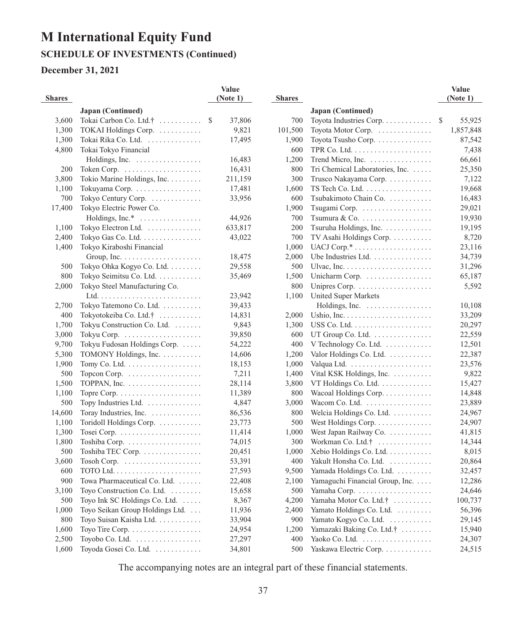# **M International Equity Fund SCHEDULE OF INVESTMENTS (Continued)**

#### **December 31, 2021**

|               |                                                         | Value                   |               |                                                               | Value        |
|---------------|---------------------------------------------------------|-------------------------|---------------|---------------------------------------------------------------|--------------|
| <b>Shares</b> |                                                         | (Note 1)                | <b>Shares</b> |                                                               | (Note 1)     |
|               | Japan (Continued)                                       |                         |               | <b>Japan</b> (Continued)                                      |              |
| 3,600         | Tokai Carbon Co. Ltd.† $\ldots$                         | 37,806<br><sup>\$</sup> | 700           | Toyota Industries Corp.                                       | \$<br>55,925 |
| 1,300         | TOKAI Holdings Corp.                                    | 9,821                   | 101,500       | Toyota Motor Corp.                                            | 1,857,848    |
| 1,300         | Tokai Rika Co. Ltd.                                     | 17,495                  | 1,900         | Toyota Tsusho Corp.                                           | 87,542       |
| 4,800         | Tokai Tokyo Financial                                   |                         | 600           |                                                               | 7,438        |
|               | Holdings, Inc.                                          | 16,483                  | 1,200         | Trend Micro, Inc. $\dots \dots \dots \dots$                   | 66,661       |
| 200           | Token Corp. $\dots \dots \dots \dots \dots \dots \dots$ | 16,431                  | 800           | Tri Chemical Laboratories, Inc.                               | 25,350       |
| 3,800         | Tokio Marine Holdings, Inc.                             | 211,159                 | 300           | Trusco Nakayama Corp.                                         | 7,122        |
| 1,100         | Tokuyama Corp.                                          | 17,481                  | 1,600         | $TS$ Tech Co. Ltd. $\dots \dots \dots \dots \dots \dots$      | 19,668       |
| 700           | Tokyo Century Corp.                                     | 33,956                  | 600           | Tsubakimoto Chain Co.                                         | 16,483       |
| 17,400        | Tokyo Electric Power Co.                                |                         | 1,900         | Tsugami Corp.                                                 | 29,021       |
|               | Holdings, Inc.*                                         | 44,926                  | 700           |                                                               | 19,930       |
| 1,100         | Tokyo Electron Ltd.                                     | 633,817                 | 200           | Tsuruha Holdings, Inc. $\dots \dots \dots$                    | 19,195       |
| 2,400         | Tokyo Gas Co. Ltd. $\dots \dots \dots \dots$            | 43,022                  | 700           | TV Asahi Holdings Corp.                                       | 8,720        |
| 1,400         | Tokyo Kiraboshi Financial                               |                         | 1,000         | UACJ $Corp.* \ldots \ldots \ldots \ldots \ldots \ldots$       | 23,116       |
|               |                                                         | 18,475                  | 2,000         | Ube Industries Ltd.                                           | 34,739       |
| 500           | Tokyo Ohka Kogyo Co. Ltd.                               | 29,558                  | 500           | Ulvac, Inc. $\dots \dots \dots \dots \dots \dots \dots \dots$ | 31,296       |
| 800           | Tokyo Seimitsu Co. Ltd.                                 | 35,469                  | 1,500         | Unicharm Corp.                                                | 65,187       |
| 2,000         | Tokyo Steel Manufacturing Co.                           |                         | 800           | Unipres Corp. $\dots \dots \dots \dots \dots \dots$           | 5,592        |
|               |                                                         | 23,942                  | 1,100         | United Super Markets                                          |              |
| 2,700         | Tokyo Tatemono Co. Ltd.                                 | 39,433                  |               | Holdings, Inc.                                                | 10,108       |
| 400           | Tokyotokeiba Co. Ltd. $\dagger$                         | 14,831                  | 2,000         |                                                               | 33,209       |
| 1,700         | Tokyu Construction Co. Ltd.                             | 9,843                   | 1,300         | USS Co. Ltd. $\dots\dots\dots\dots\dots\dots\dots\dots$       | 20,297       |
| 3,000         | Tokyu Corp. $\dots \dots \dots \dots \dots \dots$       | 39,850                  | 600           | UT Group Co. Ltd.                                             | 22,559       |
| 9,700         | Tokyu Fudosan Holdings Corp.                            | 54,222                  | 400           | V Technology Co. Ltd.                                         | 12,501       |
| 5,300         | TOMONY Holdings, Inc.                                   | 14,606                  | 1,200         | Valor Holdings Co. Ltd. $\dots\dots\dots$                     | 22,387       |
| 1,900         | Tomy Co. Ltd. $\dots \dots \dots \dots \dots \dots$     | 18,153                  | 1,000         |                                                               | 23,576       |
| 500           | Topcon Corp. $\dots \dots \dots \dots \dots \dots$      | 7,211                   | 1,400         | Vital KSK Holdings, Inc.                                      | 9,822        |
| 1,500         | TOPPAN, Inc. $\dots\dots\dots\dots\dots\dots\dots$      | 28,114                  | 3,800         | VT Holdings Co. Ltd.                                          | 15,427       |
| 1,100         | Topre Corp. $\dots \dots \dots \dots \dots \dots \dots$ | 11,389                  | 800           | Wacoal Holdings Corp.                                         | 14,848       |
| 500           | Topy Industries Ltd.                                    | 4,847                   | 3,000         | Wacom Co. Ltd. $\dots\dots\dots\dots\dots\dots$               | 23,889       |
| 14,600        | Toray Industries, Inc.                                  | 86,536                  | 800           | Welcia Holdings Co. Ltd.                                      | 24,967       |
| 1,100         | Toridoll Holdings Corp.                                 | 23,773                  | 500           | West Holdings Corp.                                           | 24,907       |
| 1,300         |                                                         | 11,414                  | 1,000         | West Japan Railway Co.                                        | 41,815       |
| 1,800         | Toshiba Corp. $\dots \dots \dots \dots \dots \dots$     | 74,015                  | 300           | Workman Co. Ltd.†                                             | 14,344       |
| 500           | Toshiba TEC Corp.                                       | 20,451                  | 1,000         | Xebio Holdings Co. Ltd.                                       | 8,015        |
| 3,600         | $Tosoh Corp.$                                           | 53,391                  | 400           | Yakult Honsha Co. Ltd.                                        | 20,864       |
| 600           |                                                         | 27,593                  | 9,500         | Yamada Holdings Co. Ltd.                                      | 32,457       |
| 900           | Towa Pharmaceutical Co. Ltd.                            | 22,408                  | 2,100         | Yamaguchi Financial Group, Inc.                               | 12,286       |
| 3,100         | Toyo Construction Co. Ltd.                              | 15,658                  | 500           |                                                               | 24,646       |
| 500           | Toyo Ink SC Holdings Co. Ltd.                           | 8,367                   | 4,200         | Yamaha Motor Co. Ltd.†                                        | 100,737      |
| 1,000         | Toyo Seikan Group Holdings Ltd.                         | 11,936                  | 2,400         | Yamato Holdings Co. Ltd.                                      | 56,396       |
| 800           | Toyo Suisan Kaisha Ltd.                                 | 33,904                  | 900           | Yamato Kogyo Co. Ltd.                                         | 29,145       |
| 1,600         | Toyo Tire Corp. $\dots \dots \dots \dots \dots \dots$   | 24,954                  | 1,200         | Yamazaki Baking Co. Ltd.†                                     | 15,940       |
| 2,500         | Toyobo Co. Ltd.                                         | 27,297                  | 400           | Yaoko Co. Ltd. $\dots\dots\dots\dots\dots\dots$               | 24,307       |
| 1,600         | Toyoda Gosei Co. Ltd.                                   | 34,801                  | 500           | Yaskawa Electric Corp.                                        | 24,515       |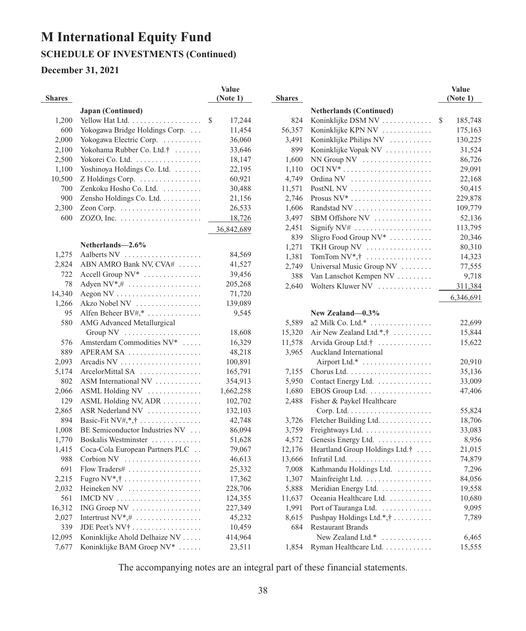### **SCHEDULE OF INVESTMENTS (Continued)**

#### **December 31, 2021**

|               |                                                       | Value        |
|---------------|-------------------------------------------------------|--------------|
| <b>Shares</b> |                                                       | (Note 1)     |
|               | Japan (Continued)                                     |              |
| 1,200         | Yellow Hat Ltd.                                       | \$<br>17,244 |
| 600           | Yokogawa Bridge Holdings Corp.                        | 11,454       |
| 2,000         | Yokogawa Electric Corp.                               | 36,060       |
| 2,100         | Yokohama Rubber Co. Ltd.†                             | 33,646       |
| 2,500         | Yokorei Co. Ltd.                                      | 18,147       |
| 1,100         | Yoshinoya Holdings Co. Ltd.                           | 22,195       |
| 10,500        | $Z$ Holdings Corp. $\dots \dots \dots \dots$          | 60,921       |
| 700           | Zenkoku Hosho Co. Ltd.                                | 30,488       |
| 900           | Zensho Holdings Co. Ltd.                              | 21,156       |
| 2,300         | Zeon Corp. $\dots\dots\dots\dots\dots\dots\dots\dots$ | 26,533       |
| 600           | ZOZO, Inc. $\dots \dots \dots \dots \dots \dots$      | 18,726       |
|               |                                                       | 36,842,689   |
|               | Netherlands-2.6%                                      |              |
| 1,275         | Aalberts NV<br>.                                      | 84,569       |
| 2,824         | ABN AMRO Bank NV, CVA#                                | 41,527       |
| 722           | Accell Group NV <sup>*</sup>                          | 39,456       |
| 78            | Adyen $NV^*,\#$                                       | 205,268      |
| 14,340        | Aegon NV                                              | 71,720       |
| 1,266         | Akzo Nobel NV                                         | 139,089      |
| 95            | Alfen Beheer BV#,*                                    | 9,545        |
| 580           | AMG Advanced Metallurgical                            |              |
|               | Group NV                                              | 18,608       |
| 576           | Amsterdam Commodities NV*                             | 16,329       |
| 889           | $APERAM SA$                                           | 48,218       |
| 2,093         |                                                       | 100,891      |
| 5,174         | ArcelorMittal SA                                      | 165,791      |
| 802           | ASM International NV                                  | 354,913      |
| 2,066         | ASML Holding NV                                       | 1,662,258    |
| 129           | ASML Holding NV, ADR                                  | 102,702      |
| 2,865         | ASR Nederland NV                                      | 132,103      |
| 894           | Basic-Fit NV#,*,†                                     | 42,748       |
| 1,008         | BE Semiconductor Industries NV                        | 86,094       |
| 1,770         | Boskalis Westminster                                  | 51,628       |
| 1,415         | Coca-Cola European Partners PLC                       | 79,067       |
| 988           | Corbion NV                                            | 46,613       |
| 691           | Flow Traders#                                         | 25,332       |
| 2,215         | Fugro $NV^*, \dagger$                                 | 17,362       |
| 2,032         | Heineken NV                                           | 228,706      |
| 561           | $IMCD$ NV $\ldots \ldots \ldots \ldots \ldots \ldots$ | 124,355      |
| 16,312        | $ING$ Groep $NV$                                      | 227,349      |
| 2,027         | Intertrust $NV^*,\#$                                  | 45,232       |
| 339           | JDE Peet's $N V_1^{\dagger}$                          | 10,459       |
| 12,095        | Koninklijke Ahold Delhaize NV                         | 414,964      |
| 7,677         | Koninklijke BAM Groep NV*                             | 23,511       |

| <b>Shares</b> |                                                      | Value<br>(Note 1) |
|---------------|------------------------------------------------------|-------------------|
|               | <b>Netherlands (Continued)</b>                       |                   |
| 824           | Koninklijke DSM NV                                   | \$<br>185,748     |
| 56,357        | Koninklijke KPN NV                                   | 175,163           |
| 3,491         | Koninklijke Philips NV                               | 130,225           |
| 899           | Koninklijke Vopak NV                                 | 31,524            |
| 1,600         | $NN$ Group $NV$                                      | 86,726            |
| 1,110         |                                                      | 29,091            |
| 4,749         | Ordina NV                                            | 22,168            |
| 11,571        | PostNL NV $\dots\dots\dots\dots\dots\dots\dots\dots$ | 50,415            |
| 2,746         |                                                      | 229,878           |
| 1,606         |                                                      | 109,779           |
| 3,497         | SBM Offshore NV                                      | 52,136            |
| 2,451         | Signify $N V#$                                       | 113,795           |
| 839           | Sligro Food Group NV*                                | 20,346            |
| 1,271         | TKH Group NV                                         | 80,310            |
| 1,381         | TomTom $NV^*, \dagger$                               | 14,323            |
| 2,749         | Universal Music Group NV                             | 77,555            |
| 388           | Van Lanschot Kempen NV                               | 9,718             |
| 2,640         | Wolters Kluwer NV                                    | 311,384           |
|               |                                                      | 6,346,691         |
|               | New Zealand-0.3%                                     |                   |
| 5,589         | a2 Milk Co. Ltd.*                                    | 22,699            |
| 15,320        | Air New Zealand Ltd.*, $\dagger$                     | 15,844            |
| 11,578        | Arvida Group Ltd.†                                   | 15,622            |
| 3,965         | Auckland International                               |                   |
|               | Airport Ltd.*                                        | 20,910            |
| 7,155         |                                                      | 35,136            |
| 5,950         | Contact Energy Ltd.                                  | 33,009            |
| 1,680         | EBOS Group Ltd.                                      | 47,406            |
| 2,488         | Fisher & Paykel Healthcare                           |                   |
|               |                                                      | 55,824            |
| 3,726         | Fletcher Building Ltd.                               | 18,706            |
| 3,759         | Freightways Ltd.                                     | 33,083            |
| 4,572         | Genesis Energy Ltd.                                  | 8,956             |
| 12,176        | Heartland Group Holdings Ltd.†                       | 21,015            |
| 13,666        |                                                      | 74,879            |
| 7,008         | Kathmandu Holdings Ltd.                              | 7,296             |
| 1,307         | Mainfreight Ltd.                                     | 84,056            |
| 5,888         | Meridian Energy Ltd.                                 | 19,558            |
| 11,637        | Oceania Healthcare Ltd.                              | 10,680            |
| 1,991         | Port of Tauranga Ltd.                                | 9,095             |
| 8,615         | Pushpay Holdings Ltd.*,†                             | 7,789             |
| 684           | <b>Restaurant Brands</b>                             |                   |
|               | New Zealand Ltd.*<br>.                               | 6,465             |
| 1,854         | Ryman Healthcare Ltd.                                | 15,555            |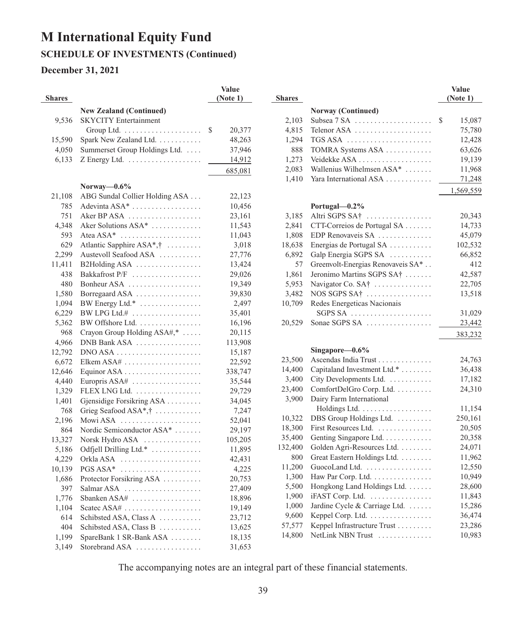### **SCHEDULE OF INVESTMENTS (Continued)**

### **December 31, 2021**

| <b>Shares</b> |                                                                | Value<br>(Note 1) |
|---------------|----------------------------------------------------------------|-------------------|
|               |                                                                |                   |
|               | <b>New Zealand (Continued)</b><br><b>SKYCITY</b> Entertainment |                   |
| 9,536         |                                                                | \$                |
| 15,590        | Spark New Zealand Ltd.                                         | 20,377<br>48,263  |
| 4,050         | Summerset Group Holdings Ltd.                                  | 37,946            |
| 6,133         | $Z$ Energy Ltd. $\dots \dots \dots \dots \dots \dots$          | 14,912            |
|               |                                                                |                   |
|               |                                                                | 685,081           |
|               | Norway— $0.6\%$                                                |                   |
| 21,108        | ABG Sundal Collier Holding ASA                                 | 22,123            |
| 785           | Adevinta ASA*                                                  | 10,456            |
| 751           | Aker BP ASA                                                    | 23,161            |
| 4,348         | Aker Solutions ASA*                                            | 11,543            |
| 593           | Atea ASA* $\dots\dots\dots\dots\dots\dots\dots$                | 11,043            |
| 629           | Atlantic Sapphire ASA*,†                                       | 3,018             |
| 2,299         | Austevoll Seafood ASA                                          | 27,776            |
| 11,411        | B2Holding ASA                                                  | 13,424            |
| 438           | Bakkafrost P/F                                                 | 29,026            |
| 480           | Bonheur ASA                                                    | 19,349            |
| 1,580         | Borregaard ASA                                                 | 39,830            |
| 1,094         | BW Energy Ltd.*                                                | 2,497             |
| 6,229         | BW LPG Ltd.# $\dots\dots\dots\dots\dots\dots\dots$             | 35,401            |
| 5,362         | BW Offshore Ltd.                                               | 16,196            |
| 968           | Crayon Group Holding ASA#,*<br>.                               | 20,115            |
| 4.966         | DNB Bank ASA                                                   | 113,908           |
| 12,792        |                                                                | 15,187            |
| 6,672         | Elkem ASA#                                                     | 22,592            |
| 12,646        |                                                                | 338,747           |
| 4,440         | Europris ASA#                                                  | 35,544            |
| 1,329         | FLEX LNG Ltd.                                                  | 29,729            |
| 1,401         | Gjensidige Forsikring ASA                                      | 34,045            |
| 768           | Grieg Seafood ASA*,†                                           | 7,247             |
| 2,196         | Mowi ASA                                                       | 52,041            |
| 864           | Nordic Semiconductor ASA*                                      | 29,197            |
| 13,327        | Norsk Hydro ASA                                                | 105,205           |
| 5,186         | Odfjell Drilling Ltd.*                                         | 11,895            |
| 4,229         | Orkla ASA                                                      | 42,431            |
| 10,139        | $PGS ASA*$                                                     | 4,225             |
| 1,686         | Protector Forsikring ASA                                       | 20,753            |
| 397           | Salmar ASA                                                     | 27,409            |
| 1,776         | Sbanken $ASA#$                                                 | 18,896            |
| 1,104         | Scatec ASA#                                                    | 19,149            |
| 614           | Schibsted ASA, Class A                                         | 23,712            |
| 404           | Schibsted ASA, Class B                                         | 13,625            |
| 1,199         | SpareBank 1 SR-Bank ASA                                        | 18,135            |
| 3,149         | Storebrand ASA                                                 | 31,653            |

| <b>Shares</b> |                                                              | Value<br>(Note 1) |
|---------------|--------------------------------------------------------------|-------------------|
|               | <b>Norway (Continued)</b>                                    |                   |
| 2,103         |                                                              | \$<br>15,087      |
| 4,815         | $Telenor ASA$                                                | 75,780            |
| 1,294         | $TGS$ ASA $\ldots \ldots \ldots \ldots \ldots \ldots \ldots$ | 12,428            |
| 888           | TOMRA Systems ASA                                            | 63,626            |
| 1,273         | Veidekke ASA                                                 | 19,139            |
| 2,083         | Wallenius Wilhelmsen ASA*                                    | 11,968            |
| 1,410         | Yara International ASA                                       | 71,248            |
|               |                                                              | 1,569,559         |
|               | Portugal-0.2%                                                |                   |
| 3,185         | Altri SGPS SA†                                               | 20,343            |
| 2,841         | CTT-Correios de Portugal SA                                  | 14,733            |
| 1,808         | EDP Renovaveis SA                                            | 45,079            |
| 18,638        | Energias de Portugal SA                                      | 102,532           |
| 6,892         | Galp Energia SGPS SA                                         | 66,852            |
| 57            | Greenvolt-Energias Renovaveis SA*                            | 412               |
| 1,861         | Jeronimo Martins SGPS SA†                                    | 42,587            |
| 5,953         | Navigator Co. SA <sup>†</sup>                                | 22,705            |
| 3,482         | $NOS SGPS SA+$                                               | 13,518            |
| 10,709        | Redes Energeticas Nacionais                                  |                   |
|               | $SGPS SA$                                                    | 31,029            |
| 20,529        | Sonae SGPS SA                                                | 23,442            |
|               |                                                              | 383,232           |
|               | Singapore-0.6%                                               |                   |
| 23,500        | Ascendas India Trust                                         | 24,763            |
| 14,400        | Capitaland Investment Ltd.*                                  | 36,438            |
| 3,400         | City Developments Ltd.                                       | 17,182            |
| 23,400        | ComfortDelGro Corp. Ltd.                                     | 24,310            |
| 3,900         | Dairy Farm International                                     |                   |
|               | Holdings Ltd.                                                | 11,154            |
| 10,322        | DBS Group Holdings Ltd.                                      | 250,161           |
| 18,300        | First Resources Ltd.                                         | 20,505            |
| 35,400        | Genting Singapore Ltd.                                       | 20,358            |
| 132,400       | Golden Agri-Resources Ltd.                                   | 24,071            |
| 800           | Great Eastern Holdings Ltd.                                  | 11,962            |
| 11,200        | GuocoLand Ltd.                                               | 12,550            |
| 1,300         | Haw Par Corp. Ltd.                                           | 10,949            |
| 5,500         | Hongkong Land Holdings Ltd.                                  | 28,600            |
| 1,900         | iFAST Corp. Ltd.                                             | 11,843            |
| 1,000         | Jardine Cycle & Carriage Ltd.                                | 15,286            |
| 9,600         | Keppel Corp. Ltd.                                            | 36,474            |
| 57,577        | Keppel Infrastructure Trust                                  | 23,286            |
| 14,800        | NetLink NBN Trust                                            | 10,983            |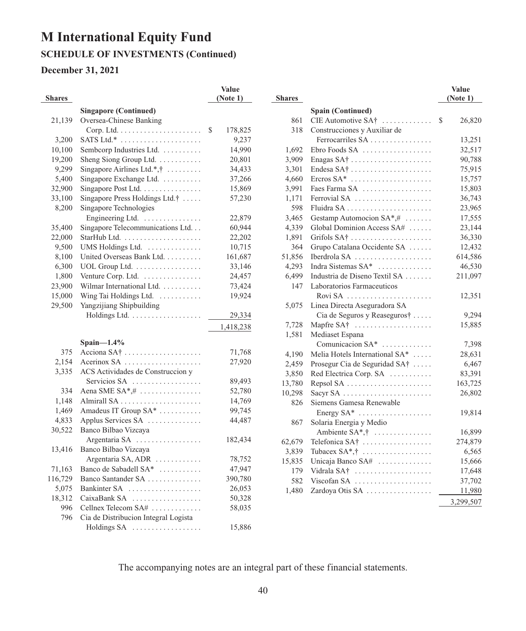### **SCHEDULE OF INVESTMENTS (Continued)**

#### **December 31, 2021**

|               |                                                       | Value         |
|---------------|-------------------------------------------------------|---------------|
| <b>Shares</b> |                                                       | (Note 1)      |
|               | <b>Singapore (Continued)</b>                          |               |
| 21,139        | Oversea-Chinese Banking                               |               |
|               |                                                       | \$<br>178,825 |
| 3,200         | SATS Ltd.* $\dots\dots\dots\dots\dots\dots\dots\dots$ | 9,237         |
| 10,100        | Sembcorp Industries Ltd.                              | 14,990        |
| 19,200        | Sheng Siong Group Ltd.                                | 20,801        |
| 9,299         | Singapore Airlines Ltd.*, $\dagger$                   | 34,433        |
| 5,400         | Singapore Exchange Ltd. $\dots\dots\dots$             | 37,266        |
| 32,900        | Singapore Post Ltd.                                   | 15,869        |
| 33,100        | Singapore Press Holdings Ltd.† $\dots$ .              | 57,230        |
| 8,200         | Singapore Technologies                                |               |
|               | Engineering Ltd.                                      | 22,879        |
| 35,400        | Singapore Telecommunications Ltd.                     | 60,944        |
| 22,000        |                                                       | 22,202        |
| 9,500         | UMS Holdings Ltd.                                     | 10,715        |
| 8,100         | United Overseas Bank Ltd.                             | 161,687       |
| 6,300         | UOL Group Ltd.                                        | 33,146        |
| 1,800         | Venture Corp. Ltd.                                    | 24,457        |
| 23,900        | Wilmar International Ltd.                             | 73,424        |
| 15,000        | Wing Tai Holdings Ltd.                                | 19,924        |
| 29,500        | Yangzijiang Shipbuilding                              |               |
|               | Holdings Ltd.                                         | 29,334        |
|               |                                                       | 1,418,238     |
|               | Spain $-1.4\%$                                        |               |
| 375           |                                                       | 71,768        |
| 2,154         | Acerinox SA                                           | 27,920        |
| 3,335         | ACS Actividades de Construccion y                     |               |
|               | Servicios SA $\dots\dots\dots\dots\dots\dots$         | 89,493        |
| 334           | Aena SME $SA^*,\#$                                    | 52,780        |
| 1,148         |                                                       | 14,769        |
| 1,469         | Amadeus IT Group SA*                                  | 99,745        |
| 4,833         | Applus Services SA                                    | 44,487        |
| 30,522        | Banco Bilbao Vizcaya                                  |               |
|               | Argentaria SA                                         | 182,434       |
| 13,416        | Banco Bilbao Vizcaya                                  |               |
|               | Argentaria SA, ADR                                    | 78,752        |
| 71,163        | Banco de Sabadell SA <sup>*</sup>                     | 47,947        |
| 116,729       | Banco Santander SA                                    | 390,780       |
| 5,075         | Bankinter SA                                          | 26,053        |
| 18,312        | CaixaBank SA                                          | 50,328        |
| 996           | Cellnex Telecom SA#                                   | 58,035        |
| 796           | Cia de Distribucion Integral Logista                  |               |
|               | Holdings SA                                           | 15,886        |

| <b>Shares</b> |                                | <b>Value</b><br>(Note 1) |
|---------------|--------------------------------|--------------------------|
|               | Spain (Continued)              |                          |
| 861           | CIE Automotive SA†             | \$<br>26,820             |
| 318           | Construcciones y Auxiliar de   |                          |
|               | Ferrocarriles SA               | 13,251                   |
| 1,692         | Ebro Foods SA                  | 32,517                   |
| 3,909         | Enagas $SA^{\dagger}$          | 90,788                   |
| 3,301         | Endesa $SA\dagger$             | 75,915                   |
| 4,660         | Ercros $SA^*$                  | 15,757                   |
| 3,991         | Faes Farma SA                  | 15,803                   |
| 1,171         | Ferrovial SA                   | 36,743                   |
| 598           |                                | 23,965                   |
| 3,465         | Gestamp Automocion SA*,#       | 17,555                   |
| 4,339         | Global Dominion Access SA#     | 23,144                   |
| 1,891         | Grifols $SA^{\dagger}$         | 36,330                   |
| 364           | Grupo Catalana Occidente SA    | 12,432                   |
| 51,856        | Iberdrola SA                   | 614,586                  |
| 4,293         | Indra Sistemas SA*             | 46,530                   |
| 6,499         | Industria de Diseno Textil SA  | 211,097                  |
| 147           | Laboratorios Farmaceuticos     |                          |
|               | Rovi SA                        | 12,351                   |
| 5,075         | Linea Directa Aseguradora SA   |                          |
|               | Cia de Seguros y Reaseguros†   | 9,294                    |
| 7,728         | Mapfre SA†                     | 15,885                   |
| 1,581         | Mediaset Espana                |                          |
|               | Comunicacion SA*               | 7,398                    |
| 4,190         | Melia Hotels International SA* | 28,631                   |
| 2,459         | Prosegur Cia de Seguridad SA†  | 6,467                    |
| 3,850         | Red Electrica Corp. SA         | 83,391                   |
| 13,780        | Repsol SA                      | 163,725                  |
| 10,298        | Sacyr SA                       | 26,802                   |
| 826           | Siemens Gamesa Renewable       |                          |
|               | Energy $SA^*$                  | 19,814                   |
| 867           | Solaria Energia y Medio        |                          |
|               | Ambiente $SA^*,\dagger$        | 16,899                   |
| 62,679        | Telefonica $SA^{\dagger}$      | 274,879                  |
| 3,839         | Tubacex $SA^*,\dagger$         | 6,565                    |
| 15,835        | Unicaja Banco SA#              | 15,666                   |
| 179           | Vidrala SA†                    | 17,648                   |
| 582           | Viscofan SA                    | 37,702                   |
| 1,480         | Zardoya Otis SA                | 11,980                   |
|               |                                | 3,299,507                |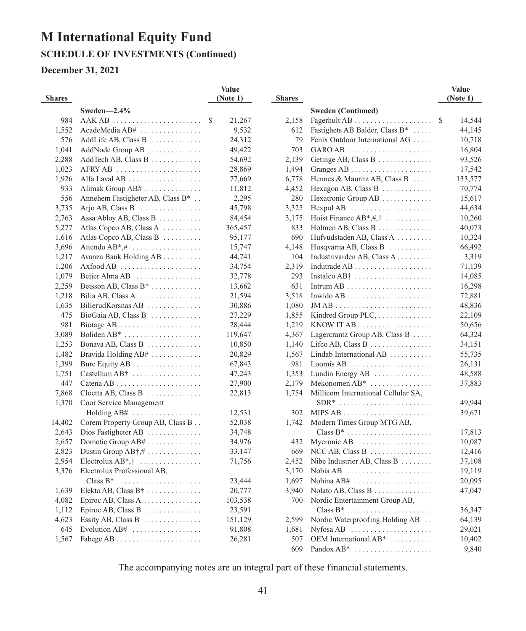### **SCHEDULE OF INVESTMENTS (Continued)**

### **December 31, 2021**

|               |                                                              | Value                   |               |                                                             | <b>Value</b> |
|---------------|--------------------------------------------------------------|-------------------------|---------------|-------------------------------------------------------------|--------------|
| <b>Shares</b> |                                                              | (Note 1)                | <b>Shares</b> |                                                             | (Note 1)     |
|               | Sweden $-2.4\%$                                              |                         |               | <b>Sweden (Continued)</b>                                   |              |
| 984           |                                                              | <sup>\$</sup><br>21,267 | 2,158         | Fagerhult AB $\ldots \ldots \ldots \ldots \ldots \ldots$    | \$<br>14,544 |
| 1,552         | AcadeMedia $AB#$                                             | 9,532                   | 612           | Fastighets AB Balder, Class B <sup>*</sup>                  | 44,145       |
| 576           | AddLife AB, Class B $\dots\dots\dots\dots$                   | 24,312                  | 79            | Fenix Outdoor International AG                              | 10,718       |
| 1,041         | AddNode Group AB                                             | 49,422                  | 703           | $GARO AB$                                                   | 16,804       |
| 2,288         | $Add\text{Techn}\ AB, Class\ B\ \ldots \ldots \ldots$        | 54,692                  | 2,139         | Getinge AB, Class B                                         | 93,526       |
| 1,023         | $AFRY AB$                                                    | 28,869                  | 1,494         | Granges $AB$                                                | 17,542       |
| 1,926         | Alfa Laval AB                                                | 77,669                  | 6,778         | Hennes & Mauritz AB, Class B                                | 133,577      |
| 933           | Alimak Group AB#                                             | 11,812                  | 4,452         | Hexagon AB, Class $B$                                       | 70,774       |
| 556           | Annehem Fastigheter AB, Class B <sup>*</sup>                 | 2,295                   | 280           | Hexatronic Group AB                                         | 15,617       |
| 3,735         | Arjo AB, Class B $\dots \dots \dots \dots$                   | 45,798                  | 3,325         | $Hexpol AB$                                                 | 44,634       |
| 2,763         | Assa Abloy AB, Class B $\dots \dots$                         | 84,454                  | 3,175         | Hoist Finance $AB^*, #, \dagger$                            | 10,260       |
| 5,277         | Atlas Copco AB, Class A                                      | 365,457                 | 833           | Holmen AB, Class $B$                                        | 40,073       |
| 1,616         | Atlas Copco AB, Class B                                      | 95,177                  | 690           | Hufvudstaden AB, Class A                                    | 10,324       |
| 3,696         | Attendo $AB^*,\#$                                            | 15,747                  | 4,148         | Husqvarna AB, Class B $\dots\dots\dots$                     | 66,492       |
| 1,217         | Avanza Bank Holding AB                                       | 44,741                  | 104           | Industrivarden AB, Class A                                  | 3,319        |
| 1,206         | $Axfood AB$                                                  | 34,754                  | 2,319         | Indutrade $AB$                                              | 71,139       |
| 1,079         | Beijer Alma AB $\dots\dots\dots\dots\dots\dots$              | 32,778                  | 293           | Instalco $AB^{\dagger}$                                     | 14,085       |
| 2,259         | Betsson AB, Class $B^*$                                      | 13,662                  | 631           | Intrum $AB$                                                 | 16,298       |
| 1,218         | Bilia AB, Class A                                            | 21,594                  | 3,518         | Inwido $AB$                                                 | 72,881       |
| 1,635         | BillerudKorsnas AB                                           | 30,886                  | 1,080         | $JMAB$                                                      | 48,836       |
| 475           | $BioGaia AB, Class B$                                        | 27,229                  | 1,855         | Kindred Group PLC,                                          | 22,109       |
| 981           | Biotage AB $\dots\dots\dots\dots\dots\dots\dots\dots$        | 28,444                  | 1,219         | KNOW IT AB $\dots\dots\dots\dots\dots\dots\dots$            | 50,656       |
| 3,089         | Boliden $AB^*$                                               | 119,647                 | 4,367         | Lagercrantz Group AB, Class $B \ldots$ .                    | 64,324       |
| 1,253         | Bonava AB, Class B                                           | 10,850                  | 1,140         | Lifco AB, Class $B$                                         | 34,151       |
| 1,482         | Bravida Holding AB#                                          | 20,829                  | 1,567         | Lindab International AB $\ldots$                            | 55,735       |
| 1,399         | Bure Equity AB $\dots \dots \dots \dots \dots$               | 67,843                  | 981           | Loomis AB $\dots\dots\dots\dots\dots\dots\dots\dots$        | 26,131       |
| 1,751         | Castellum $AB^{\dagger}$                                     | 47,243                  | 1,353         | Lundin Energy AB $\dots\dots\dots\dots\dots$                | 48,588       |
| 447           |                                                              | 27,900                  | 2,179         | Mekonomen AB*                                               | 37,883       |
|               |                                                              |                         |               | Millicom International Cellular SA,                         |              |
| 7,868         | $C$ loetta AB, $C$ lass B $\ldots \ldots \ldots$             | 22,813                  | 1,754         | $SDR^*$                                                     | 49,944       |
| 1,370         | Coor Service Management                                      |                         |               |                                                             |              |
|               | Holding AB#                                                  | 12,531                  | 302           |                                                             | 39,671       |
| 14,402        | Corem Property Group AB, Class B                             | 52,038                  | 1,742         | Modern Times Group MTG AB,                                  |              |
| 2,643         | Dios Fastigheter $AB$                                        | 34,748                  |               | Class $B^*$                                                 | 17,813       |
| 2,657         | Dometic Group AB#                                            | 34,976                  | 432           | Mycronic AB $\dots\dots\dots\dots\dots\dots$                | 10,087       |
| 2,823         | Dustin Group $AB\dagger,\#$                                  | 33,147                  | 669           | NCC AB, Class B $\ldots$                                    | 12,416       |
| 2,954         | Electrolux $AB^*, \dagger$                                   | 71,756                  | 2,452         | Nibe Industrier AB, Class B                                 | 37,108       |
| 3,376         | Electrolux Professional AB,                                  |                         | 3,170         |                                                             | 19,119       |
|               | $Class B^* \ldots \ldots \ldots \ldots \ldots \ldots \ldots$ | 23,444                  | 1,697         | Nobina AB# $\dots\dots\dots\dots\dots\dots\dots$            | 20,095       |
| 1,639         | Elekta AB, Class $B^{\dagger}$                               | 20,777                  | 3,940         | Nolato AB, Class $B$                                        | 47,047       |
| 4,082         |                                                              | 103,538                 | 700           | Nordic Entertainment Group AB,                              |              |
| 1,112         |                                                              | 23,591                  |               | $Class B^* \dots \dots \dots \dots \dots \dots \dots \dots$ | 36,347       |
| 4,623         | Essity AB, Class B $\dots \dots \dots \dots$                 | 151,129                 | 2,599         | Nordic Waterproofing Holding AB                             | 64,139       |
| 645           | Evolution $AB#$                                              | 91,808                  | 1,681         | $Ny$ fosa AB $\dots\dots\dots\dots\dots\dots\dots\dots$     | 29,021       |
| 1,567         |                                                              | 26,281                  | 507           | OEM International $AB^*$                                    | 10,402       |
|               |                                                              |                         | 609           | Pandox $AB^*$                                               | 9,840        |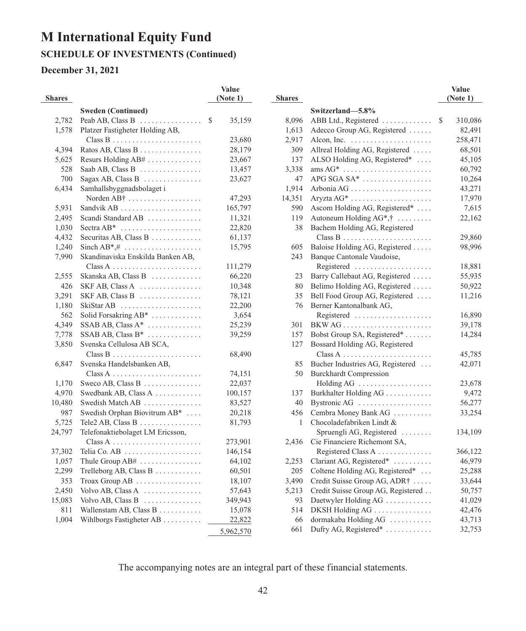### **SCHEDULE OF INVESTMENTS (Continued)**

#### **December 31, 2021**

|               |                                                    | Value        |
|---------------|----------------------------------------------------|--------------|
| <b>Shares</b> |                                                    | (Note 1)     |
|               | <b>Sweden (Continued)</b>                          |              |
| 2,782         | Peab AB, Class B                                   | 35,159<br>\$ |
| 1,578         | Platzer Fastigheter Holding AB,                    |              |
|               |                                                    | 23,680       |
| 4,394         | Ratos AB, Class B                                  | 28,179       |
| 5,625         | Resurs Holding AB#                                 | 23,667       |
| 528           | Saab AB, Class B $\dots\dots\dots\dots\dots$       | 13,457       |
| 700           | Sagax AB, Class B                                  | 23,627       |
| 6,434         | Samhallsbyggnadsbolaget i<br>Norden $AB^{\dagger}$ | 47,293       |
| 5,931         |                                                    | 165,797      |
| 2,495         | Scandi Standard AB                                 | 11,321       |
| 1,030         | Sectra $AB^*$                                      | 22,820       |
| 4,432         | Securitas AB, Class B                              | 61,137       |
| 1,240         | Sinch AB*, $\#$                                    | 15,795       |
| 7,990         | Skandinaviska Enskilda Banken AB,                  |              |
|               |                                                    | 111,279      |
| 2,555         | Skanska AB, Class B                                | 66,220       |
| 426           | $SKF AB$ , Class A                                 | 10,348       |
| 3,291         | $SKF AB, Class B$                                  | 78,121       |
| 1,180         | SkiStar AB                                         | 22,200       |
| 562           | Solid Forsakring AB*                               | 3,654        |
| 4.349         | SSAB AB, Class $A^*$                               | 25,239       |
| 7,778         | $SSAB AB, Class B^* \dots \dots \dots \dots$       | 39,259       |
| 3,850         | Svenska Cellulosa AB SCA,                          |              |
|               | $Class B$                                          | 68,490       |
| 6,847         | Svenska Handelsbanken AB,                          |              |
|               |                                                    | 74,151       |
| 1,170         | Sweco AB, Class B                                  | 22,037       |
| 4,970         | Swedbank AB, Class A                               | 100,157      |
| 10,480        | Swedish Match AB                                   | 83,527       |
| 987           | Swedish Orphan Biovitrum AB*                       | 20,218       |
| 5,725         | Tele2 AB, Class B                                  | 81,793       |
| 24,797        | Telefonaktiebolaget LM Ericsson,                   |              |
|               | $Class A$                                          | 273,901      |
| 37,302        | Telia Co. AB $\ldots$                              | 146,154      |
| 1,057         | Thule Group AB#                                    | 64,102       |
| 2,299         | Trelleborg AB, Class B                             | 60,501       |
| 353           | Troax Group AB                                     | 18,107       |
| 2,450         | Volvo AB, Class A $\dots\dots\dots\dots\dots$      | 57,643       |
| 15,083        | Volvo AB, Class B $\ldots$                         | 349,943      |
| 811           | Wallenstam AB, Class B                             | 15,078       |
| 1,004         | Wihlborgs Fastigheter AB                           | 22,822       |
|               |                                                    | 5,962,570    |

|               |                                                             | Value         |
|---------------|-------------------------------------------------------------|---------------|
| <b>Shares</b> |                                                             | (Note 1)      |
|               | Switzerland-5.8%                                            |               |
| 8,096         | ABB Ltd., Registered                                        | \$<br>310,086 |
| 1,613         | Adecco Group AG, Registered                                 | 82,491        |
| 2,917         | Alcon, Inc. $\dots \dots \dots \dots \dots \dots \dots$     | 258,471       |
| 309           | Allreal Holding AG, Registered                              | 68,501        |
| 137           | ALSO Holding AG, Registered*                                | 45,105        |
| 3,338         | $ams\ AG^* \dots \dots \dots \dots \dots \dots \dots \dots$ | 60,792        |
| 47            | $APG SGA S A*$                                              | 10,264        |
| 1,914         |                                                             | 43,271        |
| 14,351        | Aryzta $AG^*$                                               | 17,970        |
| 590           | Ascom Holding AG, Registered*                               | 7,615         |
| 119           | Autoneum Holding AG*,†                                      | 22,162        |
| 38            | Bachem Holding AG, Registered                               |               |
|               |                                                             | 29,860        |
| 605           | Baloise Holding AG, Registered                              | 98,996        |
| 243           | Banque Cantonale Vaudoise,                                  |               |
|               | Registered                                                  | 18,881        |
| 23            | Barry Callebaut AG, Registered                              | 55,935        |
| 80            | Belimo Holding AG, Registered                               | 50,922        |
| 35            | Bell Food Group AG, Registered                              | 11,216        |
| 76            | Berner Kantonalbank AG,                                     |               |
|               | Registered                                                  | 16,890        |
| 301           |                                                             | 39,178        |
| 157           | Bobst Group SA, Registered*                                 | 14,284        |
| 127           | Bossard Holding AG, Registered                              |               |
|               |                                                             | 45,785        |
| 85            | Bucher Industries AG, Registered                            | 42,071        |
| 50            | <b>Burckhardt Compression</b>                               |               |
|               | Holding AG                                                  | 23,678        |
| 137           | Burkhalter Holding AG                                       | 9,472         |
| 40            | Bystronic AG                                                | 56,277        |
| 456           | Cembra Money Bank AG                                        | 33,254        |
| 1             | Chocoladefabriken Lindt &                                   |               |
|               | Spruengli AG, Registered                                    | 134,109       |
| 2,436         | Cie Financiere Richemont SA,                                |               |
|               | Registered Class A                                          | 366,122       |
| 2,253         | Clariant AG, Registered*                                    | 46,979        |
| 205           | Coltene Holding AG, Registered*                             | 25,288        |
| 3,490         | Credit Suisse Group AG, ADR†                                | 33,644        |
| 5,213         | Credit Suisse Group AG, Registered                          | 50,757        |
| 93            | Daetwyler Holding AG                                        | 41,029        |
| 514           | DKSH Holding AG                                             | 42,476        |
| 66            | dormakaba Holding AG                                        | 43,713        |
| 661           | Dufry AG, Registered*                                       | 32,753        |
|               |                                                             |               |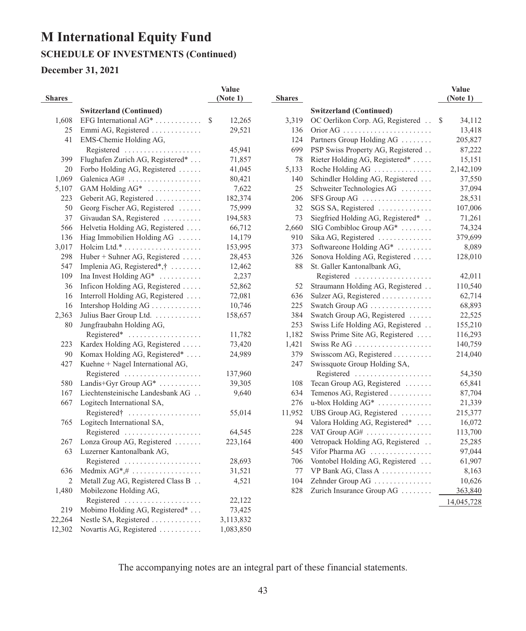### **SCHEDULE OF INVESTMENTS (Continued)**

#### **December 31, 2021**

|               |                                   | Value        |
|---------------|-----------------------------------|--------------|
| <b>Shares</b> |                                   | (Note 1)     |
|               | <b>Switzerland (Continued)</b>    |              |
| 1,608         | EFG International AG*             | \$<br>12,265 |
| 25            | Emmi AG, Registered               | 29,521       |
| 41            | EMS-Chemie Holding AG,            |              |
|               | Registered                        | 45,941       |
| 399           | Flughafen Zurich AG, Registered*  | 71,857       |
| 20            | Forbo Holding AG, Registered      | 41,045       |
| 1,069         | Galenica AG#                      | 80,421       |
| 5,107         | GAM Holding AG*                   | 7,622        |
| 223           | Geberit AG, Registered            | 182,374      |
| 50            | Georg Fischer AG, Registered      | 75,999       |
| 37            | Givaudan SA, Registered           | 194,583      |
| 566           | Helvetia Holding AG, Registered   | 66,712       |
| 136           | Hiag Immobilien Holding AG        | 14,179       |
| 3,017         |                                   | 153,995      |
| 298           | Huber + Suhner AG, Registered     | 28,453       |
| 547           | Implenia AG, Registered*,†        | 12,462       |
| 109           | Ina Invest Holding $AG^*$         | 2,237        |
| 36            | Inficon Holding AG, Registered    | 52,862       |
| 16            | Interroll Holding AG, Registered  | 72,081       |
| 16            | Intershop Holding AG              | 10,746       |
| 2,363         | Julius Baer Group Ltd.            | 158,657      |
| 80            | Jungfraubahn Holding AG,          |              |
|               | Registered*<br>.                  | 11,782       |
| 223           | Kardex Holding AG, Registered     | 73,420       |
| 90            | Komax Holding AG, Registered*     | 24,989       |
| 427           | Kuehne + Nagel International AG,  |              |
|               | Registered                        | 137,960      |
| 580           | Landis+Gyr Group AG*              | 39,305       |
| 167           | Liechtensteinische Landesbank AG  | 9,640        |
| 667           | Logitech International SA,        |              |
|               | Registered†                       | 55,014       |
| 765           | Logitech International SA,        |              |
|               | Registered                        | 64,545       |
| 267           | Lonza Group AG, Registered        | 223,164      |
| 63            | Luzerner Kantonalbank AG,         |              |
|               | Registered                        | 28,693       |
| 636           | Medmix $AG^*,\#$                  | 31,521       |
| 2             | Metall Zug AG, Registered Class B | 4,521        |
| 1,480         | Mobilezone Holding AG,            |              |
|               | Registered                        | 22,122       |
| 219           | Mobimo Holding AG, Registered*    | 73,425       |
| 22,264        | Nestle SA, Registered             | 3,113,832    |
| 12,302        | Novartis AG, Registered           | 1,083,850    |

| <b>Shares</b> |                                           | Value<br>(Note 1) |
|---------------|-------------------------------------------|-------------------|
|               | <b>Switzerland (Continued)</b>            |                   |
| 3,319         | OC Oerlikon Corp. AG, Registered          | \$<br>34,112      |
| 136           |                                           | 13,418            |
| 124           | Partners Group Holding AG                 | 205,827           |
| 699           | PSP Swiss Property AG, Registered         | 87,222            |
| 78            | Rieter Holding AG, Registered*            | 15,151            |
| 5,133         | Roche Holding AG                          | 2,142,109         |
| 140           | Schindler Holding AG, Registered          | 37,550            |
| 25            | Schweiter Technologies AG                 | 37,094            |
| 206           | $SFS$ Group AG                            | 28,531            |
| 32            | $SGS SA$ , Registered                     | 107,006           |
| 73            | Siegfried Holding AG, Registered*         | 71,261            |
| 2,660         | SIG Combibloc Group AG*                   | 74,324            |
| 910           | Sika AG, Registered                       | 379,699           |
| 373           | Softwareone Holding AG*                   | 8,089             |
| 326           | Sonova Holding AG, Registered             | 128,010           |
| 88            | St. Galler Kantonalbank AG,               |                   |
|               | Registered                                | 42,011            |
| 52            | Straumann Holding AG, Registered          | 110,540           |
| 636           | Sulzer AG, Registered                     | 62,714            |
| 225           | Swatch Group AG                           | 68,893            |
| 384           | Swatch Group AG, Registered               | 22,525            |
| 253           | Swiss Life Holding AG, Registered         | 155,210           |
| 1,182         | Swiss Prime Site AG, Registered           | 116,293           |
| 1,421         | Swiss Re AG                               | 140,759           |
| 379           | Swisscom AG, Registered                   | 214,040           |
| 247           | Swissquote Group Holding SA,              |                   |
|               | Registered                                | 54,350            |
| 108           | Tecan Group AG, Registered                | 65,841            |
| 634           | Temenos AG, Registered                    | 87,704            |
| 276           | $u$ -blox Holding AG* $\dots \dots \dots$ | 21,339            |
| 11,952        | UBS Group AG, Registered                  | 215,377           |
| 94            | Valora Holding AG, Registered*            | 16,072            |
| 228           | VAT Group AG#                             | 113,700           |
| 400           | Vetropack Holding AG, Registered          | 25,285            |
| 545           | Vifor Pharma AG                           | 97,044            |
| 706           | Vontobel Holding AG, Registered           | 61,907            |
| 77            | VP Bank AG, Class A                       | 8,163             |
| 104           | Zehnder Group AG                          | 10,626            |
| 828           | Zurich Insurance Group AG                 | 363,840           |
|               |                                           | 14,045,728        |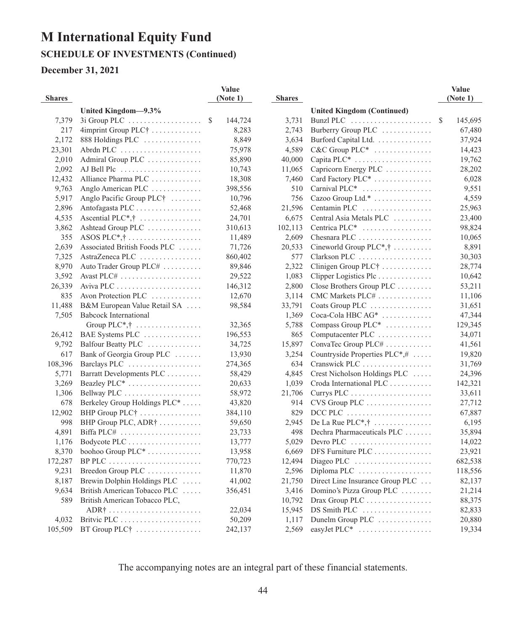### **SCHEDULE OF INVESTMENTS (Continued)**

#### **December 31, 2021**

| <b>Shares</b> |                                                        | Value<br>(Note 1) | <b>Shares</b> |                                                                | Value<br>(Note 1) |
|---------------|--------------------------------------------------------|-------------------|---------------|----------------------------------------------------------------|-------------------|
|               | United Kingdom-9.3%                                    |                   |               | <b>United Kingdom (Continued)</b>                              |                   |
| 7,379         | $3i$ Group PLC $\dots \dots \dots \dots \dots \dots$   | \$<br>144,724     | 3,731         | Bunzl PLC $\ldots \ldots \ldots \ldots \ldots \ldots$          | 145,695<br>\$     |
| 217           | 4imprint Group PLC†                                    | 8,283             | 2,743         | Burberry Group PLC                                             | 67,480            |
| 2,172         | 888 Holdings PLC                                       | 8,849             | 3,634         | Burford Capital Ltd.                                           | 37,924            |
| 23,301        | Abrdn PLC                                              | 75,978            | 4,589         | C&C Group PLC <sup>*</sup>                                     | 14,423            |
| 2,010         | Admiral Group PLC                                      | 85,890            | 40,000        | Capita PLC <sup>*</sup>                                        | 19,762            |
| 2,092         | AJ Bell Plc                                            | 10,743            | 11,065        | Capricorn Energy PLC                                           | 28,202            |
| 12,432        | Alliance Pharma PLC                                    | 18,308            | 7,460         | Card Factory PLC*                                              | 6,028             |
| 9,763         | Anglo American PLC                                     | 398,556           | 510           | Carnival PLC <sup>*</sup>                                      | 9,551             |
| 5,917         | Anglo Pacific Group PLC <sup>†</sup>                   | 10,796            | 756           | Cazoo Group Ltd.*                                              | 4,559             |
| 2,896         | Antofagasta PLC                                        | 52,468            | 21,596        | Centamin PLC                                                   | 25,963            |
| 4,535         | Ascential $PLC^*, \dagger$                             | 24,701            | 6,675         | Central Asia Metals PLC                                        | 23,400            |
| 3,862         | Ashtead Group PLC                                      | 310,613           | 102,113       | Centrica PLC <sup>*</sup>                                      | 98,824            |
| 355           | ASOS PLC <sup>*</sup> , $\dagger$                      | 11,489            | 2,609         |                                                                | 10,065            |
| 2,639         | Associated British Foods PLC                           | 71,726            | 20,533        | Cineworld Group $PLC^*, \dagger$                               | 8,891             |
| 7,325         | AstraZeneca PLC                                        | 860,402           | 577           | Clarkson PLC                                                   | 30,303            |
| 8,970         | Auto Trader Group PLC#                                 | 89,846            | 2,322         | Clinigen Group $PLC^{\dagger}$                                 | 28,774            |
| 3,592         | Avast PLC# $\dots \dots \dots \dots \dots \dots \dots$ | 29,522            | 1,083         | Clipper Logistics $Pic$                                        | 10,642            |
| 26,339        |                                                        | 146,312           | 2,800         | Close Brothers Group PLC                                       | 53,211            |
| 835           | Avon Protection PLC                                    | 12,670            | 3,114         | $CMC$ Markets PLC#                                             | 11,106            |
| 11,488        | B&M European Value Retail SA                           | 98,584            | 33,791        | Coats Group PLC                                                | 31,651            |
| 7,505         | <b>Babcock International</b>                           |                   | 1,369         | Coca-Cola HBC AG*                                              | 47,344            |
|               | Group $\text{PLC*,}^{\ast}$ ,                          | 32,365            | 5,788         | Compass Group PLC <sup>*</sup>                                 | 129,345           |
| 26,412        | BAE Systems PLC                                        | 196,553           | 865           | Computacenter PLC                                              | 34,071            |
| 9,792         | Balfour Beatty PLC                                     | 34,725            | 15,897        | ConvaTec Group PLC#                                            | 41,561            |
| 617           | Bank of Georgia Group PLC                              | 13,930            | 3,254         | Countryside Properties $PLC^*, \# \dots$                       | 19,820            |
| 108,396       | Barclays PLC                                           | 274,365           | 634           | Cranswick PLC                                                  | 31,769            |
| 5,771         | Barratt Developments PLC                               | 58,429            | 4,845         | Crest Nicholson Holdings PLC                                   | 24,396            |
| 3,269         | Beazley PLC <sup>*</sup>                               | 20,633            | 1,039         | Croda International PLC                                        | 142,321           |
| 1,306         | Bellway PLC                                            | 58,972            | 21,706        |                                                                | 33,611            |
| 678           | Berkeley Group Holdings PLC*                           | 43,820            | 914           | CVS Group PLC                                                  | 27,712            |
| 12,902        | BHP Group $PLC_1^*$                                    | 384,110           | 829           | $DCC$ PLC $\ldots$ , $\ldots$ , $\ldots$ , $\ldots$ , $\ldots$ | 67,887            |
| 998           | BHP Group PLC, ADR†                                    | 59,650            | 2,945         | De La Rue PLC <sup>*</sup> , † $\dots$                         | 6,195             |
| 4,891         | Biffa PLC# $\dots\dots\dots\dots\dots\dots\dots\dots$  | 23,733            | 498           | Dechra Pharmaceuticals PLC                                     | 35,894            |
| 1,176         |                                                        | 13,777            | 5,029         | Devro PLC                                                      | 14,022            |
| 8,370         | boohoo Group PLC <sup>*</sup>                          | 13,958            | 6,669         | DFS Furniture PLC                                              | 23,921            |
| 172,287       |                                                        | 770,723           | 12,494        | Diageo PLC                                                     | 682,538           |
| 9,231         | Breedon Group PLC                                      | 11,870            |               |                                                                | 118,556           |
|               |                                                        |                   | 2,596         | Diploma PLC $\dots \dots \dots \dots \dots \dots$              |                   |
| 8,187         | Brewin Dolphin Holdings PLC                            | 41,002            | 21,750        | Direct Line Insurance Group PLC                                | 82,137            |
| 9,634         | British American Tobacco PLC                           | 356,451           | 3,416         | Domino's Pizza Group PLC                                       | 21,214            |
| 589           | British American Tobacco PLC,                          |                   | 10,792        | Drax Group PLC $\dots \dots \dots \dots \dots$                 | 88,375            |
|               |                                                        | 22,034            | 15,945        | DS Smith PLC                                                   | 82,833            |
| 4,032         |                                                        | 50,209            | 1,117         | Dunelm Group PLC                                               | 20,880            |
| 105,509       | BT Group PLC <sup>†</sup>                              | 242,137           | 2,569         |                                                                | 19,334            |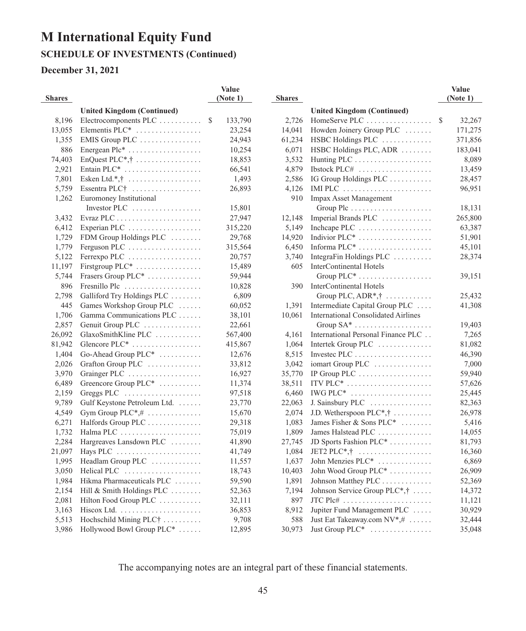### **SCHEDULE OF INVESTMENTS (Continued)**

#### **December 31, 2021**

| <b>Shares</b> |                                                           | Value<br>(Note 1)        | <b>Shares</b>  |                                                                |   | Value<br>(Note 1) |
|---------------|-----------------------------------------------------------|--------------------------|----------------|----------------------------------------------------------------|---|-------------------|
|               |                                                           |                          |                |                                                                |   |                   |
|               | <b>United Kingdom (Continued)</b>                         |                          |                | <b>United Kingdom (Continued)</b>                              |   |                   |
| 8,196         | Electrocomponents $PLC$                                   | 133,790<br><sup>\$</sup> | 2,726          |                                                                | S | 32,267            |
| 13,055        | Elementis PLC <sup>*</sup>                                | 23,254                   | 14,041         | Howden Joinery Group PLC                                       |   | 171,275           |
| 1,355         | EMIS Group PLC                                            | 24,943                   | 61,234         | HSBC Holdings PLC                                              |   | 371,856           |
| 886           | Energean $Pic^*$                                          | 10,254                   | 6,071          | HSBC Holdings PLC, ADR                                         |   | 183,041           |
| 74,403        | EnQuest PLC <sup>*</sup> , $\dagger$                      | 18,853                   | 3,532          |                                                                |   | 8,089             |
| 2,921         | Entain PLC <sup>*</sup>                                   | 66,541                   | 4,879          | Ibstock PLC#                                                   |   | 13,459            |
| 7,801         | Esken Ltd.*, $\dagger$                                    |                          | 1,493<br>2,586 | IG Group Holdings PLC                                          |   | 28,457            |
| 5,759         | Essentra PLC $\dagger$                                    | 26,893                   | 4,126          | IMI PLC $\dots\dots\dots\dots\dots\dots\dots\dots\dots$        |   | 96,951            |
| 1,262         | Euromoney Institutional                                   |                          | 910            | <b>Impax Asset Management</b>                                  |   |                   |
|               |                                                           | 15,801                   |                |                                                                |   | 18,131            |
| 3,432         | Evraz PLC $\dots\dots\dots\dots\dots\dots\dots\dots\dots$ | 27,947                   | 12,148         | Imperial Brands PLC                                            |   | 265,800           |
| 6,412         | Experian PLC                                              | 315,220                  | 5,149          | Incheape PLC                                                   |   | 63,387            |
| 1,729         | FDM Group Holdings PLC                                    | 29,768                   | 14,920         |                                                                |   | 51,901            |
| 1,779         | Ferguson PLC                                              | 315,564                  | 6,450          | Informa $PLC^*$                                                |   | 45,101            |
| 5,122         | Ferrexpo PLC                                              | 20,757                   | 3,740          | IntegraFin Holdings PLC                                        |   | 28,374            |
| 11,197        | Firstgroup PLC <sup>*</sup>                               | 15,489                   | 605            | InterContinental Hotels                                        |   |                   |
| 5,744         | Frasers Group PLC <sup>*</sup>                            | 59,944                   |                | Group $PLC^*$                                                  |   | 39,151            |
| 896           | Fresnillo Plc                                             | 10,828                   | 390            | InterContinental Hotels                                        |   |                   |
| 2,798         | Galliford Try Holdings PLC                                |                          | 6,809          | Group PLC, $ADR^*, \dagger$                                    |   | 25,432            |
| 445           | Games Workshop Group PLC                                  | 60,052                   | 1,391          | Intermediate Capital Group PLC                                 |   | 41,308            |
| 1,706         | Gamma Communications PLC                                  | 38,101                   | 10,061         | <b>International Consolidated Airlines</b>                     |   |                   |
| 2,857         | Genuit Group PLC                                          | 22,661                   |                |                                                                |   | 19,403            |
| 26,092        | GlaxoSmithKline PLC                                       | 567,400                  | 4,161          | International Personal Finance PLC                             |   | 7,265             |
| 81,942        | Glencore PLC*                                             | 415,867                  | 1,064          | Intertek Group PLC                                             |   | 81,082            |
| 1,404         | Go-Ahead Group PLC*                                       | 12,676                   | 8,515          |                                                                |   | 46,390            |
| 2,026         | Grafton Group PLC                                         | 33,812                   | 3,042          | iomart Group PLC                                               |   | 7,000             |
| 3,970         | Grainger PLC                                              | 16,927                   | 35,770         | IP Group PLC $\dots\dots\dots\dots\dots\dots\dots$             |   | 59,940            |
| 6,489         | Greencore Group PLC <sup>*</sup>                          | 11,374                   | 38,511         | ITV PLC $*$                                                    |   | 57,626            |
| 2,159         | Greggs PLC $\ldots$                                       | 97,518                   | 6,460          | IWG PLC* $\dots\dots\dots\dots\dots\dots\dots\dots$            |   | 25,445            |
| 9,789         | Gulf Keystone Petroleum Ltd.                              | 23,770                   | 22,063         | J. Sainsbury PLC                                               |   | 82,363            |
| 4,549         | Gym Group $PLC^*, \# \dots \dots \dots \dots$             | 15,670                   | 2,074          | J.D. Wetherspoon PLC <sup>*</sup> ,†                           |   | 26,978            |
| 6,271         | Halfords Group PLC                                        | 29,318                   | 1,083          | James Fisher & Sons PLC*                                       |   | 5,416             |
| 1,732         |                                                           | 75,019                   | 1,809          | James Halstead PLC                                             |   | 14,055            |
| 2,284         | Hargreaves Lansdown PLC                                   | 41,890                   | 27,745         | JD Sports Fashion PLC <sup>*</sup>                             |   | 81,793            |
| 21,097        | Hays PLC                                                  | 41,749                   | 1,084          | JET2 PLC <sup>*</sup> ,† $\dots\dots\dots\dots\dots\dots\dots$ |   | 16,360            |
| 1,995         | Headlam Group PLC                                         | 11,557                   | 1,637          | John Menzies PLC <sup>*</sup>                                  |   | 6,869             |
| 3,050         | Helical PLC                                               | 18,743                   | 10,403         | John Wood Group PLC <sup>*</sup>                               |   | 26,909            |
|               |                                                           |                          |                |                                                                |   |                   |
| 1,984         | Hikma Pharmaceuticals PLC                                 | 59,590                   | 1,891          | Johnson Matthey PLC                                            |   | 52,369            |
| 2,154         | Hill & Smith Holdings PLC                                 | 52,363                   | 7,194          | Johnson Service Group PLC*,†                                   |   | 14,372            |
| 2,081         | Hilton Food Group PLC                                     | 32,111                   | 897            | $JTC$ Plc#                                                     |   | 11,121            |
| 3,163         | $Hiscox Ltd. \ldots \ldots \ldots \ldots \ldots$          | 36,853                   | 8,912          | Jupiter Fund Management PLC                                    |   | 30,929            |
| 5,513         | Hochschild Mining PLC†                                    | 9,708                    | 588            | Just Eat Takeaway.com $NV^*,\# \dots$                          |   | 32,444            |
| 3.986         | Hollywood Bowl Group PLC*                                 | 12,895                   | 30.973         | Just Group PLC <sup>*</sup>                                    |   | 35,048            |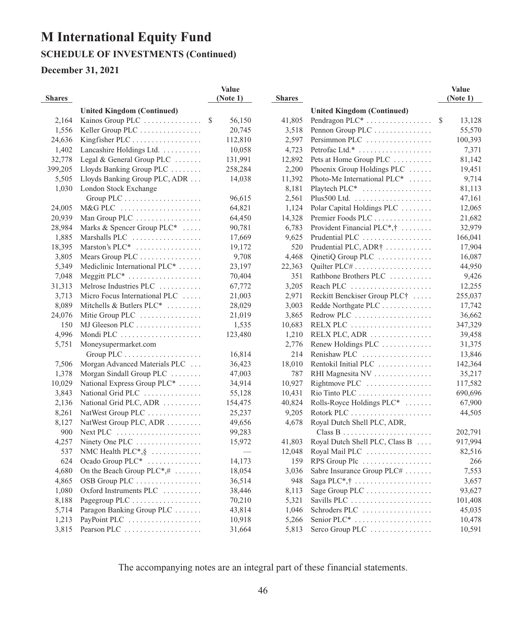### **SCHEDULE OF INVESTMENTS (Continued)**

#### **December 31, 2021**

|               |                                               | Value        |               |                                                                | Value        |
|---------------|-----------------------------------------------|--------------|---------------|----------------------------------------------------------------|--------------|
| <b>Shares</b> |                                               | (Note 1)     | <b>Shares</b> |                                                                | (Note 1)     |
|               | <b>United Kingdom (Continued)</b>             |              |               | <b>United Kingdom (Continued)</b>                              |              |
| 2,164         | Kainos Group PLC $\dots \dots \dots \dots$    | \$<br>56,150 | 41,805        | Pendragon PLC <sup>*</sup>                                     | \$<br>13,128 |
| 1,556         | Keller Group PLC                              | 20,745       | 3,518         | Pennon Group PLC                                               | 55,570       |
| 24,636        | Kingfisher PLC                                | 112,810      | 2,597         | Persimmon PLC                                                  | 100,393      |
| 1,402         | Lancashire Holdings Ltd.                      | 10,058       | 4,723         | Petrofac Ltd.*                                                 | 7,371        |
| 32,778        | Legal & General Group PLC                     | 131,991      | 12,892        | Pets at Home Group PLC                                         | 81,142       |
| 399,205       | Lloyds Banking Group PLC                      | 258,284      | 2,200         | Phoenix Group Holdings PLC                                     | 19,451       |
| 5,505         | Lloyds Banking Group PLC, ADR                 | 14,038       | 11,392        | Photo-Me International $PLC^*$                                 | 9,714        |
| 1,030         | London Stock Exchange                         |              | 8,181         |                                                                | 81,113       |
|               |                                               | 96,615       | 2,561         | Plus 500 Ltd. $\dots\dots\dots\dots\dots\dots\dots\dots$       | 47,161       |
| 24,005        | M&G PLC                                       | 64,821       | 1,124         | Polar Capital Holdings PLC                                     | 12,065       |
| 20,939        | Man Group PLC $\dots \dots \dots \dots \dots$ | 64,450       | 14,328        | Premier Foods PLC                                              | 21,682       |
| 28,984        | Marks & Spencer Group PLC*                    | 90,781       | 6,783         | Provident Financial PLC <sup>*</sup> ,†                        | 32,979       |
| 1,885         | Marshalls PLC                                 | 17,669       | 9,625         | Prudential PLC                                                 | 166,041      |
| 18,395        | Marston's PLC <sup>*</sup>                    | 19,172       | 520           | Prudential PLC, ADR†                                           | 17,904       |
| 3,805         | Mears Group PLC                               | 9,708        | 4,468         | QinetiQ Group PLC                                              | 16,087       |
| 5,349         | Mediclinic International PLC*                 | 23,197       | 22,363        |                                                                | 44,950       |
| 7,048         | Meggitt $PLC^*$                               | 70,404       | 351           | Rathbone Brothers PLC                                          | 9,426        |
| 31,313        | Melrose Industries PLC                        | 67,772       | 3,205         | Reach PLC $\ldots \ldots \ldots \ldots \ldots \ldots$          | 12,255       |
| 3,713         | Micro Focus International PLC                 | 21,003       | 2,971         | Reckitt Benckiser Group PLC†                                   | 255,037      |
| 8,089         | Mitchells & Butlers PLC*                      | 28,029       | 3,003         | Redde Northgate PLC                                            | 17,742       |
| 24,076        | Mitie Group PLC                               | 21,019       | 3,865         | Redrow PLC                                                     | 36,662       |
| 150           | MJ Gleeson PLC                                | 1,535        | 10,683        | RELX PLC                                                       | 347,329      |
| 4,996         |                                               | 123,480      | 1,210         | RELX PLC, ADR                                                  | 39,458       |
| 5,751         | Moneysupermarket.com                          |              | 2,776         | Renew Holdings PLC                                             | 31,375       |
|               |                                               | 16,814       | 214           | Renishaw PLC                                                   | 13,846       |
| 7,506         | Morgan Advanced Materials PLC                 | 36,423       | 18,010        | Rentokil Initial PLC                                           | 142,364      |
| 1,378         | Morgan Sindall Group PLC                      | 47,003       | 787           | RHI Magnesita NV                                               | 35,217       |
| 10,029        | National Express Group PLC <sup>*</sup>       | 34,914       | 10,927        | $Rightmove PLC$                                                | 117,582      |
| 3,843         | National Grid PLC                             | 55,128       | 10,431        |                                                                | 690,696      |
| 2,136         | National Grid PLC, ADR                        | 154,475      | 40,824        | Rolls-Royce Holdings PLC*                                      | 67,900       |
| 8,261         | NatWest Group PLC                             | 25,237       | 9,205         |                                                                | 44,505       |
| 8,127         | NatWest Group PLC, ADR                        | 49,656       | 4,678         | Royal Dutch Shell PLC, ADR,                                    |              |
| 900           | Next PLC                                      | 99,283       |               | Class B                                                        | 202,791      |
| 4,257         |                                               |              |               |                                                                |              |
|               | Ninety One PLC                                | 15,972       | 41,803        | Royal Dutch Shell PLC, Class B                                 | 917,994      |
| 537           | NMC Health $PLC^*, \S$                        |              | 12,048        | Royal Mail PLC                                                 | 82,516       |
| 624           | Ocado Group PLC*                              | 14,173       | 159           | RPS Group Plc $\dots \dots \dots \dots \dots$                  | 266          |
| 4,680         | On the Beach Group $PLC^*,\# \dots \dots$     | 18,054       | 3,036         | Sabre Insurance Group PLC#                                     | 7,553        |
| 4,865         | OSB Group PLC                                 | 36,514       | 948           | Saga PLC <sup>*</sup> ,† $\dots \dots \dots \dots \dots \dots$ | 3,657        |
| 1,080         | Oxford Instruments PLC $\ldots$               | 38,446       | 8,113         | Sage Group PLC                                                 | 93,627       |
| 8,188         | Pagegroup PLC                                 | 70,210       | 5,321         | Savills PLC $\dots\dots\dots\dots\dots\dots\dots\dots$         | 101,408      |
| 5,714         | Paragon Banking Group PLC                     | 43,814       | 1,046         | Schroders PLC                                                  | 45,035       |
| 1,213         | PayPoint PLC                                  | 10,918       | 5,266         | Senior PLC <sup>*</sup>                                        | 10,478       |
| 3.815         | Pearson PLC                                   | 31,664       | 5.813         | Serco Group PLC $\dots\dots\dots\dots\dots$                    | 10,591       |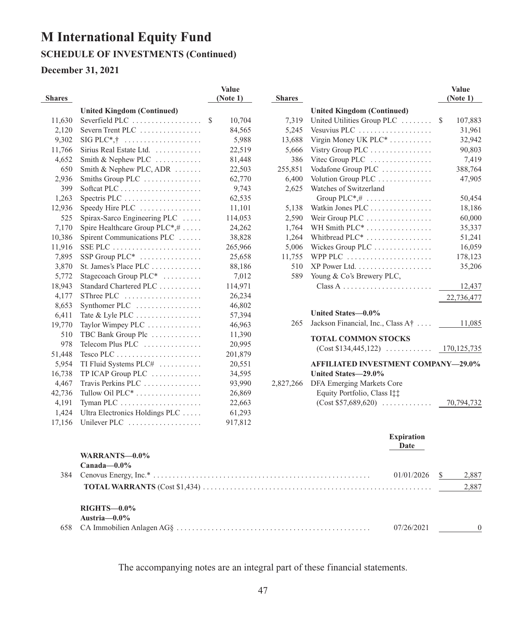### **SCHEDULE OF INVESTMENTS (Continued)**

#### **December 31, 2021**

|               |                                                    | Value        |               |                           |
|---------------|----------------------------------------------------|--------------|---------------|---------------------------|
| <b>Shares</b> |                                                    | (Note 1)     | <b>Shares</b> |                           |
|               | <b>United Kingdom (Continued)</b>                  |              |               | <b>United Kingdon</b>     |
| 11,630        | Severfield PLC                                     | \$<br>10,704 | 7,319         | United Utilities (        |
| 2,120         | Severn Trent PLC                                   | 84,565       | 5,245         | Vesuvius PLC.             |
| 9,302         | $SIG \, PLC^*, \dagger$                            | 5,988        | 13,688        | Virgin Money U.           |
| 11,766        | Sirius Real Estate Ltd.                            | 22,519       | 5,666         | Vistry Group PL           |
| 4,652         | Smith & Nephew PLC                                 | 81,448       | 386           | Vitec Group PLO           |
| 650           | Smith & Nephew PLC, ADR                            | 22,503       | 255,851       | Vodafone Group            |
| 2,936         | Smiths Group PLC                                   | 62,770       | 6,400         | Volution Group I          |
| 399           |                                                    | 9,743        | 2,625         | Watches of Switz          |
| 1,263         | Spectris PLC $\dots\dots\dots\dots\dots\dots\dots$ | 62,535       |               | Group PLC*,#              |
| 12,936        | Speedy Hire PLC $\dots\dots\dots\dots\dots$        | 11,101       | 5,138         | Watkin Jones PL           |
| 525           | Spirax-Sarco Engineering PLC                       | 114,053      | 2,590         | Weir Group PLC            |
| 7,170         | Spire Healthcare Group $PLC^*, \# \ldots$ .        | 24,262       | 1,764         | WH Smith PLC <sup>*</sup> |
| 10,386        | Spirent Communications PLC                         | 38,828       | 1,264         | Whitbread PLC*            |
| 11,916        | SSE PLC                                            | 265,966      | 5,006         | Wickes Group Pl           |
| 7,895         | SSP Group $PLC^*$                                  | 25,658       | 11,755        | WPP PLC                   |
| 3,870         | St. James's Place $PLC$                            | 88,186       | 510           | XP Power Ltd              |
| 5,772         | Stagecoach Group $PLC^*$                           | 7,012        | 589           | Young & Co's Bi           |
| 18,943        | Standard Chartered PLC                             | 114,971      |               | $Class A$                 |
| 4,177         |                                                    | 26,234       |               |                           |
| 8,653         | Synthomer PLC                                      | 46,802       |               |                           |
| 6,411         | Tate & Lyle PLC                                    | 57,394       |               | <b>United States-</b>     |
| 19,770        | Taylor Wimpey PLC                                  | 46,963       | 265           | Jackson Financia          |
| 510           | TBC Bank Group Plc                                 | 11,390       |               | <b>TOTAL COMM</b>         |
| 978           | Telecom Plus PLC                                   | 20,995       |               |                           |
| 51,448        |                                                    | 201,879      |               | (Cost \$134,445           |
| 5,954         | TI Fluid Systems PLC#                              | 20,551       |               | <b>AFFILIATED I</b>       |
| 16,738        | TP ICAP Group PLC $\dots\dots\dots\dots$           | 34,595       |               | <b>United States-</b>     |
| 4,467         | Travis Perkins PLC                                 | 93,990       | 2,827,266     | DFA Emerging N            |
| 42,736        | Tullow Oil PLC <sup>*</sup>                        | 26,869       |               | <b>Equity Portfoli</b>    |
| 4,191         |                                                    | 22,663       |               | (Cost \$57,689,           |
| 1,424         | Ultra Electronics Holdings PLC                     | 61,293       |               |                           |
| 17,156        | Unilever PLC                                       | 917,812      |               |                           |
|               |                                                    |              |               |                           |

| <b>Shares</b> |                                                                   | <b>Value</b><br>(Note 1) |
|---------------|-------------------------------------------------------------------|--------------------------|
|               | <b>United Kingdom (Continued)</b>                                 |                          |
| 7,319         | United Utilities Group PLC                                        | <sup>\$</sup><br>107,883 |
| 5,245         | Vesuvius PLC                                                      | 31,961                   |
| 13,688        | Virgin Money UK PLC <sup>*</sup>                                  | 32,942                   |
| 5,666         | Vistry Group PLC                                                  | 90,803                   |
| 386           | Vitec Group PLC                                                   | 7,419                    |
| 255,851       | Vodafone Group PLC                                                | 388,764                  |
| 6,400         | Volution Group PLC                                                | 47,905                   |
| 2,625         | Watches of Switzerland                                            |                          |
|               | Group PLC <sup>*</sup> ,#                                         | 50,454                   |
| 5,138         | Watkin Jones PLC                                                  | 18,186                   |
| 2,590         | Weir Group PLC                                                    | 60,000                   |
| 1,764         | WH Smith PLC <sup>*</sup>                                         | 35,337                   |
| 1,264         | Whitbread $PLC^*$                                                 | 51,241                   |
| 5,006         | Wickes Group PLC                                                  | 16,059                   |
| 11,755        | WPP PLC                                                           | 178,123                  |
| 510           | $XP$ Power Ltd. $\dots\dots\dots\dots\dots\dots\dots$             | 35,206                   |
| 589           | Young & Co's Brewery PLC,                                         |                          |
|               | $Class A$                                                         | 12,437                   |
|               |                                                                   | 22,736,477               |
|               | United States-0.0%                                                |                          |
| 265           | Jackson Financial, Inc., Class A <sup>†</sup>                     | 11,085                   |
|               | <b>TOTAL COMMON STOCKS</b>                                        |                          |
|               |                                                                   |                          |
|               | <b>AFFILIATED INVESTMENT COMPANY-29.0%</b><br>United States-29.0% |                          |
| 2,827,266     | DFA Emerging Markets Core<br>Equity Portfolio, Class Itt          |                          |
|               | $(Cost $57,689,620) \dots \dots \dots \dots$                      | 70,794,732               |

#### **Expiration Date**

|     | WARRANTS-0.0%      |            |       |
|-----|--------------------|------------|-------|
|     | $Canada=0.0\%$     |            |       |
|     |                    | 01/01/2026 | 2.887 |
|     |                    |            | 2,887 |
|     | $RIGHTS$ — $0.0\%$ |            |       |
|     | Austria $-0.0\%$   |            |       |
| 658 |                    | 07/26/2021 |       |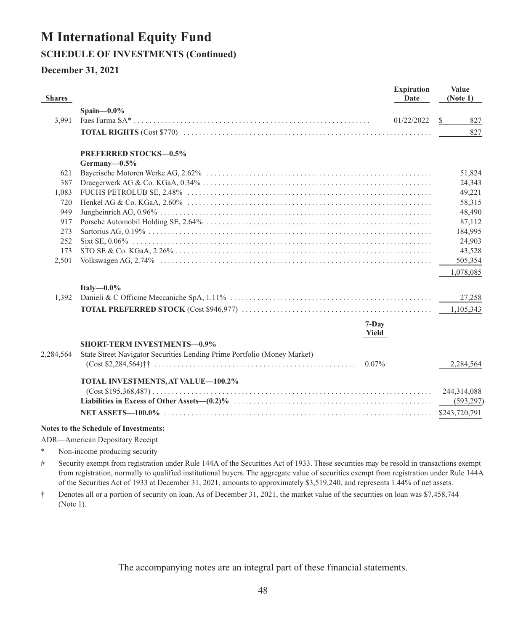### **SCHEDULE OF INVESTMENTS (Continued)**

**December 31, 2021**

| <b>Shares</b> |                                                                                                                                                     | <b>Expiration</b><br>Date | <b>Value</b><br>(Note 1) |
|---------------|-----------------------------------------------------------------------------------------------------------------------------------------------------|---------------------------|--------------------------|
|               | Spain $-0.0\%$                                                                                                                                      |                           |                          |
| 3.991         |                                                                                                                                                     | 01/22/2022                | S<br>827                 |
|               |                                                                                                                                                     |                           | 827                      |
|               | <b>PREFERRED STOCKS-0.5%</b>                                                                                                                        |                           |                          |
|               | Germany- $0.5\%$                                                                                                                                    |                           |                          |
| 621           |                                                                                                                                                     |                           | 51,824                   |
| 387           |                                                                                                                                                     |                           | 24,343                   |
| 1,083         |                                                                                                                                                     |                           | 49,221                   |
| 720           |                                                                                                                                                     |                           | 58,315                   |
| 949           |                                                                                                                                                     |                           | 48,490                   |
| 917           |                                                                                                                                                     |                           | 87,112                   |
| 273           |                                                                                                                                                     |                           | 184,995                  |
| 252           |                                                                                                                                                     |                           | 24,903                   |
| 173           |                                                                                                                                                     |                           | 43,528                   |
| 2.501         |                                                                                                                                                     |                           | 505,354                  |
|               |                                                                                                                                                     |                           | 1,078,085                |
|               | Italy $-0.0\%$                                                                                                                                      |                           |                          |
| 1,392         |                                                                                                                                                     |                           | 27,258                   |
|               |                                                                                                                                                     |                           | 1,105,343                |
|               | $7-Day$<br>Yield                                                                                                                                    |                           |                          |
|               | <b>SHORT-TERM INVESTMENTS-0.9%</b>                                                                                                                  |                           |                          |
| 2,284,564     | State Street Navigator Securities Lending Prime Portfolio (Money Market)                                                                            |                           |                          |
|               | 0.07%<br>$(Cost $2,284,564)$ + $\ldots$ $\ldots$ $\ldots$ $\ldots$ $\ldots$ $\ldots$ $\ldots$ $\ldots$ $\ldots$ $\ldots$ $\ldots$ $\ldots$ $\ldots$ |                           | 2,284,564                |
|               | TOTAL INVESTMENTS, AT VALUE-100.2%                                                                                                                  |                           |                          |
|               |                                                                                                                                                     |                           | 244,314,088              |
|               |                                                                                                                                                     |                           | (593, 297)               |
|               |                                                                                                                                                     |                           | \$243,720,791            |

#### **Notes to the Schedule of Investments:**

ADR—American Depositary Receipt

- \* Non-income producing security
- # Security exempt from registration under Rule 144A of the Securities Act of 1933. These securities may be resold in transactions exempt from registration, normally to qualified institutional buyers. The aggregate value of securities exempt from registration under Rule 144A of the Securities Act of 1933 at December 31, 2021, amounts to approximately \$3,519,240, and represents 1.44% of net assets.
- † Denotes all or a portion of security on loan. As of December 31, 2021, the market value of the securities on loan was \$7,458,744 (Note 1).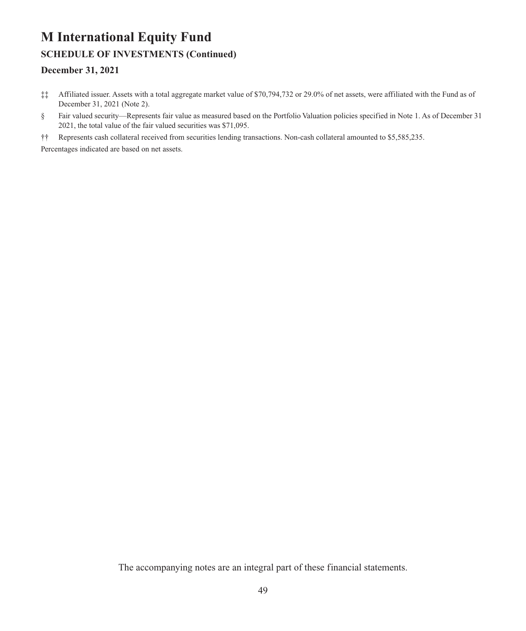# **M International Equity Fund SCHEDULE OF INVESTMENTS (Continued)**

#### **December 31, 2021**

- ‡‡ Affiliated issuer. Assets with a total aggregate market value of \$70,794,732 or 29.0% of net assets, were affiliated with the Fund as of December 31, 2021 (Note 2).
- § Fair valued security—Represents fair value as measured based on the Portfolio Valuation policies specified in Note 1. As of December 31 2021, the total value of the fair valued securities was \$71,095.
- †† Represents cash collateral received from securities lending transactions. Non-cash collateral amounted to \$5,585,235.

Percentages indicated are based on net assets.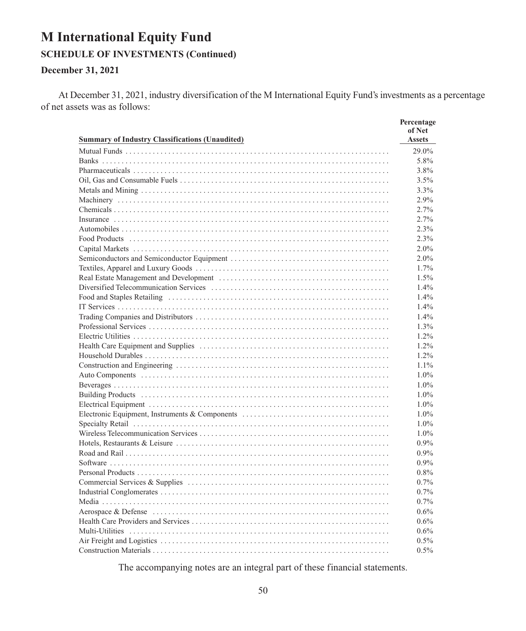### **SCHEDULE OF INVESTMENTS (Continued)**

#### **December 31, 2021**

At December 31, 2021, industry diversification of the M International Equity Fund's investments as a percentage of net assets was as follows:

| <b>Summary of Industry Classifications (Unaudited)</b> | Percentage<br>of Net<br><b>Assets</b> |
|--------------------------------------------------------|---------------------------------------|
|                                                        |                                       |
|                                                        | 29.0%                                 |
|                                                        | 5.8%                                  |
|                                                        | 3.8%                                  |
|                                                        | 3.5%                                  |
|                                                        | 3.3%                                  |
|                                                        | 2.9%                                  |
|                                                        | 2.7%                                  |
|                                                        | 2.7%                                  |
|                                                        | 2.3%                                  |
|                                                        | 2.3%                                  |
|                                                        | 2.0%                                  |
|                                                        | 2.0%                                  |
|                                                        | 1.7%                                  |
|                                                        | 1.5%                                  |
|                                                        | 1.4%                                  |
|                                                        | 1.4%                                  |
|                                                        | 1.4%                                  |
|                                                        | 1.4%                                  |
|                                                        | 1.3%                                  |
|                                                        | 1.2%                                  |
|                                                        | 1.2%                                  |
|                                                        | 1.2%                                  |
|                                                        | 1.1%                                  |
|                                                        | 1.0%                                  |
|                                                        | 1.0%                                  |
|                                                        | 1.0%                                  |
|                                                        | 1.0%                                  |
|                                                        | 1.0%                                  |
|                                                        | 1.0%                                  |
|                                                        | $1.0\%$                               |
|                                                        | $0.9\%$                               |
|                                                        | $0.9\%$                               |
|                                                        | $0.9\%$                               |
|                                                        | $0.8\%$                               |
|                                                        | 0.7%                                  |
|                                                        | 0.7%                                  |
|                                                        | 0.7%                                  |
|                                                        | 0.6%                                  |
|                                                        | 0.6%                                  |
|                                                        | 0.6%                                  |
|                                                        | 0.5%                                  |
|                                                        | $0.5\%$                               |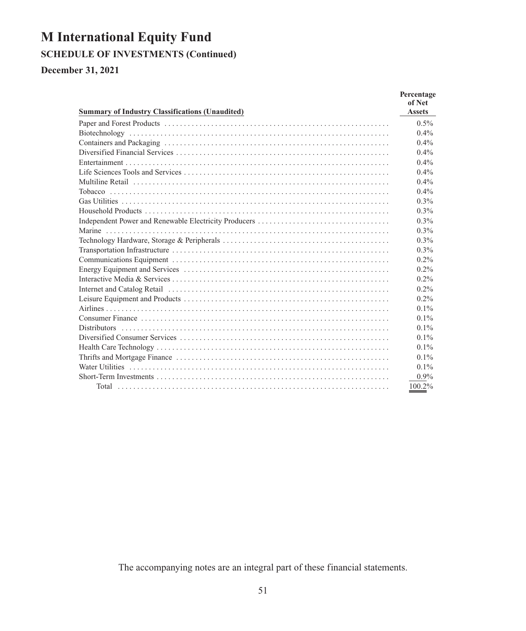### **SCHEDULE OF INVESTMENTS (Continued)**

**December 31, 2021**

| <b>Summary of Industry Classifications (Unaudited)</b> | Percentage<br>of Net<br><b>Assets</b> |
|--------------------------------------------------------|---------------------------------------|
|                                                        | $0.5\%$                               |
|                                                        | $0.4\%$                               |
|                                                        | $0.4\%$                               |
|                                                        | $0.4\%$                               |
|                                                        | $0.4\%$                               |
|                                                        | $0.4\%$                               |
|                                                        | $0.4\%$                               |
|                                                        | $0.4\%$                               |
|                                                        | $0.3\%$                               |
|                                                        | 0.3%                                  |
|                                                        | $0.3\%$                               |
|                                                        | $0.3\%$                               |
|                                                        | $0.3\%$                               |
|                                                        | $0.3\%$                               |
|                                                        | $0.2\%$                               |
|                                                        | $0.2\%$                               |
|                                                        | $0.2\%$                               |
|                                                        | $0.2\%$                               |
|                                                        | $0.2\%$                               |
|                                                        | $0.1\%$                               |
|                                                        | $0.1\%$                               |
|                                                        | $0.1\%$                               |
|                                                        | $0.1\%$                               |
|                                                        | $0.1\%$                               |
|                                                        | $0.1\%$                               |
|                                                        | $0.1\%$                               |
|                                                        | $0.9\%$                               |
|                                                        | 100.2%                                |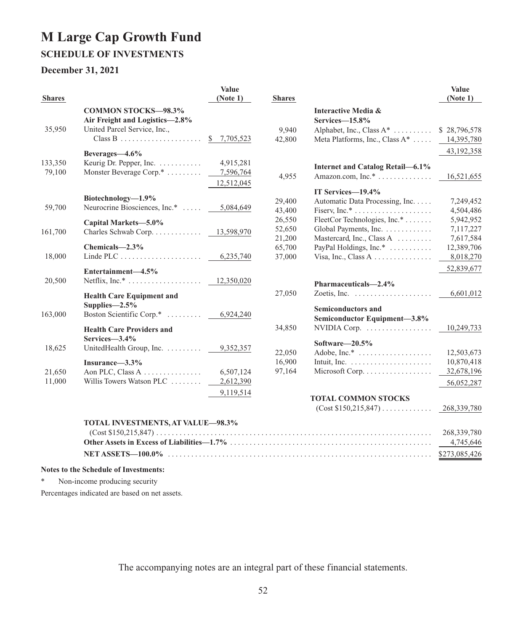# **M Large Cap Growth Fund SCHEDULE OF INVESTMENTS**

#### **December 31, 2021**

| <b>COMMON STOCKS-98.3%</b><br>Interactive Media &<br>Air Freight and Logistics-2.8%<br>Services-15.8%<br>United Parcel Service, Inc.,<br>35,950<br>9.940<br>Alphabet, Inc., Class $A^*$<br>\$28,796,578<br>$Class B$<br>\$7,705,523<br>Meta Platforms, Inc., Class A*<br>42,800<br>14,395,780<br>43, 192, 358<br>Beverages-4.6%<br>133,350<br>Keurig Dr. Pepper, Inc.<br>4,915,281<br>Internet and Catalog Retail-6.1%<br>Monster Beverage Corp.*<br>79,100<br>7,596,764<br>Amazon.com, Inc.*<br>4,955<br>16,521,655<br>12,512,045<br>IT Services-19.4%<br>Biotechnology-1.9%<br>29,400<br>Automatic Data Processing, Inc.<br>7,249,452<br>59,700<br>Neurocrine Biosciences, Inc.*<br>5,084,649<br>Fisery, Inc.* $\dots\dots\dots\dots\dots\dots\dots$<br>43,400<br>4,504,486<br>FleetCor Technologies, Inc.*<br>26,550<br>5,942,952<br>Capital Markets-5.0%<br>52,650<br>Global Payments, Inc.<br>7,117,227<br>161,700<br>Charles Schwab Corp<br>13,598,970<br>Mastercard, Inc., Class A<br>21,200 |
|-----------------------------------------------------------------------------------------------------------------------------------------------------------------------------------------------------------------------------------------------------------------------------------------------------------------------------------------------------------------------------------------------------------------------------------------------------------------------------------------------------------------------------------------------------------------------------------------------------------------------------------------------------------------------------------------------------------------------------------------------------------------------------------------------------------------------------------------------------------------------------------------------------------------------------------------------------------------------------------------------------|
|                                                                                                                                                                                                                                                                                                                                                                                                                                                                                                                                                                                                                                                                                                                                                                                                                                                                                                                                                                                                     |
|                                                                                                                                                                                                                                                                                                                                                                                                                                                                                                                                                                                                                                                                                                                                                                                                                                                                                                                                                                                                     |
|                                                                                                                                                                                                                                                                                                                                                                                                                                                                                                                                                                                                                                                                                                                                                                                                                                                                                                                                                                                                     |
|                                                                                                                                                                                                                                                                                                                                                                                                                                                                                                                                                                                                                                                                                                                                                                                                                                                                                                                                                                                                     |
|                                                                                                                                                                                                                                                                                                                                                                                                                                                                                                                                                                                                                                                                                                                                                                                                                                                                                                                                                                                                     |
|                                                                                                                                                                                                                                                                                                                                                                                                                                                                                                                                                                                                                                                                                                                                                                                                                                                                                                                                                                                                     |
|                                                                                                                                                                                                                                                                                                                                                                                                                                                                                                                                                                                                                                                                                                                                                                                                                                                                                                                                                                                                     |
|                                                                                                                                                                                                                                                                                                                                                                                                                                                                                                                                                                                                                                                                                                                                                                                                                                                                                                                                                                                                     |
|                                                                                                                                                                                                                                                                                                                                                                                                                                                                                                                                                                                                                                                                                                                                                                                                                                                                                                                                                                                                     |
|                                                                                                                                                                                                                                                                                                                                                                                                                                                                                                                                                                                                                                                                                                                                                                                                                                                                                                                                                                                                     |
|                                                                                                                                                                                                                                                                                                                                                                                                                                                                                                                                                                                                                                                                                                                                                                                                                                                                                                                                                                                                     |
|                                                                                                                                                                                                                                                                                                                                                                                                                                                                                                                                                                                                                                                                                                                                                                                                                                                                                                                                                                                                     |
|                                                                                                                                                                                                                                                                                                                                                                                                                                                                                                                                                                                                                                                                                                                                                                                                                                                                                                                                                                                                     |
|                                                                                                                                                                                                                                                                                                                                                                                                                                                                                                                                                                                                                                                                                                                                                                                                                                                                                                                                                                                                     |
| 7,617,584<br>Chemicals-2.3%<br>65,700<br>PayPal Holdings, $Inc.*$<br>12,389,706                                                                                                                                                                                                                                                                                                                                                                                                                                                                                                                                                                                                                                                                                                                                                                                                                                                                                                                     |
| Linde PLC $\dots \dots \dots \dots \dots \dots \dots$<br>18,000<br>6,235,740<br>37,000<br>8,018,270                                                                                                                                                                                                                                                                                                                                                                                                                                                                                                                                                                                                                                                                                                                                                                                                                                                                                                 |
|                                                                                                                                                                                                                                                                                                                                                                                                                                                                                                                                                                                                                                                                                                                                                                                                                                                                                                                                                                                                     |
| 52,839,677<br>Entertainment-4.5%                                                                                                                                                                                                                                                                                                                                                                                                                                                                                                                                                                                                                                                                                                                                                                                                                                                                                                                                                                    |
| 20,500<br>Pharmaceuticals-2.4%                                                                                                                                                                                                                                                                                                                                                                                                                                                                                                                                                                                                                                                                                                                                                                                                                                                                                                                                                                      |
| 27,050<br>Zoetis, Inc. $\dots \dots \dots \dots \dots \dots$<br>6,601,012<br><b>Health Care Equipment and</b>                                                                                                                                                                                                                                                                                                                                                                                                                                                                                                                                                                                                                                                                                                                                                                                                                                                                                       |
| Supplies $-2.5\%$                                                                                                                                                                                                                                                                                                                                                                                                                                                                                                                                                                                                                                                                                                                                                                                                                                                                                                                                                                                   |
| <b>Semiconductors and</b><br>163,000<br>Boston Scientific Corp. $*$<br>6,924,240                                                                                                                                                                                                                                                                                                                                                                                                                                                                                                                                                                                                                                                                                                                                                                                                                                                                                                                    |
| Semiconductor Equipment-3.8%                                                                                                                                                                                                                                                                                                                                                                                                                                                                                                                                                                                                                                                                                                                                                                                                                                                                                                                                                                        |
| 34,850<br>$NVIDIA$ Corp. $\dots\dots\dots\dots\dots\dots$<br>10,249,733<br><b>Health Care Providers and</b>                                                                                                                                                                                                                                                                                                                                                                                                                                                                                                                                                                                                                                                                                                                                                                                                                                                                                         |
| Services $-3.4\%$<br>Software-20.5%                                                                                                                                                                                                                                                                                                                                                                                                                                                                                                                                                                                                                                                                                                                                                                                                                                                                                                                                                                 |
| UnitedHealth Group, Inc.<br>18,625<br>9,352,357<br>Adobe, $Inc.*$<br>22,050<br>12,503,673                                                                                                                                                                                                                                                                                                                                                                                                                                                                                                                                                                                                                                                                                                                                                                                                                                                                                                           |
| Intuit, Inc. $\dots \dots \dots \dots \dots \dots \dots$<br>16,900<br>10,870,418<br>Insurance $-3.3\%$                                                                                                                                                                                                                                                                                                                                                                                                                                                                                                                                                                                                                                                                                                                                                                                                                                                                                              |
| 97,164<br>Microsoft Corp.<br>32,678,196<br>21,650<br>Aon PLC, Class A<br>6,507,124                                                                                                                                                                                                                                                                                                                                                                                                                                                                                                                                                                                                                                                                                                                                                                                                                                                                                                                  |
| Willis Towers Watson PLC<br>11,000<br>2,612,390                                                                                                                                                                                                                                                                                                                                                                                                                                                                                                                                                                                                                                                                                                                                                                                                                                                                                                                                                     |
| 56,052,287                                                                                                                                                                                                                                                                                                                                                                                                                                                                                                                                                                                                                                                                                                                                                                                                                                                                                                                                                                                          |
| 9,119,514<br><b>TOTAL COMMON STOCKS</b>                                                                                                                                                                                                                                                                                                                                                                                                                                                                                                                                                                                                                                                                                                                                                                                                                                                                                                                                                             |
| $(Cost $150, 215, 847) \dots \dots \dots$<br>268,339,780                                                                                                                                                                                                                                                                                                                                                                                                                                                                                                                                                                                                                                                                                                                                                                                                                                                                                                                                            |

| <b>TOTAL INVESTMENTS, AT VALUE—98.3%</b>                  |  |
|-----------------------------------------------------------|--|
| $\left(\text{Cost } $150,215,847\right)\dots 268,339,780$ |  |
|                                                           |  |
|                                                           |  |

#### **Notes to the Schedule of Investments:**

\* Non-income producing security

Percentages indicated are based on net assets.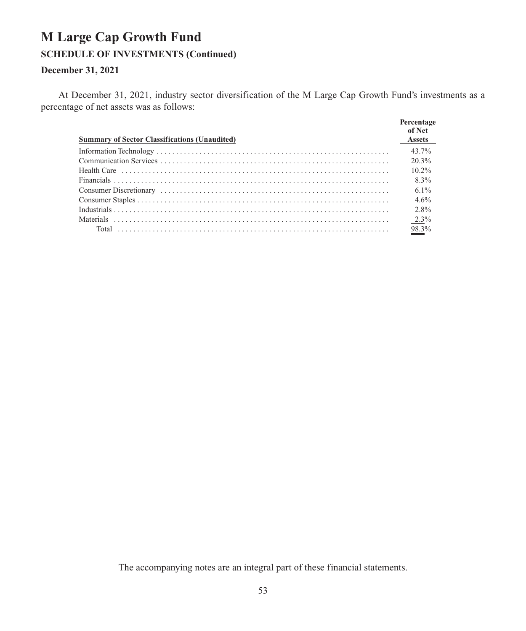#### **December 31, 2021**

At December 31, 2021, industry sector diversification of the M Large Cap Growth Fund's investments as a percentage of net assets was as follows:

| <b>Summary of Sector Classifications (Unaudited)</b> | Percentage<br>of Net<br><b>Assets</b> |
|------------------------------------------------------|---------------------------------------|
|                                                      | $43.7\%$                              |
|                                                      | 20.3%                                 |
|                                                      | $10.2\%$                              |
|                                                      | 8.3%                                  |
|                                                      | $6.1\%$                               |
|                                                      | $4.6\%$                               |
|                                                      | 2.8%                                  |
|                                                      | 2.3%                                  |
|                                                      | $98.3\%$                              |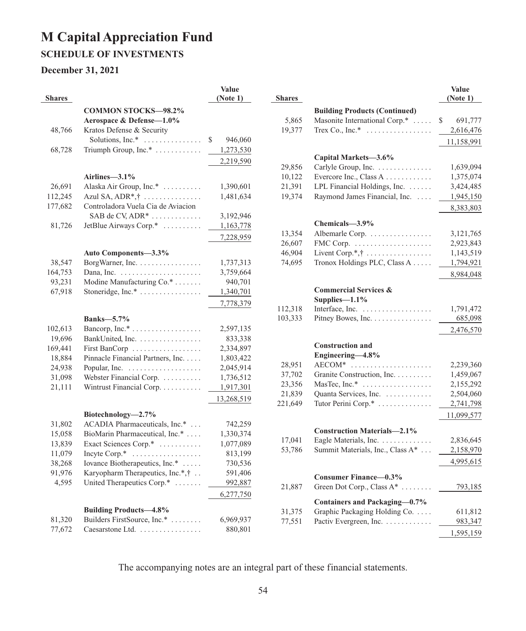### **M Capital Appreciation Fund SCHEDULE OF INVESTMENTS**

#### **December 31, 2021**

| <b>Shares</b> |                                                        | Value<br>(Note 1) |
|---------------|--------------------------------------------------------|-------------------|
|               | <b>COMMON STOCKS-98.2%</b>                             |                   |
|               | Aerospace & Defense-1.0%                               |                   |
| 48,766        | Kratos Defense & Security                              |                   |
|               | Solutions, $Inc.*$                                     | \$<br>946,060     |
| 68,728        | Triumph Group, Inc.*                                   | 1,273,530         |
|               |                                                        | 2,219,590         |
|               |                                                        |                   |
| 26,691        | Airlines-3.1%<br>Alaska Air Group, Inc.*               | 1,390,601         |
| 112,245       | Azul SA, $ADR^*, \dagger$                              | 1,481,634         |
| 177,682       | Controladora Vuela Cia de Aviacion                     |                   |
|               | SAB de CV, $ADR^*$                                     | 3,192,946         |
| 81,726        | JetBlue Airways Corp.*                                 | 1,163,778         |
|               |                                                        | 7,228,959         |
|               |                                                        |                   |
|               | Auto Components-3.3%                                   |                   |
| 38,547        | BorgWarner, Inc.                                       | 1,737,313         |
| 164,753       | Dana, Inc. $\dots \dots \dots \dots \dots \dots \dots$ | 3,759,664         |
| 93,231        | Modine Manufacturing Co.*                              | 940,701           |
| 67,918        | Stoneridge, Inc.*                                      | 1,340,701         |
|               |                                                        | 7,778,379         |
|               | <b>Banks</b> -5.7%                                     |                   |
| 102,613       | Bancorp, Inc.*                                         | 2,597,135         |
| 19,696        | BankUnited, Inc.                                       | 833,338           |
| 169,441       | First BanCorp                                          | 2,334,897         |
| 18,884        | Pinnacle Financial Partners, Inc.                      | 1,803,422         |
| 24,938        |                                                        | 2,045,914         |
| 31,098        | Webster Financial Corp.                                | 1,736,512         |
| 21,111        | Wintrust Financial Corp.                               | 1,917,301         |
|               |                                                        | 13,268,519        |
|               | Biotechnology-2.7%                                     |                   |
| 31,802        | ACADIA Pharmaceuticals, Inc.*                          | 742,259           |
| 15,058        | BioMarin Pharmaceutical, Inc.*                         | 1,330,374         |
| 13,839        | Exact Sciences Corp.*                                  | 1,077,089         |
| 11,079        | Incyte Corp.*                                          | 813,199           |
| 38,268        | Iovance Biotherapeutics, Inc.*                         | 730,536           |
| 91,976        | Karyopharm Therapeutics, Inc.*,†                       | 591,406           |
| 4,595         | United Therapeutics Corp.*                             | 992,887           |
|               |                                                        | 6,277,750         |
|               | <b>Building Products-4.8%</b>                          |                   |
| 81,320        | Builders FirstSource, Inc.*                            | 6,969,937         |
| 77,672        | Caesarstone Ltd.                                       | 880,801           |

| <b>Shares</b> |                                                 | Value<br>(Note 1) |
|---------------|-------------------------------------------------|-------------------|
|               | <b>Building Products (Continued)</b>            |                   |
| 5,865         | Masonite International Corp.*                   | 691,777<br>\$     |
| 19,377        | Trex Co., Inc.* $\dots \dots \dots \dots \dots$ | 2,616,476         |
|               |                                                 | 11,158,991        |
|               | Capital Markets-3.6%                            |                   |
| 29,856        | Carlyle Group, Inc.                             | 1,639,094         |
| 10,122        | Evercore Inc., Class A                          | 1,375,074         |
| 21,391        | LPL Financial Holdings, Inc.                    | 3,424,485         |
| 19,374        | Raymond James Financial, Inc.                   | 1,945,150         |
|               |                                                 | 8,383,803         |
|               |                                                 |                   |
|               | Chemicals-3.9%                                  |                   |
| 13,354        | Albemarle Corp.                                 | 3,121,765         |
| 26,607        |                                                 | 2,923,843         |
| 46,904        | Livent Corp. $*,\dagger$                        | 1,143,519         |
| 74,695        | Tronox Holdings PLC, Class A                    | 1,794,921         |
|               |                                                 | 8,984,048         |
|               | <b>Commercial Services &amp;</b>                |                   |
| 112,318       | Supplies- $1.1\%$<br>Interface, Inc.            | 1,791,472         |
| 103,333       | Pitney Bowes, Inc.                              | 685,098           |
|               |                                                 | 2,476,570         |
|               |                                                 |                   |
|               | <b>Construction and</b><br>Engineering-4.8%     |                   |
| 28,951        | $AECOM^*$                                       | 2,239,360         |
| 37,702        | Granite Construction, Inc.                      | 1,459,067         |
| 23,356        | MasTec, Inc.*                                   | 2,155,292         |
| 21,839        | Quanta Services, Inc.                           | 2,504,060         |
| 221,649       | Tutor Perini Corp.*                             | 2,741,798         |
|               |                                                 | 11,099,577        |
|               |                                                 |                   |
|               | <b>Construction Materials-2.1%</b>              |                   |
| 17,041        | Eagle Materials, Inc.                           | 2,836,645         |
| 53,786        | Summit Materials, Inc., Class A*                | 2,158,970         |
|               |                                                 | 4,995,615         |
|               | <b>Consumer Finance-0.3%</b>                    |                   |
| 21,887        | Green Dot Corp., Class A*                       | 793,185           |
|               | Containers and Packaging-0.7%                   |                   |
| 31,375        | Graphic Packaging Holding Co.                   | 611,812           |
| 77,551        | Pactiv Evergreen, Inc.                          | 983,347           |
|               |                                                 | 1,595,159         |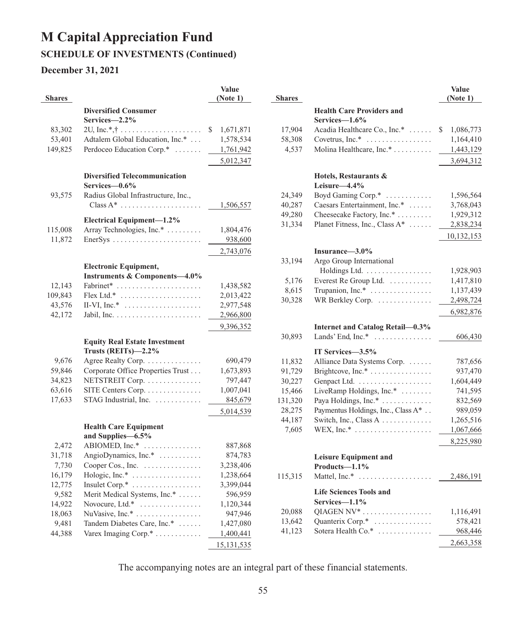# **M Capital Appreciation Fund SCHEDULE OF INVESTMENTS (Continued)**

#### **December 31, 2021**

|               |                                                       | Value           |
|---------------|-------------------------------------------------------|-----------------|
| <b>Shares</b> |                                                       | (Note 1)        |
|               | <b>Diversified Consumer</b>                           |                 |
|               | Services-2.2%                                         |                 |
| 83,302        |                                                       | \$<br>1,671,871 |
| 53,401        | Adtalem Global Education, Inc.*                       | 1,578,534       |
| 149,825       | Perdoceo Education Corp.*                             | 1,761,942       |
|               |                                                       | 5,012,347       |
|               | <b>Diversified Telecommunication</b>                  |                 |
|               | Services-0.6%                                         |                 |
| 93,575        | Radius Global Infrastructure, Inc.,                   |                 |
|               | $Class A^*$                                           | 1,506,557       |
|               | Electrical Equipment-1.2%                             |                 |
| 115,008       | Array Technologies, Inc.*                             | 1,804,476       |
| 11,872        |                                                       | 938,600         |
|               |                                                       | 2,743,076       |
|               |                                                       |                 |
|               | <b>Electronic Equipment,</b>                          |                 |
|               | <b>Instruments &amp; Components-4.0%</b>              |                 |
| 12,143        | Fabrinet*                                             | 1,438,582       |
| 109,843       | Flex Ltd.* $\dots\dots\dots\dots\dots\dots\dots\dots$ | 2,013,422       |
| 43,576        | $II-VI$ , Inc.*                                       | 2,977,548       |
| 42,172        |                                                       | 2,966,800       |
|               |                                                       | 9,396,352       |
|               | <b>Equity Real Estate Investment</b>                  |                 |
|               | Trusts (REITs)-2.2%                                   |                 |
| 9,676         | Agree Realty Corp.                                    | 690,479         |
| 59,846        | Corporate Office Properties Trust                     | 1,673,893       |
| 34,823        | NETSTREIT Corp. $\dots\dots\dots\dots$                | 797,447         |
| 63,616        | SITE Centers Corp. $\dots \dots \dots \dots$          | 1,007,041       |
| 17,633        | STAG Industrial, Inc.                                 | 845,679         |
|               |                                                       | 5,014,539       |
|               | <b>Health Care Equipment</b>                          |                 |
|               | and Supplies - 6.5%                                   |                 |
| 2,472         | ABIOMED, $Inc.*$                                      | 887,868         |
| 31,718        | AngioDynamics, Inc.*                                  | 874,783         |
| 7,730         | Cooper Cos., Inc. $\dots\dots\dots\dots\dots$         | 3,238,406       |
| 16,179        | Hologic, Inc.*                                        | 1,238,664       |
| 12,775        | Insulet Corp.*                                        | 3,399,044       |
| 9,582         | Merit Medical Systems, Inc.*                          | 596,959         |
| 14,922        | Novocure, Ltd.*                                       | 1,120,344       |
| 18,063        | NuVasive, Inc.*                                       | 947,946         |
| 9,481         | Tandem Diabetes Care, Inc.*                           | 1,427,080       |
| 44,388        | Varex Imaging Corp.*                                  | 1,400,441       |
|               |                                                       | 15, 131, 535    |

| <b>Shares</b> |                                                                           | Value<br>(Note 1) |
|---------------|---------------------------------------------------------------------------|-------------------|
|               | <b>Health Care Providers and</b>                                          |                   |
|               | Services-1.6%                                                             |                   |
| 17,904        | Acadia Healthcare Co., Inc.*                                              | \$<br>1,086,773   |
| 58,308        | Covetrus, $Inc.* \ldots \ldots \ldots \ldots$<br>Molina Healthcare, Inc.* | 1,164,410         |
| 4,537         |                                                                           | 1,443,129         |
|               |                                                                           | 3,694,312         |
|               | Hotels, Restaurants &                                                     |                   |
|               | Leisure-4.4%                                                              |                   |
| 24,349        | Boyd Gaming Corp.*                                                        | 1,596,564         |
| 40,287        | Caesars Entertainment, Inc.*                                              | 3,768,043         |
| 49,280        | Cheesecake Factory, Inc.*                                                 | 1,929,312         |
| 31,334        | Planet Fitness, Inc., Class A*                                            | 2,838,234         |
|               |                                                                           | 10,132,153        |
|               | Insurance-3.0%                                                            |                   |
| 33,194        | Argo Group International                                                  |                   |
|               | Holdings Ltd.                                                             | 1,928,903         |
| 5,176         | Everest Re Group Ltd.                                                     | 1,417,810         |
| 8,615         | Trupanion, Inc.*                                                          | 1,137,439         |
| 30,328        | WR Berkley Corp.                                                          | 2,498,724         |
|               |                                                                           | 6,982,876         |
|               | Internet and Catalog Retail-0.3%                                          |                   |
| 30,893        | Lands' End, Inc.*<br>.                                                    | 606,430           |
|               | IT Services-3.5%                                                          |                   |
| 11,832        | Alliance Data Systems Corp.                                               | 787,656           |
| 91,729        | Brightcove, Inc.*                                                         | 937,470           |
| 30,227        |                                                                           | 1,604,449         |
| 15,466        | LiveRamp Holdings, Inc.*                                                  | 741,595           |
| 131,320       | Paya Holdings, Inc.*                                                      | 832,569           |
| 28,275        | Paymentus Holdings, Inc., Class A*                                        | 989,059           |
| 44,187        | Switch, Inc., Class $A$                                                   | 1,265,516         |
| 7,605         | WEX, Inc.* $\dots \dots \dots \dots \dots \dots$                          | 1,067,666         |
|               |                                                                           | 8,225,980         |
|               |                                                                           |                   |
|               | <b>Leisure Equipment and</b><br>Products-1.1%                             |                   |
| 115,315       | Mattel, Inc.*                                                             | 2,486,191         |
|               |                                                                           |                   |
|               | <b>Life Sciences Tools and</b><br>Services-1.1%                           |                   |
| 20,088        | QIAGEN NV <sup>*</sup>                                                    | 1,116,491         |
| 13,642        | Quanterix Corp.*<br>.                                                     | 578,421           |
| 41,123        | Sotera Health Co.*                                                        | 968,446           |
|               |                                                                           | 2,663,358         |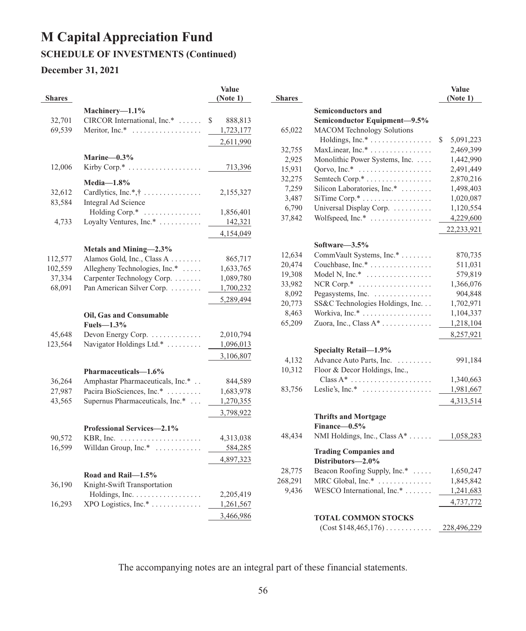# **M Capital Appreciation Fund SCHEDULE OF INVESTMENTS (Continued)**

#### **December 31, 2021**

| <b>Shares</b> |                                                       | Value<br>(Note 1)       | Sł             |
|---------------|-------------------------------------------------------|-------------------------|----------------|
|               | Machinery-1.1%                                        |                         |                |
| 32,701        | CIRCOR International, Inc.*                           | $\mathbb{S}$<br>888,813 |                |
| 69,539        |                                                       | 1,723,177               | t              |
|               |                                                       | 2,611,990               |                |
|               | Marine-0.3%                                           |                         | Î              |
| 12,006        | Kirby Corp.* $\dots \dots \dots \dots \dots \dots$    | 713,396                 |                |
|               |                                                       |                         | Í              |
|               | $Media-1.8%$                                          |                         |                |
| 32,612        | Cardlytics, Inc.*, $\dagger$                          | 2,155,327               |                |
| 83,584        | Integral Ad Science<br>Holding Corp.*                 | 1,856,401               |                |
| 4,733         | Loyalty Ventures, Inc.*                               | 142,321                 | Î              |
|               |                                                       | 4,154,049               |                |
|               |                                                       |                         |                |
|               | Metals and Mining-2.3%                                |                         |                |
| 112,577       | Alamos Gold, Inc., Class A                            | 865,717                 |                |
| 102,559       | Allegheny Technologies, Inc.*                         | 1,633,765               |                |
| 37,334        | Carpenter Technology Corp.                            | 1,089,780               |                |
| 68,091        | Pan American Silver Corp.                             | 1,700,232               |                |
|               |                                                       | 5,289,494               | $\tilde{ }$    |
|               | Oil, Gas and Consumable                               |                         |                |
|               | Fuels- $1.3\%$                                        |                         | $\epsilon$     |
| 45,648        | Devon Energy Corp.                                    | 2,010,794               |                |
| 123,564       | Navigator Holdings Ltd.*                              | 1,096,013               |                |
|               |                                                       | 3,106,807               |                |
|               | Pharmaceuticals-1.6%                                  |                         |                |
| 36,264        | Amphastar Pharmaceuticals, Inc.*                      | 844,589                 |                |
| 27,987        | Pacira BioSciences, Inc.*                             | 1,683,978               | ξ              |
| 43,565        | Supernus Pharmaceuticals, Inc.*                       | 1,270,355               |                |
|               |                                                       | 3,798,922               |                |
|               | Professional Services-2.1%                            |                         |                |
| 90,572        | KBR, Inc. $\dots \dots \dots \dots \dots \dots \dots$ | 4,313,038               | $\angle$       |
| 16,599        | Willdan Group, Inc.*                                  | 584,285                 |                |
|               |                                                       | 4,897,323               |                |
|               |                                                       |                         |                |
|               | Road and Rail-1.5%                                    |                         | 2 <sub>0</sub> |
| 36,190        | Knight-Swift Transportation                           |                         |                |
|               | Holdings, Inc.                                        | 2,205,419               |                |
| 16,293        | XPO Logistics, Inc.*                                  | 1,261,567               |                |
|               |                                                       | 3,466,986               |                |
|               |                                                       |                         |                |

| <b>Shares</b> |                                                       | Value<br>(Note 1) |
|---------------|-------------------------------------------------------|-------------------|
|               | <b>Semiconductors and</b>                             |                   |
|               | Semiconductor Equipment-9.5%                          |                   |
| 65,022        | <b>MACOM</b> Technology Solutions                     |                   |
|               | Holdings, $Inc.* \ldots \ldots \ldots \ldots$         | \$<br>5,091,223   |
| 32,755        | MaxLinear, Inc.*                                      | 2,469,399         |
| 2,925         | Monolithic Power Systems, Inc.                        | 1,442,990         |
| 15,931        | Qorvo, Inc.*                                          | 2,491,449         |
| 32,275        | Semtech Corp.*                                        | 2,870,216         |
| 7,259         | Silicon Laboratories, Inc.*                           | 1,498,403         |
| 3,487         | SiTime Corp.*                                         | 1,020,087         |
| 6,790         | Universal Display Corp.                               | 1,120,554         |
| 37,842        | Wolfspeed, Inc.*                                      | 4,229,600         |
|               |                                                       | 22,233,921        |
|               | Software-3.5%                                         |                   |
| 12,634        | CommVault Systems, Inc.*                              | 870,735           |
| 20,474        | Couchbase, Inc.*                                      | 511,031           |
| 19,308        | Model N, Inc.* $\dots\dots\dots\dots\dots\dots$       | 579,819           |
| 33,982        | NCR Corp.* $\dots\dots\dots\dots\dots\dots\dots$      | 1,366,076         |
| 8,092         | Pegasystems, Inc.                                     | 904,848           |
| 20,773        | SS&C Technologies Holdings, Inc.                      | 1,702,971         |
| 8,463         | Workiva, Inc.*                                        | 1,104,337         |
| 65,209        | Zuora, Inc., Class $A^*$                              | 1,218,104         |
|               |                                                       | 8,257,921         |
|               |                                                       |                   |
|               | Specialty Retail-1.9%                                 |                   |
| 4,132         | Advance Auto Parts, Inc.                              | 991,184           |
| 10,312        | Floor & Decor Holdings, Inc.,                         |                   |
|               | $Class A^* \dots \dots \dots \dots \dots \dots \dots$ | 1,340,663         |
| 83,756        | Leslie's, $Inc.*$                                     | 1,981,667         |
|               |                                                       | 4,313,514         |
|               | <b>Thrifts and Mortgage</b><br>Finance $-0.5\%$       |                   |
| 48,434        | NMI Holdings, Inc., Class $A^*$                       | 1,058,283         |
|               | <b>Trading Companies and</b><br>Distributors-2.0%     |                   |
| 28,775        | Beacon Roofing Supply, Inc.*                          | 1,650,247         |
| 268,291       | MRC Global, Inc.*                                     | 1,845,842         |
| 9,436         | WESCO International, Inc.*                            | 1,241,683         |
|               |                                                       | 4,737,772         |
|               | <b>TOTAL COMMON STOCKS</b>                            |                   |
|               | $(Cost $148,465,176)$                                 | 228,496,229       |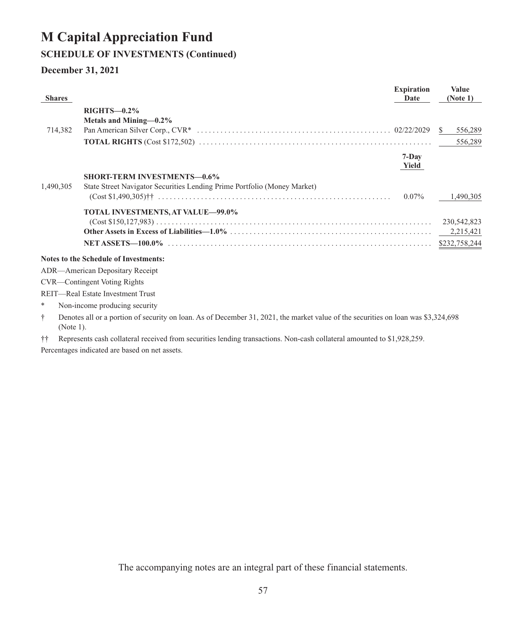# **M Capital Appreciation Fund**

### **SCHEDULE OF INVESTMENTS (Continued)**

#### **December 31, 2021**

| <b>Shares</b> |                                                                                                                                                | <b>Expiration</b><br>Date | <b>Value</b><br>(Note 1) |
|---------------|------------------------------------------------------------------------------------------------------------------------------------------------|---------------------------|--------------------------|
|               | $RIGHTS - 0.2%$<br>Metals and Mining-0.2%<br>714.382                                                                                           |                           | 556,289<br>-S<br>556,289 |
|               |                                                                                                                                                | 7-Day<br>Yield            |                          |
|               | <b>SHORT-TERM INVESTMENTS-0.6%</b>                                                                                                             |                           |                          |
| 1,490,305     | State Street Navigator Securities Lending Prime Portfolio (Money Market)                                                                       |                           |                          |
|               |                                                                                                                                                | $0.07\%$                  | 1.490.305                |
|               | <b>TOTAL INVESTMENTS, AT VALUE-99.0%</b>                                                                                                       |                           |                          |
|               |                                                                                                                                                |                           | 230, 542, 823            |
|               |                                                                                                                                                |                           | 2,215,421                |
|               |                                                                                                                                                |                           | \$232,758,244            |
|               | <b>Notes to the Schedule of Investments:</b>                                                                                                   |                           |                          |
|               | <b>ADR—American Depositary Receipt</b>                                                                                                         |                           |                          |
|               | CVR—Contingent Voting Rights                                                                                                                   |                           |                          |
|               | REIT-Real Estate Investment Trust                                                                                                              |                           |                          |
| *             | Non-income producing security                                                                                                                  |                           |                          |
| ÷             | Denotes all or a portion of security on loan. As of December 31, 2021, the market value of the securities on loan was \$3,324,698<br>(Note 1). |                           |                          |
| ††            | Represents cash collateral received from securities lending transactions. Non-cash collateral amounted to \$1,928,259.                         |                           |                          |
|               | Percentages indicated are based on net assets.                                                                                                 |                           |                          |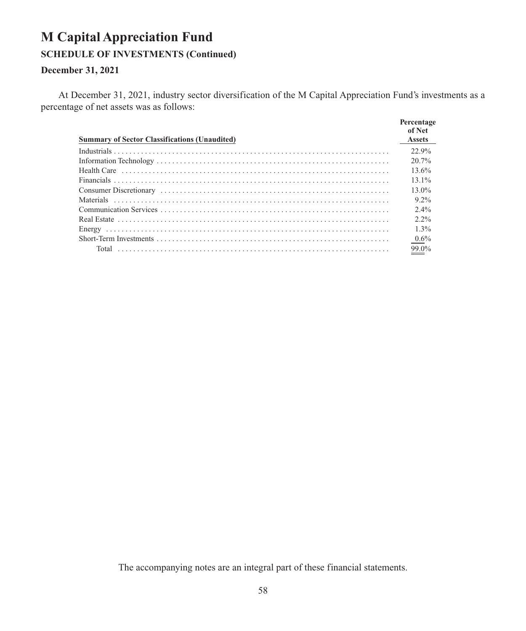# **M Capital Appreciation Fund**

### **SCHEDULE OF INVESTMENTS (Continued)**

### **December 31, 2021**

At December 31, 2021, industry sector diversification of the M Capital Appreciation Fund's investments as a percentage of net assets was as follows:

| <b>Summary of Sector Classifications (Unaudited)</b> | Percentage<br>of Net<br><b>Assets</b> |
|------------------------------------------------------|---------------------------------------|
|                                                      | 22.9%                                 |
|                                                      | $20.7\%$                              |
|                                                      | 13.6%                                 |
|                                                      | $131\%$                               |
|                                                      | $13.0\%$                              |
|                                                      | $9.2\%$                               |
|                                                      | $2.4\%$                               |
|                                                      | $2.2\%$                               |
|                                                      | $1.3\%$                               |
|                                                      | $0.6\%$                               |
|                                                      | 99.0%                                 |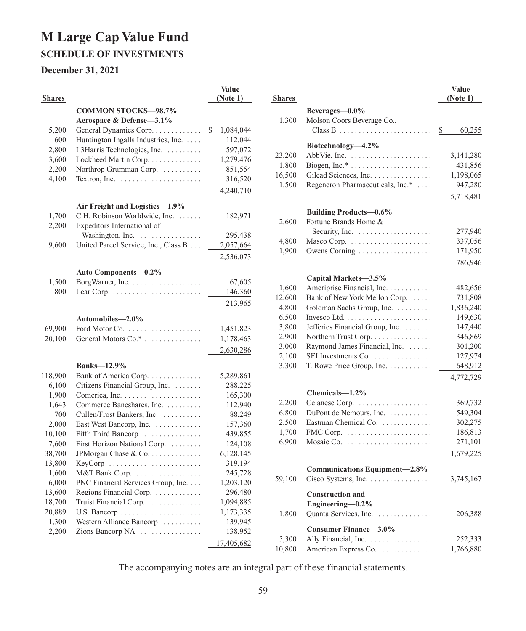### **M Large Cap Value Fund SCHEDULE OF INVESTMENTS**

### **December 31, 2021**

|                  |                                                                                      | Value              |
|------------------|--------------------------------------------------------------------------------------|--------------------|
| <b>Shares</b>    |                                                                                      | (Note 1)           |
|                  | <b>COMMON STOCKS-98.7%</b>                                                           |                    |
|                  | Aerospace & Defense-3.1%                                                             |                    |
| 5,200            | General Dynamics Corp.                                                               | \$<br>1,084,044    |
| 600              | Huntington Ingalls Industries, Inc.                                                  | 112,044            |
| 2,800            | L3Harris Technologies, Inc.                                                          | 597,072            |
| 3,600            | Lockheed Martin Corp.                                                                | 1,279,476          |
| 2,200            | Northrop Grumman Corp.                                                               | 851,554            |
| 4,100            | Textron, Inc. $\dots\dots\dots\dots\dots\dots\dots\dots$                             | 316,520            |
|                  |                                                                                      | 4,240,710          |
|                  |                                                                                      |                    |
|                  | Air Freight and Logistics-1.9%                                                       |                    |
| 1,700            | C.H. Robinson Worldwide, Inc.<br>.                                                   | 182,971            |
| 2,200            | Expeditors International of                                                          |                    |
|                  | Washington, Inc.                                                                     | 295,438            |
| 9,600            | United Parcel Service, Inc., Class B                                                 | 2,057,664          |
|                  |                                                                                      | 2,536,073          |
|                  | Auto Components-0.2%                                                                 |                    |
| 1,500            | BorgWarner, Inc.                                                                     | 67,605             |
| 800              |                                                                                      | 146,360            |
|                  |                                                                                      |                    |
|                  |                                                                                      | 213,965            |
|                  | Automobiles-2.0%                                                                     |                    |
| 69,900           |                                                                                      | 1,451,823          |
| 20,100           | General Motors Co.*                                                                  | 1,178,463          |
|                  |                                                                                      | 2,630,286          |
|                  | <b>Banks-12.9%</b>                                                                   |                    |
| 118,900          | Bank of America Corp.                                                                |                    |
| 6,100            | Citizens Financial Group, Inc.                                                       | 5,289,861          |
| 1,900            |                                                                                      | 288,225<br>165,300 |
|                  | Commerce Bancshares, Inc.                                                            |                    |
| 1,643<br>700     | Cullen/Frost Bankers, Inc.                                                           | 112,940<br>88,249  |
| 2,000            | East West Bancorp, Inc.                                                              | 157,360            |
| 10,100           | Fifth Third Bancorp                                                                  | 439,855            |
| 7,600            | First Horizon National Corp.                                                         | 124,108            |
| 38,700           | JPMorgan Chase & Co.                                                                 | 6,128,145          |
| 13,800           |                                                                                      | 319,194            |
|                  | KeyCorp                                                                              |                    |
| 1,600<br>6,000   | M&T Bank Corp. $\dots \dots \dots \dots \dots$<br>PNC Financial Services Group, Inc. | 245,728            |
|                  |                                                                                      | 1,203,120          |
| 13,600<br>18,700 | Regions Financial Corp.<br>Truist Financial Corp.                                    | 296,480            |
|                  |                                                                                      | 1,094,885          |
| 20,889           |                                                                                      | 1,173,335          |
| 1,300<br>2,200   | Western Alliance Bancorp<br>Zions Bancorp $NA$                                       | 139,945            |
|                  |                                                                                      | 138,952            |
|                  |                                                                                      | 17,405,682         |

| <b>Shares</b>                                                                  |                                                                                                                                                                                                                                                                                      | <b>Value</b><br>(Note 1)                                                                                       |
|--------------------------------------------------------------------------------|--------------------------------------------------------------------------------------------------------------------------------------------------------------------------------------------------------------------------------------------------------------------------------------|----------------------------------------------------------------------------------------------------------------|
| 1,300                                                                          | Beverages-0.0%<br>Molson Coors Beverage Co.,                                                                                                                                                                                                                                         | \$<br>60,255                                                                                                   |
| 23,200<br>1,800<br>16,500<br>1,500                                             | Biotechnology-4.2%<br>Biogen, $Inc.* \ldots \ldots \ldots \ldots \ldots \ldots$<br>Gilead Sciences, Inc.<br>Regeneron Pharmaceuticals, Inc.*                                                                                                                                         | 3,141,280<br>431,856<br>1,198,065<br>947,280<br>5,718,481                                                      |
| 2,600<br>4,800<br>1,900                                                        | <b>Building Products-0.6%</b><br>Fortune Brands Home &<br>Owens Corning $\ldots \ldots \ldots \ldots \ldots$                                                                                                                                                                         | 277,940<br>337,056<br>171,950<br>786,946                                                                       |
| 1,600<br>12,600<br>4,800<br>6,500<br>3,800<br>2,900<br>3,000<br>2,100<br>3,300 | Capital Markets-3.5%<br>Ameriprise Financial, Inc.<br>Bank of New York Mellon Corp.<br>Goldman Sachs Group, Inc.<br>Jefferies Financial Group, Inc.<br>Northern Trust Corp.<br>Raymond James Financial, Inc.<br>SEI Investments Co.<br>T. Rowe Price Group, Inc. $\dots \dots \dots$ | 482,656<br>731,808<br>1,836,240<br>149,630<br>147,440<br>346,869<br>301,200<br>127,974<br>648,912<br>4,772,729 |
| 2,200<br>6,800<br>2,500<br>1,700<br>6,900                                      | Chemicals-1.2%<br>DuPont de Nemours, Inc.<br>Eastman Chemical Co.<br>FMC Corp. $\dots\dots\dots\dots\dots\dots\dots\dots\dots$                                                                                                                                                       | 369,732<br>549,304<br>302,275<br>186,813<br>271,101<br>1,679,225                                               |
| 59,100                                                                         | Communications Equipment-2.8%<br>Cisco Systems, Inc.                                                                                                                                                                                                                                 | 3,745,167                                                                                                      |
| 1,800                                                                          | <b>Construction and</b><br>Engineering- $0.2\%$<br>Quanta Services, Inc.                                                                                                                                                                                                             | 206,388                                                                                                        |
| 5,300<br>10,800                                                                | Consumer Finance-3.0%<br>Ally Financial, Inc.<br>American Express Co.                                                                                                                                                                                                                | 252,333<br>1,766,880                                                                                           |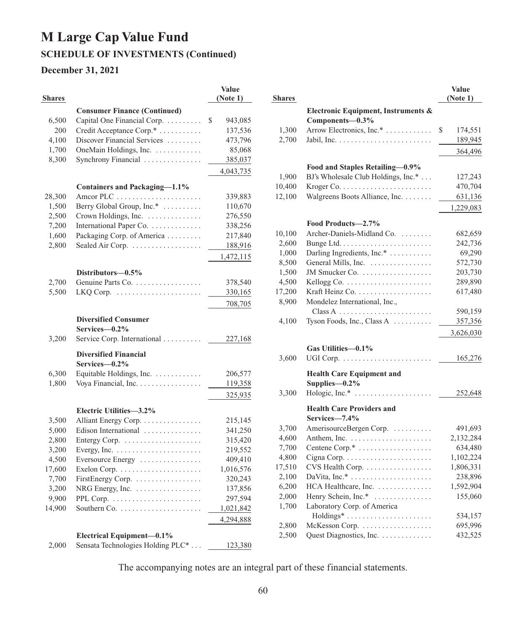#### **December 31, 2021**

| <b>Shares</b> |                                                             | Value<br>(Note 1) |
|---------------|-------------------------------------------------------------|-------------------|
|               |                                                             |                   |
|               | <b>Consumer Finance (Continued)</b>                         |                   |
| 6,500         | Capital One Financial Corp.<br>Credit Acceptance Corp.*     | \$<br>943,085     |
| 200           |                                                             | 137,536           |
| 4,100         | Discover Financial Services                                 | 473,796           |
| 1,700         | OneMain Holdings, Inc.                                      | 85,068            |
| 8,300         | Synchrony Financial                                         | 385,037           |
|               |                                                             | 4,043,735         |
|               | Containers and Packaging-1.1%                               |                   |
| 28,300        |                                                             | 339,883           |
| 1,500         | Berry Global Group, Inc.*                                   | 110,670           |
| 2,500         | Crown Holdings, Inc.                                        | 276,550           |
| 7,200         | International Paper Co.                                     | 338,256           |
| 1,600         | Packaging Corp. of America                                  | 217,840           |
| 2,800         | Sealed Air Corp.                                            | 188,916           |
|               |                                                             | 1,472,115         |
|               |                                                             |                   |
|               | Distributors-0.5%<br>Genuine Parts Co.                      |                   |
| 2,700         |                                                             | 378,540           |
| 5,500         | $LKQ$ Corp. $\dots\dots\dots\dots\dots\dots\dots\dots\dots$ | 330,165           |
|               |                                                             | 708,705           |
|               | <b>Diversified Consumer</b>                                 |                   |
|               | Services-0.2%                                               |                   |
| 3,200         | Service Corp. International                                 | 227,168           |
|               | <b>Diversified Financial</b>                                |                   |
|               | Services-0.2%                                               |                   |
| 6,300         | Equitable Holdings, Inc. $\dots \dots \dots$                | 206,577           |
| 1,800         | Voya Financial, Inc.                                        | 119,358           |
|               |                                                             |                   |
|               |                                                             | 325,935           |
|               | Electric Utilities-3.2%                                     |                   |
| 3,500         | Alliant Energy Corp.                                        | 215,145           |
| 5,000         | Edison International                                        | 341,250           |
| 2,800         |                                                             | 315,420           |
| 3,200         | Evergy, Inc. $\dots\dots\dots\dots\dots\dots\dots\dots$     | 219,552           |
| 4,500         | Eversource Energy                                           | 409,410           |
| 17,600        | Exelon Corp. $\dots \dots \dots \dots \dots \dots \dots$    | 1,016,576         |
| 7,700         | FirstEnergy Corp.                                           | 320,243           |
| 3,200         | NRG Energy, Inc.                                            | 137,856           |
| 9,900         |                                                             | 297,594           |
| 14,900        |                                                             | 1,021,842         |
|               |                                                             | 4,294,888         |
|               | Electrical Equipment-0.1%                                   |                   |
| 2,000         | Sensata Technologies Holding PLC*                           | 123,380           |

| <b>Shares</b> |                                                                      | Value<br>(Note 1)    |
|---------------|----------------------------------------------------------------------|----------------------|
|               | Electronic Equipment, Instruments &                                  |                      |
|               | Components-0.3%                                                      |                      |
| 1,300         | Arrow Electronics, Inc.*                                             | \$<br>174,551        |
| 2,700         |                                                                      | 189,945              |
|               |                                                                      | 364,496              |
|               | Food and Staples Retailing-0.9%                                      |                      |
| 1,900         | BJ's Wholesale Club Holdings, Inc.*                                  | 127,243              |
| 10,400        |                                                                      | 470,704              |
| 12,100        | Walgreens Boots Alliance, Inc.                                       | 631,136              |
|               |                                                                      | 1,229,083            |
|               | Food Products-2.7%                                                   |                      |
| 10,100        | Archer-Daniels-Midland Co.                                           | 682,659              |
| 2,600         |                                                                      | 242,736              |
| 1,000         | Darling Ingredients, Inc.*                                           | 69,290               |
| 8,500         | General Mills, Inc.                                                  | 572,730              |
| 1,500         |                                                                      | 203,730              |
| 4,500         | Kellogg Co. $\ldots \ldots \ldots \ldots \ldots \ldots$              | 289,890              |
| 17,200        |                                                                      | 617,480              |
| 8,900         | Mondelez International, Inc.,                                        |                      |
|               | Tyson Foods, Inc., Class A                                           | 590,159              |
| 4,100         |                                                                      | 357,356<br>3,626,030 |
|               |                                                                      |                      |
|               | Gas Utilities-0.1%                                                   |                      |
| 3,600         | UGI Corp. $\dots \dots \dots \dots$<br>.                             | 165,276              |
|               | <b>Health Care Equipment and</b>                                     |                      |
| 3,300         | Supplies-0.2%<br>Hologic, $Inc.* \ldots \ldots \ldots \ldots \ldots$ | 252,648              |
|               |                                                                      |                      |
|               | <b>Health Care Providers and</b><br>Services-7.4%                    |                      |
| 3,700         | AmerisourceBergen Corp.                                              | 491,693              |
| 4,600         | Anthem, Inc. $\dots \dots \dots \dots \dots \dots \dots$             | 2,132,284            |
| 7,700         | Centene Corp.*                                                       | 634,480              |
| 4,800         |                                                                      | 1,102,224            |
| 17,510        | CVS Health Corp.                                                     | 1,806,331            |
| 2,100         |                                                                      | 238,896              |
| 6,200         | HCA Healthcare, Inc.                                                 | 1,592,904            |
| 2,000         | Henry Schein, Inc.*                                                  | 155,060              |
| 1,700         | Laboratory Corp. of America                                          |                      |
|               | Holdings*                                                            | 534,157              |
| 2,800         | McKesson Corp.                                                       | 695,996              |
| 2,500         | Quest Diagnostics, Inc.                                              | 432,525              |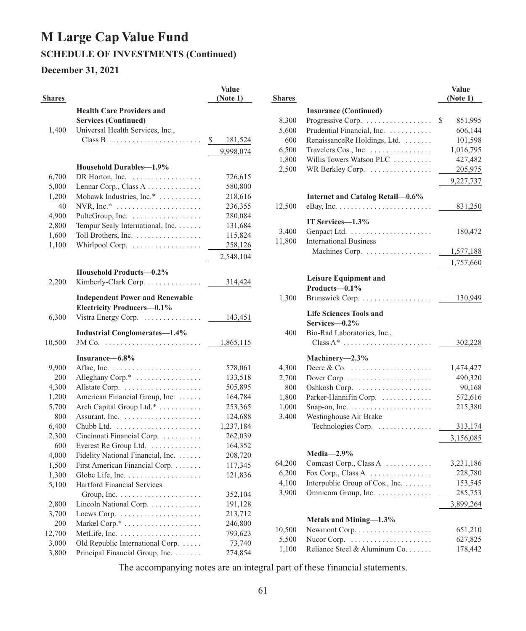#### **December 31, 2021**

| <b>Shares</b> |                                                         | <b>Value</b><br>(Note 1) |
|---------------|---------------------------------------------------------|--------------------------|
|               | <b>Health Care Providers and</b>                        |                          |
|               | <b>Services (Continued)</b>                             |                          |
| 1,400         | Universal Health Services, Inc.,                        |                          |
|               |                                                         | \$<br>181,524            |
|               |                                                         | 9,998,074                |
|               | Household Durables-1.9%                                 |                          |
| 6,700         | DR Horton, Inc.                                         | 726,615                  |
| 5,000         | Lennar Corp., Class A                                   | 580,800                  |
| 1,200         | Mohawk Industries, Inc.*                                | 218,616                  |
| 40            | NVR, Inc.* $\dots \dots \dots \dots \dots \dots \dots$  | 236,355                  |
| 4,900         | PulteGroup, Inc. $\dots\dots\dots\dots\dots\dots$       | 280,084                  |
| 2,800         | Tempur Sealy International, Inc.                        | 131,684                  |
| 1,600         | Toll Brothers, Inc.                                     | 115,824                  |
| 1,100         | Whirlpool Corp.                                         | 258,126                  |
|               |                                                         | 2,548,104                |
|               | Household Products-0.2%                                 |                          |
| 2,200         | Kimberly-Clark Corp.                                    | 314,424                  |
|               |                                                         |                          |
|               | <b>Independent Power and Renewable</b>                  |                          |
|               | Electricity Producers-0.1%                              |                          |
| 6,300         | Vistra Energy Corp.                                     | 143,451                  |
|               | <b>Industrial Conglomerates-1.4%</b>                    |                          |
| 10,500        |                                                         | 1,865,115                |
|               | Insurance-6.8%                                          |                          |
| 9,900         |                                                         | 578,061                  |
| 200           | Alleghany Corp.*                                        | 133,518                  |
| 4,300         | Allstate Corp.                                          | 505,895                  |
| 1,200         | American Financial Group, Inc.                          | 164,784                  |
| 5,700         | Arch Capital Group Ltd.*                                | 253,365                  |
| 800           |                                                         | 124,688                  |
| 6,400         |                                                         | 1,237,184                |
| 2,300         | Cincinnati Financial Corp.                              | 262,039                  |
| 600           | Everest Re Group Ltd.                                   | 164,352                  |
| 4,000         | Fidelity National Financial, Inc.                       | 208,720                  |
| 1,500         | First American Financial Corp.                          | 117,345                  |
| 1,300         |                                                         | 121,836                  |
| 5,100         | <b>Hartford Financial Services</b>                      |                          |
|               | Group, Inc. $\ldots \ldots \ldots \ldots \ldots \ldots$ | 352,104                  |
| 2,800         | Lincoln National Corp.                                  | 191,128                  |
| 3,700         | Loews Corp. $\dots\dots\dots\dots\dots\dots\dots\dots$  | 213,712                  |
| 200           |                                                         | 246,800                  |
| 12,700        |                                                         | 793,623                  |
| 3,000         | Old Republic International Corp.                        | 73,740                   |
| 3,800         | Principal Financial Group, Inc.                         | 274,854                  |

| <b>Shares</b> |                                                             | <b>Value</b><br>(Note 1) |
|---------------|-------------------------------------------------------------|--------------------------|
|               | <b>Insurance (Continued)</b>                                |                          |
| 8,300         | Progressive Corp.                                           | \$<br>851,995            |
| 5,600         | Prudential Financial, Inc.                                  | 606,144                  |
| 600           | RenaissanceRe Holdings, Ltd.                                | 101,598                  |
| 6,500         | Travelers Cos., Inc.                                        | 1,016,795                |
| 1,800         | Willis Towers Watson PLC                                    | 427,482                  |
| 2,500         | WR Berkley Corp.                                            | 205,975                  |
|               |                                                             | 9,227,737                |
|               | Internet and Catalog Retail-0.6%                            |                          |
| 12,500        |                                                             | 831,250                  |
|               | IT Services-1.3%                                            |                          |
| 3,400         |                                                             | 180,472                  |
| 11,800        | <b>International Business</b>                               |                          |
|               | Machines Corp.                                              | 1,577,188                |
|               |                                                             | 1,757,660                |
|               | <b>Leisure Equipment and</b>                                |                          |
|               | Products-0.1%                                               |                          |
| 1,300         | Brunswick Corp.                                             | 130,949                  |
|               | <b>Life Sciences Tools and</b>                              |                          |
|               | Services-0.2%                                               |                          |
| 400           | Bio-Rad Laboratories, Inc.,                                 |                          |
|               | $Class A^* \dots \dots \dots \dots \dots \dots \dots \dots$ | 302,228                  |
|               | Machinery-2.3%                                              |                          |
| 4,300         | Deere & Co. $\dots\dots\dots\dots\dots\dots\dots\dots$      | 1,474,427                |
| 2,700         |                                                             | 490,320                  |
| 800           |                                                             | 90,168                   |
| 1,800         | Parker-Hannifin Corp.                                       | 572,616                  |
| 1,000         | Snap-on, Inc. $\dots \dots \dots \dots \dots \dots \dots$   | 215,380                  |
| 3,400         | Westinghouse Air Brake                                      |                          |
|               | $Technologies$ Corp. $\dots \dots \dots$                    | 313,174                  |
|               |                                                             | 3,156,085                |
|               | Media $-2.9%$                                               |                          |
| 64,200        | Comcast Corp., Class A                                      | 3,231,186                |
| 6,200         | Fox Corp., Class A $\dots\dots\dots\dots\dots$              | 228,780                  |
| 4,100         | Interpublic Group of Cos., Inc.                             | 153,545                  |
| 3,900         | Omnicom Group, Inc.                                         | 285,753                  |
|               |                                                             | 3,899,264                |
|               | Metals and Mining-1.3%                                      |                          |
| 10,500        |                                                             | 651,210                  |
| 5,500         | Nucor Corp. $\dots\dots\dots\dots\dots\dots\dots$           | 627,825                  |
| 1,100         | Reliance Steel & Aluminum Co.                               | 178,442                  |
|               |                                                             |                          |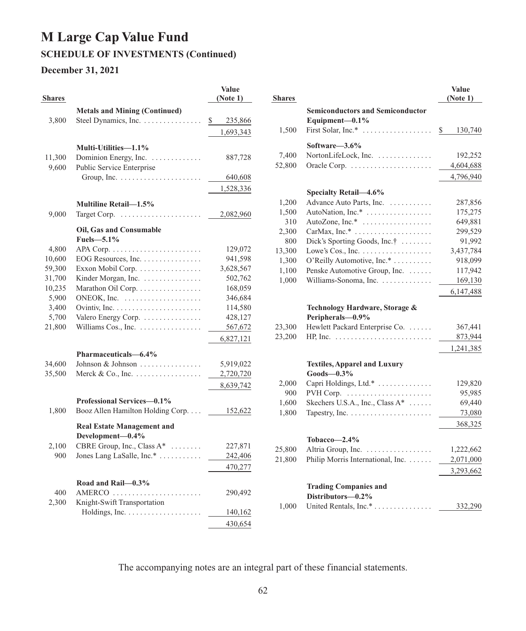#### **December 31, 2021**

| <b>Shares</b>   |                                                                                    | Value<br>(Note 1)  |
|-----------------|------------------------------------------------------------------------------------|--------------------|
|                 | <b>Metals and Mining (Continued)</b>                                               |                    |
| 3,800           | Steel Dynamics, Inc.                                                               | \$<br>235,866      |
|                 |                                                                                    | 1,693,343          |
|                 | Multi-Utilities-1.1%                                                               |                    |
| 11,300          | Dominion Energy, Inc.                                                              | 887,728            |
| 9,600           | Public Service Enterprise                                                          |                    |
|                 |                                                                                    | 640,608            |
|                 |                                                                                    | 1,528,336          |
|                 | Multiline Retail-1.5%                                                              |                    |
| 9,000           | Target Corp. $\dots \dots \dots \dots \dots \dots \dots$                           | 2,082,960          |
|                 |                                                                                    |                    |
|                 | Oil, Gas and Consumable                                                            |                    |
|                 | Fuels- $-5.1\%$                                                                    |                    |
| 4,800<br>10,600 | APA Corp. $\dots \dots \dots \dots \dots \dots \dots \dots$<br>EOG Resources, Inc. | 129,072<br>941,598 |
| 59,300          | Exxon Mobil Corp.                                                                  | 3,628,567          |
| 31,700          | Kinder Morgan, Inc.                                                                | 502,762            |
| 10,235          | Marathon Oil Corp.                                                                 | 168,059            |
| 5,900           | ONEOK, Inc. $\dots \dots \dots \dots \dots \dots$                                  | 346,684            |
| 3,400           |                                                                                    | 114,580            |
| 5,700           | Valero Energy Corp.                                                                | 428,127            |
| 21,800          | Williams Cos., Inc.                                                                | 567,672            |
|                 |                                                                                    | 6,827,121          |
|                 | Pharmaceuticals-6.4%                                                               |                    |
| 34,600          | Johnson & Johnson                                                                  | 5,919,022          |
| 35,500          | Merck & Co., Inc. $\dots \dots \dots \dots$                                        | 2,720,720          |
|                 |                                                                                    | 8,639,742          |
|                 |                                                                                    |                    |
| 1,800           | Professional Services-0.1%<br>Booz Allen Hamilton Holding Corp.                    | 152,622            |
|                 |                                                                                    |                    |
|                 | <b>Real Estate Management and</b>                                                  |                    |
|                 | Development-0.4%                                                                   |                    |
| 2,100           | CBRE Group, Inc., Class $A^*$                                                      | 227,871            |
| 900             | Jones Lang LaSalle, Inc.*                                                          | 242,406            |
|                 |                                                                                    | 470,277            |
|                 | Road and Rail $-0.3\%$                                                             |                    |
| 400             | AMERCO                                                                             | 290,492            |
| 2,300           | Knight-Swift Transportation                                                        |                    |
|                 |                                                                                    | 140,162            |
|                 |                                                                                    | 430,654            |

| <b>Shares</b> |                                                             | Value<br>(Note 1) |
|---------------|-------------------------------------------------------------|-------------------|
|               | <b>Semiconductors and Semiconductor</b>                     |                   |
|               | Equipment-0.1%                                              |                   |
| 1,500         | First Solar, Inc.* $\dots\dots\dots\dots\dots\dots$         | \$<br>130,740     |
|               | Software $-3.6\%$                                           |                   |
| 7,400         | $\text{NorthLifeLock}, \text{Inc.} \dots \dots \dots \dots$ | 192,252           |
| 52,800        | Oracle Corp. $\dots \dots \dots \dots \dots \dots \dots$    | 4,604,688         |
|               |                                                             | 4,796,940         |
|               |                                                             |                   |
|               | Specialty Retail-4.6%                                       |                   |
| 1,200         | Advance Auto Parts, Inc.                                    | 287,856           |
| 1,500         | AutoNation, Inc.* $\ldots \ldots \ldots \ldots$             | 175,275           |
| 310           | AutoZone, $Inc.* \ldots \ldots \ldots \ldots \ldots$        | 649,881           |
| 2,300         | CarMax, Inc.*                                               | 299,529           |
| 800           | Dick's Sporting Goods, Inc. $\dagger$                       | 91,992            |
| 13,300        | Lowe's Cos., Inc. $\dots \dots \dots \dots \dots$           | 3,437,784         |
| 1,300         | O'Reilly Automotive, Inc.*                                  | 918,099           |
| 1,100         | Penske Automotive Group, Inc.                               | 117,942           |
| 1,000         | Williams-Sonoma, Inc.                                       | 169,130           |
|               |                                                             | 6,147,488         |
|               | Technology Hardware, Storage &<br>Peripherals-0.9%          |                   |
| 23,300        | Hewlett Packard Enterprise Co.                              | 367,441           |
| 23,200        | $HP, Inc.$                                                  | 873,944           |
|               |                                                             | 1,241,385         |
|               |                                                             |                   |
|               | <b>Textiles, Apparel and Luxury</b><br>$Goods - 0.3\%$      |                   |
| 2,000         |                                                             |                   |
|               | Capri Holdings, Ltd.*                                       | 129,820           |
| 900<br>1,600  | Skechers U.S.A., Inc., Class A*                             | 95,985<br>69,440  |
| 1,800         | Tapestry, Inc. $\ldots \ldots \ldots \ldots \ldots \ldots$  | 73,080            |
|               |                                                             |                   |
|               |                                                             | 368,325           |
|               | Tobacco $-2.4\%$                                            |                   |
| 25,800        | Altria Group, Inc.                                          | 1,222,662         |
| 21,800        | Philip Morris International, Inc.                           | 2,071,000         |
|               |                                                             | 3,293,662         |
|               |                                                             |                   |
|               | <b>Trading Companies and</b><br>Distributors-0.2%           |                   |
|               | United Rentals, Inc.*                                       |                   |
| 1,000         |                                                             | 332,290           |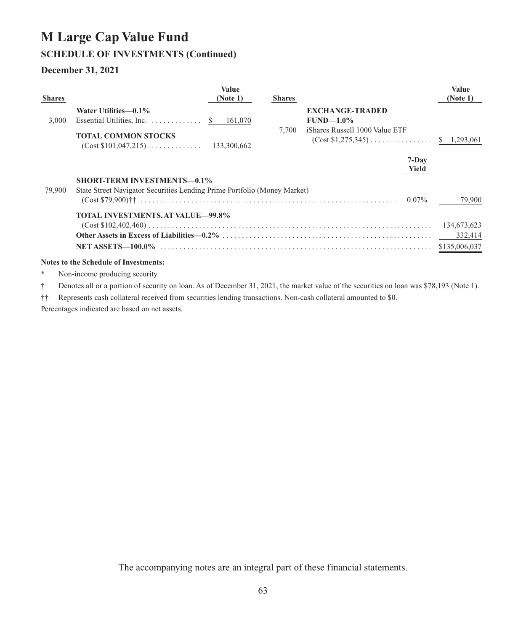#### **December 31, 2021**

| <b>Shares</b> |                                                                                                                                                            | Value<br>(Note 1) | <b>Shares</b> |                                                                                   | <b>Value</b><br>(Note 1)                |
|---------------|------------------------------------------------------------------------------------------------------------------------------------------------------------|-------------------|---------------|-----------------------------------------------------------------------------------|-----------------------------------------|
| 3.000         | Water Utilities-0.1%<br>Essential Utilities, Inc.<br><b>TOTAL COMMON STOCKS</b><br>$(Cost $101, 047, 215) \dots \dots \dots \dots \dots \quad 133,300,662$ | 161,070<br>-S     | 7.700         | <b>EXCHANGE-TRADED</b><br>$FUND-1.0\%$<br>iShares Russell 1000 Value ETF<br>7-Day |                                         |
| 79,900        | <b>SHORT-TERM INVESTMENTS-0.1%</b><br>State Street Navigator Securities Lending Prime Portfolio (Money Market)                                             |                   |               | Yield<br>$0.07\%$                                                                 | 79,900                                  |
|               | <b>TOTAL INVESTMENTS, AT VALUE-99.8%</b>                                                                                                                   |                   |               |                                                                                   | 134,673,623<br>332,414<br>\$135,006,037 |
|               | Notes to the Schedule of Investments:                                                                                                                      |                   |               |                                                                                   |                                         |

\* Non-income producing security

† Denotes all or a portion of security on loan. As of December 31, 2021, the market value of the securities on loan was \$78,193 (Note 1).

†† Represents cash collateral received from securities lending transactions. Non-cash collateral amounted to \$0.

Percentages indicated are based on net assets.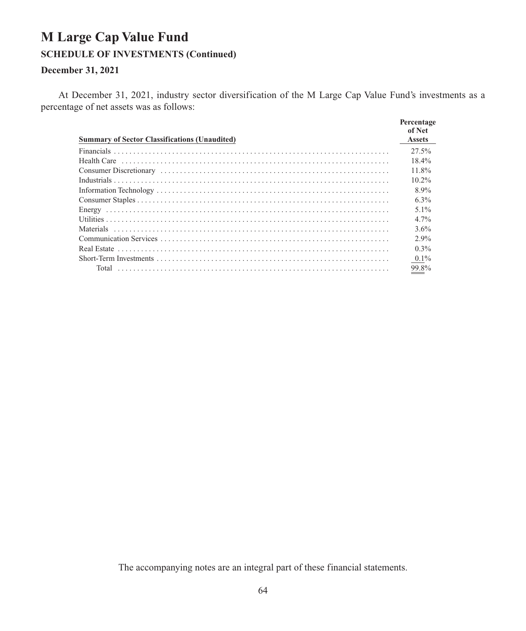#### **December 31, 2021**

At December 31, 2021, industry sector diversification of the M Large Cap Value Fund's investments as a percentage of net assets was as follows:

| <b>Summary of Sector Classifications (Unaudited)</b> | Percentage<br>of Net |
|------------------------------------------------------|----------------------|
|                                                      | <b>Assets</b>        |
|                                                      | 27.5%                |
|                                                      | 18.4%                |
|                                                      | 11.8%                |
|                                                      | 10.2%                |
|                                                      | 8.9%                 |
|                                                      | $6.3\%$              |
|                                                      | $5.1\%$              |
|                                                      | $4.7\%$              |
|                                                      | 3.6%                 |
|                                                      | $2.9\%$              |
|                                                      | $0.3\%$              |
|                                                      | $0.1\%$              |
|                                                      | 99.8%                |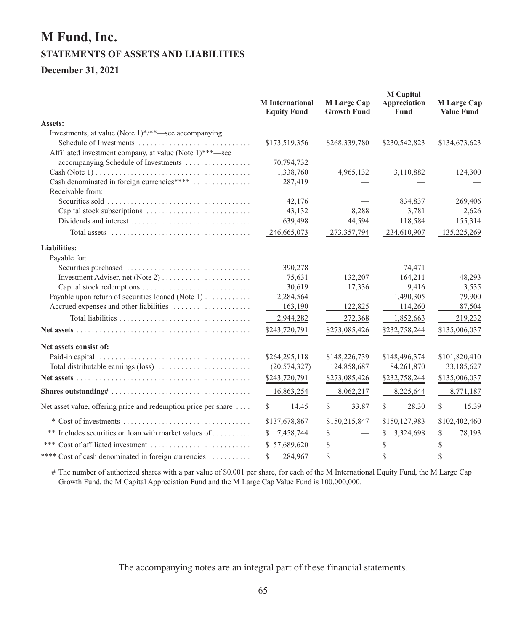### **M Fund, Inc.**

#### **STATEMENTS OF ASSETS AND LIABILITIES**

#### **December 31, 2021**

|                                                                | <b>M</b> International<br><b>Equity Fund</b> | <b>M</b> Large Cap<br><b>Growth Fund</b> | <b>M</b> Capital<br>Appreciation<br><b>Fund</b> | <b>M</b> Large Cap<br><b>Value Fund</b> |
|----------------------------------------------------------------|----------------------------------------------|------------------------------------------|-------------------------------------------------|-----------------------------------------|
| Assets:                                                        |                                              |                                          |                                                 |                                         |
| Investments, at value (Note $1)*/**$ -see accompanying         |                                              |                                          |                                                 |                                         |
| Schedule of Investments                                        | \$173,519,356                                | \$268,339,780                            | \$230,542,823                                   | \$134,673,623                           |
| Affiliated investment company, at value (Note 1)***-see        |                                              |                                          |                                                 |                                         |
| accompanying Schedule of Investments                           | 70,794,732                                   |                                          |                                                 |                                         |
|                                                                | 1,338,760                                    | 4,965,132                                | 3,110,882                                       | 124,300                                 |
| Cash denominated in foreign currencies****                     | 287,419                                      |                                          |                                                 |                                         |
| Receivable from:                                               |                                              |                                          |                                                 |                                         |
|                                                                | 42,176                                       |                                          | 834,837                                         | 269,406                                 |
|                                                                | 43,132                                       | 8,288                                    | 3,781                                           | 2,626                                   |
|                                                                | 639,498                                      | 44,594                                   | 118,584                                         | 155,314                                 |
|                                                                | 246,665,073                                  | 273,357,794                              | 234,610,907                                     | 135,225,269                             |
| <b>Liabilities:</b>                                            |                                              |                                          |                                                 |                                         |
| Payable for:                                                   |                                              |                                          |                                                 |                                         |
|                                                                | 390,278                                      |                                          | 74,471                                          |                                         |
|                                                                | 75,631                                       | 132,207                                  | 164,211                                         | 48,293                                  |
|                                                                | 30,619                                       | 17,336                                   | 9,416                                           | 3,535                                   |
| Payable upon return of securities loaned (Note 1)              | 2,284,564                                    | $\overline{\phantom{0}}$                 | 1,490,305                                       | 79,900                                  |
| Accrued expenses and other liabilities                         | 163,190                                      | 122,825                                  | 114,260                                         | 87,504                                  |
|                                                                | 2,944,282                                    | 272,368                                  | 1,852,663                                       | 219,232                                 |
|                                                                | \$243,720,791                                | \$273,085,426                            | \$232,758,244                                   | \$135,006,037                           |
| Net assets consist of:                                         |                                              |                                          |                                                 |                                         |
|                                                                | \$264,295,118                                | \$148,226,739                            | \$148,496,374                                   | \$101,820,410                           |
|                                                                | (20, 574, 327)                               | 124,858,687                              | 84,261,870                                      | 33,185,627                              |
|                                                                | \$243,720,791                                | \$273,085,426                            | \$232,758,244                                   | \$135,006,037                           |
|                                                                | 16,863,254                                   | 8,062,217                                | 8,225,644                                       | 8,771,187                               |
| Net asset value, offering price and redemption price per share | 14.45<br>S                                   | S.<br>33.87                              | S.<br>28.30                                     | \$<br>15.39                             |
|                                                                | \$137,678,867                                | \$150,215,847                            | \$150,127,983                                   | \$102,402,460                           |
| ** Includes securities on loan with market values of           | 7,458,744<br>S                               | \$                                       | 3,324,698<br>\$                                 | \$<br>78,193                            |
|                                                                | \$57,689,620                                 | \$                                       | \$                                              | \$                                      |
| **** Cost of cash denominated in foreign currencies            | \$<br>284,967                                | \$                                       | \$                                              | \$                                      |

 # The number of authorized shares with a par value of \$0.001 per share, for each of the M International Equity Fund, the M Large Cap Growth Fund, the M Capital Appreciation Fund and the M Large Cap Value Fund is 100,000,000.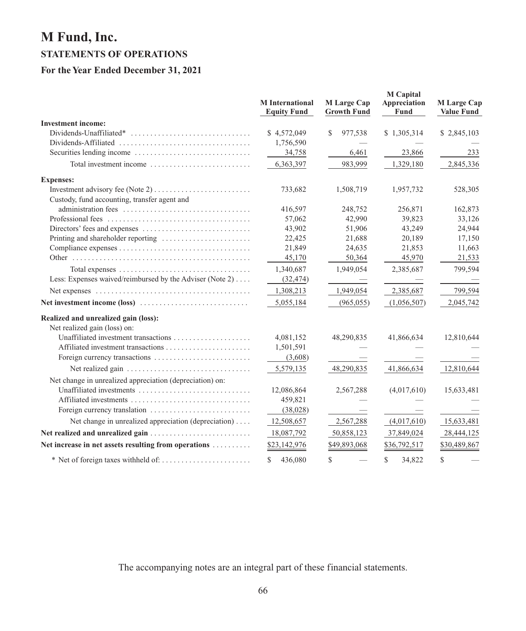# **M Fund, Inc.**

### **STATEMENTS OF OPERATIONS**

#### **For the Year Ended December 31, 2021**

|                                                              | <b>M</b> International<br><b>Equity Fund</b> | <b>M</b> Large Cap<br><b>Growth Fund</b> | <b>M</b> Capital<br>Appreciation<br>Fund | M Large Cap<br><b>Value Fund</b> |
|--------------------------------------------------------------|----------------------------------------------|------------------------------------------|------------------------------------------|----------------------------------|
| <b>Investment income:</b>                                    |                                              |                                          |                                          |                                  |
|                                                              | \$4,572,049                                  | \$<br>977,538                            | \$1,305,314                              | \$2,845,103                      |
| Dividends-Affiliated                                         | 1,756,590                                    |                                          |                                          |                                  |
|                                                              | 34,758                                       | 6,461                                    | 23,866                                   | 233                              |
| Total investment income                                      | 6,363,397                                    | 983,999                                  | 1,329,180                                | 2,845,336                        |
| <b>Expenses:</b>                                             |                                              |                                          |                                          |                                  |
|                                                              | 733,682                                      | 1,508,719                                | 1,957,732                                | 528,305                          |
| Custody, fund accounting, transfer agent and                 |                                              |                                          |                                          |                                  |
|                                                              | 416,597                                      | 248,752                                  | 256,871                                  | 162,873                          |
|                                                              | 57,062                                       | 42,990                                   | 39,823                                   | 33,126                           |
|                                                              | 43,902                                       | 51,906                                   | 43,249                                   | 24,944                           |
|                                                              | 22,425                                       | 21,688                                   | 20,189                                   | 17,150                           |
|                                                              | 21,849                                       | 24,635                                   | 21,853                                   | 11,663                           |
|                                                              | 45,170                                       | 50,364                                   | 45,970                                   | 21,533                           |
|                                                              | 1,340,687                                    | 1,949,054                                | 2,385,687                                | 799,594                          |
| Less: Expenses waived/reimbursed by the Adviser (Note 2)     | (32, 474)                                    | $\overline{\phantom{m}}$                 |                                          |                                  |
|                                                              | 1,308,213                                    | 1,949,054                                | 2,385,687                                | 799,594                          |
|                                                              | 5,055,184                                    | (965, 055)                               | (1,056,507)                              | 2,045,742                        |
| Realized and unrealized gain (loss):                         |                                              |                                          |                                          |                                  |
| Net realized gain (loss) on:                                 |                                              |                                          |                                          |                                  |
|                                                              | 4,081,152                                    | 48,290,835                               | 41,866,634                               | 12,810,644                       |
|                                                              | 1,501,591                                    |                                          |                                          |                                  |
| Foreign currency transactions                                | (3,608)                                      |                                          |                                          |                                  |
|                                                              | 5,579,135                                    | 48,290,835                               | 41,866,634                               | 12,810,644                       |
| Net change in unrealized appreciation (depreciation) on:     |                                              |                                          |                                          |                                  |
|                                                              | 12,086,864                                   | 2,567,288                                | (4,017,610)                              | 15,633,481                       |
|                                                              | 459,821                                      |                                          |                                          |                                  |
|                                                              | (38,028)                                     |                                          |                                          |                                  |
| Net change in unrealized appreciation (depreciation) $\dots$ | 12,508,657                                   | 2,567,288                                | (4,017,610)                              | 15,633,481                       |
|                                                              | 18,087,792                                   | 50,858,123                               | 37,849,024                               | 28,444,125                       |
| Net increase in net assets resulting from operations         | \$23,142,976                                 | \$49,893,068                             | \$36,792,517                             | \$30,489,867                     |
|                                                              | S.<br>436,080                                | \$                                       | \$<br>34.822                             | \$                               |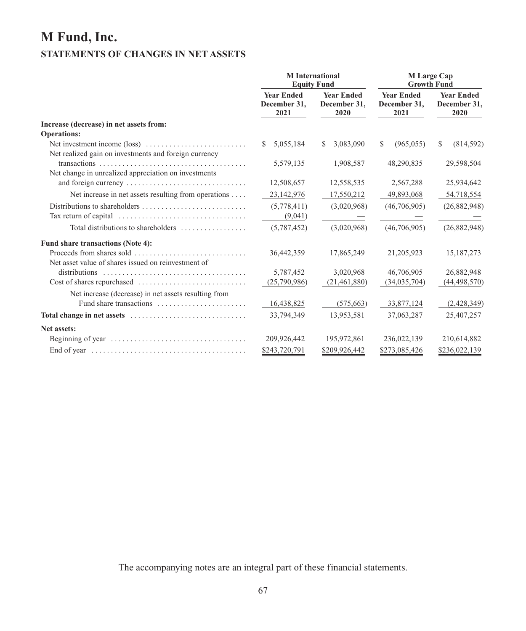## **M Fund, Inc. STATEMENTS OF CHANGES IN NET ASSETS**

|                                                                                                | <b>Equity Fund</b>                        | <b>M</b> International                    |                                           | <b>M</b> Large Cap<br><b>Growth Fund</b>  |
|------------------------------------------------------------------------------------------------|-------------------------------------------|-------------------------------------------|-------------------------------------------|-------------------------------------------|
|                                                                                                | <b>Year Ended</b><br>December 31,<br>2021 | <b>Year Ended</b><br>December 31,<br>2020 | <b>Year Ended</b><br>December 31,<br>2021 | <b>Year Ended</b><br>December 31,<br>2020 |
| Increase (decrease) in net assets from:                                                        |                                           |                                           |                                           |                                           |
| <b>Operations:</b>                                                                             |                                           |                                           |                                           |                                           |
|                                                                                                | 5,055,184<br>-S                           | 3,083,090<br>S.                           | \$<br>(965, 055)                          | S<br>(814, 592)                           |
| Net realized gain on investments and foreign currency                                          |                                           |                                           |                                           |                                           |
|                                                                                                | 5,579,135                                 | 1,908,587                                 | 48,290,835                                | 29,598,504                                |
| Net change in unrealized appreciation on investments                                           |                                           |                                           |                                           |                                           |
|                                                                                                | 12,508,657                                | 12,558,535                                | 2,567,288                                 | 25,934,642                                |
| Net increase in net assets resulting from operations                                           | 23, 142, 976                              | 17,550,212                                | 49,893,068                                | 54,718,554                                |
|                                                                                                | (5,778,411)                               | (3,020,968)                               | (46,706,905)                              | (26,882,948)                              |
| Tax return of capital $\ldots, \ldots, \ldots, \ldots, \ldots, \ldots, \ldots, \ldots, \ldots$ | (9,041)                                   |                                           |                                           |                                           |
| Total distributions to shareholders                                                            | (5,787,452)                               | (3,020,968)                               | (46,706,905)                              | (26,882,948)                              |
| Fund share transactions (Note 4):                                                              |                                           |                                           |                                           |                                           |
| Proceeds from shares sold                                                                      | 36,442,359                                | 17,865,249                                | 21,205,923                                | 15, 187, 273                              |
| Net asset value of shares issued on reinvestment of                                            |                                           |                                           |                                           |                                           |
|                                                                                                | 5,787,452                                 | 3,020,968                                 | 46,706,905                                | 26,882,948                                |
|                                                                                                | (25,790,986)                              | (21, 461, 880)                            | (34,035,704)                              | (44, 498, 570)                            |
| Net increase (decrease) in net assets resulting from                                           |                                           |                                           |                                           |                                           |
| Fund share transactions                                                                        | 16,438,825                                | (575, 663)                                | 33,877,124                                | (2,428,349)                               |
|                                                                                                | 33,794,349                                | 13,953,581                                | 37,063,287                                | 25,407,257                                |
| Net assets:                                                                                    |                                           |                                           |                                           |                                           |
| Beginning of year $\dots\dots\dots\dots\dots\dots\dots\dots\dots\dots\dots\dots\dots\dots$     | 209,926,442                               | 195,972,861                               | 236,022,139                               | 210,614,882                               |
|                                                                                                | \$243,720,791                             | \$209,926,442                             | \$273,085,426                             | \$236,022,139                             |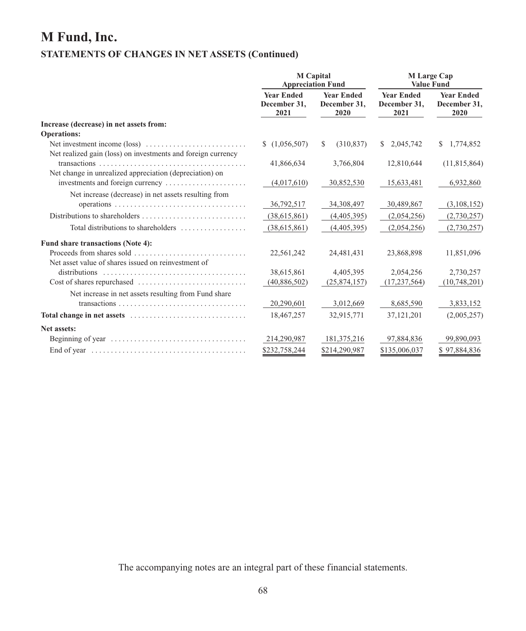# **M Fund, Inc. STATEMENTS OF CHANGES IN NET ASSETS (Continued)**

|                                                                                            | <b>M</b> Capital<br><b>Appreciation Fund</b> |                                           | M Large Cap<br><b>Value Fund</b>          |                                           |
|--------------------------------------------------------------------------------------------|----------------------------------------------|-------------------------------------------|-------------------------------------------|-------------------------------------------|
|                                                                                            | <b>Year Ended</b><br>December 31.<br>2021    | <b>Year Ended</b><br>December 31.<br>2020 | <b>Year Ended</b><br>December 31.<br>2021 | <b>Year Ended</b><br>December 31,<br>2020 |
| Increase (decrease) in net assets from:                                                    |                                              |                                           |                                           |                                           |
| <b>Operations:</b>                                                                         |                                              |                                           |                                           |                                           |
| Net realized gain (loss) on investments and foreign currency                               | \$(1,056,507)                                | (310, 837)<br>S.                          | \$2,045,742                               | \$1,774,852                               |
| Net change in unrealized appreciation (depreciation) on                                    | 41,866,634                                   | 3,766,804                                 | 12,810,644                                | (11, 815, 864)                            |
| investments and foreign currency                                                           | (4,017,610)                                  | 30,852,530                                | 15,633,481                                | 6,932,860                                 |
| Net increase (decrease) in net assets resulting from                                       |                                              |                                           |                                           |                                           |
|                                                                                            | 36,792,517                                   | 34,308,497                                | 30,489,867                                | (3,108,152)                               |
|                                                                                            | (38,615,861)                                 | (4,405,395)                               | (2,054,256)                               | (2,730,257)                               |
| Total distributions to shareholders                                                        | (38,615,861)                                 | (4,405,395)                               | (2,054,256)                               | (2,730,257)                               |
| Fund share transactions (Note 4):                                                          |                                              |                                           |                                           |                                           |
| Proceeds from shares sold<br>Net asset value of shares issued on reinvestment of           | 22,561,242                                   | 24,481,431                                | 23,868,898                                | 11,851,096                                |
|                                                                                            | 38,615,861                                   | 4,405,395                                 | 2,054,256                                 | 2,730,257                                 |
|                                                                                            | (40,886,502)                                 | (25,874,157)                              | (17, 237, 564)                            | (10,748,201)                              |
| Net increase in net assets resulting from Fund share                                       |                                              |                                           |                                           |                                           |
|                                                                                            | 20,290,601                                   | 3,012,669                                 | 8,685,590                                 | 3,833,152                                 |
|                                                                                            | 18,467,257                                   | 32,915,771                                | 37, 121, 201                              | (2,005,257)                               |
| Net assets:                                                                                |                                              |                                           |                                           |                                           |
| Beginning of year $\dots\dots\dots\dots\dots\dots\dots\dots\dots\dots\dots\dots\dots\dots$ | 214,290,987                                  | 181, 375, 216                             | 97,884,836                                | 99,890,093                                |
|                                                                                            | \$232,758,244                                | \$214,290,987                             | \$135,006,037                             | \$97,884,836                              |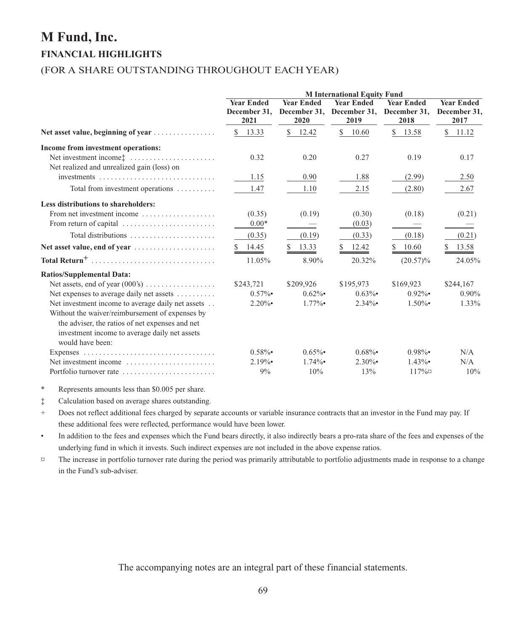### **M Fund, Inc. FINANCIAL HIGHLIGHTS**

### (FOR A SHARE OUTSTANDING THROUGHOUT EACH YEAR)

|                                                                    | <b>M</b> International Equity Fund        |                           |                                                        |                                           |                                           |
|--------------------------------------------------------------------|-------------------------------------------|---------------------------|--------------------------------------------------------|-------------------------------------------|-------------------------------------------|
|                                                                    | <b>Year Ended</b><br>December 31,<br>2021 | <b>Year Ended</b><br>2020 | <b>Year Ended</b><br>December 31, December 31,<br>2019 | <b>Year Ended</b><br>December 31,<br>2018 | <b>Year Ended</b><br>December 31.<br>2017 |
| Net asset value, beginning of year                                 | \$13.33                                   | \$<br>12.42               | \$<br>10.60                                            | S.<br>13.58                               | $\mathbb{S}$<br>11.12                     |
| Income from investment operations:                                 |                                           |                           |                                                        |                                           |                                           |
| Net investment incomet                                             | 0.32                                      | 0.20                      | 0.27                                                   | 0.19                                      | 0.17                                      |
| Net realized and unrealized gain (loss) on                         |                                           |                           |                                                        |                                           |                                           |
|                                                                    | 1.15                                      | 0.90                      | 1.88                                                   | (2.99)                                    | 2.50                                      |
| Total from investment operations                                   | 1.47                                      | 1.10                      | 2.15                                                   | (2.80)                                    | 2.67                                      |
| Less distributions to shareholders:                                |                                           |                           |                                                        |                                           |                                           |
| From net investment income                                         | (0.35)                                    | (0.19)                    | (0.30)                                                 | (0.18)                                    | (0.21)                                    |
| From return of capital $\dots \dots \dots \dots \dots \dots \dots$ | $0.00*$                                   |                           | (0.03)                                                 |                                           |                                           |
| Total distributions                                                | (0.35)                                    | (0.19)                    | (0.33)                                                 | (0.18)                                    | (0.21)                                    |
| Net asset value, end of year                                       | 14.45<br>S.                               | 13.33                     | 12.42<br>S.                                            | 10.60                                     | 13.58                                     |
| Total Return <sup>+</sup>                                          | 11.05%                                    | 8.90%                     | 20.32%                                                 | $(20.57)\%$                               | 24.05%                                    |
| <b>Ratios/Supplemental Data:</b>                                   |                                           |                           |                                                        |                                           |                                           |
|                                                                    | \$243,721                                 | \$209,926                 | \$195,973                                              | \$169,923                                 | \$244,167                                 |
| Net expenses to average daily net assets                           | $0.57\%$                                  | $0.62\%$                  | $0.63\%$                                               | $0.92\%$                                  | $0.90\%$                                  |
| Net investment income to average daily net assets                  | $2.20\%$                                  | $1.77\%$                  | $2.34\%$                                               | $1.50\%$                                  | 1.33%                                     |
| Without the waiver/reimbursement of expenses by                    |                                           |                           |                                                        |                                           |                                           |
| the adviser, the ratios of net expenses and net                    |                                           |                           |                                                        |                                           |                                           |
| investment income to average daily net assets                      |                                           |                           |                                                        |                                           |                                           |
| would have been:                                                   |                                           |                           |                                                        |                                           |                                           |
|                                                                    | $0.58\%$                                  | $0.65\%$                  | $0.68\%$                                               | $0.98\%$                                  | N/A                                       |
| Net investment income $\dots\dots\dots\dots\dots\dots\dots$        | $2.19\%$                                  | $1.74\%$                  | $2.30\%$                                               | $1.43\%$                                  | N/A                                       |
| Portfolio turnover rate                                            | 9%                                        | 10%                       | 13%                                                    | $117\%$ $\alpha$                          | 10%                                       |

\* Represents amounts less than \$0.005 per share.

‡ Calculation based on average shares outstanding.

+ Does not reflect additional fees charged by separate accounts or variable insurance contracts that an investor in the Fund may pay. If these additional fees were reflected, performance would have been lower.

• In addition to the fees and expenses which the Fund bears directly, it also indirectly bears a pro-rata share of the fees and expenses of the underlying fund in which it invests. Such indirect expenses are not included in the above expense ratios.

¤ The increase in portfolio turnover rate during the period was primarily attributable to portfolio adjustments made in response to a change in the Fund's sub-adviser.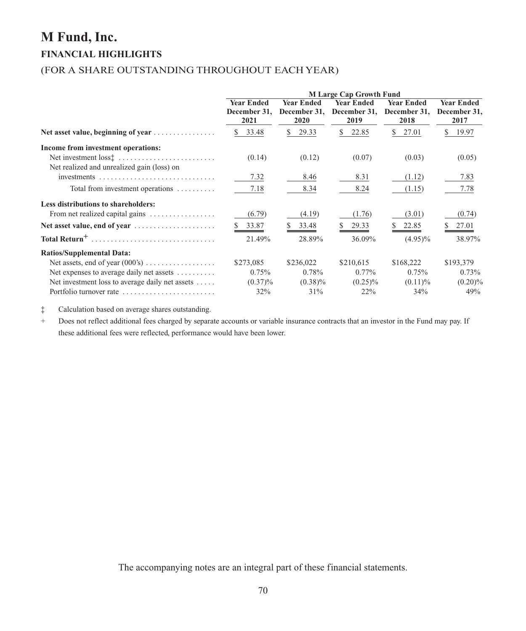### **M Fund, Inc. FINANCIAL HIGHLIGHTS**

### (FOR A SHARE OUTSTANDING THROUGHOUT EACH YEAR)

|                                                                                                                              | <b>M Large Cap Growth Fund</b>             |                                           |                                            |                                            |                                            |  |  |
|------------------------------------------------------------------------------------------------------------------------------|--------------------------------------------|-------------------------------------------|--------------------------------------------|--------------------------------------------|--------------------------------------------|--|--|
|                                                                                                                              | <b>Year Ended</b><br>December 31,<br>2021  | <b>Year Ended</b><br>December 31,<br>2020 | <b>Year Ended</b><br>December 31,<br>2019  | <b>Year Ended</b><br>December 31,<br>2018  | <b>Year Ended</b><br>December 31,<br>2017  |  |  |
| Net asset value, beginning of year                                                                                           | 33.48<br>S.                                | 29.33<br>\$                               | \$.<br>22.85                               | 27.01<br>\$.                               | S.<br>19.97                                |  |  |
| Income from investment operations:<br>Net realized and unrealized gain (loss) on                                             | (0.14)                                     | (0.12)                                    | (0.07)                                     | (0.03)                                     | (0.05)                                     |  |  |
|                                                                                                                              | 7.32<br>7.18                               | 8.46                                      | 8.31                                       | (1.12)                                     | 7.83<br>7.78                               |  |  |
| Total from investment operations $\dots\dots\dots$<br>Less distributions to shareholders:<br>From net realized capital gains | (6.79)                                     | 8.34<br>(4.19)                            | 8.24<br>(1.76)                             | (1.15)<br>(3.01)                           | (0.74)                                     |  |  |
| Net asset value, end of year                                                                                                 | 33.87                                      | 33.48                                     | 29.33                                      | 22.85                                      | 27.01                                      |  |  |
| Total Return <sup>+</sup>                                                                                                    | 21.49%                                     | 28.89%                                    | 36.09%                                     | $(4.95)\%$                                 | 38.97%                                     |  |  |
| <b>Ratios/Supplemental Data:</b>                                                                                             |                                            |                                           |                                            |                                            |                                            |  |  |
| Net expenses to average daily net assets<br>Net investment loss to average daily net assets<br>Portfolio turnover rate       | \$273,085<br>$0.75\%$<br>$(0.37)\%$<br>32% | \$236,022<br>0.78%<br>$(0.38)\%$<br>31%   | \$210,615<br>$0.77\%$<br>$(0.25)\%$<br>22% | \$168,222<br>$0.75\%$<br>$(0.11)\%$<br>34% | \$193,379<br>$0.73\%$<br>$(0.20)\%$<br>49% |  |  |

‡ Calculation based on average shares outstanding.

+ Does not reflect additional fees charged by separate accounts or variable insurance contracts that an investor in the Fund may pay. If these additional fees were reflected, performance would have been lower.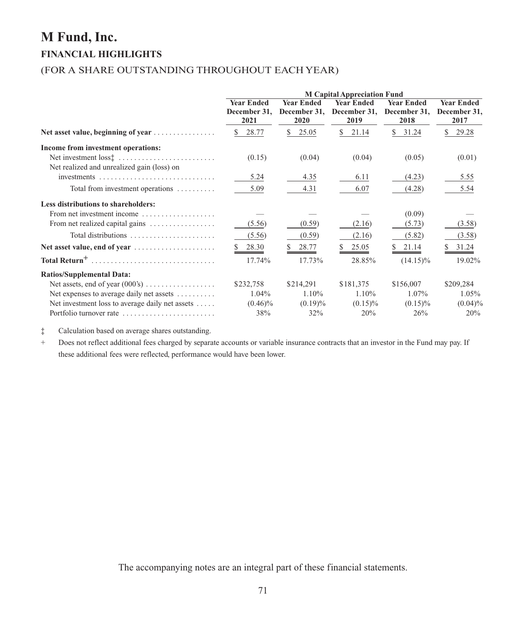### **M Fund, Inc. FINANCIAL HIGHLIGHTS**

### (FOR A SHARE OUTSTANDING THROUGHOUT EACH YEAR)

|                                                                 | <b>M Capital Appreciation Fund</b> |                                   |                   |                                                |                                   |  |
|-----------------------------------------------------------------|------------------------------------|-----------------------------------|-------------------|------------------------------------------------|-----------------------------------|--|
|                                                                 | <b>Year Ended</b><br>December 31,  | <b>Year Ended</b><br>December 31, | <b>Year Ended</b> | <b>Year Ended</b><br>December 31, December 31, | <b>Year Ended</b><br>December 31, |  |
|                                                                 |                                    |                                   |                   |                                                |                                   |  |
| Net asset value, beginning of year                              | 28.77<br>S.                        | 25.05<br>\$                       | 21.14<br>S.       | 31.24<br>\$                                    | 29.28                             |  |
| Income from investment operations:                              |                                    |                                   |                   |                                                |                                   |  |
| Net investment loss <sup>†</sup>                                | (0.15)                             | (0.04)                            | (0.04)            | (0.05)                                         | (0.01)                            |  |
| Net realized and unrealized gain (loss) on                      |                                    |                                   |                   |                                                |                                   |  |
|                                                                 | 5.24                               | 4.35                              | 6.11              | (4.23)                                         | 5.55                              |  |
| Total from investment operations                                | 5.09                               | 4.31                              | 6.07              | (4.28)                                         | 5.54                              |  |
| Less distributions to shareholders:                             |                                    |                                   |                   |                                                |                                   |  |
| From net investment income                                      |                                    |                                   |                   | (0.09)                                         |                                   |  |
| From net realized capital gains                                 | (5.56)                             | (0.59)                            | (2.16)            | (5.73)                                         | (3.58)                            |  |
| Total distributions $\ldots \ldots \ldots \ldots \ldots \ldots$ | (5.56)                             | (0.59)                            | (2.16)            | (5.82)                                         | (3.58)                            |  |
| Net asset value, end of year                                    | 28.30                              | 28.77                             | 25.05             | 21.14                                          | 31.24                             |  |
| Total Return <sup>+</sup>                                       | 17.74%                             | 17.73%                            | 28.85%            | $(14.15)\%$                                    | 19.02%                            |  |
| <b>Ratios/Supplemental Data:</b>                                |                                    |                                   |                   |                                                |                                   |  |
|                                                                 | \$232,758                          | \$214,291                         | \$181,375         | \$156,007                                      | \$209,284                         |  |
| Net expenses to average daily net assets                        | $1.04\%$                           | $1.10\%$                          | $1.10\%$          | 1.07%                                          | $1.05\%$                          |  |
| Net investment loss to average daily net assets                 | $(0.46)\%$                         | $(0.19)\%$                        | $(0.15)\%$        | $(0.15)\%$                                     | $(0.04)\%$                        |  |
| Portfolio turnover rate                                         | 38%                                | 32%                               | 20%               | 26%                                            | 20%                               |  |

‡ Calculation based on average shares outstanding.

+ Does not reflect additional fees charged by separate accounts or variable insurance contracts that an investor in the Fund may pay. If these additional fees were reflected, performance would have been lower.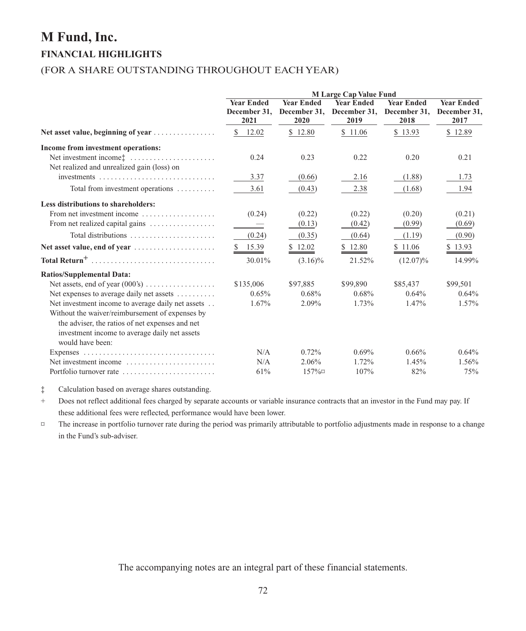## **M Fund, Inc. FINANCIAL HIGHLIGHTS**

## (FOR A SHARE OUTSTANDING THROUGHOUT EACH YEAR)

|                                                   | <b>M Large Cap Value Fund</b>             |                                           |                                           |                                           |                                           |  |  |
|---------------------------------------------------|-------------------------------------------|-------------------------------------------|-------------------------------------------|-------------------------------------------|-------------------------------------------|--|--|
|                                                   | <b>Year Ended</b><br>December 31,<br>2021 | <b>Year Ended</b><br>December 31,<br>2020 | <b>Year Ended</b><br>December 31,<br>2019 | <b>Year Ended</b><br>December 31,<br>2018 | <b>Year Ended</b><br>December 31,<br>2017 |  |  |
| Net asset value, beginning of year                | \$12.02                                   | \$12.80                                   | \$11.06                                   | \$13.93                                   | \$12.89                                   |  |  |
| Income from investment operations:                |                                           |                                           |                                           |                                           |                                           |  |  |
|                                                   | 0.24                                      | 0.23                                      | 0.22                                      | 0.20                                      | 0.21                                      |  |  |
| Net realized and unrealized gain (loss) on        |                                           |                                           |                                           |                                           |                                           |  |  |
|                                                   | 3.37                                      | (0.66)                                    | 2.16                                      | (1.88)                                    | 1.73                                      |  |  |
| Total from investment operations                  | 3.61                                      | (0.43)                                    | 2.38                                      | (1.68)                                    | 1.94                                      |  |  |
| Less distributions to shareholders:               |                                           |                                           |                                           |                                           |                                           |  |  |
| From net investment income                        | (0.24)                                    | (0.22)                                    | (0.22)                                    | (0.20)                                    | (0.21)                                    |  |  |
| From net realized capital gains                   |                                           | (0.13)                                    | (0.42)                                    | (0.99)                                    | (0.69)                                    |  |  |
| Total distributions                               | (0.24)                                    | (0.35)                                    | (0.64)                                    | (1.19)                                    | (0.90)                                    |  |  |
| Net asset value, end of year                      | \$15.39                                   | \$12.02                                   | \$12.80                                   | \$11.06                                   | \$13.93                                   |  |  |
| Total Return <sup>+</sup>                         | 30.01%                                    | $(3.16)\%$                                | 21.52%                                    | $(12.07)\%$                               | 14.99%                                    |  |  |
| <b>Ratios/Supplemental Data:</b>                  |                                           |                                           |                                           |                                           |                                           |  |  |
|                                                   | \$135,006                                 | \$97,885                                  | \$99,890                                  | \$85,437                                  | \$99,501                                  |  |  |
| Net expenses to average daily net assets          | 0.65%                                     | 0.68%                                     | $0.68\%$                                  | 0.64%                                     | 0.64%                                     |  |  |
| Net investment income to average daily net assets | 1.67%                                     | 2.09%                                     | 1.73%                                     | 1.47%                                     | 1.57%                                     |  |  |
| Without the waiver/reimbursement of expenses by   |                                           |                                           |                                           |                                           |                                           |  |  |
| the adviser, the ratios of net expenses and net   |                                           |                                           |                                           |                                           |                                           |  |  |
| investment income to average daily net assets     |                                           |                                           |                                           |                                           |                                           |  |  |
| would have been:                                  |                                           |                                           |                                           |                                           |                                           |  |  |
|                                                   | N/A                                       | 0.72%                                     | $0.69\%$                                  | 0.66%                                     | 0.64%                                     |  |  |
| Net investment income                             | N/A                                       | 2.06%                                     | 1.72%                                     | 1.45%                                     | 1.56%                                     |  |  |
| Portfolio turnover rate                           | 61%                                       | $157\%$                                   | 107%                                      | 82%                                       | 75%                                       |  |  |

‡ Calculation based on average shares outstanding.

+ Does not reflect additional fees charged by separate accounts or variable insurance contracts that an investor in the Fund may pay. If these additional fees were reflected, performance would have been lower.

¤ The increase in portfolio turnover rate during the period was primarily attributable to portfolio adjustments made in response to a change in the Fund's sub-adviser.

The accompanying notes are an integral part of these financial statements.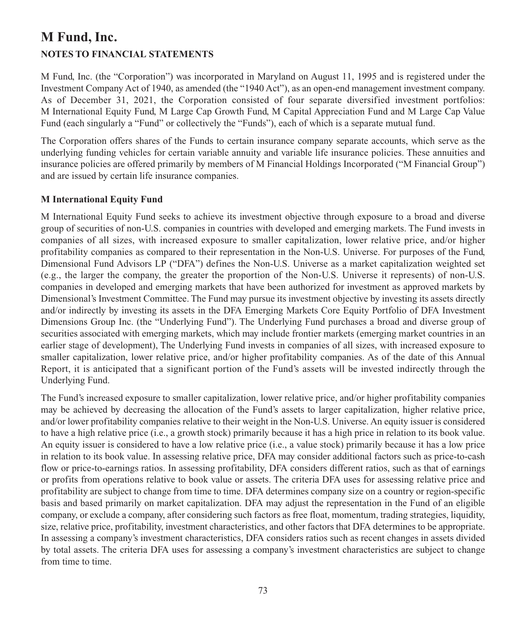## **M Fund, Inc. NOTES TO FINANCIAL STATEMENTS**

M Fund, Inc. (the "Corporation") was incorporated in Maryland on August 11, 1995 and is registered under the Investment Company Act of 1940, as amended (the "1940 Act"), as an open-end management investment company. As of December 31, 2021, the Corporation consisted of four separate diversified investment portfolios: M International Equity Fund, M Large Cap Growth Fund, M Capital Appreciation Fund and M Large Cap Value Fund (each singularly a "Fund" or collectively the "Funds"), each of which is a separate mutual fund.

The Corporation offers shares of the Funds to certain insurance company separate accounts, which serve as the underlying funding vehicles for certain variable annuity and variable life insurance policies. These annuities and insurance policies are offered primarily by members of M Financial Holdings Incorporated ("M Financial Group") and are issued by certain life insurance companies.

### **M International Equity Fund**

M International Equity Fund seeks to achieve its investment objective through exposure to a broad and diverse group of securities of non-U.S. companies in countries with developed and emerging markets. The Fund invests in companies of all sizes, with increased exposure to smaller capitalization, lower relative price, and/or higher profitability companies as compared to their representation in the Non-U.S. Universe. For purposes of the Fund, Dimensional Fund Advisors LP ("DFA") defines the Non-U.S. Universe as a market capitalization weighted set (e.g., the larger the company, the greater the proportion of the Non-U.S. Universe it represents) of non-U.S. companies in developed and emerging markets that have been authorized for investment as approved markets by Dimensional's Investment Committee. The Fund may pursue its investment objective by investing its assets directly and/or indirectly by investing its assets in the DFA Emerging Markets Core Equity Portfolio of DFA Investment Dimensions Group Inc. (the "Underlying Fund"). The Underlying Fund purchases a broad and diverse group of securities associated with emerging markets, which may include frontier markets (emerging market countries in an earlier stage of development), The Underlying Fund invests in companies of all sizes, with increased exposure to smaller capitalization, lower relative price, and/or higher profitability companies. As of the date of this Annual Report, it is anticipated that a significant portion of the Fund's assets will be invested indirectly through the Underlying Fund.

The Fund's increased exposure to smaller capitalization, lower relative price, and/or higher profitability companies may be achieved by decreasing the allocation of the Fund's assets to larger capitalization, higher relative price, and/or lower profitability companies relative to their weight in the Non-U.S. Universe. An equity issuer is considered to have a high relative price (i.e., a growth stock) primarily because it has a high price in relation to its book value. An equity issuer is considered to have a low relative price (i.e., a value stock) primarily because it has a low price in relation to its book value. In assessing relative price, DFA may consider additional factors such as price-to-cash flow or price-to-earnings ratios. In assessing profitability, DFA considers different ratios, such as that of earnings or profits from operations relative to book value or assets. The criteria DFA uses for assessing relative price and profitability are subject to change from time to time. DFA determines company size on a country or region-specific basis and based primarily on market capitalization. DFA may adjust the representation in the Fund of an eligible company, or exclude a company, after considering such factors as free float, momentum, trading strategies, liquidity, size, relative price, profitability, investment characteristics, and other factors that DFA determines to be appropriate. In assessing a company's investment characteristics, DFA considers ratios such as recent changes in assets divided by total assets. The criteria DFA uses for assessing a company's investment characteristics are subject to change from time to time.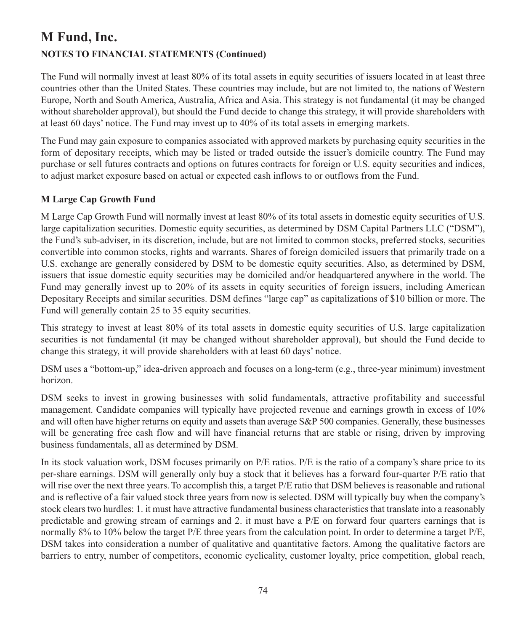The Fund will normally invest at least 80% of its total assets in equity securities of issuers located in at least three countries other than the United States. These countries may include, but are not limited to, the nations of Western Europe, North and South America, Australia, Africa and Asia. This strategy is not fundamental (it may be changed without shareholder approval), but should the Fund decide to change this strategy, it will provide shareholders with at least 60 days' notice. The Fund may invest up to 40% of its total assets in emerging markets.

The Fund may gain exposure to companies associated with approved markets by purchasing equity securities in the form of depositary receipts, which may be listed or traded outside the issuer's domicile country. The Fund may purchase or sell futures contracts and options on futures contracts for foreign or U.S. equity securities and indices, to adjust market exposure based on actual or expected cash inflows to or outflows from the Fund.

## **M Large Cap Growth Fund**

M Large Cap Growth Fund will normally invest at least 80% of its total assets in domestic equity securities of U.S. large capitalization securities. Domestic equity securities, as determined by DSM Capital Partners LLC ("DSM"), the Fund's sub-adviser, in its discretion, include, but are not limited to common stocks, preferred stocks, securities convertible into common stocks, rights and warrants. Shares of foreign domiciled issuers that primarily trade on a U.S. exchange are generally considered by DSM to be domestic equity securities. Also, as determined by DSM, issuers that issue domestic equity securities may be domiciled and/or headquartered anywhere in the world. The Fund may generally invest up to 20% of its assets in equity securities of foreign issuers, including American Depositary Receipts and similar securities. DSM defines "large cap" as capitalizations of \$10 billion or more. The Fund will generally contain 25 to 35 equity securities.

This strategy to invest at least 80% of its total assets in domestic equity securities of U.S. large capitalization securities is not fundamental (it may be changed without shareholder approval), but should the Fund decide to change this strategy, it will provide shareholders with at least 60 days' notice.

DSM uses a "bottom-up," idea-driven approach and focuses on a long-term (e.g., three-year minimum) investment horizon.

DSM seeks to invest in growing businesses with solid fundamentals, attractive profitability and successful management. Candidate companies will typically have projected revenue and earnings growth in excess of 10% and will often have higher returns on equity and assets than average S&P 500 companies. Generally, these businesses will be generating free cash flow and will have financial returns that are stable or rising, driven by improving business fundamentals, all as determined by DSM.

In its stock valuation work, DSM focuses primarily on P/E ratios. P/E is the ratio of a company's share price to its per-share earnings. DSM will generally only buy a stock that it believes has a forward four-quarter P/E ratio that will rise over the next three years. To accomplish this, a target P/E ratio that DSM believes is reasonable and rational and is reflective of a fair valued stock three years from now is selected. DSM will typically buy when the company's stock clears two hurdles: 1. it must have attractive fundamental business characteristics that translate into a reasonably predictable and growing stream of earnings and 2. it must have a P/E on forward four quarters earnings that is normally 8% to 10% below the target P/E three years from the calculation point. In order to determine a target P/E, DSM takes into consideration a number of qualitative and quantitative factors. Among the qualitative factors are barriers to entry, number of competitors, economic cyclicality, customer loyalty, price competition, global reach,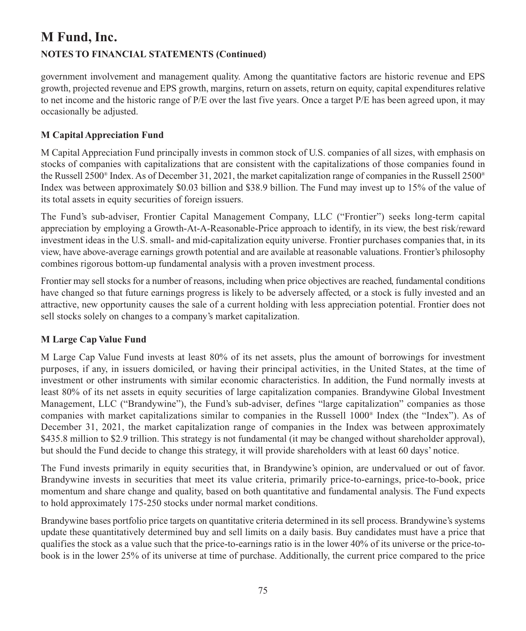government involvement and management quality. Among the quantitative factors are historic revenue and EPS growth, projected revenue and EPS growth, margins, return on assets, return on equity, capital expenditures relative to net income and the historic range of P/E over the last five years. Once a target P/E has been agreed upon, it may occasionally be adjusted.

## **M Capital Appreciation Fund**

M Capital Appreciation Fund principally invests in common stock of U.S. companies of all sizes, with emphasis on stocks of companies with capitalizations that are consistent with the capitalizations of those companies found in the Russell 2500® Index. As of December 31, 2021, the market capitalization range of companies in the Russell 2500® Index was between approximately \$0.03 billion and \$38.9 billion. The Fund may invest up to 15% of the value of its total assets in equity securities of foreign issuers.

The Fund's sub-adviser, Frontier Capital Management Company, LLC ("Frontier") seeks long-term capital appreciation by employing a Growth-At-A-Reasonable-Price approach to identify, in its view, the best risk/reward investment ideas in the U.S. small- and mid-capitalization equity universe. Frontier purchases companies that, in its view, have above-average earnings growth potential and are available at reasonable valuations. Frontier's philosophy combines rigorous bottom-up fundamental analysis with a proven investment process.

Frontier may sell stocks for a number of reasons, including when price objectives are reached, fundamental conditions have changed so that future earnings progress is likely to be adversely affected, or a stock is fully invested and an attractive, new opportunity causes the sale of a current holding with less appreciation potential. Frontier does not sell stocks solely on changes to a company's market capitalization.

## **M Large Cap Value Fund**

M Large Cap Value Fund invests at least 80% of its net assets, plus the amount of borrowings for investment purposes, if any, in issuers domiciled, or having their principal activities, in the United States, at the time of investment or other instruments with similar economic characteristics. In addition, the Fund normally invests at least 80% of its net assets in equity securities of large capitalization companies. Brandywine Global Investment Management, LLC ("Brandywine"), the Fund's sub-adviser, defines "large capitalization" companies as those companies with market capitalizations similar to companies in the Russell 1000® Index (the "Index"). As of December 31, 2021, the market capitalization range of companies in the Index was between approximately \$435.8 million to \$2.9 trillion. This strategy is not fundamental (it may be changed without shareholder approval), but should the Fund decide to change this strategy, it will provide shareholders with at least 60 days' notice.

The Fund invests primarily in equity securities that, in Brandywine's opinion, are undervalued or out of favor. Brandywine invests in securities that meet its value criteria, primarily price-to-earnings, price-to-book, price momentum and share change and quality, based on both quantitative and fundamental analysis. The Fund expects to hold approximately 175-250 stocks under normal market conditions.

Brandywine bases portfolio price targets on quantitative criteria determined in its sell process. Brandywine's systems update these quantitatively determined buy and sell limits on a daily basis. Buy candidates must have a price that qualifies the stock as a value such that the price-to-earnings ratio is in the lower 40% of its universe or the price-tobook is in the lower 25% of its universe at time of purchase. Additionally, the current price compared to the price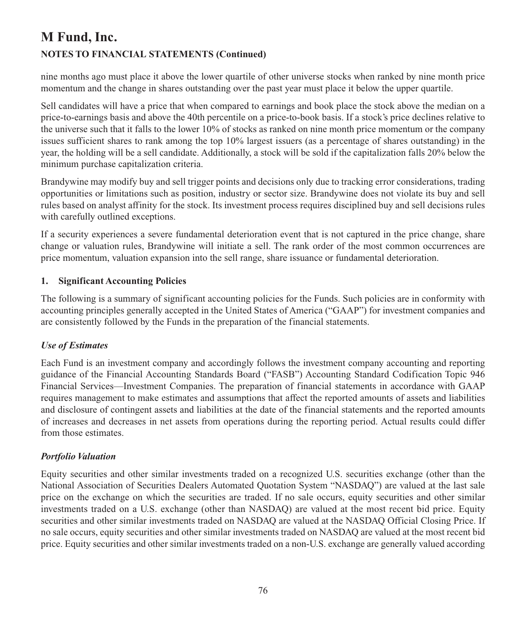nine months ago must place it above the lower quartile of other universe stocks when ranked by nine month price momentum and the change in shares outstanding over the past year must place it below the upper quartile.

Sell candidates will have a price that when compared to earnings and book place the stock above the median on a price-to-earnings basis and above the 40th percentile on a price-to-book basis. If a stock's price declines relative to the universe such that it falls to the lower 10% of stocks as ranked on nine month price momentum or the company issues sufficient shares to rank among the top 10% largest issuers (as a percentage of shares outstanding) in the year, the holding will be a sell candidate. Additionally, a stock will be sold if the capitalization falls 20% below the minimum purchase capitalization criteria.

Brandywine may modify buy and sell trigger points and decisions only due to tracking error considerations, trading opportunities or limitations such as position, industry or sector size. Brandywine does not violate its buy and sell rules based on analyst affinity for the stock. Its investment process requires disciplined buy and sell decisions rules with carefully outlined exceptions.

If a security experiences a severe fundamental deterioration event that is not captured in the price change, share change or valuation rules, Brandywine will initiate a sell. The rank order of the most common occurrences are price momentum, valuation expansion into the sell range, share issuance or fundamental deterioration.

## **1. Significant Accounting Policies**

The following is a summary of significant accounting policies for the Funds. Such policies are in conformity with accounting principles generally accepted in the United States of America ("GAAP") for investment companies and are consistently followed by the Funds in the preparation of the financial statements.

### *Use of Estimates*

Each Fund is an investment company and accordingly follows the investment company accounting and reporting guidance of the Financial Accounting Standards Board ("FASB") Accounting Standard Codification Topic 946 Financial Services—Investment Companies. The preparation of financial statements in accordance with GAAP requires management to make estimates and assumptions that affect the reported amounts of assets and liabilities and disclosure of contingent assets and liabilities at the date of the financial statements and the reported amounts of increases and decreases in net assets from operations during the reporting period. Actual results could differ from those estimates.

### *Portfolio Valuation*

Equity securities and other similar investments traded on a recognized U.S. securities exchange (other than the National Association of Securities Dealers Automated Quotation System "NASDAQ") are valued at the last sale price on the exchange on which the securities are traded. If no sale occurs, equity securities and other similar investments traded on a U.S. exchange (other than NASDAQ) are valued at the most recent bid price. Equity securities and other similar investments traded on NASDAQ are valued at the NASDAQ Official Closing Price. If no sale occurs, equity securities and other similar investments traded on NASDAQ are valued at the most recent bid price. Equity securities and other similar investments traded on a non-U.S. exchange are generally valued according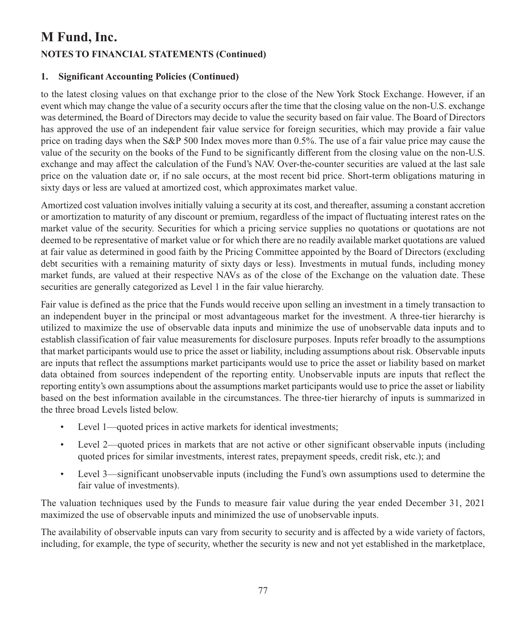## **1. Significant Accounting Policies (Continued)**

to the latest closing values on that exchange prior to the close of the New York Stock Exchange. However, if an event which may change the value of a security occurs after the time that the closing value on the non-U.S. exchange was determined, the Board of Directors may decide to value the security based on fair value. The Board of Directors has approved the use of an independent fair value service for foreign securities, which may provide a fair value price on trading days when the S&P 500 Index moves more than 0.5%. The use of a fair value price may cause the value of the security on the books of the Fund to be significantly different from the closing value on the non-U.S. exchange and may affect the calculation of the Fund's NAV. Over-the-counter securities are valued at the last sale price on the valuation date or, if no sale occurs, at the most recent bid price. Short-term obligations maturing in sixty days or less are valued at amortized cost, which approximates market value.

Amortized cost valuation involves initially valuing a security at its cost, and thereafter, assuming a constant accretion or amortization to maturity of any discount or premium, regardless of the impact of fluctuating interest rates on the market value of the security. Securities for which a pricing service supplies no quotations or quotations are not deemed to be representative of market value or for which there are no readily available market quotations are valued at fair value as determined in good faith by the Pricing Committee appointed by the Board of Directors (excluding debt securities with a remaining maturity of sixty days or less). Investments in mutual funds, including money market funds, are valued at their respective NAVs as of the close of the Exchange on the valuation date. These securities are generally categorized as Level 1 in the fair value hierarchy.

Fair value is defined as the price that the Funds would receive upon selling an investment in a timely transaction to an independent buyer in the principal or most advantageous market for the investment. A three-tier hierarchy is utilized to maximize the use of observable data inputs and minimize the use of unobservable data inputs and to establish classification of fair value measurements for disclosure purposes. Inputs refer broadly to the assumptions that market participants would use to price the asset or liability, including assumptions about risk. Observable inputs are inputs that reflect the assumptions market participants would use to price the asset or liability based on market data obtained from sources independent of the reporting entity. Unobservable inputs are inputs that reflect the reporting entity's own assumptions about the assumptions market participants would use to price the asset or liability based on the best information available in the circumstances. The three-tier hierarchy of inputs is summarized in the three broad Levels listed below.

- Level 1—quoted prices in active markets for identical investments;
- Level 2—quoted prices in markets that are not active or other significant observable inputs (including quoted prices for similar investments, interest rates, prepayment speeds, credit risk, etc.); and
- Level 3—significant unobservable inputs (including the Fund's own assumptions used to determine the fair value of investments).

The valuation techniques used by the Funds to measure fair value during the year ended December 31, 2021 maximized the use of observable inputs and minimized the use of unobservable inputs.

The availability of observable inputs can vary from security to security and is affected by a wide variety of factors, including, for example, the type of security, whether the security is new and not yet established in the marketplace,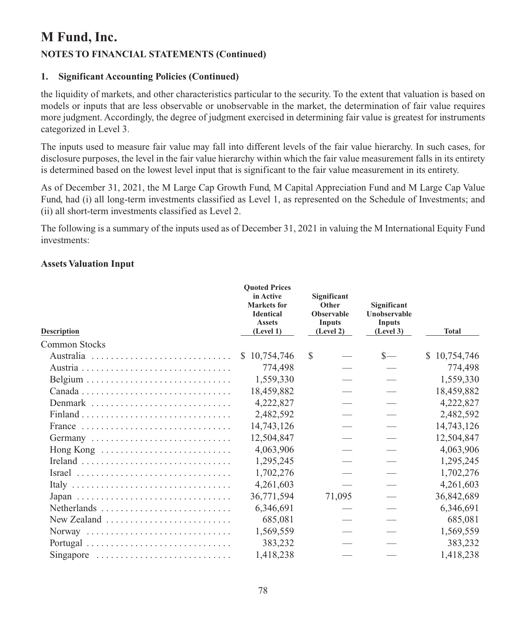## **1. Significant Accounting Policies (Continued)**

the liquidity of markets, and other characteristics particular to the security. To the extent that valuation is based on models or inputs that are less observable or unobservable in the market, the determination of fair value requires more judgment. Accordingly, the degree of judgment exercised in determining fair value is greatest for instruments categorized in Level 3.

The inputs used to measure fair value may fall into different levels of the fair value hierarchy. In such cases, for disclosure purposes, the level in the fair value hierarchy within which the fair value measurement falls in its entirety is determined based on the lowest level input that is significant to the fair value measurement in its entirety.

As of December 31, 2021, the M Large Cap Growth Fund, M Capital Appreciation Fund and M Large Cap Value Fund, had (i) all long-term investments classified as Level 1, as represented on the Schedule of Investments; and (ii) all short-term investments classified as Level 2.

The following is a summary of the inputs used as of December 31, 2021 in valuing the M International Equity Fund investments:

#### **Assets Valuation Input**

| <b>Description</b> | <b>Ouoted Prices</b><br>in Active<br><b>Markets</b> for<br><b>Identical</b><br><b>Assets</b><br>(Level 1) | Significant<br>Other<br><b>Observable</b><br>Inputs<br>(Level 2) | Significant<br>Unobservable<br><b>Inputs</b><br>(Level 3) | <b>Total</b> |
|--------------------|-----------------------------------------------------------------------------------------------------------|------------------------------------------------------------------|-----------------------------------------------------------|--------------|
| Common Stocks      |                                                                                                           |                                                                  |                                                           |              |
|                    | \$10,754,746                                                                                              | S                                                                | $S-$                                                      | \$10,754,746 |
|                    | 774,498                                                                                                   |                                                                  |                                                           | 774,498      |
|                    | 1,559,330                                                                                                 |                                                                  |                                                           | 1,559,330    |
|                    | 18,459,882                                                                                                |                                                                  |                                                           | 18,459,882   |
| Denmark            | 4,222,827                                                                                                 |                                                                  |                                                           | 4,222,827    |
|                    | 2,482,592                                                                                                 |                                                                  |                                                           | 2,482,592    |
| France             | 14,743,126                                                                                                |                                                                  |                                                           | 14,743,126   |
| Germany            | 12,504,847                                                                                                |                                                                  |                                                           | 12,504,847   |
| Hong Kong          | 4,063,906                                                                                                 |                                                                  |                                                           | 4,063,906    |
|                    | 1,295,245                                                                                                 |                                                                  |                                                           | 1,295,245    |
|                    | 1,702,276                                                                                                 |                                                                  |                                                           | 1,702,276    |
|                    | 4,261,603                                                                                                 |                                                                  |                                                           | 4,261,603    |
|                    | 36,771,594                                                                                                | 71,095                                                           |                                                           | 36,842,689   |
|                    | 6,346,691                                                                                                 |                                                                  |                                                           | 6,346,691    |
|                    | 685,081                                                                                                   |                                                                  |                                                           | 685,081      |
| Norway             | 1,569,559                                                                                                 |                                                                  |                                                           | 1,569,559    |
|                    | 383,232                                                                                                   |                                                                  |                                                           | 383,232      |
| Singapore          | 1,418,238                                                                                                 |                                                                  |                                                           | 1,418,238    |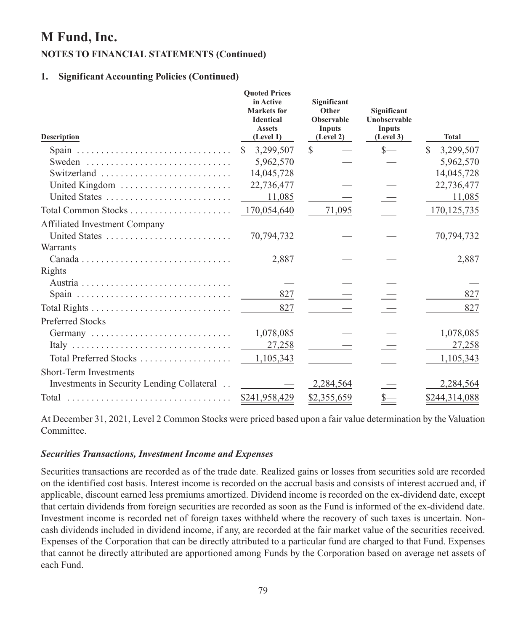# **M Fund, Inc.**

## **NOTES TO FINANCIAL STATEMENTS (Continued)**

### **1. Significant Accounting Policies (Continued)**

| <b>Description</b>                         | <b>Ouoted Prices</b><br>in Active<br><b>Markets</b> for<br><b>Identical</b><br><b>Assets</b><br>(Level 1) | Significant<br>Other<br><b>Observable</b><br><b>Inputs</b><br>(Level 2) | Significant<br>Unobservable<br><b>Inputs</b><br>(Level 3) | <b>Total</b>    |
|--------------------------------------------|-----------------------------------------------------------------------------------------------------------|-------------------------------------------------------------------------|-----------------------------------------------------------|-----------------|
|                                            | 3,299,507<br><sup>S</sup>                                                                                 | \$                                                                      | $S-$                                                      | 3,299,507<br>S. |
| Sweden                                     | 5,962,570                                                                                                 |                                                                         |                                                           | 5,962,570       |
|                                            | 14,045,728                                                                                                |                                                                         |                                                           | 14,045,728      |
| United Kingdom                             | 22,736,477                                                                                                |                                                                         |                                                           | 22,736,477      |
|                                            | 11,085                                                                                                    |                                                                         |                                                           | 11,085          |
|                                            | 170,054,640                                                                                               | 71,095                                                                  |                                                           | 170, 125, 735   |
| Affiliated Investment Company              |                                                                                                           |                                                                         |                                                           |                 |
|                                            | 70,794,732                                                                                                |                                                                         |                                                           | 70,794,732      |
| Warrants                                   |                                                                                                           |                                                                         |                                                           |                 |
|                                            | 2,887                                                                                                     |                                                                         |                                                           | 2,887           |
| Rights                                     |                                                                                                           |                                                                         |                                                           |                 |
|                                            |                                                                                                           |                                                                         |                                                           |                 |
|                                            | 827                                                                                                       |                                                                         |                                                           | 827             |
|                                            | 827                                                                                                       |                                                                         |                                                           | 827             |
| <b>Preferred Stocks</b>                    |                                                                                                           |                                                                         |                                                           |                 |
| Germany                                    | 1,078,085                                                                                                 |                                                                         |                                                           | 1,078,085       |
|                                            | 27,258                                                                                                    |                                                                         |                                                           | 27,258          |
|                                            | 1,105,343                                                                                                 |                                                                         |                                                           | 1,105,343       |
| Short-Term Investments                     |                                                                                                           |                                                                         |                                                           |                 |
| Investments in Security Lending Collateral |                                                                                                           | 2,284,564                                                               |                                                           | 2,284,564       |
|                                            | \$241,958,429                                                                                             | \$2,355,659                                                             | $s_{-}$                                                   | \$244,314,088   |

At December 31, 2021, Level 2 Common Stocks were priced based upon a fair value determination by the Valuation Committee.

### *Securities Transactions, Investment Income and Expenses*

Securities transactions are recorded as of the trade date. Realized gains or losses from securities sold are recorded on the identified cost basis. Interest income is recorded on the accrual basis and consists of interest accrued and, if applicable, discount earned less premiums amortized. Dividend income is recorded on the ex-dividend date, except that certain dividends from foreign securities are recorded as soon as the Fund is informed of the ex-dividend date. Investment income is recorded net of foreign taxes withheld where the recovery of such taxes is uncertain. Noncash dividends included in dividend income, if any, are recorded at the fair market value of the securities received. Expenses of the Corporation that can be directly attributed to a particular fund are charged to that Fund. Expenses that cannot be directly attributed are apportioned among Funds by the Corporation based on average net assets of each Fund.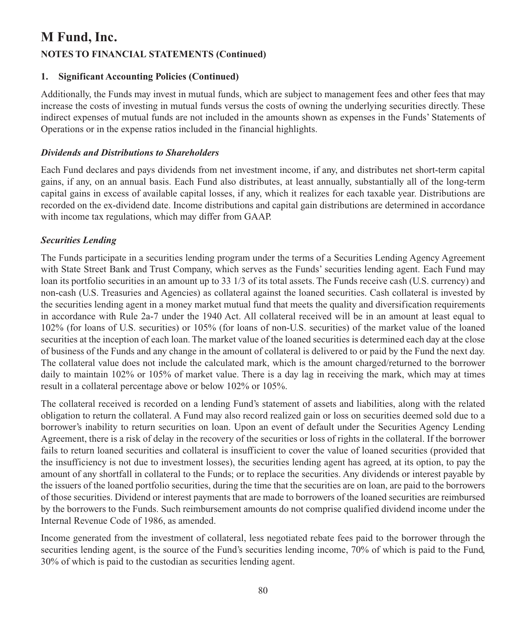## **1. Significant Accounting Policies (Continued)**

Additionally, the Funds may invest in mutual funds, which are subject to management fees and other fees that may increase the costs of investing in mutual funds versus the costs of owning the underlying securities directly. These indirect expenses of mutual funds are not included in the amounts shown as expenses in the Funds' Statements of Operations or in the expense ratios included in the financial highlights.

### *Dividends and Distributions to Shareholders*

Each Fund declares and pays dividends from net investment income, if any, and distributes net short-term capital gains, if any, on an annual basis. Each Fund also distributes, at least annually, substantially all of the long-term capital gains in excess of available capital losses, if any, which it realizes for each taxable year. Distributions are recorded on the ex-dividend date. Income distributions and capital gain distributions are determined in accordance with income tax regulations, which may differ from GAAP.

### *Securities Lending*

The Funds participate in a securities lending program under the terms of a Securities Lending Agency Agreement with State Street Bank and Trust Company, which serves as the Funds' securities lending agent. Each Fund may loan its portfolio securities in an amount up to 33 1/3 of its total assets. The Funds receive cash (U.S. currency) and non-cash (U.S. Treasuries and Agencies) as collateral against the loaned securities. Cash collateral is invested by the securities lending agent in a money market mutual fund that meets the quality and diversification requirements in accordance with Rule 2a-7 under the 1940 Act. All collateral received will be in an amount at least equal to 102% (for loans of U.S. securities) or 105% (for loans of non-U.S. securities) of the market value of the loaned securities at the inception of each loan. The market value of the loaned securities is determined each day at the close of business of the Funds and any change in the amount of collateral is delivered to or paid by the Fund the next day. The collateral value does not include the calculated mark, which is the amount charged/returned to the borrower daily to maintain 102% or 105% of market value. There is a day lag in receiving the mark, which may at times result in a collateral percentage above or below 102% or 105%.

The collateral received is recorded on a lending Fund's statement of assets and liabilities, along with the related obligation to return the collateral. A Fund may also record realized gain or loss on securities deemed sold due to a borrower's inability to return securities on loan. Upon an event of default under the Securities Agency Lending Agreement, there is a risk of delay in the recovery of the securities or loss of rights in the collateral. If the borrower fails to return loaned securities and collateral is insufficient to cover the value of loaned securities (provided that the insufficiency is not due to investment losses), the securities lending agent has agreed, at its option, to pay the amount of any shortfall in collateral to the Funds; or to replace the securities. Any dividends or interest payable by the issuers of the loaned portfolio securities, during the time that the securities are on loan, are paid to the borrowers of those securities. Dividend or interest payments that are made to borrowers of the loaned securities are reimbursed by the borrowers to the Funds. Such reimbursement amounts do not comprise qualified dividend income under the Internal Revenue Code of 1986, as amended.

Income generated from the investment of collateral, less negotiated rebate fees paid to the borrower through the securities lending agent, is the source of the Fund's securities lending income, 70% of which is paid to the Fund, 30% of which is paid to the custodian as securities lending agent.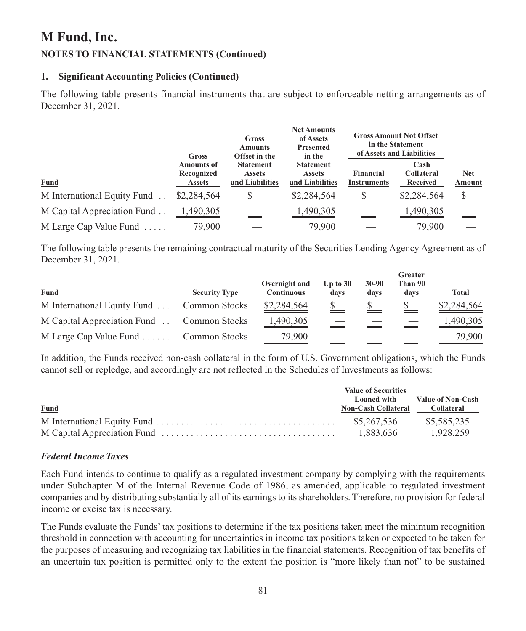#### **1. Significant Accounting Policies (Continued)**

The following table presents financial instruments that are subject to enforceable netting arrangements as of December 31, 2021.

|                             | Gross                                            | Gross<br><b>Amounts</b><br>Offset in the             | <b>Net Amounts</b><br>of Assets<br><b>Presented</b><br>in the |                                 | <b>Gross Amount Not Offset</b><br>in the Statement<br>of Assets and Liabilities |                      |
|-----------------------------|--------------------------------------------------|------------------------------------------------------|---------------------------------------------------------------|---------------------------------|---------------------------------------------------------------------------------|----------------------|
| <b>Fund</b>                 | <b>Amounts of</b><br>Recognized<br><b>Assets</b> | <b>Statement</b><br><b>Assets</b><br>and Liabilities | <b>Statement</b><br><b>Assets</b><br>and Liabilities          | Financial<br><b>Instruments</b> | Cash<br>Collateral<br><b>Received</b>                                           | <b>Net</b><br>Amount |
| M International Equity Fund | \$2,284,564                                      |                                                      | \$2,284,564                                                   | $\stackrel{\text{S}-}{=}$       | \$2,284,564                                                                     |                      |
| M Capital Appreciation Fund | ,490,305                                         |                                                      | 1,490,305                                                     |                                 | 1,490,305                                                                       |                      |
| M Large Cap Value Fund      | 79,900                                           |                                                      | 79,900                                                        |                                 | 79,900                                                                          |                      |

The following table presents the remaining contractual maturity of the Securities Lending Agency Agreement as of December 31, 2021.

|                                             |                      | Overnight and     | Up to $30$ | $30 - 90$ | Greater<br>Than 90 |             |
|---------------------------------------------|----------------------|-------------------|------------|-----------|--------------------|-------------|
| <b>Fund</b>                                 | <b>Security Type</b> | <b>Continuous</b> | davs       | days      | davs               | Total       |
| M International Equity Fund                 | Common Stocks        | \$2,284,564       | $S-$       | $S-$      | $S-$               | \$2,284,564 |
| M Capital Appreciation Fund . Common Stocks |                      | 1,490,305         |            |           |                    | 1,490,305   |
| M Large Cap Value Fund Common Stocks        |                      | 79,900            |            |           |                    | 79,900      |

In addition, the Funds received non-cash collateral in the form of U.S. Government obligations, which the Funds cannot sell or repledge, and accordingly are not reflected in the Schedules of Investments as follows:

|             | <b>Value of Securities</b><br><b>Loaned with</b> | Value of Non-Cash |
|-------------|--------------------------------------------------|-------------------|
| <b>Fund</b> | <b>Non-Cash Collateral</b>                       | Collateral        |
|             | \$5,267,536                                      | \$5,585,235       |
|             | 1.883.636                                        | 1.928.259         |

### *Federal Income Taxes*

Each Fund intends to continue to qualify as a regulated investment company by complying with the requirements under Subchapter M of the Internal Revenue Code of 1986, as amended, applicable to regulated investment companies and by distributing substantially all of its earnings to its shareholders. Therefore, no provision for federal income or excise tax is necessary.

The Funds evaluate the Funds' tax positions to determine if the tax positions taken meet the minimum recognition threshold in connection with accounting for uncertainties in income tax positions taken or expected to be taken for the purposes of measuring and recognizing tax liabilities in the financial statements. Recognition of tax benefits of an uncertain tax position is permitted only to the extent the position is "more likely than not" to be sustained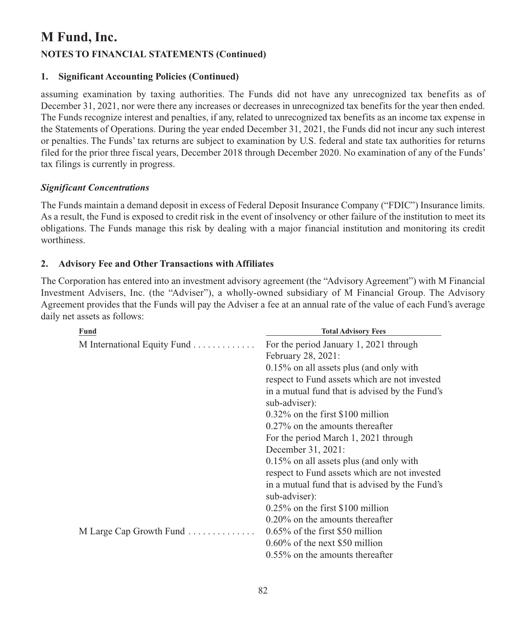### **1. Significant Accounting Policies (Continued)**

assuming examination by taxing authorities. The Funds did not have any unrecognized tax benefits as of December 31, 2021, nor were there any increases or decreases in unrecognized tax benefits for the year then ended. The Funds recognize interest and penalties, if any, related to unrecognized tax benefits as an income tax expense in the Statements of Operations. During the year ended December 31, 2021, the Funds did not incur any such interest or penalties. The Funds' tax returns are subject to examination by U.S. federal and state tax authorities for returns filed for the prior three fiscal years, December 2018 through December 2020. No examination of any of the Funds' tax filings is currently in progress.

### *Significant Concentrations*

The Funds maintain a demand deposit in excess of Federal Deposit Insurance Company ("FDIC") Insurance limits. As a result, the Fund is exposed to credit risk in the event of insolvency or other failure of the institution to meet its obligations. The Funds manage this risk by dealing with a major financial institution and monitoring its credit worthiness.

## **2. Advisory Fee and Other Transactions with Affiliates**

The Corporation has entered into an investment advisory agreement (the "Advisory Agreement") with M Financial Investment Advisers, Inc. (the "Adviser"), a wholly-owned subsidiary of M Financial Group. The Advisory Agreement provides that the Funds will pay the Adviser a fee at an annual rate of the value of each Fund's average daily net assets as follows:

| Fund                        | <b>Total Advisory Fees</b>                                      |
|-----------------------------|-----------------------------------------------------------------|
| M International Equity Fund | For the period January 1, 2021 through                          |
|                             | February 28, 2021:                                              |
|                             | $0.15\%$ on all assets plus (and only with                      |
|                             | respect to Fund assets which are not invested                   |
|                             | in a mutual fund that is advised by the Fund's<br>sub-adviser): |
|                             | $0.32\%$ on the first \$100 million                             |
|                             | $0.27\%$ on the amounts thereafter                              |
|                             | For the period March 1, 2021 through                            |
|                             | December 31, 2021:                                              |
|                             | $0.15\%$ on all assets plus (and only with                      |
|                             | respect to Fund assets which are not invested                   |
|                             | in a mutual fund that is advised by the Fund's                  |
|                             | sub-adviser):                                                   |
|                             | $0.25\%$ on the first \$100 million                             |
|                             | $0.20\%$ on the amounts thereafter                              |
| M Large Cap Growth Fund     | $0.65\%$ of the first \$50 million                              |
|                             | $0.60\%$ of the next \$50 million                               |
|                             | $0.55\%$ on the amounts thereafter                              |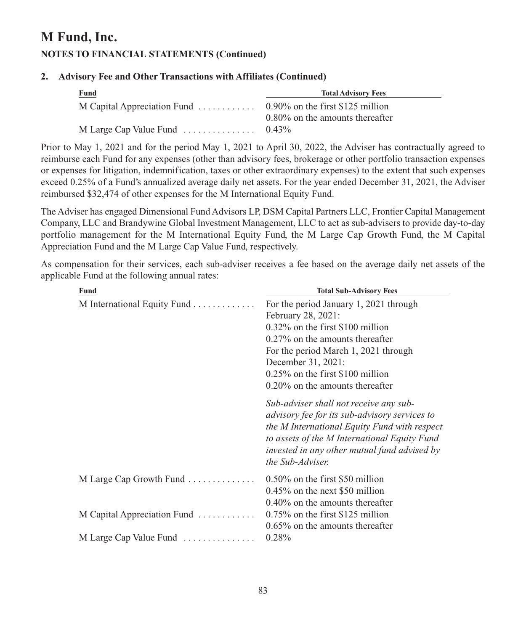### **2. Advisory Fee and Other Transactions with Affiliates (Continued)**

| Fund                                                                                   | <b>Total Advisory Fees</b>         |
|----------------------------------------------------------------------------------------|------------------------------------|
| M Capital Appreciation Fund $\dots \dots \dots \dots$ 0.90% on the first \$125 million |                                    |
|                                                                                        | $0.80\%$ on the amounts thereafter |
| M Large Cap Value Fund $\ldots \ldots \ldots \ldots 0.43\%$                            |                                    |

Prior to May 1, 2021 and for the period May 1, 2021 to April 30, 2022, the Adviser has contractually agreed to reimburse each Fund for any expenses (other than advisory fees, brokerage or other portfolio transaction expenses or expenses for litigation, indemnification, taxes or other extraordinary expenses) to the extent that such expenses exceed 0.25% of a Fund's annualized average daily net assets. For the year ended December 31, 2021, the Adviser reimbursed \$32,474 of other expenses for the M International Equity Fund.

The Adviser has engaged Dimensional Fund Advisors LP, DSM Capital Partners LLC, Frontier Capital Management Company, LLC and Brandywine Global Investment Management, LLC to act as sub-advisers to provide day-to-day portfolio management for the M International Equity Fund, the M Large Cap Growth Fund, the M Capital Appreciation Fund and the M Large Cap Value Fund, respectively.

As compensation for their services, each sub-adviser receives a fee based on the average daily net assets of the applicable Fund at the following annual rates:

| Fund                                               | <b>Total Sub-Advisory Fees</b>                                                                                                                                                                                                                              |
|----------------------------------------------------|-------------------------------------------------------------------------------------------------------------------------------------------------------------------------------------------------------------------------------------------------------------|
| M International Equity Fund                        | For the period January 1, 2021 through<br>February 28, 2021:                                                                                                                                                                                                |
|                                                    | $0.32\%$ on the first \$100 million                                                                                                                                                                                                                         |
|                                                    | 0.27% on the amounts thereafter                                                                                                                                                                                                                             |
|                                                    | For the period March 1, 2021 through                                                                                                                                                                                                                        |
|                                                    | December 31, 2021:                                                                                                                                                                                                                                          |
|                                                    | 0.25% on the first \$100 million                                                                                                                                                                                                                            |
|                                                    | $0.20\%$ on the amounts thereafter                                                                                                                                                                                                                          |
|                                                    | Sub-adviser shall not receive any sub-<br>advisory fee for its sub-advisory services to<br>the M International Equity Fund with respect<br>to assets of the M International Equity Fund<br>invested in any other mutual fund advised by<br>the Sub-Adviser. |
| M Large Cap Growth Fund                            | $0.50\%$ on the first \$50 million<br>$0.45\%$ on the next \$50 million                                                                                                                                                                                     |
|                                                    | $0.40\%$ on the amounts thereafter                                                                                                                                                                                                                          |
| M Capital Appreciation Fund                        | $0.75\%$ on the first \$125 million                                                                                                                                                                                                                         |
|                                                    | $0.65\%$ on the amounts thereafter                                                                                                                                                                                                                          |
| M Large Cap Value Fund $\dots\dots\dots\dots\dots$ | 0.28%                                                                                                                                                                                                                                                       |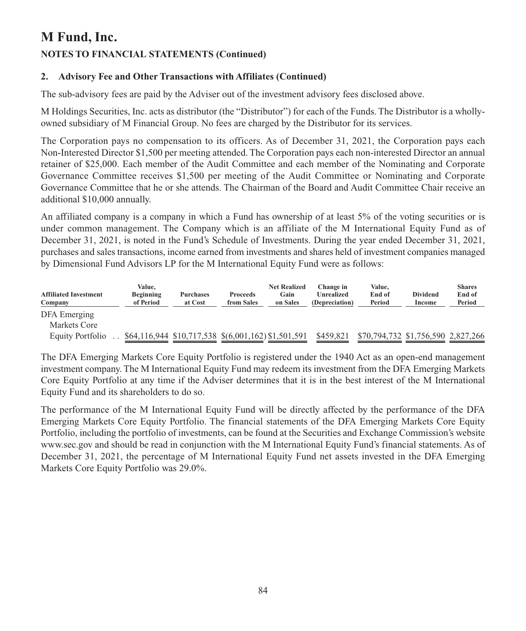## **2. Advisory Fee and Other Transactions with Affiliates (Continued)**

The sub-advisory fees are paid by the Adviser out of the investment advisory fees disclosed above.

M Holdings Securities, Inc. acts as distributor (the "Distributor") for each of the Funds. The Distributor is a whollyowned subsidiary of M Financial Group. No fees are charged by the Distributor for its services.

The Corporation pays no compensation to its officers. As of December 31, 2021, the Corporation pays each Non-Interested Director \$1,500 per meeting attended. The Corporation pays each non-interested Director an annual retainer of \$25,000. Each member of the Audit Committee and each member of the Nominating and Corporate Governance Committee receives \$1,500 per meeting of the Audit Committee or Nominating and Corporate Governance Committee that he or she attends. The Chairman of the Board and Audit Committee Chair receive an additional \$10,000 annually.

An affiliated company is a company in which a Fund has ownership of at least 5% of the voting securities or is under common management. The Company which is an affiliate of the M International Equity Fund as of December 31, 2021, is noted in the Fund's Schedule of Investments. During the year ended December 31, 2021, purchases and sales transactions, income earned from investments and shares held of investment companies managed by Dimensional Fund Advisors LP for the M International Equity Fund were as follows:

| <b>Affiliated Investment</b><br>Company | Value.<br><b>Beginning</b><br>of Period | <b>Purchases</b><br>at Cost                        | <b>Proceeds</b><br>from Sales | <b>Net Realized</b><br>Gain<br>on Sales | Change in<br><b>Unrealized</b><br>(Depreciation) | Value.<br>End of<br>Period         | <b>Dividend</b><br>Income | <b>Shares</b><br>End of<br>Period |
|-----------------------------------------|-----------------------------------------|----------------------------------------------------|-------------------------------|-----------------------------------------|--------------------------------------------------|------------------------------------|---------------------------|-----------------------------------|
| DFA Emerging                            |                                         |                                                    |                               |                                         |                                                  |                                    |                           |                                   |
| Markets Core                            |                                         |                                                    |                               |                                         |                                                  |                                    |                           |                                   |
| Equity Portfolio                        |                                         | \$64,116,944 \$10,717,538 \$6,001,162) \$1,501,591 |                               |                                         | \$459,821                                        | \$70,794,732 \$1,756,590 2,827,266 |                           |                                   |

The DFA Emerging Markets Core Equity Portfolio is registered under the 1940 Act as an open-end management investment company. The M International Equity Fund may redeem its investment from the DFA Emerging Markets Core Equity Portfolio at any time if the Adviser determines that it is in the best interest of the M International Equity Fund and its shareholders to do so.

The performance of the M International Equity Fund will be directly affected by the performance of the DFA Emerging Markets Core Equity Portfolio. The financial statements of the DFA Emerging Markets Core Equity Portfolio, including the portfolio of investments, can be found at the Securities and Exchange Commission's website www.sec.gov and should be read in conjunction with the M International Equity Fund's financial statements. As of December 31, 2021, the percentage of M International Equity Fund net assets invested in the DFA Emerging Markets Core Equity Portfolio was 29.0%.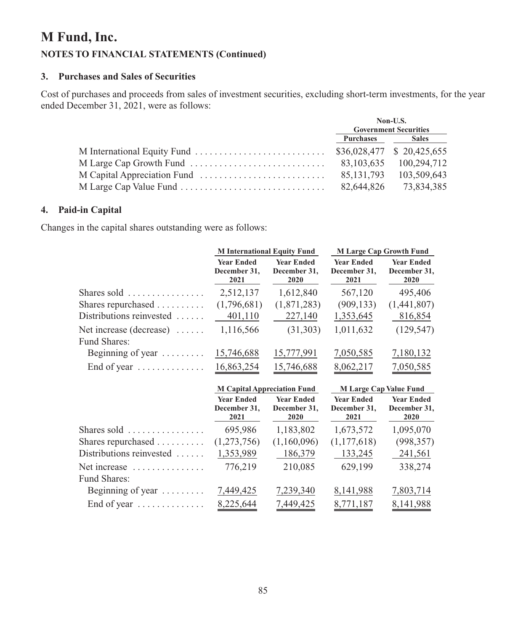### **3. Purchases and Sales of Securities**

Cost of purchases and proceeds from sales of investment securities, excluding short-term investments, for the year ended December 31, 2021, were as follows:

| Non-U.S.                     |                        |  |
|------------------------------|------------------------|--|
| <b>Government Securities</b> |                        |  |
| <b>Purchases</b> Sales       |                        |  |
|                              |                        |  |
|                              | 83,103,635 100,294,712 |  |
| 85, 131, 793                 | 103,509,643            |  |
| 82,644,826                   | 73,834,385             |  |

## **4. Paid-in Capital**

Changes in the capital shares outstanding were as follows:

|                                         | <b>M</b> International Equity Fund        |                                           | <b>M Large Cap Growth Fund</b>            |                                           |  |
|-----------------------------------------|-------------------------------------------|-------------------------------------------|-------------------------------------------|-------------------------------------------|--|
|                                         | <b>Year Ended</b><br>December 31,<br>2021 | <b>Year Ended</b><br>December 31,<br>2020 | <b>Year Ended</b><br>December 31,<br>2021 | <b>Year Ended</b><br>December 31,<br>2020 |  |
| Shares sold                             | 2,512,137                                 | 1,612,840                                 | 567,120                                   | 495,406                                   |  |
| Shares repurchased                      | (1,796,681)                               | (1,871,283)                               | (909, 133)                                | (1,441,807)                               |  |
| Distributions reinvested                | 401,110                                   | 227,140                                   | 1,353,645                                 | 816,854                                   |  |
| Net increase (decrease) $\dots$         | 1,116,566                                 | (31,303)                                  | 1,011,632                                 | (129, 547)                                |  |
| Fund Shares:                            |                                           |                                           |                                           |                                           |  |
| Beginning of year                       | 15,746,688                                | 15,777,991                                | 7,050,585                                 | 7,180,132                                 |  |
| End of year $\dots\dots\dots\dots\dots$ | 16,863,254                                | 15,746,688                                | 8,062,217                                 | 7,050,585                                 |  |
|                                         | <b>M Capital Appreciation Fund</b>        |                                           |                                           | <b>M Large Cap Value Fund</b>             |  |
|                                         | <b>Year Ended</b><br>December 31,<br>2021 | <b>Year Ended</b><br>December 31,<br>2020 | <b>Year Ended</b><br>December 31,<br>2021 | <b>Year Ended</b><br>December 31,<br>2020 |  |
|                                         | 695,986                                   | 1,183,802                                 | 1,673,572                                 | 1,095,070                                 |  |
| Shares repurchased                      | (1,273,756)                               | (1,160,096)                               | (1,177,618)                               | (998, 357)                                |  |
| Distributions reinvested $\dots$        | 1,353,989                                 | 186,379                                   | 133,245                                   | 241,561                                   |  |
| Net increase<br><b>Fund Shares:</b>     | 776,219                                   | 210,085                                   | 629,199                                   | 338,274                                   |  |
| Beginning of year $\dots \dots$         | 7,449,425                                 | 7,239,340                                 | 8,141,988                                 | 7,803,714                                 |  |
| End of year $\dots \dots \dots \dots$   | 8,225,644                                 | 7,449,425                                 | 8,771,187                                 | 8,141,988                                 |  |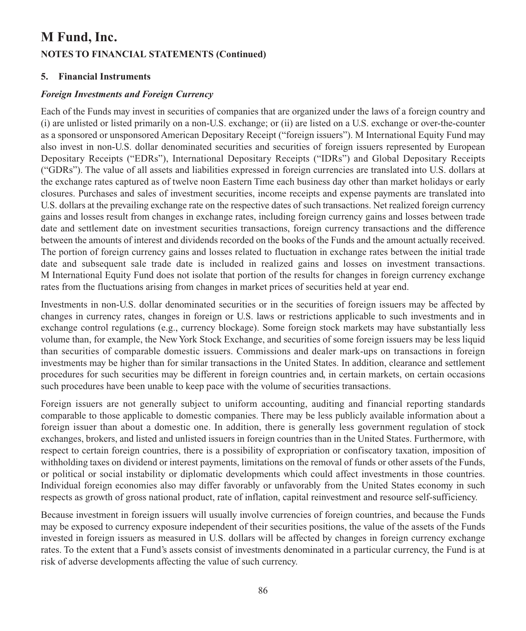#### **5. Financial Instruments**

#### *Foreign Investments and Foreign Currency*

Each of the Funds may invest in securities of companies that are organized under the laws of a foreign country and (i) are unlisted or listed primarily on a non-U.S. exchange; or (ii) are listed on a U.S. exchange or over-the-counter as a sponsored or unsponsored American Depositary Receipt ("foreign issuers"). M International Equity Fund may also invest in non-U.S. dollar denominated securities and securities of foreign issuers represented by European Depositary Receipts ("EDRs"), International Depositary Receipts ("IDRs") and Global Depositary Receipts ("GDRs"). The value of all assets and liabilities expressed in foreign currencies are translated into U.S. dollars at the exchange rates captured as of twelve noon Eastern Time each business day other than market holidays or early closures. Purchases and sales of investment securities, income receipts and expense payments are translated into U.S. dollars at the prevailing exchange rate on the respective dates of such transactions. Net realized foreign currency gains and losses result from changes in exchange rates, including foreign currency gains and losses between trade date and settlement date on investment securities transactions, foreign currency transactions and the difference between the amounts of interest and dividends recorded on the books of the Funds and the amount actually received. The portion of foreign currency gains and losses related to fluctuation in exchange rates between the initial trade date and subsequent sale trade date is included in realized gains and losses on investment transactions. M International Equity Fund does not isolate that portion of the results for changes in foreign currency exchange rates from the fluctuations arising from changes in market prices of securities held at year end.

Investments in non-U.S. dollar denominated securities or in the securities of foreign issuers may be affected by changes in currency rates, changes in foreign or U.S. laws or restrictions applicable to such investments and in exchange control regulations (e.g., currency blockage). Some foreign stock markets may have substantially less volume than, for example, the New York Stock Exchange, and securities of some foreign issuers may be less liquid than securities of comparable domestic issuers. Commissions and dealer mark-ups on transactions in foreign investments may be higher than for similar transactions in the United States. In addition, clearance and settlement procedures for such securities may be different in foreign countries and, in certain markets, on certain occasions such procedures have been unable to keep pace with the volume of securities transactions.

Foreign issuers are not generally subject to uniform accounting, auditing and financial reporting standards comparable to those applicable to domestic companies. There may be less publicly available information about a foreign issuer than about a domestic one. In addition, there is generally less government regulation of stock exchanges, brokers, and listed and unlisted issuers in foreign countries than in the United States. Furthermore, with respect to certain foreign countries, there is a possibility of expropriation or confiscatory taxation, imposition of withholding taxes on dividend or interest payments, limitations on the removal of funds or other assets of the Funds, or political or social instability or diplomatic developments which could affect investments in those countries. Individual foreign economies also may differ favorably or unfavorably from the United States economy in such respects as growth of gross national product, rate of inflation, capital reinvestment and resource self-sufficiency.

Because investment in foreign issuers will usually involve currencies of foreign countries, and because the Funds may be exposed to currency exposure independent of their securities positions, the value of the assets of the Funds invested in foreign issuers as measured in U.S. dollars will be affected by changes in foreign currency exchange rates. To the extent that a Fund's assets consist of investments denominated in a particular currency, the Fund is at risk of adverse developments affecting the value of such currency.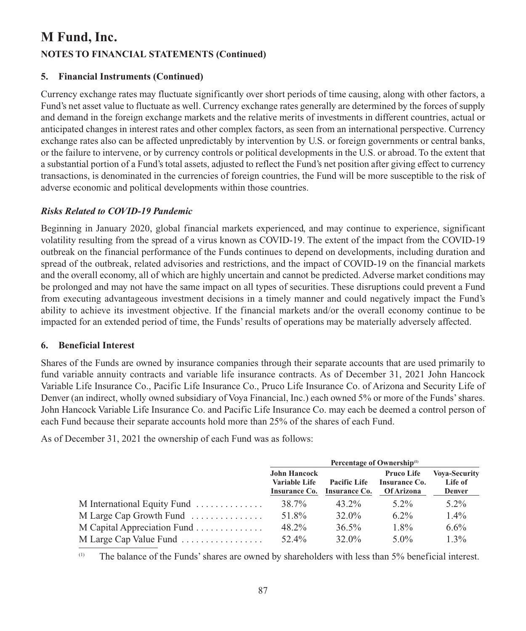## **5. Financial Instruments (Continued)**

Currency exchange rates may fluctuate significantly over short periods of time causing, along with other factors, a Fund's net asset value to fluctuate as well. Currency exchange rates generally are determined by the forces of supply and demand in the foreign exchange markets and the relative merits of investments in different countries, actual or anticipated changes in interest rates and other complex factors, as seen from an international perspective. Currency exchange rates also can be affected unpredictably by intervention by U.S. or foreign governments or central banks, or the failure to intervene, or by currency controls or political developments in the U.S. or abroad. To the extent that a substantial portion of a Fund's total assets, adjusted to reflect the Fund's net position after giving effect to currency transactions, is denominated in the currencies of foreign countries, the Fund will be more susceptible to the risk of adverse economic and political developments within those countries.

## *Risks Related to COVID-19 Pandemic*

Beginning in January 2020, global financial markets experienced, and may continue to experience, significant volatility resulting from the spread of a virus known as COVID-19. The extent of the impact from the COVID-19 outbreak on the financial performance of the Funds continues to depend on developments, including duration and spread of the outbreak, related advisories and restrictions, and the impact of COVID-19 on the financial markets and the overall economy, all of which are highly uncertain and cannot be predicted. Adverse market conditions may be prolonged and may not have the same impact on all types of securities. These disruptions could prevent a Fund from executing advantageous investment decisions in a timely manner and could negatively impact the Fund's ability to achieve its investment objective. If the financial markets and/or the overall economy continue to be impacted for an extended period of time, the Funds' results of operations may be materially adversely affected.

### **6. Beneficial Interest**

Shares of the Funds are owned by insurance companies through their separate accounts that are used primarily to fund variable annuity contracts and variable life insurance contracts. As of December 31, 2021 John Hancock Variable Life Insurance Co., Pacific Life Insurance Co., Pruco Life Insurance Co. of Arizona and Security Life of Denver (an indirect, wholly owned subsidiary of Voya Financial, Inc.) each owned 5% or more of the Funds' shares. John Hancock Variable Life Insurance Co. and Pacific Life Insurance Co. may each be deemed a control person of each Fund because their separate accounts hold more than 25% of the shares of each Fund.

As of December 31, 2021 the ownership of each Fund was as follows:

|                                                      | Percentage of Ownership <sup>(1)</sup>                       |                                      |                                                         |                                                  |  |
|------------------------------------------------------|--------------------------------------------------------------|--------------------------------------|---------------------------------------------------------|--------------------------------------------------|--|
|                                                      | <b>John Hancock</b><br>Variable Life<br><b>Insurance Co.</b> | <b>Pacific Life</b><br>Insurance Co. | Pruco Life<br><b>Insurance Co.</b><br><b>Of Arizona</b> | <b>Vova-Security</b><br>Life of<br><b>Denver</b> |  |
| M International Equity Fund                          | 38.7%                                                        | $43.2\%$                             | $5.2\%$                                                 | $5.2\%$                                          |  |
| M Large Cap Growth Fund $\ldots$                     | 51.8%                                                        | 32.0%                                | $6.2\%$                                                 | $1.4\%$                                          |  |
| M Capital Appreciation Fund                          | 48.2%                                                        | $36.5\%$                             | $1.8\%$                                                 | $6.6\%$                                          |  |
| M Large Cap Value Fund $\ldots \ldots \ldots \ldots$ | 52.4%                                                        | 32.0%                                | $5.0\%$                                                 | $1.3\%$                                          |  |

(1) The balance of the Funds' shares are owned by shareholders with less than 5% beneficial interest.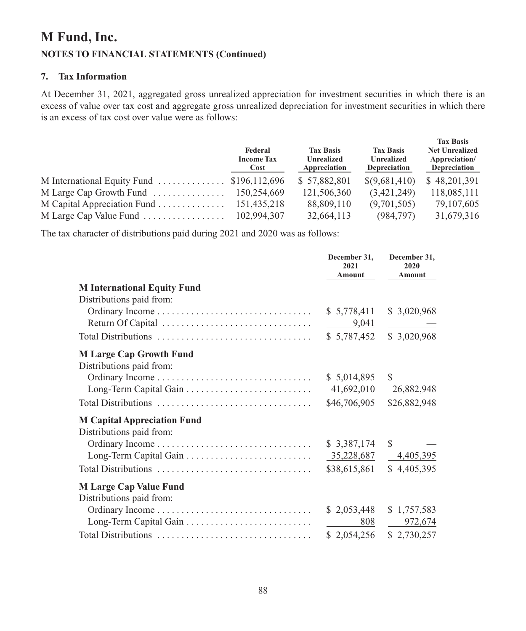## **7. Tax Information**

At December 31, 2021, aggregated gross unrealized appreciation for investment securities in which there is an excess of value over tax cost and aggregate gross unrealized depreciation for investment securities in which there is an excess of tax cost over value were as follows:

|                                                                                | Federal<br><b>Income Tax</b><br>Cost | <b>Tax Basis</b><br><b>Unrealized</b><br>Appreciation | <b>Tax Basis</b><br>Unrealized<br>Depreciation | <b>Tax Basis</b><br><b>Net Unrealized</b><br>Appreciation/<br>Depreciation |
|--------------------------------------------------------------------------------|--------------------------------------|-------------------------------------------------------|------------------------------------------------|----------------------------------------------------------------------------|
| M International Equity Fund $\ldots \ldots \ldots$ \$196,112,696               |                                      | \$57,882,801                                          | $\$(9,681,410)$                                | \$48,201,391                                                               |
| M Large Cap Growth Fund $\ldots \ldots \ldots \ldots \ldots 150,254,669$       |                                      | 121,506,360                                           | (3,421,249)                                    | 118,085,111                                                                |
| M Capital Appreciation Fund 151,435,218                                        |                                      | 88,809,110                                            | (9,701,505)                                    | 79,107,605                                                                 |
| M Large Cap Value Fund $\ldots \ldots \ldots \ldots \ldots \ldots$ 102,994,307 |                                      | 32,664,113                                            | (984, 797)                                     | 31,679,316                                                                 |

The tax character of distributions paid during 2021 and 2020 was as follows:

|                                    | December 31,<br>2021<br>Amount | December 31,<br>2020<br>Amount |
|------------------------------------|--------------------------------|--------------------------------|
| <b>M</b> International Equity Fund |                                |                                |
| Distributions paid from:           |                                |                                |
|                                    | \$5,778,411                    | \$3,020,968                    |
|                                    | 9,041                          |                                |
|                                    | \$5,787,452                    | \$3,020,968                    |
| <b>M Large Cap Growth Fund</b>     |                                |                                |
| Distributions paid from:           |                                |                                |
|                                    | \$5,014,895                    | S                              |
|                                    | 41,692,010                     | 26,882,948                     |
| Total Distributions                | \$46,706,905                   | \$26,882,948                   |
| <b>M Capital Appreciation Fund</b> |                                |                                |
| Distributions paid from:           |                                |                                |
|                                    | \$3,387,174                    | \$                             |
|                                    | 35,228,687                     | 4,405,395                      |
| Total Distributions                | \$38,615,861                   | \$4,405,395                    |
| <b>M Large Cap Value Fund</b>      |                                |                                |
| Distributions paid from:           |                                |                                |
|                                    | \$2,053,448                    | \$1,757,583                    |
|                                    | 808                            | 972,674                        |
| Total Distributions                | \$2,054,256                    | \$2,730,257                    |
|                                    |                                |                                |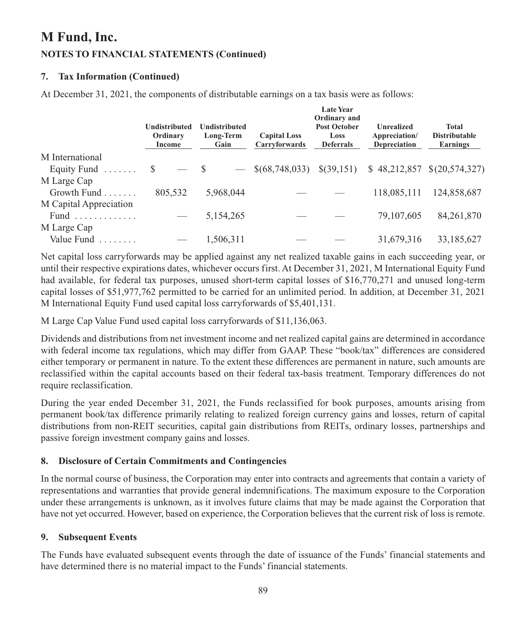## **7. Tax Information (Continued)**

At December 31, 2021, the components of distributable earnings on a tax basis were as follows:

|                              | Undistributed<br>Ordinary<br>Income | <b>Undistributed</b><br>Long-Term<br>Gain | <b>Capital Loss</b><br>Carryforwards | <b>Late Year</b><br>Ordinary and<br><b>Post October</b><br>Loss<br><b>Deferrals</b> | <b>Unrealized</b><br>Appreciation/<br>Depreciation | <b>Total</b><br><b>Distributable</b><br>Earnings |
|------------------------------|-------------------------------------|-------------------------------------------|--------------------------------------|-------------------------------------------------------------------------------------|----------------------------------------------------|--------------------------------------------------|
| M International              |                                     |                                           |                                      |                                                                                     |                                                    |                                                  |
| Equity Fund $\dots \dots$ \$ | $-$ \$                              | $\overline{\phantom{m}}$                  | \$(68,748,033)                       | \$(39,151)                                                                          |                                                    | $$48,212,857$ $$(20,574,327)$                    |
| M Large Cap                  |                                     |                                           |                                      |                                                                                     |                                                    |                                                  |
| Growth Fund                  | 805,532                             | 5,968,044                                 |                                      |                                                                                     | 118,085,111                                        | 124,858,687                                      |
| M Capital Appreciation       |                                     |                                           |                                      |                                                                                     |                                                    |                                                  |
| Fund                         |                                     | 5,154,265                                 |                                      |                                                                                     | 79,107,605                                         | 84, 261, 870                                     |
| M Large Cap                  |                                     |                                           |                                      |                                                                                     |                                                    |                                                  |
| Value Fund                   |                                     | 1,506,311                                 |                                      |                                                                                     | 31,679,316                                         | 33,185,627                                       |
|                              |                                     |                                           |                                      |                                                                                     |                                                    |                                                  |

Net capital loss carryforwards may be applied against any net realized taxable gains in each succeeding year, or until their respective expirations dates, whichever occurs first. At December 31, 2021, M International Equity Fund had available, for federal tax purposes, unused short-term capital losses of \$16,770,271 and unused long-term capital losses of \$51,977,762 permitted to be carried for an unlimited period. In addition, at December 31, 2021 M International Equity Fund used capital loss carryforwards of \$5,401,131.

M Large Cap Value Fund used capital loss carryforwards of \$11,136,063.

Dividends and distributions from net investment income and net realized capital gains are determined in accordance with federal income tax regulations, which may differ from GAAP. These "book/tax" differences are considered either temporary or permanent in nature. To the extent these differences are permanent in nature, such amounts are reclassified within the capital accounts based on their federal tax-basis treatment. Temporary differences do not require reclassification.

During the year ended December 31, 2021, the Funds reclassified for book purposes, amounts arising from permanent book/tax difference primarily relating to realized foreign currency gains and losses, return of capital distributions from non-REIT securities, capital gain distributions from REITs, ordinary losses, partnerships and passive foreign investment company gains and losses.

## **8. Disclosure of Certain Commitments and Contingencies**

In the normal course of business, the Corporation may enter into contracts and agreements that contain a variety of representations and warranties that provide general indemnifications. The maximum exposure to the Corporation under these arrangements is unknown, as it involves future claims that may be made against the Corporation that have not yet occurred. However, based on experience, the Corporation believes that the current risk of loss is remote.

### **9. Subsequent Events**

The Funds have evaluated subsequent events through the date of issuance of the Funds' financial statements and have determined there is no material impact to the Funds' financial statements.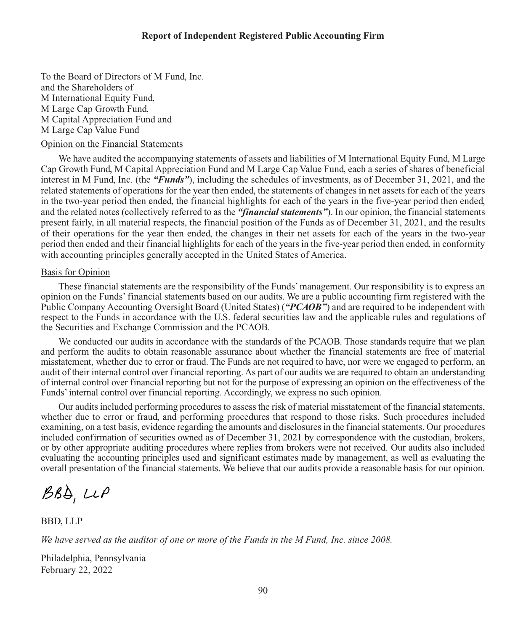To the Board of Directors of M Fund, Inc. and the Shareholders of M International Equity Fund, M Large Cap Growth Fund, M Capital Appreciation Fund and M Large Cap Value Fund

Opinion on the Financial Statements

We have audited the accompanying statements of assets and liabilities of M International Equity Fund, M Large Cap Growth Fund, M Capital Appreciation Fund and M Large Cap Value Fund, each a series of shares of beneficial interest in M Fund, Inc. (the *"Funds"*), including the schedules of investments, as of December 31, 2021, and the related statements of operations for the year then ended, the statements of changes in net assets for each of the years in the two-year period then ended, the financial highlights for each of the years in the five-year period then ended, and the related notes (collectively referred to as the *"financial statements"*). In our opinion, the financial statements present fairly, in all material respects, the financial position of the Funds as of December 31, 2021, and the results of their operations for the year then ended, the changes in their net assets for each of the years in the two-year period then ended and their financial highlights for each of the years in the five-year period then ended, in conformity with accounting principles generally accepted in the United States of America.

#### Basis for Opinion

These financial statements are the responsibility of the Funds' management. Our responsibility is to express an opinion on the Funds' financial statements based on our audits. We are a public accounting firm registered with the Public Company Accounting Oversight Board (United States) (*"PCAOB"*) and are required to be independent with respect to the Funds in accordance with the U.S. federal securities law and the applicable rules and regulations of the Securities and Exchange Commission and the PCAOB.

We conducted our audits in accordance with the standards of the PCAOB. Those standards require that we plan and perform the audits to obtain reasonable assurance about whether the financial statements are free of material misstatement, whether due to error or fraud. The Funds are not required to have, nor were we engaged to perform, an audit of their internal control over financial reporting. As part of our audits we are required to obtain an understanding of internal control over financial reporting but not for the purpose of expressing an opinion on the effectiveness of the Funds' internal control over financial reporting. Accordingly, we express no such opinion.

Our audits included performing procedures to assess the risk of material misstatement of the financial statements, whether due to error or fraud, and performing procedures that respond to those risks. Such procedures included examining, on a test basis, evidence regarding the amounts and disclosures in the financial statements. Our procedures included confirmation of securities owned as of December 31, 2021 by correspondence with the custodian, brokers, or by other appropriate auditing procedures where replies from brokers were not received. Our audits also included evaluating the accounting principles used and significant estimates made by management, as well as evaluating the overall presentation of the financial statements. We believe that our audits provide a reasonable basis for our opinion.

 $BBA, UP$ 

BBD, LLP

*We have served as the auditor of one or more of the Funds in the M Fund, Inc. since 2008.*

Philadelphia, Pennsylvania February 22, 2022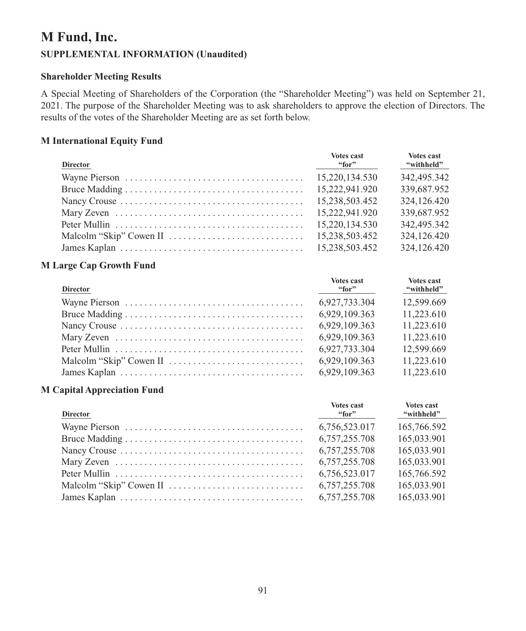# **M Fund, Inc. SUPPLEMENTAL INFORMATION (Unaudited)**

## **Shareholder Meeting Results**

A Special Meeting of Shareholders of the Corporation (the "Shareholder Meeting") was held on September 21, 2021. The purpose of the Shareholder Meeting was to ask shareholders to approve the election of Directors. The results of the votes of the Shareholder Meeting are as set forth below.

### **M International Equity Fund**

| <b>Director</b>                                                                  | <b>Votes cast</b><br>"for" | <b>Votes cast</b><br>"withheld" |
|----------------------------------------------------------------------------------|----------------------------|---------------------------------|
|                                                                                  | 15,220,134.530             | 342,495.342                     |
|                                                                                  | 15.222.941.920             | 339,687.952                     |
|                                                                                  | 15.238.503.452             | 324,126.420                     |
|                                                                                  | 15.222.941.920             | 339,687.952                     |
|                                                                                  | 15.220.134.530             | 342,495.342                     |
| Malcolm "Skip" Cowen II $\ldots, \ldots, \ldots, \ldots, \ldots, \ldots, \ldots$ | 15.238.503.452             | 324,126.420                     |
|                                                                                  | 15,238,503.452             | 324,126.420                     |

### **M Large Cap Growth Fund**

| <b>Director</b> | <b>Votes cast</b><br>"for" | <b>Votes cast</b><br>"withheld" |
|-----------------|----------------------------|---------------------------------|
|                 | 6.927.733.304              | 12.599.669                      |
|                 | 6.929.109.363              | 11,223.610                      |
|                 | 6.929.109.363              | 11.223.610                      |
|                 | 6.929.109.363              | 11.223.610                      |
|                 | 6.927.733.304              | 12.599.669                      |
|                 | 6,929,109.363              | 11.223.610                      |
|                 | 6.929.109.363              | 11,223.610                      |

#### **M Capital Appreciation Fund**

| <b>Director</b> | <b>Votes cast</b><br>``for" | <b>Votes cast</b><br>"withheld" |
|-----------------|-----------------------------|---------------------------------|
|                 | 6.756.523.017               | 165,766.592                     |
|                 | 6,757,255.708               | 165,033.901                     |
|                 | 6.757.255.708               | 165,033.901                     |
|                 | 6.757.255.708               | 165,033.901                     |
|                 | 6.756.523.017               | 165,766.592                     |
|                 | 6.757.255.708               | 165,033.901                     |
|                 | 6,757,255.708               | 165,033.901                     |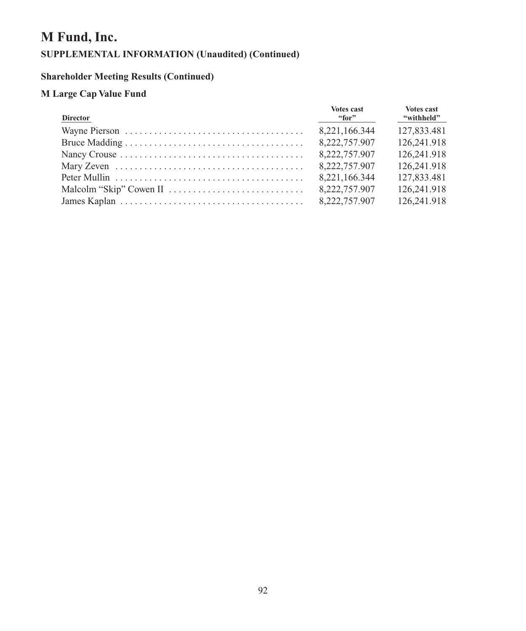# **M Fund, Inc.**

## **SUPPLEMENTAL INFORMATION (Unaudited) (Continued)**

## **Shareholder Meeting Results (Continued)**

## **M Large Cap Value Fund**

| <b>Director</b> | <b>Votes cast</b><br>"for" | Votes cast<br>"withheld" |
|-----------------|----------------------------|--------------------------|
|                 | 8.221.166.344              | 127,833.481              |
|                 | 8,222,757.907              | 126,241.918              |
|                 | 8.222.757.907              | 126,241.918              |
|                 | 8.222.757.907              | 126,241.918              |
|                 | 8.221.166.344              | 127,833,481              |
|                 | 8,222,757.907              | 126,241.918              |
|                 | 8.222.757.907              | 126,241.918              |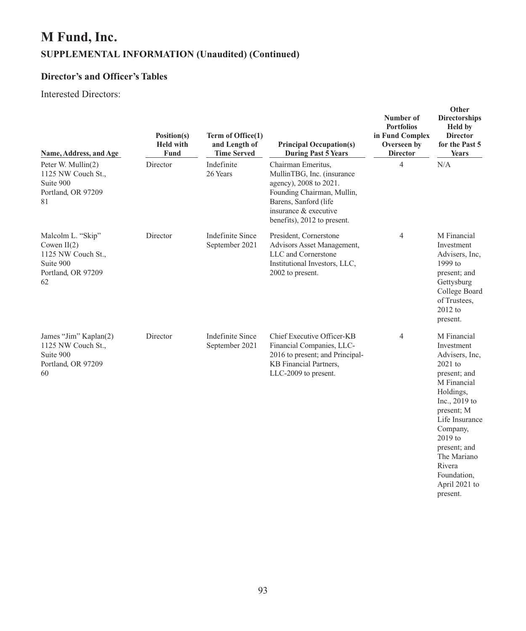## **Director's and Officer's Tables**

## Interested Directors:

| Name, Address, and Age                                                                             | Position(s)<br><b>Held with</b><br>Fund | Term of Office(1)<br>and Length of<br><b>Time Served</b> | <b>Principal Occupation(s)</b><br><b>During Past 5 Years</b>                                                                                                                              | Number of<br><b>Portfolios</b><br>in Fund Complex<br>Overseen by<br><b>Director</b> | Other<br><b>Directorships</b><br><b>Held</b> by<br><b>Director</b><br>for the Past 5<br>Years                                                                                                                                                                       |
|----------------------------------------------------------------------------------------------------|-----------------------------------------|----------------------------------------------------------|-------------------------------------------------------------------------------------------------------------------------------------------------------------------------------------------|-------------------------------------------------------------------------------------|---------------------------------------------------------------------------------------------------------------------------------------------------------------------------------------------------------------------------------------------------------------------|
| Peter W. Mullin(2)<br>1125 NW Couch St.,<br>Suite 900<br>Portland, OR 97209<br>81                  | Director                                | Indefinite<br>26 Years                                   | Chairman Emeritus,<br>MullinTBG, Inc. (insurance<br>agency), 2008 to 2021.<br>Founding Chairman, Mullin,<br>Barens, Sanford (life<br>insurance & executive<br>benefits), 2012 to present. | $\overline{4}$                                                                      | N/A                                                                                                                                                                                                                                                                 |
| Malcolm L. "Skip"<br>Cowen $\Pi(2)$<br>1125 NW Couch St.,<br>Suite 900<br>Portland, OR 97209<br>62 | Director                                | <b>Indefinite Since</b><br>September 2021                | President, Cornerstone<br>Advisors Asset Management,<br>LLC and Cornerstone<br>Institutional Investors, LLC,<br>2002 to present.                                                          | 4                                                                                   | M Financial<br>Investment<br>Advisers, Inc.<br>$1999$ to<br>present; and<br>Gettysburg<br>College Board<br>of Trustees,<br>2012 to<br>present.                                                                                                                      |
| James "Jim" Kaplan(2)<br>1125 NW Couch St.,<br>Suite 900<br>Portland, OR 97209<br>60               | Director                                | Indefinite Since<br>September 2021                       | Chief Executive Officer-KB<br>Financial Companies, LLC-<br>2016 to present; and Principal-<br>KB Financial Partners,<br>LLC-2009 to present.                                              | $\overline{4}$                                                                      | M Financial<br>Investment<br>Advisers, Inc.<br>$2021$ to<br>present; and<br>M Financial<br>Holdings,<br>Inc., 2019 to<br>present; M<br>Life Insurance<br>Company,<br>$2019$ to<br>present; and<br>The Mariano<br>Rivera<br>Foundation,<br>April 2021 to<br>present. |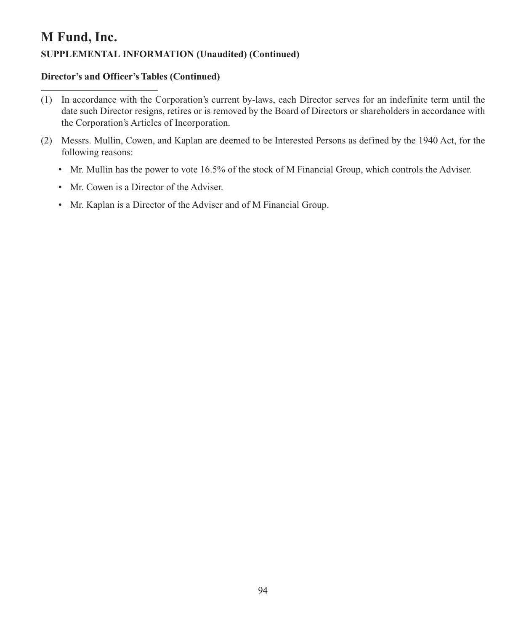### **Director's and Officer's Tables (Continued)**

- (1) In accordance with the Corporation's current by-laws, each Director serves for an indefinite term until the date such Director resigns, retires or is removed by the Board of Directors or shareholders in accordance with the Corporation's Articles of Incorporation.
- (2) Messrs. Mullin, Cowen, and Kaplan are deemed to be Interested Persons as defined by the 1940 Act, for the following reasons:
	- Mr. Mullin has the power to vote 16.5% of the stock of M Financial Group, which controls the Adviser.
	- Mr. Cowen is a Director of the Adviser.
	- Mr. Kaplan is a Director of the Adviser and of M Financial Group.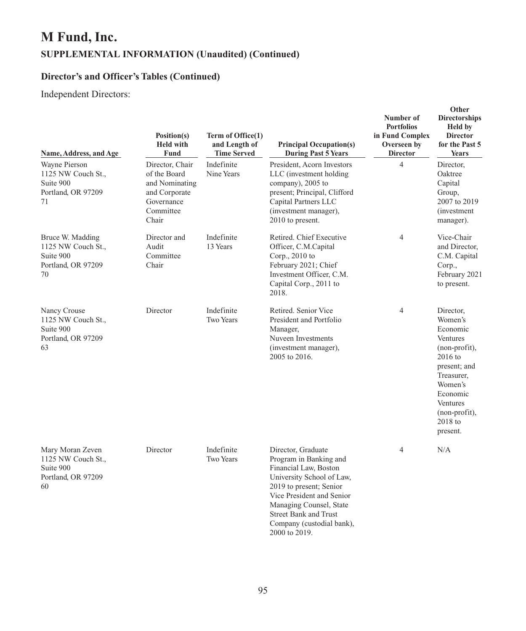## **Director's and Officer's Tables (Continued)**

## Independent Directors:

| Name, Address, and Age                                                          | Position(s)<br><b>Held with</b><br>Fund                                                                | Term of Office(1)<br>and Length of<br><b>Time Served</b> | <b>Principal Occupation(s)</b><br><b>During Past 5 Years</b>                                                                                                                                                          | Number of<br><b>Portfolios</b><br>in Fund Complex<br>Overseen by<br><b>Director</b> | Other<br><b>Directorships</b><br><b>Held by</b><br><b>Director</b><br>for the Past 5<br>Years                                                                                       |
|---------------------------------------------------------------------------------|--------------------------------------------------------------------------------------------------------|----------------------------------------------------------|-----------------------------------------------------------------------------------------------------------------------------------------------------------------------------------------------------------------------|-------------------------------------------------------------------------------------|-------------------------------------------------------------------------------------------------------------------------------------------------------------------------------------|
| Wayne Pierson<br>1125 NW Couch St.,<br>Suite 900<br>Portland, OR 97209<br>71    | Director, Chair<br>of the Board<br>and Nominating<br>and Corporate<br>Governance<br>Committee<br>Chair | Indefinite<br>Nine Years                                 | President, Acorn Investors<br>LLC (investment holding)<br>company), 2005 to<br>present; Principal, Clifford<br>Capital Partners LLC<br>(investment manager),<br>2010 to present.                                      | $\overline{4}$                                                                      | Director,<br>Oaktree<br>Capital<br>Group,<br>2007 to 2019<br><i>(investment)</i><br>manager).                                                                                       |
| Bruce W. Madding<br>1125 NW Couch St.,<br>Suite 900<br>Portland, OR 97209<br>70 | Director and<br>Audit<br>Committee<br>Chair                                                            | Indefinite<br>13 Years                                   | Retired. Chief Executive<br>Officer, C.M.Capital<br>Corp., 2010 to<br>February 2021; Chief<br>Investment Officer, C.M.<br>Capital Corp., 2011 to<br>2018.                                                             | $\overline{4}$                                                                      | Vice-Chair<br>and Director,<br>C.M. Capital<br>Corp.,<br>February 2021<br>to present.                                                                                               |
| Nancy Crouse<br>1125 NW Couch St.,<br>Suite 900<br>Portland, OR 97209<br>63     | Director                                                                                               | Indefinite<br><b>Two Years</b>                           | Retired. Senior Vice<br>President and Portfolio<br>Manager,<br>Nuveen Investments<br>(investment manager),<br>2005 to 2016.                                                                                           | $\overline{4}$                                                                      | Director,<br>Women's<br>Economic<br>Ventures<br>(non-profit),<br>$2016$ to<br>present; and<br>Treasurer,<br>Women's<br>Economic<br>Ventures<br>(non-profit),<br>2018 to<br>present. |
| Mary Moran Zeven<br>1125 NW Couch St.,<br>Suite 900<br>Portland, OR 97209<br>60 | Director                                                                                               | Indefinite<br><b>Two Years</b>                           | Director, Graduate<br>Program in Banking and<br>Financial Law, Boston<br>University School of Law,<br>2019 to present; Senior<br>Vice President and Senior<br>Managing Counsel, State<br><b>Street Bank and Trust</b> | $\overline{4}$                                                                      | N/A                                                                                                                                                                                 |

Company (custodial bank),

2000 to 2019.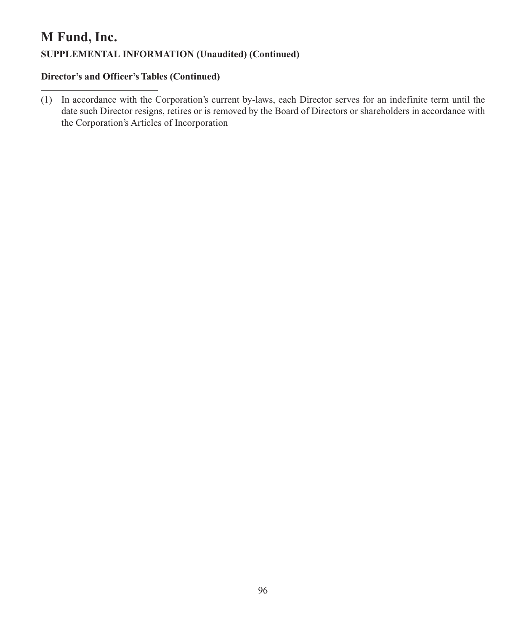## **Director's and Officer's Tables (Continued)**

(1) In accordance with the Corporation's current by-laws, each Director serves for an indefinite term until the date such Director resigns, retires or is removed by the Board of Directors or shareholders in accordance with the Corporation's Articles of Incorporation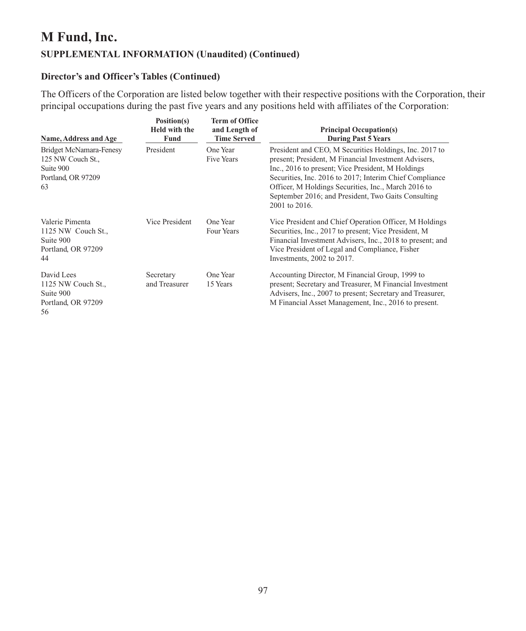## **Director's and Officer's Tables (Continued)**

The Officers of the Corporation are listed below together with their respective positions with the Corporation, their principal occupations during the past five years and any positions held with affiliates of the Corporation:

| Name, Address and Age                                                                | Position(s)<br><b>Held with the</b><br>Fund | Term of Office<br>and Length of<br><b>Time Served</b> | <b>Principal Occupation(s)</b><br><b>During Past 5 Years</b>                                                                                                                                                                                                                                                                                                  |
|--------------------------------------------------------------------------------------|---------------------------------------------|-------------------------------------------------------|---------------------------------------------------------------------------------------------------------------------------------------------------------------------------------------------------------------------------------------------------------------------------------------------------------------------------------------------------------------|
| Bridget McNamara-Fenesy<br>125 NW Couch St.<br>Suite 900<br>Portland, OR 97209<br>63 | President                                   | One Year<br>Five Years                                | President and CEO, M Securities Holdings, Inc. 2017 to<br>present; President, M Financial Investment Advisers,<br>Inc., 2016 to present; Vice President, M Holdings<br>Securities, Inc. 2016 to 2017; Interim Chief Compliance<br>Officer, M Holdings Securities, Inc., March 2016 to<br>September 2016; and President, Two Gaits Consulting<br>2001 to 2016. |
| Valerie Pimenta<br>1125 NW Couch St.,<br>Suite 900<br>Portland, OR 97209<br>44       | Vice President                              | One Year<br>Four Years                                | Vice President and Chief Operation Officer, M Holdings<br>Securities, Inc., 2017 to present; Vice President, M<br>Financial Investment Advisers, Inc., 2018 to present; and<br>Vice President of Legal and Compliance, Fisher<br>Investments, 2002 to 2017.                                                                                                   |
| David Lees<br>1125 NW Couch St.,<br>Suite 900<br>Portland, OR 97209<br>56            | Secretary<br>and Treasurer                  | One Year<br>15 Years                                  | Accounting Director, M Financial Group, 1999 to<br>present; Secretary and Treasurer, M Financial Investment<br>Advisers, Inc., 2007 to present; Secretary and Treasurer,<br>M Financial Asset Management, Inc., 2016 to present.                                                                                                                              |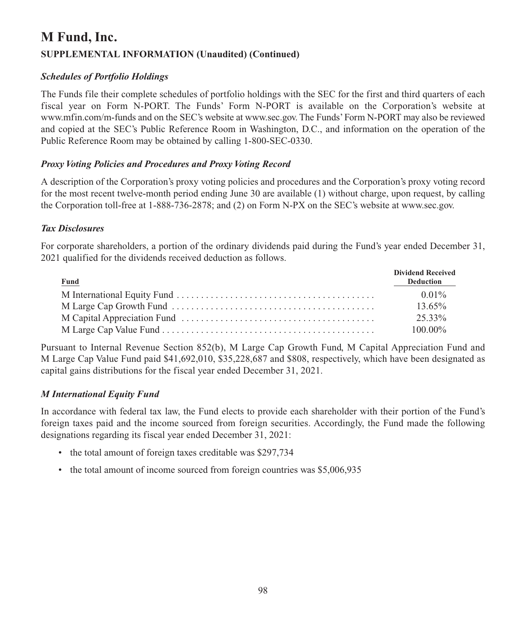## *Schedules of Portfolio Holdings*

The Funds file their complete schedules of portfolio holdings with the SEC for the first and third quarters of each fiscal year on Form N-PORT. The Funds' Form N-PORT is available on the Corporation's website at www.mfin.com/m-funds and on the SEC's website at www.sec.gov. The Funds' Form N-PORT may also be reviewed and copied at the SEC's Public Reference Room in Washington, D.C., and information on the operation of the Public Reference Room may be obtained by calling 1-800-SEC-0330.

## *Proxy Voting Policies and Procedures and Proxy Voting Record*

A description of the Corporation's proxy voting policies and procedures and the Corporation's proxy voting record for the most recent twelve-month period ending June 30 are available (1) without charge, upon request, by calling the Corporation toll-free at 1-888-736-2878; and (2) on Form N-PX on the SEC's website at www.sec.gov.

### *Tax Disclosures*

For corporate shareholders, a portion of the ordinary dividends paid during the Fund's year ended December 31, 2021 qualified for the dividends received deduction as follows.

| Fund | <b>Dividend Received</b><br>Deduction |
|------|---------------------------------------|
|      | $0.01\%$                              |
|      | $13.65\%$                             |
|      | 25.33%                                |
|      | $100.00\%$                            |

Pursuant to Internal Revenue Section 852(b), M Large Cap Growth Fund, M Capital Appreciation Fund and M Large Cap Value Fund paid \$41,692,010, \$35,228,687 and \$808, respectively, which have been designated as capital gains distributions for the fiscal year ended December 31, 2021.

## *M International Equity Fund*

In accordance with federal tax law, the Fund elects to provide each shareholder with their portion of the Fund's foreign taxes paid and the income sourced from foreign securities. Accordingly, the Fund made the following designations regarding its fiscal year ended December 31, 2021:

- the total amount of foreign taxes creditable was \$297,734
- the total amount of income sourced from foreign countries was \$5,006,935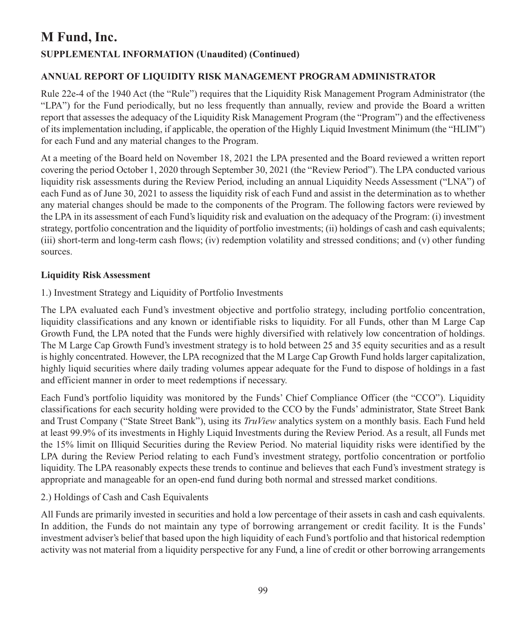### **ANNUAL REPORT OF LIQUIDITY RISK MANAGEMENT PROGRAM ADMINISTRATOR**

Rule 22e-4 of the 1940 Act (the "Rule") requires that the Liquidity Risk Management Program Administrator (the "LPA") for the Fund periodically, but no less frequently than annually, review and provide the Board a written report that assesses the adequacy of the Liquidity Risk Management Program (the "Program") and the effectiveness of its implementation including, if applicable, the operation of the Highly Liquid Investment Minimum (the "HLIM") for each Fund and any material changes to the Program.

At a meeting of the Board held on November 18, 2021 the LPA presented and the Board reviewed a written report covering the period October 1, 2020 through September 30, 2021 (the "Review Period"). The LPA conducted various liquidity risk assessments during the Review Period, including an annual Liquidity Needs Assessment ("LNA") of each Fund as of June 30, 2021 to assess the liquidity risk of each Fund and assist in the determination as to whether any material changes should be made to the components of the Program. The following factors were reviewed by the LPA in its assessment of each Fund's liquidity risk and evaluation on the adequacy of the Program: (i) investment strategy, portfolio concentration and the liquidity of portfolio investments; (ii) holdings of cash and cash equivalents; (iii) short-term and long-term cash flows; (iv) redemption volatility and stressed conditions; and (v) other funding sources.

### **Liquidity Risk Assessment**

1.) Investment Strategy and Liquidity of Portfolio Investments

The LPA evaluated each Fund's investment objective and portfolio strategy, including portfolio concentration, liquidity classifications and any known or identifiable risks to liquidity. For all Funds, other than M Large Cap Growth Fund, the LPA noted that the Funds were highly diversified with relatively low concentration of holdings. The M Large Cap Growth Fund's investment strategy is to hold between 25 and 35 equity securities and as a result is highly concentrated. However, the LPA recognized that the M Large Cap Growth Fund holds larger capitalization, highly liquid securities where daily trading volumes appear adequate for the Fund to dispose of holdings in a fast and efficient manner in order to meet redemptions if necessary.

Each Fund's portfolio liquidity was monitored by the Funds' Chief Compliance Officer (the "CCO"). Liquidity classifications for each security holding were provided to the CCO by the Funds' administrator, State Street Bank and Trust Company ("State Street Bank"), using its *TruView* analytics system on a monthly basis. Each Fund held at least 99.9% of its investments in Highly Liquid Investments during the Review Period. As a result, all Funds met the 15% limit on Illiquid Securities during the Review Period. No material liquidity risks were identified by the LPA during the Review Period relating to each Fund's investment strategy, portfolio concentration or portfolio liquidity. The LPA reasonably expects these trends to continue and believes that each Fund's investment strategy is appropriate and manageable for an open-end fund during both normal and stressed market conditions.

### 2.) Holdings of Cash and Cash Equivalents

All Funds are primarily invested in securities and hold a low percentage of their assets in cash and cash equivalents. In addition, the Funds do not maintain any type of borrowing arrangement or credit facility. It is the Funds' investment adviser's belief that based upon the high liquidity of each Fund's portfolio and that historical redemption activity was not material from a liquidity perspective for any Fund, a line of credit or other borrowing arrangements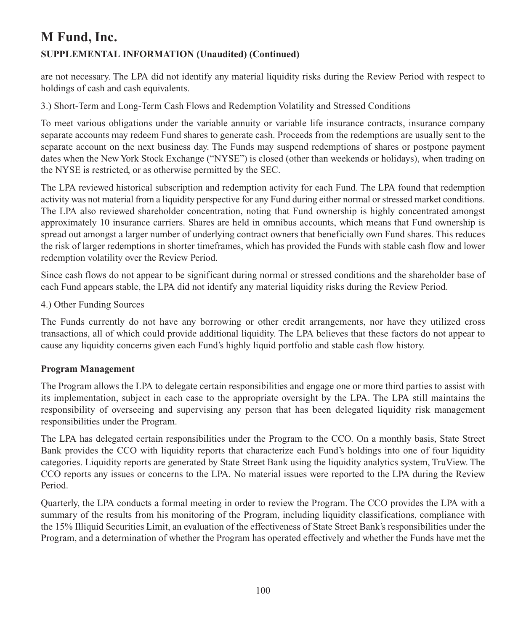are not necessary. The LPA did not identify any material liquidity risks during the Review Period with respect to holdings of cash and cash equivalents.

3.) Short-Term and Long-Term Cash Flows and Redemption Volatility and Stressed Conditions

To meet various obligations under the variable annuity or variable life insurance contracts, insurance company separate accounts may redeem Fund shares to generate cash. Proceeds from the redemptions are usually sent to the separate account on the next business day. The Funds may suspend redemptions of shares or postpone payment dates when the New York Stock Exchange ("NYSE") is closed (other than weekends or holidays), when trading on the NYSE is restricted, or as otherwise permitted by the SEC.

The LPA reviewed historical subscription and redemption activity for each Fund. The LPA found that redemption activity was not material from a liquidity perspective for any Fund during either normal or stressed market conditions. The LPA also reviewed shareholder concentration, noting that Fund ownership is highly concentrated amongst approximately 10 insurance carriers. Shares are held in omnibus accounts, which means that Fund ownership is spread out amongst a larger number of underlying contract owners that beneficially own Fund shares. This reduces the risk of larger redemptions in shorter timeframes, which has provided the Funds with stable cash flow and lower redemption volatility over the Review Period.

Since cash flows do not appear to be significant during normal or stressed conditions and the shareholder base of each Fund appears stable, the LPA did not identify any material liquidity risks during the Review Period.

4.) Other Funding Sources

The Funds currently do not have any borrowing or other credit arrangements, nor have they utilized cross transactions, all of which could provide additional liquidity. The LPA believes that these factors do not appear to cause any liquidity concerns given each Fund's highly liquid portfolio and stable cash flow history.

## **Program Management**

The Program allows the LPA to delegate certain responsibilities and engage one or more third parties to assist with its implementation, subject in each case to the appropriate oversight by the LPA. The LPA still maintains the responsibility of overseeing and supervising any person that has been delegated liquidity risk management responsibilities under the Program.

The LPA has delegated certain responsibilities under the Program to the CCO. On a monthly basis, State Street Bank provides the CCO with liquidity reports that characterize each Fund's holdings into one of four liquidity categories. Liquidity reports are generated by State Street Bank using the liquidity analytics system, TruView. The CCO reports any issues or concerns to the LPA. No material issues were reported to the LPA during the Review Period.

Quarterly, the LPA conducts a formal meeting in order to review the Program. The CCO provides the LPA with a summary of the results from his monitoring of the Program, including liquidity classifications, compliance with the 15% Illiquid Securities Limit, an evaluation of the effectiveness of State Street Bank's responsibilities under the Program, and a determination of whether the Program has operated effectively and whether the Funds have met the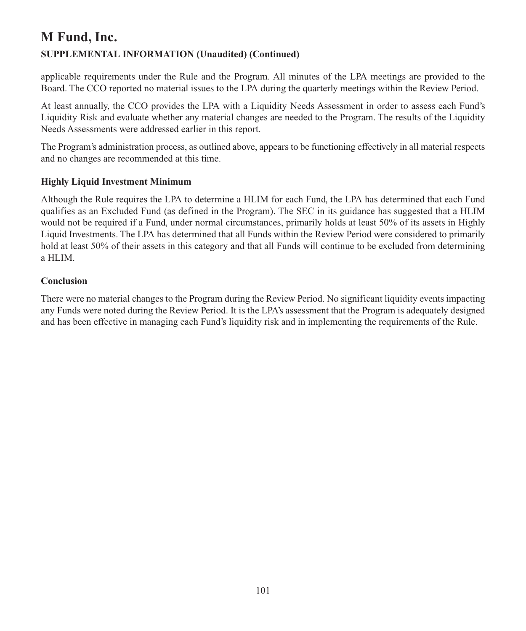applicable requirements under the Rule and the Program. All minutes of the LPA meetings are provided to the Board. The CCO reported no material issues to the LPA during the quarterly meetings within the Review Period.

At least annually, the CCO provides the LPA with a Liquidity Needs Assessment in order to assess each Fund's Liquidity Risk and evaluate whether any material changes are needed to the Program. The results of the Liquidity Needs Assessments were addressed earlier in this report.

The Program's administration process, as outlined above, appears to be functioning effectively in all material respects and no changes are recommended at this time.

## **Highly Liquid Investment Minimum**

Although the Rule requires the LPA to determine a HLIM for each Fund, the LPA has determined that each Fund qualifies as an Excluded Fund (as defined in the Program). The SEC in its guidance has suggested that a HLIM would not be required if a Fund, under normal circumstances, primarily holds at least 50% of its assets in Highly Liquid Investments. The LPA has determined that all Funds within the Review Period were considered to primarily hold at least 50% of their assets in this category and that all Funds will continue to be excluded from determining a HLIM.

### **Conclusion**

There were no material changes to the Program during the Review Period. No significant liquidity events impacting any Funds were noted during the Review Period. It is the LPA's assessment that the Program is adequately designed and has been effective in managing each Fund's liquidity risk and in implementing the requirements of the Rule.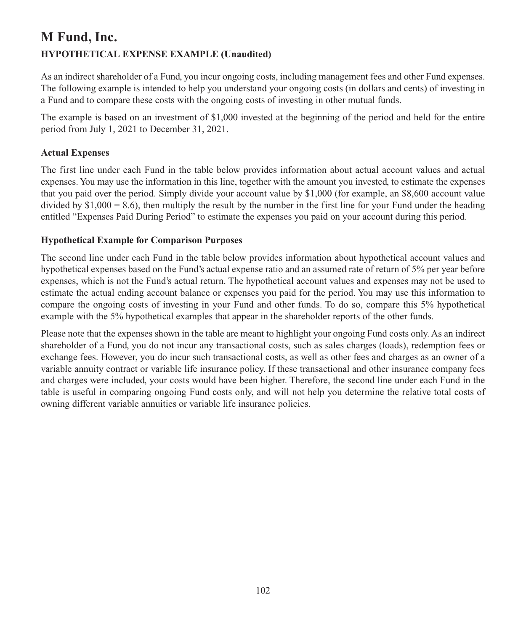## **M Fund, Inc. HYPOTHETICAL EXPENSE EXAMPLE (Unaudited)**

As an indirect shareholder of a Fund, you incur ongoing costs, including management fees and other Fund expenses. The following example is intended to help you understand your ongoing costs (in dollars and cents) of investing in a Fund and to compare these costs with the ongoing costs of investing in other mutual funds.

The example is based on an investment of \$1,000 invested at the beginning of the period and held for the entire period from July 1, 2021 to December 31, 2021.

## **Actual Expenses**

The first line under each Fund in the table below provides information about actual account values and actual expenses. You may use the information in this line, together with the amount you invested, to estimate the expenses that you paid over the period. Simply divide your account value by \$1,000 (for example, an \$8,600 account value divided by  $$1,000 = 8.6$ , then multiply the result by the number in the first line for your Fund under the heading entitled "Expenses Paid During Period" to estimate the expenses you paid on your account during this period.

## **Hypothetical Example for Comparison Purposes**

The second line under each Fund in the table below provides information about hypothetical account values and hypothetical expenses based on the Fund's actual expense ratio and an assumed rate of return of 5% per year before expenses, which is not the Fund's actual return. The hypothetical account values and expenses may not be used to estimate the actual ending account balance or expenses you paid for the period. You may use this information to compare the ongoing costs of investing in your Fund and other funds. To do so, compare this 5% hypothetical example with the 5% hypothetical examples that appear in the shareholder reports of the other funds.

Please note that the expenses shown in the table are meant to highlight your ongoing Fund costs only. As an indirect shareholder of a Fund, you do not incur any transactional costs, such as sales charges (loads), redemption fees or exchange fees. However, you do incur such transactional costs, as well as other fees and charges as an owner of a variable annuity contract or variable life insurance policy. If these transactional and other insurance company fees and charges were included, your costs would have been higher. Therefore, the second line under each Fund in the table is useful in comparing ongoing Fund costs only, and will not help you determine the relative total costs of owning different variable annuities or variable life insurance policies.